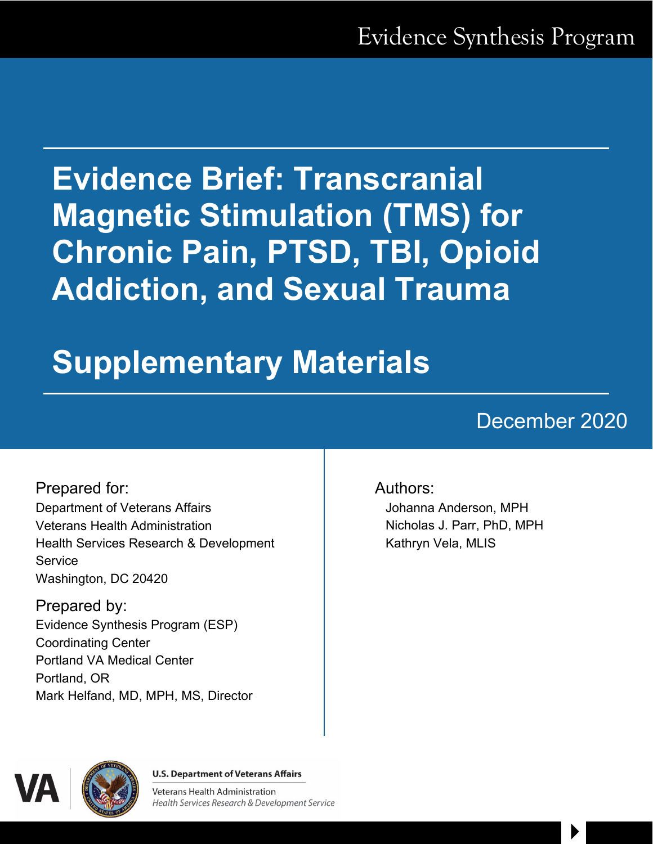# **Evidence Brief: Transcranial Magnetic Stimulation (TMS) for Chronic Pain, PTSD, TBI, Opioid Addiction, and Sexual Trauma**

# **Supplementary Materials**

# December 2020

 $\begin{array}{c} \hline \end{array}$ 

Prepared for: Department of Veterans Affairs Veterans Health Administration Health Services Research & Development **Service** Washington, DC 20420

Prepared by: Evidence Synthesis Program (ESP) Coordinating Center Portland VA Medical Center Portland, OR Mark Helfand, MD, MPH, MS, Director

#### Authors:

Johanna Anderson, MPH Nicholas J. Parr, PhD, MPH Kathryn Vela, MLIS



**U.S. Department of Veterans Affairs** 

**Veterans Health Administration** Health Services Research & Development Service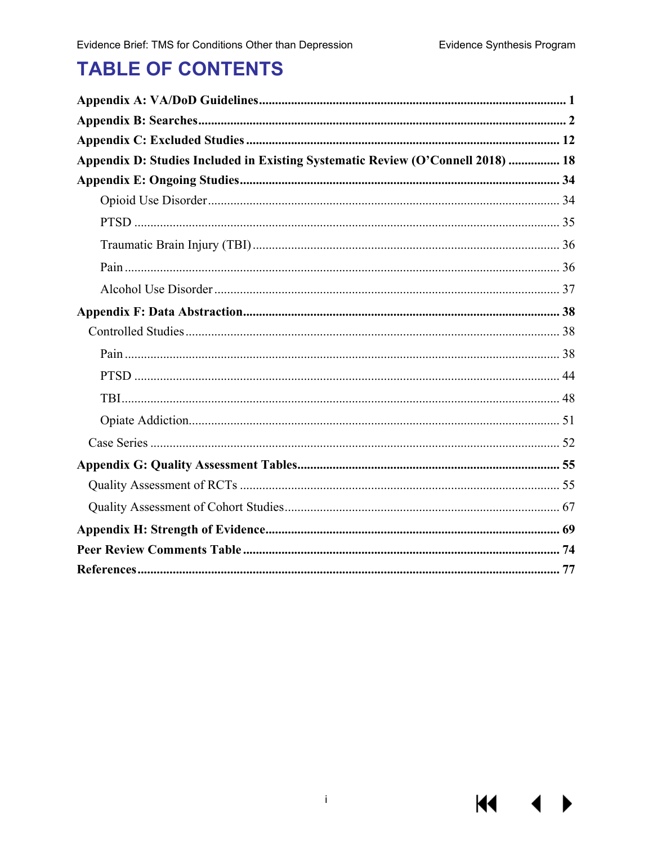**KI** 

# **TABLE OF CONTENTS**

| Appendix D: Studies Included in Existing Systematic Review (O'Connell 2018)  18 |  |
|---------------------------------------------------------------------------------|--|
|                                                                                 |  |
|                                                                                 |  |
|                                                                                 |  |
|                                                                                 |  |
|                                                                                 |  |
|                                                                                 |  |
|                                                                                 |  |
|                                                                                 |  |
|                                                                                 |  |
|                                                                                 |  |
|                                                                                 |  |
|                                                                                 |  |
|                                                                                 |  |
|                                                                                 |  |
|                                                                                 |  |
|                                                                                 |  |
|                                                                                 |  |
|                                                                                 |  |
|                                                                                 |  |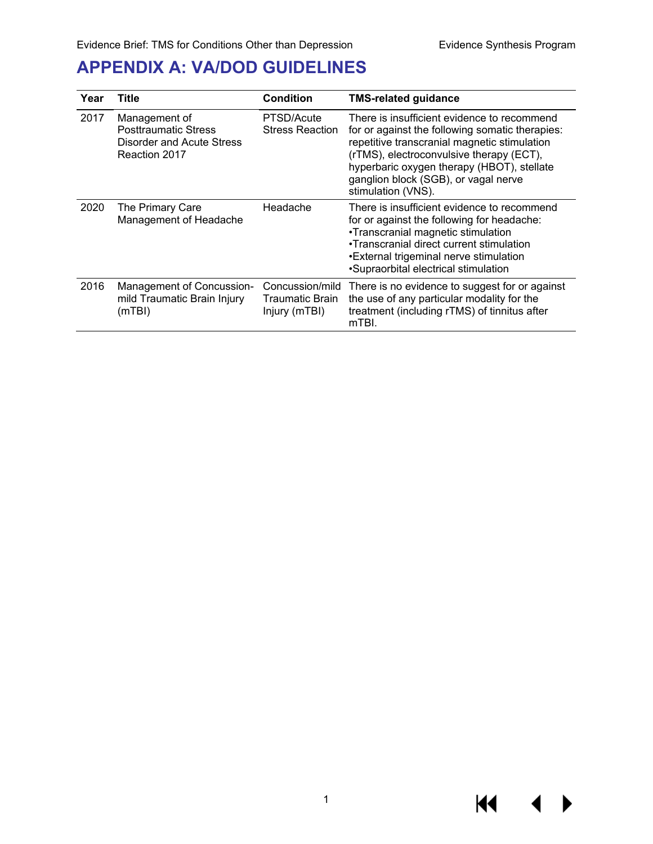### <span id="page-2-0"></span>**APPENDIX A: VA/DOD GUIDELINES**

| Year | Title                                                                                      | Condition                                           | <b>TMS-related guidance</b>                                                                                                                                                                                                                                                                            |
|------|--------------------------------------------------------------------------------------------|-----------------------------------------------------|--------------------------------------------------------------------------------------------------------------------------------------------------------------------------------------------------------------------------------------------------------------------------------------------------------|
| 2017 | Management of<br><b>Posttraumatic Stress</b><br>Disorder and Acute Stress<br>Reaction 2017 | PTSD/Acute<br><b>Stress Reaction</b>                | There is insufficient evidence to recommend<br>for or against the following somatic therapies:<br>repetitive transcranial magnetic stimulation<br>(rTMS), electroconvulsive therapy (ECT),<br>hyperbaric oxygen therapy (HBOT), stellate<br>ganglion block (SGB), or vagal nerve<br>stimulation (VNS). |
| 2020 | The Primary Care<br>Management of Headache                                                 | Headache                                            | There is insufficient evidence to recommend<br>for or against the following for headache:<br>•Transcranial magnetic stimulation<br>•Transcranial direct current stimulation<br>•External trigeminal nerve stimulation<br>•Supraorbital electrical stimulation                                          |
| 2016 | Management of Concussion-<br>mild Traumatic Brain Injury<br>(mTBI)                         | Concussion/mild<br>Traumatic Brain<br>Injury (mTBI) | There is no evidence to suggest for or against<br>the use of any particular modality for the<br>treatment (including rTMS) of tinnitus after<br>mTBI.                                                                                                                                                  |

**K4**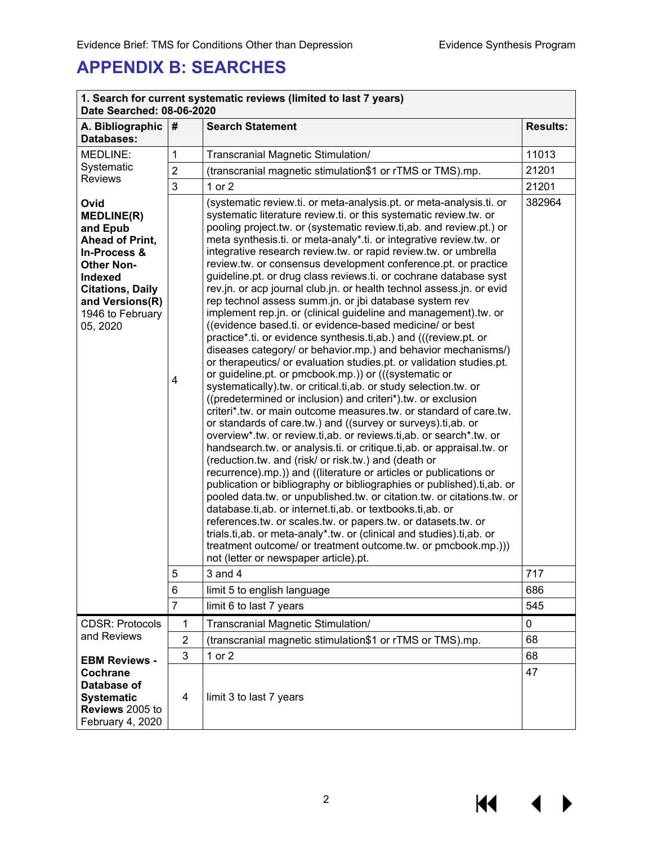## <span id="page-3-0"></span>**APPENDIX B: SEARCHES**

| 1. Search for current systematic reviews (limited to last 7 years)<br>Date Searched: 08-06-2020                                                                                               |                |                                                                                                                                                                                                                                                                                                                                                                                                                                                                                                                                                                                                                                                                                                                                                                                                                                                                                                                                                                                                                                                                                                                                                                                                                                                                                                                                                                                                                                                                                                                                                                                                                                                                                                                                                                                                                                                                                                                                                                                                                                                                     |                 |  |
|-----------------------------------------------------------------------------------------------------------------------------------------------------------------------------------------------|----------------|---------------------------------------------------------------------------------------------------------------------------------------------------------------------------------------------------------------------------------------------------------------------------------------------------------------------------------------------------------------------------------------------------------------------------------------------------------------------------------------------------------------------------------------------------------------------------------------------------------------------------------------------------------------------------------------------------------------------------------------------------------------------------------------------------------------------------------------------------------------------------------------------------------------------------------------------------------------------------------------------------------------------------------------------------------------------------------------------------------------------------------------------------------------------------------------------------------------------------------------------------------------------------------------------------------------------------------------------------------------------------------------------------------------------------------------------------------------------------------------------------------------------------------------------------------------------------------------------------------------------------------------------------------------------------------------------------------------------------------------------------------------------------------------------------------------------------------------------------------------------------------------------------------------------------------------------------------------------------------------------------------------------------------------------------------------------|-----------------|--|
| A. Bibliographic<br>Databases:                                                                                                                                                                | #              | <b>Search Statement</b>                                                                                                                                                                                                                                                                                                                                                                                                                                                                                                                                                                                                                                                                                                                                                                                                                                                                                                                                                                                                                                                                                                                                                                                                                                                                                                                                                                                                                                                                                                                                                                                                                                                                                                                                                                                                                                                                                                                                                                                                                                             | <b>Results:</b> |  |
| MEDLINE:                                                                                                                                                                                      | 1              | Transcranial Magnetic Stimulation/                                                                                                                                                                                                                                                                                                                                                                                                                                                                                                                                                                                                                                                                                                                                                                                                                                                                                                                                                                                                                                                                                                                                                                                                                                                                                                                                                                                                                                                                                                                                                                                                                                                                                                                                                                                                                                                                                                                                                                                                                                  | 11013           |  |
| Systematic                                                                                                                                                                                    | $\overline{2}$ | (transcranial magnetic stimulation\$1 or rTMS or TMS).mp.                                                                                                                                                                                                                                                                                                                                                                                                                                                                                                                                                                                                                                                                                                                                                                                                                                                                                                                                                                                                                                                                                                                                                                                                                                                                                                                                                                                                                                                                                                                                                                                                                                                                                                                                                                                                                                                                                                                                                                                                           | 21201           |  |
| <b>Reviews</b>                                                                                                                                                                                | 3              | $1$ or $2$                                                                                                                                                                                                                                                                                                                                                                                                                                                                                                                                                                                                                                                                                                                                                                                                                                                                                                                                                                                                                                                                                                                                                                                                                                                                                                                                                                                                                                                                                                                                                                                                                                                                                                                                                                                                                                                                                                                                                                                                                                                          | 21201           |  |
| Ovid<br><b>MEDLINE(R)</b><br>and Epub<br>Ahead of Print,<br>In-Process &<br><b>Other Non-</b><br><b>Indexed</b><br><b>Citations, Daily</b><br>and Versions(R)<br>1946 to February<br>05, 2020 | 4              | (systematic review.ti. or meta-analysis.pt. or meta-analysis.ti. or<br>systematic literature review.ti. or this systematic review.tw. or<br>pooling project.tw. or (systematic review.ti, ab. and review.pt.) or<br>meta synthesis.ti. or meta-analy*.ti. or integrative review.tw. or<br>integrative research review.tw. or rapid review.tw. or umbrella<br>review.tw. or consensus development conference.pt. or practice<br>guideline.pt. or drug class reviews.ti. or cochrane database syst<br>rev.jn. or acp journal club.jn. or health technol assess.jn. or evid<br>rep technol assess summ.jn. or jbi database system rev<br>implement rep.jn. or (clinical guideline and management).tw. or<br>((evidence based.ti. or evidence-based medicine/ or best<br>practice*.ti. or evidence synthesis.ti,ab.) and (((review.pt. or<br>diseases category/ or behavior.mp.) and behavior mechanisms/)<br>or therapeutics/ or evaluation studies.pt. or validation studies.pt.<br>or guideline.pt. or pmcbook.mp.)) or (((systematic or<br>systematically).tw. or critical.ti,ab. or study selection.tw. or<br>((predetermined or inclusion) and criteri*).tw. or exclusion<br>criteri*.tw. or main outcome measures.tw. or standard of care.tw.<br>or standards of care.tw.) and ((survey or surveys).ti,ab. or<br>overview*.tw. or review.ti,ab. or reviews.ti,ab. or search*.tw. or<br>handsearch.tw. or analysis.ti. or critique.ti, ab. or appraisal.tw. or<br>(reduction.tw. and (risk/ or risk.tw.) and (death or<br>recurrence).mp.)) and ((literature or articles or publications or<br>publication or bibliography or bibliographies or published).ti,ab. or<br>pooled data.tw. or unpublished.tw. or citation.tw. or citations.tw. or<br>database.ti, ab. or internet.ti, ab. or textbooks.ti, ab. or<br>references.tw. or scales.tw. or papers.tw. or datasets.tw. or<br>trials.ti,ab. or meta-analy*.tw. or (clinical and studies).ti,ab. or<br>treatment outcome/ or treatment outcome.tw. or pmcbook.mp.)))<br>not (letter or newspaper article).pt. | 382964          |  |
|                                                                                                                                                                                               | 5              | $3$ and $4$                                                                                                                                                                                                                                                                                                                                                                                                                                                                                                                                                                                                                                                                                                                                                                                                                                                                                                                                                                                                                                                                                                                                                                                                                                                                                                                                                                                                                                                                                                                                                                                                                                                                                                                                                                                                                                                                                                                                                                                                                                                         | 717             |  |
|                                                                                                                                                                                               | 6              | limit 5 to english language                                                                                                                                                                                                                                                                                                                                                                                                                                                                                                                                                                                                                                                                                                                                                                                                                                                                                                                                                                                                                                                                                                                                                                                                                                                                                                                                                                                                                                                                                                                                                                                                                                                                                                                                                                                                                                                                                                                                                                                                                                         | 686             |  |
|                                                                                                                                                                                               | $\overline{7}$ | limit 6 to last 7 years                                                                                                                                                                                                                                                                                                                                                                                                                                                                                                                                                                                                                                                                                                                                                                                                                                                                                                                                                                                                                                                                                                                                                                                                                                                                                                                                                                                                                                                                                                                                                                                                                                                                                                                                                                                                                                                                                                                                                                                                                                             | 545             |  |
| <b>CDSR: Protocols</b>                                                                                                                                                                        | $\mathbf{1}$   | Transcranial Magnetic Stimulation/                                                                                                                                                                                                                                                                                                                                                                                                                                                                                                                                                                                                                                                                                                                                                                                                                                                                                                                                                                                                                                                                                                                                                                                                                                                                                                                                                                                                                                                                                                                                                                                                                                                                                                                                                                                                                                                                                                                                                                                                                                  | 0               |  |
| and Reviews                                                                                                                                                                                   | $\overline{2}$ | (transcranial magnetic stimulation\$1 or rTMS or TMS).mp.                                                                                                                                                                                                                                                                                                                                                                                                                                                                                                                                                                                                                                                                                                                                                                                                                                                                                                                                                                                                                                                                                                                                                                                                                                                                                                                                                                                                                                                                                                                                                                                                                                                                                                                                                                                                                                                                                                                                                                                                           | 68              |  |
| <b>EBM Reviews -</b>                                                                                                                                                                          | 3              | 1 or 2                                                                                                                                                                                                                                                                                                                                                                                                                                                                                                                                                                                                                                                                                                                                                                                                                                                                                                                                                                                                                                                                                                                                                                                                                                                                                                                                                                                                                                                                                                                                                                                                                                                                                                                                                                                                                                                                                                                                                                                                                                                              | 68              |  |
| Cochrane<br>Database of<br><b>Systematic</b><br>Reviews 2005 to<br>February 4, 2020                                                                                                           | 4              | limit 3 to last 7 years                                                                                                                                                                                                                                                                                                                                                                                                                                                                                                                                                                                                                                                                                                                                                                                                                                                                                                                                                                                                                                                                                                                                                                                                                                                                                                                                                                                                                                                                                                                                                                                                                                                                                                                                                                                                                                                                                                                                                                                                                                             | 47              |  |

**K4**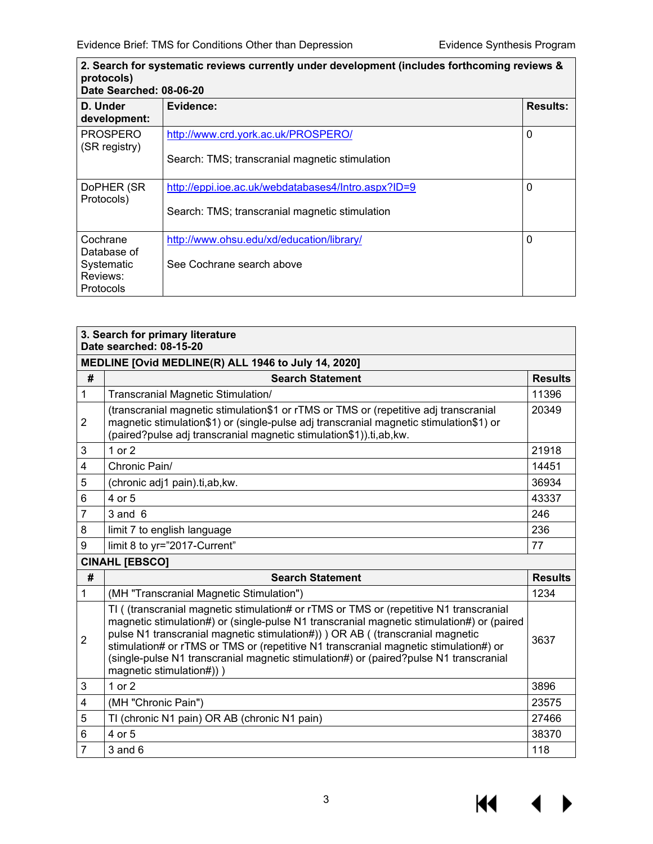| 2. Search for systematic reviews currently under development (includes forthcoming reviews &<br>protocols)<br>Date Searched: 08-06-20 |                                                     |                 |  |
|---------------------------------------------------------------------------------------------------------------------------------------|-----------------------------------------------------|-----------------|--|
| D. Under<br>development:                                                                                                              | Evidence:                                           | <b>Results:</b> |  |
| <b>PROSPERO</b><br>(SR registry)                                                                                                      | http://www.crd.york.ac.uk/PROSPERO/                 | $\mathbf{0}$    |  |
|                                                                                                                                       | Search: TMS; transcranial magnetic stimulation      |                 |  |
| DoPHER (SR<br>Protocols)                                                                                                              | http://eppi.ioe.ac.uk/webdatabases4/Intro.aspx?ID=9 | 0               |  |
|                                                                                                                                       | Search: TMS; transcranial magnetic stimulation      |                 |  |
| Cochrane<br>Database of                                                                                                               | http://www.ohsu.edu/xd/education/library/           | 0               |  |
| Systematic<br>Reviews:<br>Protocols                                                                                                   | See Cochrane search above                           |                 |  |

|                | 3. Search for primary literature<br>Date searched: 08-15-20                                                                                                                                                                                                                                                                                                                                                                                             |                |
|----------------|---------------------------------------------------------------------------------------------------------------------------------------------------------------------------------------------------------------------------------------------------------------------------------------------------------------------------------------------------------------------------------------------------------------------------------------------------------|----------------|
|                | MEDLINE [Ovid MEDLINE(R) ALL 1946 to July 14, 2020]                                                                                                                                                                                                                                                                                                                                                                                                     |                |
| #              | <b>Search Statement</b>                                                                                                                                                                                                                                                                                                                                                                                                                                 | <b>Results</b> |
| $\mathbf{1}$   | Transcranial Magnetic Stimulation/                                                                                                                                                                                                                                                                                                                                                                                                                      | 11396          |
| 2              | (transcranial magnetic stimulation\$1 or rTMS or TMS or (repetitive adj transcranial<br>magnetic stimulation\$1) or (single-pulse adj transcranial magnetic stimulation\$1) or<br>(paired?pulse adj transcranial magnetic stimulation\$1)).ti,ab,kw.                                                                                                                                                                                                    | 20349          |
| 3              | 1 or $2$                                                                                                                                                                                                                                                                                                                                                                                                                                                | 21918          |
| 4              | Chronic Pain/                                                                                                                                                                                                                                                                                                                                                                                                                                           | 14451          |
| 5              | (chronic adj1 pain).ti,ab,kw.                                                                                                                                                                                                                                                                                                                                                                                                                           | 36934          |
| 6              | 4 or 5                                                                                                                                                                                                                                                                                                                                                                                                                                                  | 43337          |
| $\overline{7}$ | $3$ and $6$                                                                                                                                                                                                                                                                                                                                                                                                                                             | 246            |
| 8              | limit 7 to english language                                                                                                                                                                                                                                                                                                                                                                                                                             | 236            |
| 9              | limit 8 to yr="2017-Current"                                                                                                                                                                                                                                                                                                                                                                                                                            | 77             |
|                | <b>CINAHL [EBSCO]</b>                                                                                                                                                                                                                                                                                                                                                                                                                                   |                |
| #              | <b>Search Statement</b>                                                                                                                                                                                                                                                                                                                                                                                                                                 | <b>Results</b> |
| $\mathbf{1}$   | (MH "Transcranial Magnetic Stimulation")                                                                                                                                                                                                                                                                                                                                                                                                                | 1234           |
| $\overline{2}$ | TI ( (transcranial magnetic stimulation# or rTMS or TMS or (repetitive N1 transcranial<br>magnetic stimulation#) or (single-pulse N1 transcranial magnetic stimulation#) or (paired<br>pulse N1 transcranial magnetic stimulation#)) ) OR AB ( (transcranial magnetic<br>stimulation# or rTMS or TMS or (repetitive N1 transcranial magnetic stimulation#) or<br>(single-pulse N1 transcrapial magnetic stimulation#) or (paired?pulse N1 transcrapial) | 3637           |

#### (single-pulse N1 transcranial magnetic stimulation#) or (paired?pulse N1 transcranial magnetic stimulation#)) ) 3 1 or 2 3896 4 (MH "Chronic Pain") 23575 5 TI (chronic N1 pain) OR AB (chronic N1 pain) 27466 6 4 or 5 38370 7 3 and 6 118

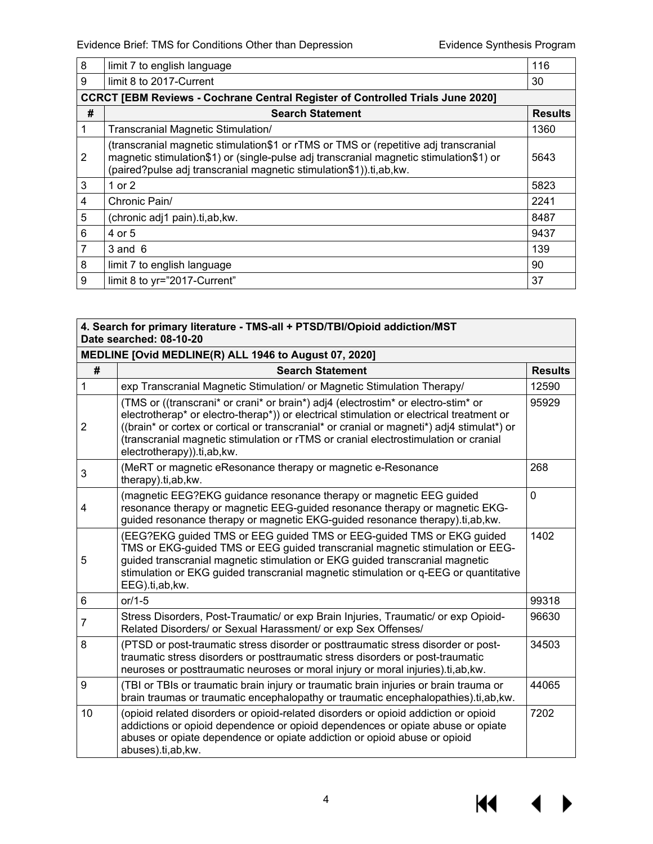| 8 | limit 7 to english language                                                                                                                                                                                                                          | 116            |
|---|------------------------------------------------------------------------------------------------------------------------------------------------------------------------------------------------------------------------------------------------------|----------------|
| 9 | limit 8 to 2017-Current                                                                                                                                                                                                                              | 30             |
|   | <b>CCRCT [EBM Reviews - Cochrane Central Register of Controlled Trials June 2020]</b>                                                                                                                                                                |                |
| # | <b>Search Statement</b>                                                                                                                                                                                                                              | <b>Results</b> |
|   | Transcranial Magnetic Stimulation/                                                                                                                                                                                                                   | 1360           |
| 2 | (transcranial magnetic stimulation\$1 or rTMS or TMS or (repetitive adj transcranial<br>magnetic stimulation\$1) or (single-pulse adj transcranial magnetic stimulation\$1) or<br>(paired?pulse adj transcranial magnetic stimulation\$1)).ti,ab,kw. | 5643           |
| 3 | 1 or 2                                                                                                                                                                                                                                               | 5823           |
| 4 | Chronic Pain/                                                                                                                                                                                                                                        | 2241           |
| 5 | (chronic adj1 pain).ti,ab,kw.                                                                                                                                                                                                                        | 8487           |
| 6 | 4 or 5                                                                                                                                                                                                                                               | 9437           |
| 7 | $3$ and $6$                                                                                                                                                                                                                                          | 139            |
| 8 | limit 7 to english language                                                                                                                                                                                                                          | 90             |
| 9 | limit 8 to yr="2017-Current"                                                                                                                                                                                                                         | 37             |

| 4. Search for primary literature - TMS-all + PTSD/TBI/Opioid addiction/MST<br>Date searched: 08-10-20 |                                                                                                                                                                                                                                                                                                                                                                                                  |                |  |
|-------------------------------------------------------------------------------------------------------|--------------------------------------------------------------------------------------------------------------------------------------------------------------------------------------------------------------------------------------------------------------------------------------------------------------------------------------------------------------------------------------------------|----------------|--|
|                                                                                                       | MEDLINE [Ovid MEDLINE(R) ALL 1946 to August 07, 2020]                                                                                                                                                                                                                                                                                                                                            |                |  |
| #                                                                                                     | <b>Search Statement</b>                                                                                                                                                                                                                                                                                                                                                                          | <b>Results</b> |  |
| 1                                                                                                     | exp Transcranial Magnetic Stimulation/ or Magnetic Stimulation Therapy/                                                                                                                                                                                                                                                                                                                          | 12590          |  |
| $\overline{2}$                                                                                        | (TMS or ((transcrani* or crani* or brain*) adj4 (electrostim* or electro-stim* or<br>electrotherap* or electro-therap*)) or electrical stimulation or electrical treatment or<br>((brain* or cortex or cortical or transcranial* or cranial or magneti*) adj4 stimulat*) or<br>(transcranial magnetic stimulation or rTMS or cranial electrostimulation or cranial<br>electrotherapy)).ti,ab,kw. | 95929          |  |
| 3                                                                                                     | (MeRT or magnetic eResonance therapy or magnetic e-Resonance<br>therapy).ti,ab, kw.                                                                                                                                                                                                                                                                                                              | 268            |  |
| 4                                                                                                     | (magnetic EEG?EKG guidance resonance therapy or magnetic EEG guided<br>resonance therapy or magnetic EEG-guided resonance therapy or magnetic EKG-<br>guided resonance therapy or magnetic EKG-guided resonance therapy).ti,ab, kw.                                                                                                                                                              | $\overline{0}$ |  |
| 5                                                                                                     | (EEG?EKG guided TMS or EEG guided TMS or EEG-guided TMS or EKG guided<br>TMS or EKG-guided TMS or EEG guided transcranial magnetic stimulation or EEG-<br>guided transcranial magnetic stimulation or EKG guided transcranial magnetic<br>stimulation or EKG guided transcranial magnetic stimulation or q-EEG or quantitative<br>EEG).ti,ab,kw.                                                 | 1402           |  |
| 6                                                                                                     | $or/1-5$                                                                                                                                                                                                                                                                                                                                                                                         | 99318          |  |
| 7                                                                                                     | Stress Disorders, Post-Traumatic/ or exp Brain Injuries, Traumatic/ or exp Opioid-<br>Related Disorders/ or Sexual Harassment/ or exp Sex Offenses/                                                                                                                                                                                                                                              | 96630          |  |
| 8                                                                                                     | (PTSD or post-traumatic stress disorder or posttraumatic stress disorder or post-<br>traumatic stress disorders or posttraumatic stress disorders or post-traumatic<br>neuroses or posttraumatic neuroses or moral injury or moral injuries).ti,ab, kw.                                                                                                                                          | 34503          |  |
| 9                                                                                                     | (TBI or TBIs or traumatic brain injury or traumatic brain injuries or brain trauma or<br>brain traumas or traumatic encephalopathy or traumatic encephalopathies).ti,ab, kw.                                                                                                                                                                                                                     | 44065          |  |
| 10                                                                                                    | (opioid related disorders or opioid-related disorders or opioid addiction or opioid<br>addictions or opioid dependence or opioid dependences or opiate abuse or opiate<br>abuses or opiate dependence or opiate addiction or opioid abuse or opioid<br>abuses).ti,ab,kw.                                                                                                                         | 7202           |  |

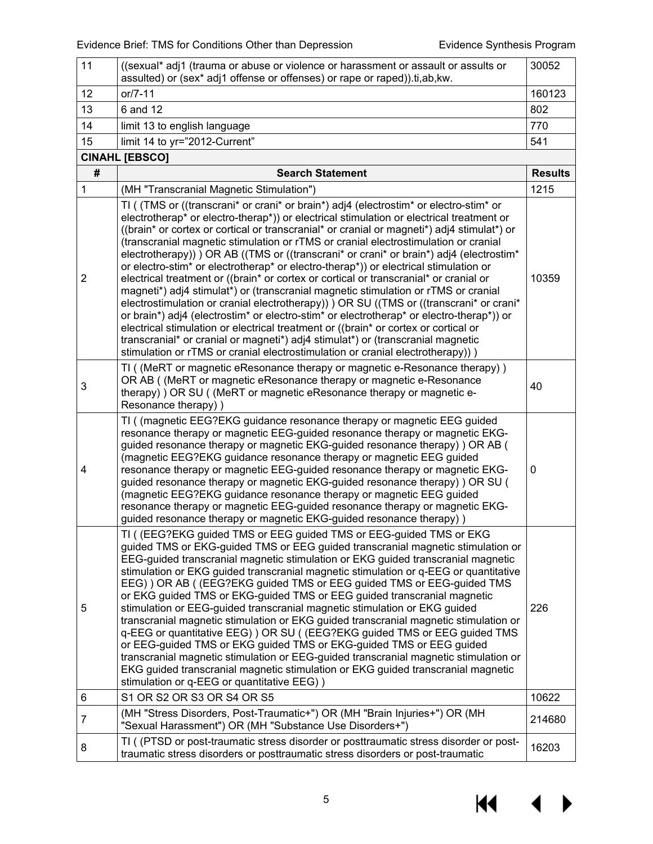| 11             | ((sexual* adj1 (trauma or abuse or violence or harassment or assault or assults or<br>assulted) or (sex* adj1 offense or offenses) or rape or raped)).ti,ab, kw.                                                                                                                                                                                                                                                                                                                                                                                                                                                                                                                                                                                                                                                                                                                                                                                                                                                                                                                                                                                                                                                                 | 30052          |
|----------------|----------------------------------------------------------------------------------------------------------------------------------------------------------------------------------------------------------------------------------------------------------------------------------------------------------------------------------------------------------------------------------------------------------------------------------------------------------------------------------------------------------------------------------------------------------------------------------------------------------------------------------------------------------------------------------------------------------------------------------------------------------------------------------------------------------------------------------------------------------------------------------------------------------------------------------------------------------------------------------------------------------------------------------------------------------------------------------------------------------------------------------------------------------------------------------------------------------------------------------|----------------|
| 12             | or/7-11                                                                                                                                                                                                                                                                                                                                                                                                                                                                                                                                                                                                                                                                                                                                                                                                                                                                                                                                                                                                                                                                                                                                                                                                                          | 160123         |
| 13             | 6 and 12                                                                                                                                                                                                                                                                                                                                                                                                                                                                                                                                                                                                                                                                                                                                                                                                                                                                                                                                                                                                                                                                                                                                                                                                                         | 802            |
| 14             | limit 13 to english language                                                                                                                                                                                                                                                                                                                                                                                                                                                                                                                                                                                                                                                                                                                                                                                                                                                                                                                                                                                                                                                                                                                                                                                                     | 770            |
| 15             | limit 14 to yr="2012-Current"                                                                                                                                                                                                                                                                                                                                                                                                                                                                                                                                                                                                                                                                                                                                                                                                                                                                                                                                                                                                                                                                                                                                                                                                    | 541            |
|                | <b>CINAHL [EBSCO]</b>                                                                                                                                                                                                                                                                                                                                                                                                                                                                                                                                                                                                                                                                                                                                                                                                                                                                                                                                                                                                                                                                                                                                                                                                            |                |
| #              | <b>Search Statement</b>                                                                                                                                                                                                                                                                                                                                                                                                                                                                                                                                                                                                                                                                                                                                                                                                                                                                                                                                                                                                                                                                                                                                                                                                          | <b>Results</b> |
| 1              | (MH "Transcranial Magnetic Stimulation")                                                                                                                                                                                                                                                                                                                                                                                                                                                                                                                                                                                                                                                                                                                                                                                                                                                                                                                                                                                                                                                                                                                                                                                         | 1215           |
| $\overline{2}$ | TI ( (TMS or ((transcrani* or crani* or brain*) adj4 (electrostim* or electro-stim* or<br>electrotherap* or electro-therap*)) or electrical stimulation or electrical treatment or<br>((brain* or cortex or cortical or transcranial* or cranial or magneti*) adj4 stimulat*) or<br>(transcranial magnetic stimulation or rTMS or cranial electrostimulation or cranial<br>electrotherapy)) ) OR AB ((TMS or ((transcrani* or crani* or brain*) adj4 (electrostim*<br>or electro-stim <sup>*</sup> or electrotherap <sup>*</sup> or electro-therap <sup>*</sup> )) or electrical stimulation or<br>electrical treatment or ((brain* or cortex or cortical or transcranial* or cranial or<br>magneti*) adj4 stimulat*) or (transcranial magnetic stimulation or rTMS or cranial<br>electrostimulation or cranial electrotherapy)) OR SU ((TMS or ((transcrani* or crani*<br>or brain*) adj4 (electrostim* or electro-stim* or electrotherap* or electro-therap*)) or<br>electrical stimulation or electrical treatment or ((brain* or cortex or cortical or<br>transcranial* or cranial or magneti*) adj4 stimulat*) or (transcranial magnetic<br>stimulation or rTMS or cranial electrostimulation or cranial electrotherapy)) ) | 10359          |
| 3              | TI ((MeRT or magnetic eResonance therapy or magnetic e-Resonance therapy))<br>OR AB ((MeRT or magnetic eResonance therapy or magnetic e-Resonance<br>therapy) ) OR SU ( (MeRT or magnetic eResonance therapy or magnetic e-<br>Resonance therapy) )                                                                                                                                                                                                                                                                                                                                                                                                                                                                                                                                                                                                                                                                                                                                                                                                                                                                                                                                                                              | 40             |
| 4              | TI ( (magnetic EEG?EKG guidance resonance therapy or magnetic EEG guided<br>resonance therapy or magnetic EEG-guided resonance therapy or magnetic EKG-<br>guided resonance therapy or magnetic EKG-guided resonance therapy) ) OR AB (<br>(magnetic EEG?EKG guidance resonance therapy or magnetic EEG guided<br>resonance therapy or magnetic EEG-guided resonance therapy or magnetic EKG-<br>guided resonance therapy or magnetic EKG-guided resonance therapy) ) OR SU (<br>(magnetic EEG?EKG guidance resonance therapy or magnetic EEG guided<br>resonance therapy or magnetic EEG-guided resonance therapy or magnetic EKG-<br>guided resonance therapy or magnetic EKG-guided resonance therapy))                                                                                                                                                                                                                                                                                                                                                                                                                                                                                                                       | $\mathbf 0$    |
| 5              | TI ( (EEG?EKG guided TMS or EEG guided TMS or EEG-guided TMS or EKG<br>guided TMS or EKG-guided TMS or EEG guided transcranial magnetic stimulation or<br>EEG-guided transcranial magnetic stimulation or EKG guided transcranial magnetic<br>stimulation or EKG guided transcranial magnetic stimulation or q-EEG or quantitative<br>EEG) ) OR AB ( (EEG?EKG guided TMS or EEG guided TMS or EEG-guided TMS<br>or EKG guided TMS or EKG-guided TMS or EEG guided transcranial magnetic<br>stimulation or EEG-guided transcranial magnetic stimulation or EKG guided<br>transcranial magnetic stimulation or EKG guided transcranial magnetic stimulation or<br>q-EEG or quantitative EEG) ) OR SU ((EEG?EKG guided TMS or EEG guided TMS<br>or EEG-guided TMS or EKG guided TMS or EKG-guided TMS or EEG guided<br>transcranial magnetic stimulation or EEG-guided transcranial magnetic stimulation or<br>EKG guided transcranial magnetic stimulation or EKG guided transcranial magnetic<br>stimulation or q-EEG or quantitative EEG))                                                                                                                                                                                       | 226            |
| 6              | S1 OR S2 OR S3 OR S4 OR S5                                                                                                                                                                                                                                                                                                                                                                                                                                                                                                                                                                                                                                                                                                                                                                                                                                                                                                                                                                                                                                                                                                                                                                                                       | 10622          |
| 7              | (MH "Stress Disorders, Post-Traumatic+") OR (MH "Brain Injuries+") OR (MH<br>"Sexual Harassment") OR (MH "Substance Use Disorders+")                                                                                                                                                                                                                                                                                                                                                                                                                                                                                                                                                                                                                                                                                                                                                                                                                                                                                                                                                                                                                                                                                             | 214680         |
| 8              | TI ( (PTSD or post-traumatic stress disorder or posttraumatic stress disorder or post-<br>traumatic stress disorders or posttraumatic stress disorders or post-traumatic                                                                                                                                                                                                                                                                                                                                                                                                                                                                                                                                                                                                                                                                                                                                                                                                                                                                                                                                                                                                                                                         | 16203          |

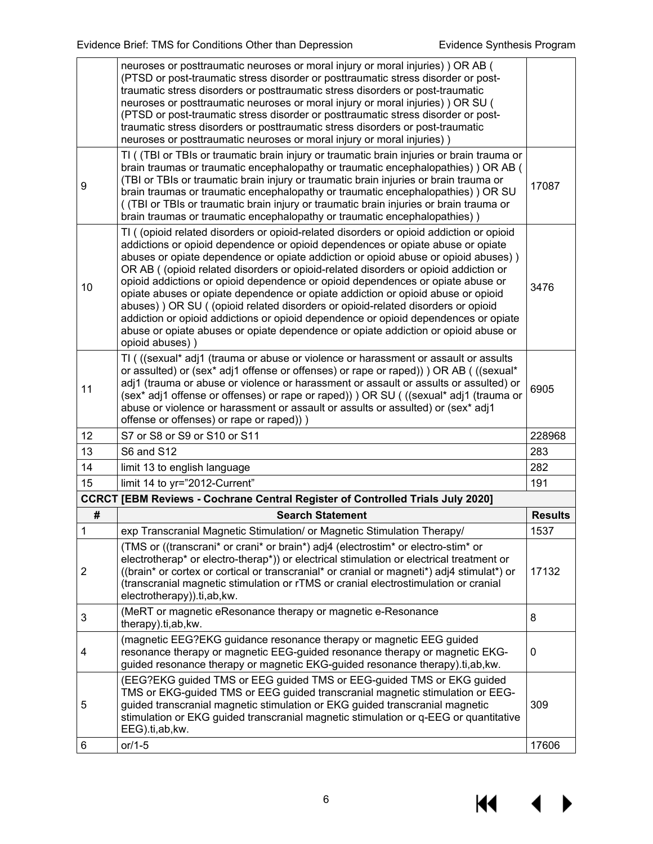|             | neuroses or posttraumatic neuroses or moral injury or moral injuries) ) OR AB (<br>(PTSD or post-traumatic stress disorder or posttraumatic stress disorder or post-<br>traumatic stress disorders or posttraumatic stress disorders or post-traumatic<br>neuroses or posttraumatic neuroses or moral injury or moral injuries) ) OR SU (<br>(PTSD or post-traumatic stress disorder or posttraumatic stress disorder or post-<br>traumatic stress disorders or posttraumatic stress disorders or post-traumatic<br>neuroses or posttraumatic neuroses or moral injury or moral injuries))                                                                                                                                                                                                                         |                |
|-------------|--------------------------------------------------------------------------------------------------------------------------------------------------------------------------------------------------------------------------------------------------------------------------------------------------------------------------------------------------------------------------------------------------------------------------------------------------------------------------------------------------------------------------------------------------------------------------------------------------------------------------------------------------------------------------------------------------------------------------------------------------------------------------------------------------------------------|----------------|
| 9           | TI ( (TBI or TBIs or traumatic brain injury or traumatic brain injuries or brain trauma or<br>brain traumas or traumatic encephalopathy or traumatic encephalopathies) ) OR AB (<br>(TBI or TBIs or traumatic brain injury or traumatic brain injuries or brain trauma or<br>brain traumas or traumatic encephalopathy or traumatic encephalopathies) ) OR SU<br>( (TBI or TBIs or traumatic brain injury or traumatic brain injuries or brain trauma or<br>brain traumas or traumatic encephalopathy or traumatic encephalopathies))                                                                                                                                                                                                                                                                              | 17087          |
| 10          | TI ( (opioid related disorders or opioid-related disorders or opioid addiction or opioid<br>addictions or opioid dependence or opioid dependences or opiate abuse or opiate<br>abuses or opiate dependence or opiate addiction or opioid abuse or opioid abuses))<br>OR AB ((opioid related disorders or opioid-related disorders or opioid addiction or<br>opioid addictions or opioid dependence or opioid dependences or opiate abuse or<br>opiate abuses or opiate dependence or opiate addiction or opioid abuse or opioid<br>abuses)) OR SU ((opioid related disorders or opioid-related disorders or opioid<br>addiction or opioid addictions or opioid dependence or opioid dependences or opiate<br>abuse or opiate abuses or opiate dependence or opiate addiction or opioid abuse or<br>opioid abuses)) | 3476           |
| 11          | TI ( ((sexual* adj1 (trauma or abuse or violence or harassment or assault or assults<br>or assulted) or (sex* adj1 offense or offenses) or rape or raped)) OR AB ( ((sexual*<br>adj1 (trauma or abuse or violence or harassment or assault or assults or assulted) or<br>(sex* adj1 offense or offenses) or rape or raped)) ) OR SU ( ((sexual* adj1 (trauma or<br>abuse or violence or harassment or assault or assults or assulted) or (sex* adj1<br>offense or offenses) or rape or raped)))                                                                                                                                                                                                                                                                                                                    | 6905           |
| 12          | S7 or S8 or S9 or S10 or S11                                                                                                                                                                                                                                                                                                                                                                                                                                                                                                                                                                                                                                                                                                                                                                                       | 228968         |
| 13          | <b>S6 and S12</b>                                                                                                                                                                                                                                                                                                                                                                                                                                                                                                                                                                                                                                                                                                                                                                                                  | 283            |
| 14          | limit 13 to english language                                                                                                                                                                                                                                                                                                                                                                                                                                                                                                                                                                                                                                                                                                                                                                                       | 282            |
| 15          | limit 14 to yr="2012-Current"                                                                                                                                                                                                                                                                                                                                                                                                                                                                                                                                                                                                                                                                                                                                                                                      | 191            |
|             | <b>CCRCT [EBM Reviews - Cochrane Central Register of Controlled Trials July 2020]</b>                                                                                                                                                                                                                                                                                                                                                                                                                                                                                                                                                                                                                                                                                                                              |                |
| $\#$        | <b>Search Statement</b>                                                                                                                                                                                                                                                                                                                                                                                                                                                                                                                                                                                                                                                                                                                                                                                            | <b>Results</b> |
| $\mathbf 1$ | exp Transcranial Magnetic Stimulation/ or Magnetic Stimulation Therapy/                                                                                                                                                                                                                                                                                                                                                                                                                                                                                                                                                                                                                                                                                                                                            | 1537           |
| 2           | (TMS or ((transcrani* or crani* or brain*) adj4 (electrostim* or electro-stim* or<br>electrotherap* or electro-therap*)) or electrical stimulation or electrical treatment or<br>((brain* or cortex or cortical or transcranial* or cranial or magneti*) adj4 stimulat*) or<br>(transcranial magnetic stimulation or rTMS or cranial electrostimulation or cranial<br>electrotherapy)).ti,ab, kw.                                                                                                                                                                                                                                                                                                                                                                                                                  | 17132          |
| 3           | (MeRT or magnetic eResonance therapy or magnetic e-Resonance<br>therapy).ti,ab, kw.                                                                                                                                                                                                                                                                                                                                                                                                                                                                                                                                                                                                                                                                                                                                | 8              |
| 4           | (magnetic EEG?EKG guidance resonance therapy or magnetic EEG guided<br>resonance therapy or magnetic EEG-guided resonance therapy or magnetic EKG-<br>guided resonance therapy or magnetic EKG-guided resonance therapy).ti,ab, kw.                                                                                                                                                                                                                                                                                                                                                                                                                                                                                                                                                                                | 0              |
| 5           | (EEG?EKG guided TMS or EEG guided TMS or EEG-guided TMS or EKG guided<br>TMS or EKG-guided TMS or EEG guided transcranial magnetic stimulation or EEG-<br>guided transcranial magnetic stimulation or EKG guided transcranial magnetic<br>stimulation or EKG guided transcranial magnetic stimulation or q-EEG or quantitative<br>EEG).ti,ab,kw.                                                                                                                                                                                                                                                                                                                                                                                                                                                                   | 309            |
| 6           | or/1-5                                                                                                                                                                                                                                                                                                                                                                                                                                                                                                                                                                                                                                                                                                                                                                                                             | 17606          |

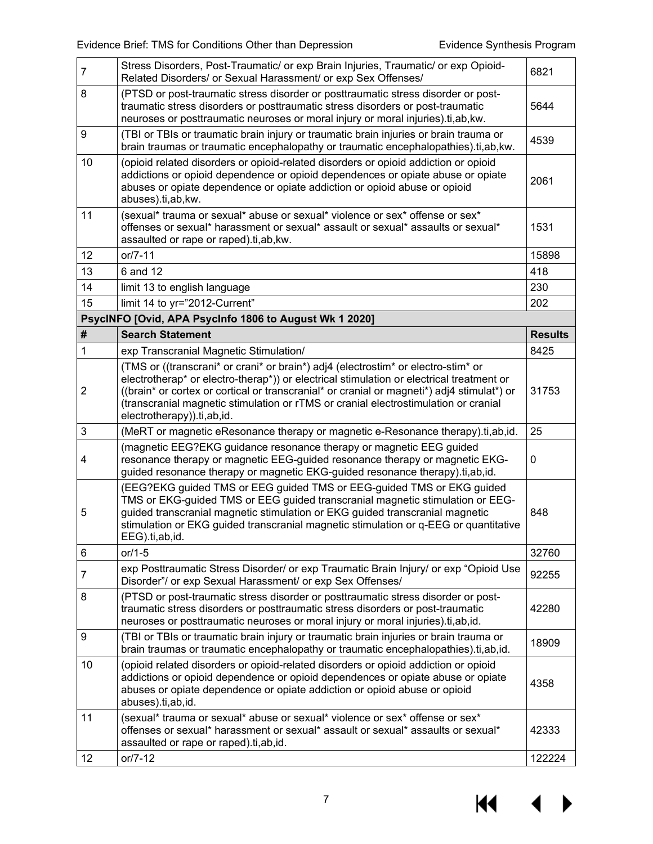| $\overline{7}$ | Stress Disorders, Post-Traumatic/ or exp Brain Injuries, Traumatic/ or exp Opioid-<br>Related Disorders/ or Sexual Harassment/ or exp Sex Offenses/                                                                                                                                                                                                                                              | 6821           |
|----------------|--------------------------------------------------------------------------------------------------------------------------------------------------------------------------------------------------------------------------------------------------------------------------------------------------------------------------------------------------------------------------------------------------|----------------|
| 8              | (PTSD or post-traumatic stress disorder or posttraumatic stress disorder or post-<br>traumatic stress disorders or posttraumatic stress disorders or post-traumatic<br>neuroses or posttraumatic neuroses or moral injury or moral injuries).ti,ab, kw.                                                                                                                                          | 5644           |
| 9              | (TBI or TBIs or traumatic brain injury or traumatic brain injuries or brain trauma or<br>brain traumas or traumatic encephalopathy or traumatic encephalopathies).ti,ab, kw.                                                                                                                                                                                                                     | 4539           |
| 10             | (opioid related disorders or opioid-related disorders or opioid addiction or opioid<br>addictions or opioid dependence or opioid dependences or opiate abuse or opiate<br>abuses or opiate dependence or opiate addiction or opioid abuse or opioid<br>abuses).ti,ab,kw.                                                                                                                         | 2061           |
| 11             | (sexual* trauma or sexual* abuse or sexual* violence or sex* offense or sex*<br>offenses or sexual* harassment or sexual* assault or sexual* assaults or sexual*<br>assaulted or rape or raped).ti,ab,kw.                                                                                                                                                                                        | 1531           |
| 12             | $or / 7 - 11$                                                                                                                                                                                                                                                                                                                                                                                    | 15898          |
| 13             | 6 and 12                                                                                                                                                                                                                                                                                                                                                                                         | 418            |
| 14             | limit 13 to english language                                                                                                                                                                                                                                                                                                                                                                     | 230            |
| 15             | limit 14 to yr="2012-Current"                                                                                                                                                                                                                                                                                                                                                                    | 202            |
|                | PsycINFO [Ovid, APA PsycInfo 1806 to August Wk 1 2020]                                                                                                                                                                                                                                                                                                                                           |                |
| #              | <b>Search Statement</b>                                                                                                                                                                                                                                                                                                                                                                          | <b>Results</b> |
| 1              | exp Transcranial Magnetic Stimulation/                                                                                                                                                                                                                                                                                                                                                           | 8425           |
| $\overline{2}$ | (TMS or ((transcrani* or crani* or brain*) adj4 (electrostim* or electro-stim* or<br>electrotherap* or electro-therap*)) or electrical stimulation or electrical treatment or<br>((brain* or cortex or cortical or transcranial* or cranial or magneti*) adj4 stimulat*) or<br>(transcranial magnetic stimulation or rTMS or cranial electrostimulation or cranial<br>electrotherapy)).ti,ab,id. | 31753          |
| 3              | (MeRT or magnetic eResonance therapy or magnetic e-Resonance therapy).ti,ab,id.                                                                                                                                                                                                                                                                                                                  | 25             |
| 4              | (magnetic EEG?EKG guidance resonance therapy or magnetic EEG guided<br>resonance therapy or magnetic EEG-guided resonance therapy or magnetic EKG-<br>guided resonance therapy or magnetic EKG-guided resonance therapy).ti,ab,id.                                                                                                                                                               | 0              |
| 5              | (EEG?EKG guided TMS or EEG guided TMS or EEG-guided TMS or EKG guided<br>TMS or EKG-guided TMS or EEG guided transcranial magnetic stimulation or EEG-<br>guided transcranial magnetic stimulation or EKG guided transcranial magnetic<br>stimulation or EKG guided transcranial magnetic stimulation or q-EEG or quantitative<br>EEG).ti,ab,id.                                                 | 848            |
| $\,6$          | or/1-5                                                                                                                                                                                                                                                                                                                                                                                           | 32760          |
| $\overline{7}$ | exp Posttraumatic Stress Disorder/ or exp Traumatic Brain Injury/ or exp "Opioid Use<br>Disorder"/ or exp Sexual Harassment/ or exp Sex Offenses/                                                                                                                                                                                                                                                | 92255          |
| 8              | (PTSD or post-traumatic stress disorder or posttraumatic stress disorder or post-<br>traumatic stress disorders or posttraumatic stress disorders or post-traumatic<br>neuroses or posttraumatic neuroses or moral injury or moral injuries).ti,ab,id.                                                                                                                                           | 42280          |
| 9              | (TBI or TBIs or traumatic brain injury or traumatic brain injuries or brain trauma or<br>brain traumas or traumatic encephalopathy or traumatic encephalopathies).ti,ab,id.                                                                                                                                                                                                                      | 18909          |
| 10             | (opioid related disorders or opioid-related disorders or opioid addiction or opioid<br>addictions or opioid dependence or opioid dependences or opiate abuse or opiate<br>abuses or opiate dependence or opiate addiction or opioid abuse or opioid<br>abuses).ti,ab,id.                                                                                                                         | 4358           |
| 11             | (sexual* trauma or sexual* abuse or sexual* violence or sex* offense or sex*<br>offenses or sexual* harassment or sexual* assault or sexual* assaults or sexual*<br>assaulted or rape or raped).ti,ab,id.                                                                                                                                                                                        | 42333          |
| 12             | $or/7-12$                                                                                                                                                                                                                                                                                                                                                                                        | 122224         |

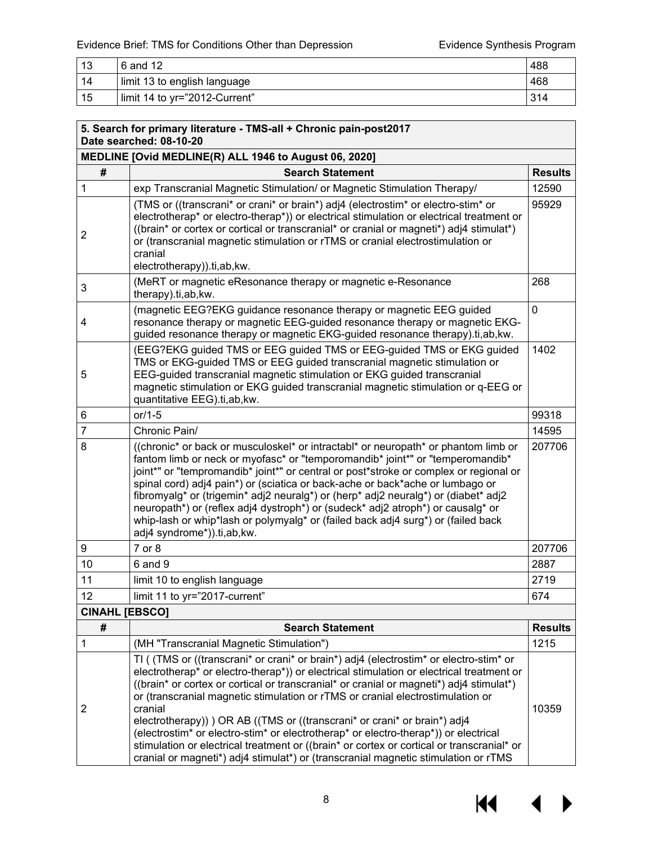| 13 | 6 and 12                      | 488 |
|----|-------------------------------|-----|
| 14 | limit 13 to english language  | 468 |
| 15 | limit 14 to yr="2012-Current" | 314 |

|                       | 5. Search for primary literature - TMS-all + Chronic pain-post2017<br>Date searched: 08-10-20                                                                                                                                                                                                                                                                                                                                                                                                                                                                                                                                                                                                                                    |                |
|-----------------------|----------------------------------------------------------------------------------------------------------------------------------------------------------------------------------------------------------------------------------------------------------------------------------------------------------------------------------------------------------------------------------------------------------------------------------------------------------------------------------------------------------------------------------------------------------------------------------------------------------------------------------------------------------------------------------------------------------------------------------|----------------|
|                       | MEDLINE [Ovid MEDLINE(R) ALL 1946 to August 06, 2020]                                                                                                                                                                                                                                                                                                                                                                                                                                                                                                                                                                                                                                                                            |                |
| #                     | <b>Search Statement</b>                                                                                                                                                                                                                                                                                                                                                                                                                                                                                                                                                                                                                                                                                                          | <b>Results</b> |
| $\mathbf{1}$          | exp Transcranial Magnetic Stimulation/ or Magnetic Stimulation Therapy/                                                                                                                                                                                                                                                                                                                                                                                                                                                                                                                                                                                                                                                          | 12590          |
| $\overline{2}$        | (TMS or ((transcrani* or crani* or brain*) adj4 (electrostim* or electro-stim* or<br>electrotherap* or electro-therap*)) or electrical stimulation or electrical treatment or<br>((brain* or cortex or cortical or transcranial* or cranial or magneti*) adj4 stimulat*)<br>or (transcranial magnetic stimulation or rTMS or cranial electrostimulation or<br>cranial<br>electrotherapy)).ti,ab,kw.                                                                                                                                                                                                                                                                                                                              | 95929          |
| 3                     | (MeRT or magnetic eResonance therapy or magnetic e-Resonance<br>therapy).ti,ab, kw.                                                                                                                                                                                                                                                                                                                                                                                                                                                                                                                                                                                                                                              | 268            |
| 4                     | (magnetic EEG?EKG guidance resonance therapy or magnetic EEG guided<br>resonance therapy or magnetic EEG-guided resonance therapy or magnetic EKG-<br>guided resonance therapy or magnetic EKG-guided resonance therapy).ti,ab, kw.                                                                                                                                                                                                                                                                                                                                                                                                                                                                                              | $\mathbf 0$    |
| 5                     | (EEG?EKG guided TMS or EEG guided TMS or EEG-guided TMS or EKG guided<br>TMS or EKG-guided TMS or EEG guided transcranial magnetic stimulation or<br>EEG-guided transcranial magnetic stimulation or EKG guided transcranial<br>magnetic stimulation or EKG guided transcranial magnetic stimulation or q-EEG or<br>quantitative EEG).ti,ab, kw.                                                                                                                                                                                                                                                                                                                                                                                 | 1402           |
| 6                     | $or/1-5$                                                                                                                                                                                                                                                                                                                                                                                                                                                                                                                                                                                                                                                                                                                         | 99318          |
| $\overline{7}$        | Chronic Pain/                                                                                                                                                                                                                                                                                                                                                                                                                                                                                                                                                                                                                                                                                                                    | 14595          |
| 8                     | ((chronic* or back or musculoskel* or intractabl* or neuropath* or phantom limb or<br>fantom limb or neck or myofasc* or "temporomandib* joint*" or "temperomandib*<br>joint*" or "tempromandib* joint*" or central or post*stroke or complex or regional or<br>spinal cord) adj4 pain*) or (sciatica or back-ache or back*ache or lumbago or<br>fibromyalg* or (trigemin* adj2 neuralg*) or (herp* adj2 neuralg*) or (diabet* adj2<br>neuropath*) or (reflex adj4 dystroph*) or (sudeck* adj2 atroph*) or causalg* or<br>whip-lash or whip*lash or polymyalg* or (failed back adj4 surg*) or (failed back<br>adj4 syndrome*)).ti,ab,kw.                                                                                         | 207706         |
| 9                     | 7 or 8                                                                                                                                                                                                                                                                                                                                                                                                                                                                                                                                                                                                                                                                                                                           | 207706         |
| 10                    | 6 and 9                                                                                                                                                                                                                                                                                                                                                                                                                                                                                                                                                                                                                                                                                                                          | 2887           |
| 11                    | limit 10 to english language                                                                                                                                                                                                                                                                                                                                                                                                                                                                                                                                                                                                                                                                                                     | 2719           |
| 12                    | limit 11 to yr="2017-current"                                                                                                                                                                                                                                                                                                                                                                                                                                                                                                                                                                                                                                                                                                    | 674            |
| <b>CINAHL [EBSCO]</b> |                                                                                                                                                                                                                                                                                                                                                                                                                                                                                                                                                                                                                                                                                                                                  |                |
| #                     | <b>Search Statement</b>                                                                                                                                                                                                                                                                                                                                                                                                                                                                                                                                                                                                                                                                                                          | <b>Results</b> |
| 1                     | (MH "Transcranial Magnetic Stimulation")                                                                                                                                                                                                                                                                                                                                                                                                                                                                                                                                                                                                                                                                                         | 1215           |
| $\overline{2}$        | TI ((TMS or ((transcrani* or crani* or brain*) adj4 (electrostim* or electro-stim* or<br>electrotherap* or electro-therap*)) or electrical stimulation or electrical treatment or<br>((brain* or cortex or cortical or transcranial* or cranial or magneti*) adj4 stimulat*)<br>or (transcranial magnetic stimulation or rTMS or cranial electrostimulation or<br>cranial<br>electrotherapy)) ) OR AB ((TMS or ((transcrani* or crani* or brain*) adj4<br>(electrostim* or electro-stim* or electrotherap* or electro-therap*)) or electrical<br>stimulation or electrical treatment or ((brain* or cortex or cortical or transcranial* or<br>cranial or magneti*) adj4 stimulat*) or (transcranial magnetic stimulation or rTMS | 10359          |

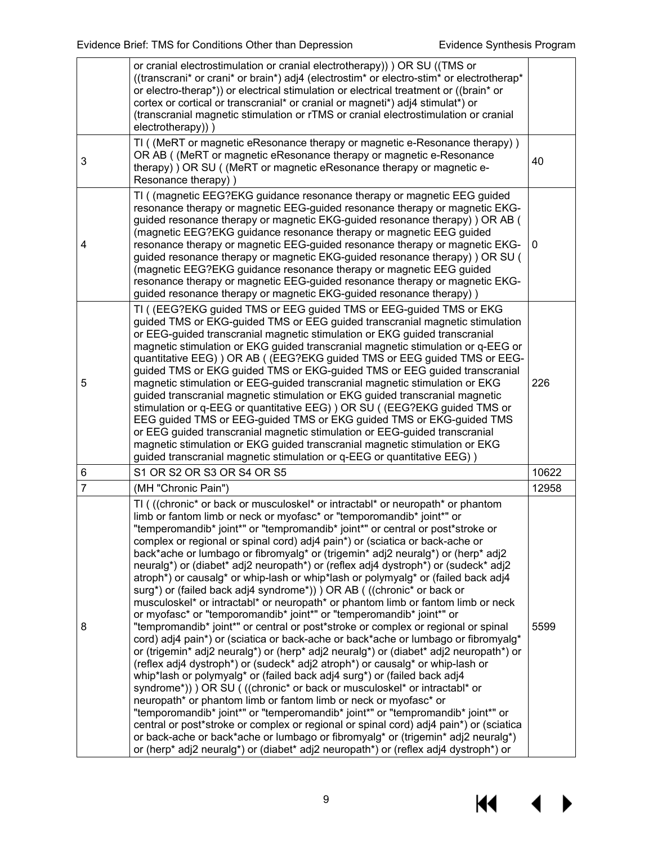|                | or cranial electrostimulation or cranial electrotherapy)) ) OR SU ((TMS or<br>((transcrani* or crani* or brain*) adj4 (electrostim* or electro-stim* or electrotherap*<br>or electro-therap*)) or electrical stimulation or electrical treatment or ((brain* or<br>cortex or cortical or transcranial* or cranial or magneti*) adj4 stimulat*) or<br>(transcranial magnetic stimulation or rTMS or cranial electrostimulation or cranial                                                                                                                                                                                                                                                                                                                                                                                                                                                                                                                                                                                                                                                                                                                                                                                                                                                                                                                                                                                                                                                                                                                                                                                                                                                                                                                                  |       |  |  |
|----------------|---------------------------------------------------------------------------------------------------------------------------------------------------------------------------------------------------------------------------------------------------------------------------------------------------------------------------------------------------------------------------------------------------------------------------------------------------------------------------------------------------------------------------------------------------------------------------------------------------------------------------------------------------------------------------------------------------------------------------------------------------------------------------------------------------------------------------------------------------------------------------------------------------------------------------------------------------------------------------------------------------------------------------------------------------------------------------------------------------------------------------------------------------------------------------------------------------------------------------------------------------------------------------------------------------------------------------------------------------------------------------------------------------------------------------------------------------------------------------------------------------------------------------------------------------------------------------------------------------------------------------------------------------------------------------------------------------------------------------------------------------------------------------|-------|--|--|
|                | electrotherapy)))                                                                                                                                                                                                                                                                                                                                                                                                                                                                                                                                                                                                                                                                                                                                                                                                                                                                                                                                                                                                                                                                                                                                                                                                                                                                                                                                                                                                                                                                                                                                                                                                                                                                                                                                                         |       |  |  |
| 3              | TI ((MeRT or magnetic eResonance therapy or magnetic e-Resonance therapy))<br>OR AB ((MeRT or magnetic eResonance therapy or magnetic e-Resonance<br>therapy) ) OR SU ( (MeRT or magnetic eResonance therapy or magnetic e-<br>Resonance therapy) )                                                                                                                                                                                                                                                                                                                                                                                                                                                                                                                                                                                                                                                                                                                                                                                                                                                                                                                                                                                                                                                                                                                                                                                                                                                                                                                                                                                                                                                                                                                       | 40    |  |  |
| 4              | TI ( (magnetic EEG?EKG guidance resonance therapy or magnetic EEG guided<br>resonance therapy or magnetic EEG-guided resonance therapy or magnetic EKG-<br>guided resonance therapy or magnetic EKG-guided resonance therapy) ) OR AB (<br>(magnetic EEG?EKG guidance resonance therapy or magnetic EEG guided<br>resonance therapy or magnetic EEG-guided resonance therapy or magnetic EKG-<br>0<br>guided resonance therapy or magnetic EKG-guided resonance therapy) ) OR SU (<br>(magnetic EEG?EKG guidance resonance therapy or magnetic EEG guided<br>resonance therapy or magnetic EEG-guided resonance therapy or magnetic EKG-<br>guided resonance therapy or magnetic EKG-guided resonance therapy))                                                                                                                                                                                                                                                                                                                                                                                                                                                                                                                                                                                                                                                                                                                                                                                                                                                                                                                                                                                                                                                           |       |  |  |
| 5              | TI ( (EEG?EKG guided TMS or EEG guided TMS or EEG-guided TMS or EKG<br>guided TMS or EKG-guided TMS or EEG guided transcranial magnetic stimulation<br>or EEG-guided transcranial magnetic stimulation or EKG guided transcranial<br>magnetic stimulation or EKG guided transcranial magnetic stimulation or q-EEG or<br>quantitative EEG) ) OR AB ((EEG?EKG guided TMS or EEG guided TMS or EEG-<br>guided TMS or EKG guided TMS or EKG-guided TMS or EEG guided transcranial<br>magnetic stimulation or EEG-guided transcranial magnetic stimulation or EKG<br>guided transcranial magnetic stimulation or EKG guided transcranial magnetic<br>stimulation or q-EEG or quantitative EEG) ) OR SU ( (EEG?EKG guided TMS or<br>EEG guided TMS or EEG-guided TMS or EKG guided TMS or EKG-guided TMS<br>or EEG guided transcranial magnetic stimulation or EEG-guided transcranial<br>magnetic stimulation or EKG guided transcranial magnetic stimulation or EKG<br>guided transcranial magnetic stimulation or q-EEG or quantitative EEG) )                                                                                                                                                                                                                                                                                                                                                                                                                                                                                                                                                                                                                                                                                                                              | 226   |  |  |
| 6              | S1 OR S2 OR S3 OR S4 OR S5                                                                                                                                                                                                                                                                                                                                                                                                                                                                                                                                                                                                                                                                                                                                                                                                                                                                                                                                                                                                                                                                                                                                                                                                                                                                                                                                                                                                                                                                                                                                                                                                                                                                                                                                                | 10622 |  |  |
| $\overline{7}$ | (MH "Chronic Pain")                                                                                                                                                                                                                                                                                                                                                                                                                                                                                                                                                                                                                                                                                                                                                                                                                                                                                                                                                                                                                                                                                                                                                                                                                                                                                                                                                                                                                                                                                                                                                                                                                                                                                                                                                       | 12958 |  |  |
| 8              | TI (((chronic* or back or musculoskel* or intractabl* or neuropath* or phantom<br>limb or fantom limb or neck or myofasc* or "temporomandib* joint*" or<br>"temperomandib* joint*" or "tempromandib* joint*" or central or post*stroke or<br>complex or regional or spinal cord) adj4 pain*) or (sciatica or back-ache or<br>back*ache or lumbago or fibromyalg* or (trigemin* adj2 neuralg*) or (herp* adj2<br>neuralg*) or (diabet* adj2 neuropath*) or (reflex adj4 dystroph*) or (sudeck* adj2<br>atroph*) or causalg* or whip-lash or whip*lash or polymyalg* or (failed back adj4<br>surg*) or (failed back adj4 syndrome*)) ) OR AB ( ((chronic* or back or<br>musculoskel* or intractabl* or neuropath* or phantom limb or fantom limb or neck<br>or myofasc* or "temporomandib* joint*" or "temperomandib* joint*" or<br>"tempromandib* joint*" or central or post*stroke or complex or regional or spinal<br>cord) adj4 pain*) or (sciatica or back-ache or back*ache or lumbago or fibromyalg*<br>or (trigemin* adj2 neuralg*) or (herp* adj2 neuralg*) or (diabet* adj2 neuropath*) or<br>(reflex adj4 dystroph*) or (sudeck* adj2 atroph*) or causalg* or whip-lash or<br>whip*lash or polymyalg* or (failed back adj4 surg*) or (failed back adj4<br>syndrome*)) ) OR SU ( ((chronic* or back or musculoskel* or intractabl* or<br>neuropath* or phantom limb or fantom limb or neck or myofasc* or<br>"temporomandib* joint*" or "temperomandib* joint*" or "tempromandib* joint*" or<br>central or post*stroke or complex or regional or spinal cord) adj4 pain*) or (sciatica<br>or back-ache or back*ache or lumbago or fibromyalg* or (trigemin* adj2 neuralg*)<br>or (herp* adj2 neuralg*) or (diabet* adj2 neuropath*) or (reflex adj4 dystroph*) or | 5599  |  |  |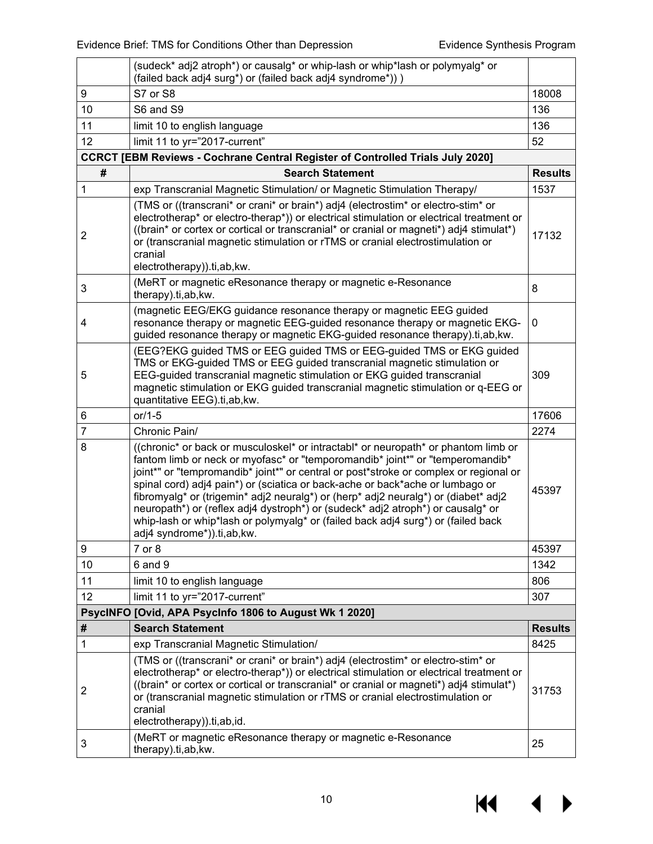|                | (sudeck* adj2 atroph*) or causalg* or whip-lash or whip*lash or polymyalg* or<br>(failed back adj4 surg*) or (failed back adj4 syndrome*)) )                                                                                                                                                                                                                                                                                                                                                                                                                                                                                             |                |  |  |
|----------------|------------------------------------------------------------------------------------------------------------------------------------------------------------------------------------------------------------------------------------------------------------------------------------------------------------------------------------------------------------------------------------------------------------------------------------------------------------------------------------------------------------------------------------------------------------------------------------------------------------------------------------------|----------------|--|--|
| 9              | S7 or S8                                                                                                                                                                                                                                                                                                                                                                                                                                                                                                                                                                                                                                 |                |  |  |
| 10             | S6 and S9                                                                                                                                                                                                                                                                                                                                                                                                                                                                                                                                                                                                                                |                |  |  |
| 11             | limit 10 to english language                                                                                                                                                                                                                                                                                                                                                                                                                                                                                                                                                                                                             | 136            |  |  |
| 12             | limit 11 to yr="2017-current"                                                                                                                                                                                                                                                                                                                                                                                                                                                                                                                                                                                                            | 52             |  |  |
|                | <b>CCRCT [EBM Reviews - Cochrane Central Register of Controlled Trials July 2020]</b>                                                                                                                                                                                                                                                                                                                                                                                                                                                                                                                                                    |                |  |  |
| #              | <b>Search Statement</b>                                                                                                                                                                                                                                                                                                                                                                                                                                                                                                                                                                                                                  | <b>Results</b> |  |  |
| 1              | exp Transcranial Magnetic Stimulation/ or Magnetic Stimulation Therapy/                                                                                                                                                                                                                                                                                                                                                                                                                                                                                                                                                                  | 1537           |  |  |
| $\overline{2}$ | (TMS or ((transcrani* or crani* or brain*) adj4 (electrostim* or electro-stim* or<br>electrotherap* or electro-therap*)) or electrical stimulation or electrical treatment or<br>((brain* or cortex or cortical or transcranial* or cranial or magneti*) adj4 stimulat*)<br>or (transcranial magnetic stimulation or rTMS or cranial electrostimulation or<br>cranial<br>electrotherapy)).ti,ab,kw.                                                                                                                                                                                                                                      | 17132          |  |  |
| 3              | (MeRT or magnetic eResonance therapy or magnetic e-Resonance<br>therapy).ti,ab, kw.                                                                                                                                                                                                                                                                                                                                                                                                                                                                                                                                                      | 8              |  |  |
| 4              | (magnetic EEG/EKG guidance resonance therapy or magnetic EEG guided<br>resonance therapy or magnetic EEG-guided resonance therapy or magnetic EKG-<br>guided resonance therapy or magnetic EKG-guided resonance therapy).ti,ab, kw.                                                                                                                                                                                                                                                                                                                                                                                                      | 0              |  |  |
| 5              | (EEG?EKG guided TMS or EEG guided TMS or EEG-guided TMS or EKG guided<br>TMS or EKG-guided TMS or EEG guided transcranial magnetic stimulation or<br>EEG-guided transcranial magnetic stimulation or EKG guided transcranial<br>magnetic stimulation or EKG guided transcranial magnetic stimulation or q-EEG or<br>quantitative EEG).ti,ab, kw.                                                                                                                                                                                                                                                                                         |                |  |  |
| 6              | $or/1-5$                                                                                                                                                                                                                                                                                                                                                                                                                                                                                                                                                                                                                                 | 17606          |  |  |
| 7              | Chronic Pain/                                                                                                                                                                                                                                                                                                                                                                                                                                                                                                                                                                                                                            | 2274           |  |  |
| 8              | ((chronic* or back or musculoskel* or intractabl* or neuropath* or phantom limb or<br>fantom limb or neck or myofasc* or "temporomandib* joint*" or "temperomandib*<br>joint*" or "tempromandib* joint*" or central or post*stroke or complex or regional or<br>spinal cord) adj4 pain*) or (sciatica or back-ache or back*ache or lumbago or<br>fibromyalg* or (trigemin* adj2 neuralg*) or (herp* adj2 neuralg*) or (diabet* adj2<br>neuropath*) or (reflex adj4 dystroph*) or (sudeck* adj2 atroph*) or causalg* or<br>whip-lash or whip*lash or polymyalg* or (failed back adj4 surg*) or (failed back<br>adj4 syndrome*)).ti,ab,kw. | 45397          |  |  |
| 9              | 7 or 8                                                                                                                                                                                                                                                                                                                                                                                                                                                                                                                                                                                                                                   | 45397          |  |  |
| 10             | 6 and 9                                                                                                                                                                                                                                                                                                                                                                                                                                                                                                                                                                                                                                  | 1342           |  |  |
| 11             | limit 10 to english language                                                                                                                                                                                                                                                                                                                                                                                                                                                                                                                                                                                                             | 806            |  |  |
| 12             | limit 11 to yr="2017-current"                                                                                                                                                                                                                                                                                                                                                                                                                                                                                                                                                                                                            | 307            |  |  |
|                | PsycINFO [Ovid, APA PsycInfo 1806 to August Wk 1 2020]                                                                                                                                                                                                                                                                                                                                                                                                                                                                                                                                                                                   |                |  |  |
| #              | <b>Search Statement</b>                                                                                                                                                                                                                                                                                                                                                                                                                                                                                                                                                                                                                  | <b>Results</b> |  |  |
| 1              |                                                                                                                                                                                                                                                                                                                                                                                                                                                                                                                                                                                                                                          | 8425           |  |  |
|                | exp Transcranial Magnetic Stimulation/                                                                                                                                                                                                                                                                                                                                                                                                                                                                                                                                                                                                   |                |  |  |
| 2              | (TMS or ((transcrani* or crani* or brain*) adj4 (electrostim* or electro-stim* or<br>electrotherap* or electro-therap*)) or electrical stimulation or electrical treatment or<br>((brain* or cortex or cortical or transcranial* or cranial or magneti*) adj4 stimulat*)<br>or (transcranial magnetic stimulation or rTMS or cranial electrostimulation or<br>cranial<br>electrotherapy)).ti,ab,id.                                                                                                                                                                                                                                      | 31753          |  |  |

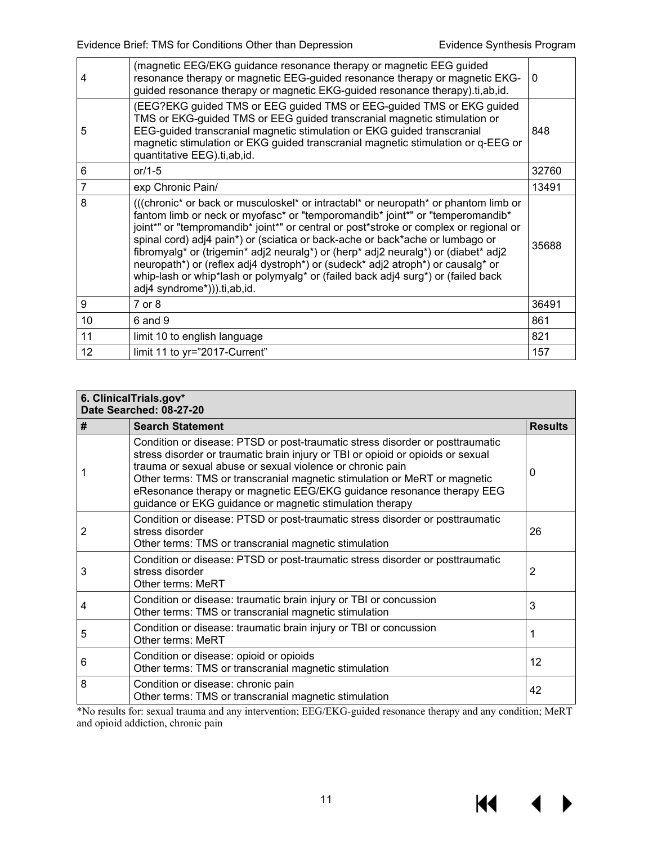| 4              | (magnetic EEG/EKG guidance resonance therapy or magnetic EEG guided<br>resonance therapy or magnetic EEG-guided resonance therapy or magnetic EKG-<br>guided resonance therapy or magnetic EKG-guided resonance therapy).ti,ab,id.                                                                                                                                                                                                                                                                                                                                                                                                         |       |  |  |  |
|----------------|--------------------------------------------------------------------------------------------------------------------------------------------------------------------------------------------------------------------------------------------------------------------------------------------------------------------------------------------------------------------------------------------------------------------------------------------------------------------------------------------------------------------------------------------------------------------------------------------------------------------------------------------|-------|--|--|--|
| 5              | (EEG?EKG guided TMS or EEG guided TMS or EEG-guided TMS or EKG guided<br>TMS or EKG-guided TMS or EEG guided transcranial magnetic stimulation or<br>EEG-guided transcranial magnetic stimulation or EKG guided transcranial<br>magnetic stimulation or EKG guided transcranial magnetic stimulation or q-EEG or<br>quantitative EEG).ti,ab,id.                                                                                                                                                                                                                                                                                            |       |  |  |  |
| 6              | or/1-5                                                                                                                                                                                                                                                                                                                                                                                                                                                                                                                                                                                                                                     |       |  |  |  |
| $\overline{7}$ | exp Chronic Pain/                                                                                                                                                                                                                                                                                                                                                                                                                                                                                                                                                                                                                          | 13491 |  |  |  |
| 8              | (((chronic* or back or musculoskel* or intractabl* or neuropath* or phantom limb or<br>fantom limb or neck or myofasc* or "temporomandib* joint*" or "temperomandib*<br>joint*" or "tempromandib* joint*" or central or post*stroke or complex or regional or<br>spinal cord) adj4 pain*) or (sciatica or back-ache or back*ache or lumbago or<br>fibromyalg* or (trigemin* adj2 neuralg*) or (herp* adj2 neuralg*) or (diabet* adj2<br>neuropath*) or (reflex adj4 dystroph*) or (sudeck* adj2 atroph*) or causalg* or<br>whip-lash or whip*lash or polymyalg* or (failed back adj4 surg*) or (failed back<br>adj4 syndrome*))).ti,ab,id. | 35688 |  |  |  |
| 9              | $7$ or $8$                                                                                                                                                                                                                                                                                                                                                                                                                                                                                                                                                                                                                                 | 36491 |  |  |  |
| 10             | $6$ and $9$                                                                                                                                                                                                                                                                                                                                                                                                                                                                                                                                                                                                                                | 861   |  |  |  |
| 11             | limit 10 to english language                                                                                                                                                                                                                                                                                                                                                                                                                                                                                                                                                                                                               | 821   |  |  |  |
| 12             | limit 11 to yr="2017-Current"                                                                                                                                                                                                                                                                                                                                                                                                                                                                                                                                                                                                              | 157   |  |  |  |
|                |                                                                                                                                                                                                                                                                                                                                                                                                                                                                                                                                                                                                                                            |       |  |  |  |

| 6. ClinicalTrials.gov*<br>Date Searched: 08-27-20 |                                                                                                                                                                                                                                                                                                                                                                                                                                                 |                |  |  |
|---------------------------------------------------|-------------------------------------------------------------------------------------------------------------------------------------------------------------------------------------------------------------------------------------------------------------------------------------------------------------------------------------------------------------------------------------------------------------------------------------------------|----------------|--|--|
| #                                                 | <b>Search Statement</b>                                                                                                                                                                                                                                                                                                                                                                                                                         | <b>Results</b> |  |  |
|                                                   | Condition or disease: PTSD or post-traumatic stress disorder or posttraumatic<br>stress disorder or traumatic brain injury or TBI or opioid or opioids or sexual<br>trauma or sexual abuse or sexual violence or chronic pain<br>Other terms: TMS or transcranial magnetic stimulation or MeRT or magnetic<br>eResonance therapy or magnetic EEG/EKG guidance resonance therapy EEG<br>guidance or EKG guidance or magnetic stimulation therapy | 0              |  |  |
| 2                                                 | Condition or disease: PTSD or post-traumatic stress disorder or posttraumatic<br>stress disorder<br>Other terms: TMS or transcranial magnetic stimulation                                                                                                                                                                                                                                                                                       |                |  |  |
| 3                                                 | Condition or disease: PTSD or post-traumatic stress disorder or posttraumatic<br>stress disorder<br>Other terms: MeRT                                                                                                                                                                                                                                                                                                                           | $\overline{2}$ |  |  |
| 4                                                 | Condition or disease: traumatic brain injury or TBI or concussion<br>Other terms: TMS or transcranial magnetic stimulation                                                                                                                                                                                                                                                                                                                      | 3              |  |  |
| 5                                                 | Condition or disease: traumatic brain injury or TBI or concussion<br>Other terms: MeRT                                                                                                                                                                                                                                                                                                                                                          | 1              |  |  |
| 6                                                 | Condition or disease: opioid or opioids<br>Other terms: TMS or transcranial magnetic stimulation                                                                                                                                                                                                                                                                                                                                                | 12             |  |  |
| 8                                                 | Condition or disease: chronic pain<br>Other terms: TMS or transcranial magnetic stimulation                                                                                                                                                                                                                                                                                                                                                     | 42             |  |  |

\*No results for: sexual trauma and any intervention; EEG/EKG-guided resonance therapy and any condition; MeRT and opioid addiction, chronic pain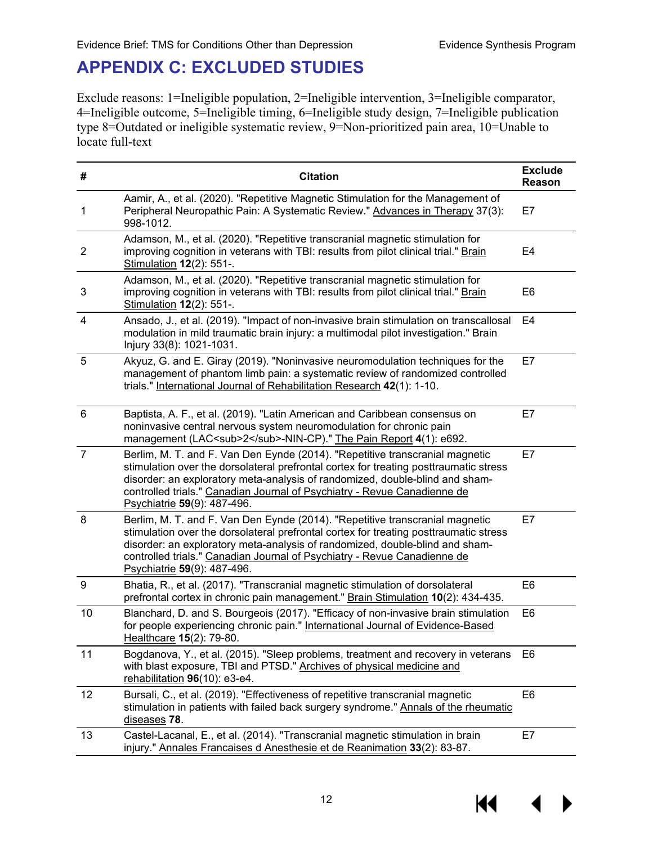#### <span id="page-13-0"></span>**APPENDIX C: EXCLUDED STUDIES**

Exclude reasons: 1=Ineligible population, 2=Ineligible intervention, 3=Ineligible comparator, 4=Ineligible outcome, 5=Ineligible timing, 6=Ineligible study design, 7=Ineligible publication type 8=Outdated or ineligible systematic review, 9=Non-prioritized pain area, 10=Unable to locate full-text

| #              | <b>Citation</b>                                                                                                                                                                                                                                                                                                                                                  |                |  |
|----------------|------------------------------------------------------------------------------------------------------------------------------------------------------------------------------------------------------------------------------------------------------------------------------------------------------------------------------------------------------------------|----------------|--|
| 1              | Aamir, A., et al. (2020). "Repetitive Magnetic Stimulation for the Management of<br>Peripheral Neuropathic Pain: A Systematic Review." Advances in Therapy 37(3):<br>998-1012.                                                                                                                                                                                   | E7             |  |
| $\overline{c}$ | Adamson, M., et al. (2020). "Repetitive transcranial magnetic stimulation for<br>improving cognition in veterans with TBI: results from pilot clinical trial." Brain<br>E4<br>Stimulation 12(2): 551-.                                                                                                                                                           |                |  |
| 3              | Adamson, M., et al. (2020). "Repetitive transcranial magnetic stimulation for<br>improving cognition in veterans with TBI: results from pilot clinical trial." Brain<br>Stimulation 12(2): 551-.                                                                                                                                                                 | E <sub>6</sub> |  |
| 4              | Ansado, J., et al. (2019). "Impact of non-invasive brain stimulation on transcallosal<br>modulation in mild traumatic brain injury: a multimodal pilot investigation." Brain<br>Injury 33(8): 1021-1031.                                                                                                                                                         | E4             |  |
| 5              | Akyuz, G. and E. Giray (2019). "Noninvasive neuromodulation techniques for the<br>management of phantom limb pain: a systematic review of randomized controlled<br>trials." International Journal of Rehabilitation Research 42(1): 1-10.                                                                                                                        | E7             |  |
| $6\,$          | Baptista, A. F., et al. (2019). "Latin American and Caribbean consensus on<br>noninvasive central nervous system neuromodulation for chronic pain<br>management (LAC <sub>2</sub> -NIN-CP)." The Pain Report 4(1): e692.                                                                                                                                         | E7             |  |
| $\overline{7}$ | Berlim, M. T. and F. Van Den Eynde (2014). "Repetitive transcranial magnetic<br>stimulation over the dorsolateral prefrontal cortex for treating posttraumatic stress<br>disorder: an exploratory meta-analysis of randomized, double-blind and sham-<br>controlled trials." Canadian Journal of Psychiatry - Revue Canadienne de<br>Psychiatrie 59(9): 487-496. | E7             |  |
| 8              | Berlim, M. T. and F. Van Den Eynde (2014). "Repetitive transcranial magnetic<br>stimulation over the dorsolateral prefrontal cortex for treating posttraumatic stress<br>disorder: an exploratory meta-analysis of randomized, double-blind and sham-<br>controlled trials." Canadian Journal of Psychiatry - Revue Canadienne de<br>Psychiatrie 59(9): 487-496. | E7             |  |
| 9              | Bhatia, R., et al. (2017). "Transcranial magnetic stimulation of dorsolateral<br>prefrontal cortex in chronic pain management." Brain Stimulation 10(2): 434-435.                                                                                                                                                                                                | E <sub>6</sub> |  |
| 10             | Blanchard, D. and S. Bourgeois (2017). "Efficacy of non-invasive brain stimulation<br>for people experiencing chronic pain." International Journal of Evidence-Based<br>Healthcare 15(2): 79-80.                                                                                                                                                                 | E <sub>6</sub> |  |
| 11             | Bogdanova, Y., et al. (2015). "Sleep problems, treatment and recovery in veterans<br>with blast exposure, TBI and PTSD." Archives of physical medicine and<br>rehabilitation 96(10): e3-e4.                                                                                                                                                                      | E <sub>6</sub> |  |
| 12             | Bursali, C., et al. (2019). "Effectiveness of repetitive transcranial magnetic<br>stimulation in patients with failed back surgery syndrome." Annals of the rheumatic<br>diseases 78.                                                                                                                                                                            | E <sub>6</sub> |  |
| 13             | Castel-Lacanal, E., et al. (2014). "Transcranial magnetic stimulation in brain<br>injury." Annales Francaises d Anesthesie et de Reanimation 33(2): 83-87.                                                                                                                                                                                                       | E7             |  |

KI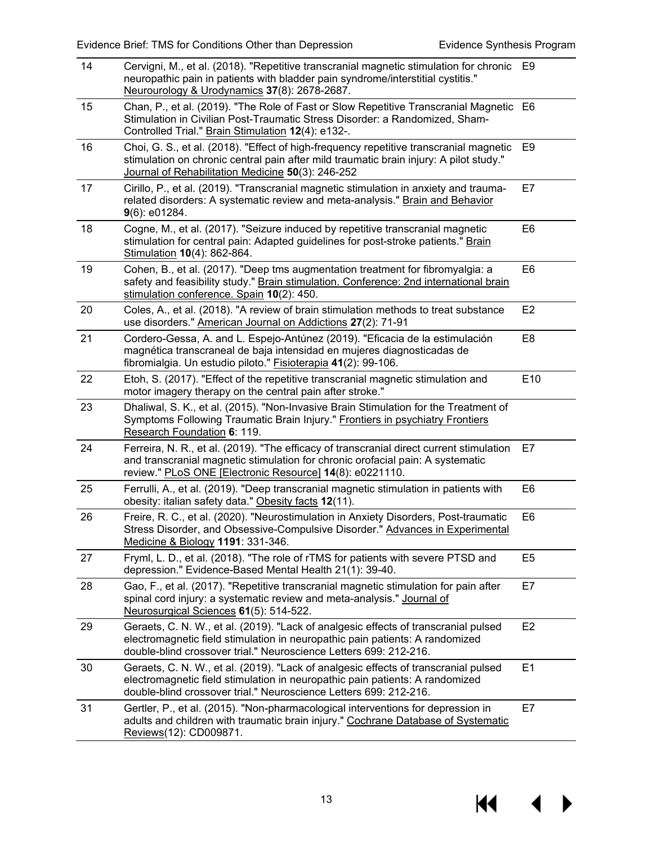$\blacklozenge$ 

 $\blacktriangleright$ 

**K4** 

| 14 | Cervigni, M., et al. (2018). "Repetitive transcranial magnetic stimulation for chronic<br>E9<br>neuropathic pain in patients with bladder pain syndrome/interstitial cystitis."<br>Neurourology & Urodynamics 37(8): 2678-2687.          |                 |  |
|----|------------------------------------------------------------------------------------------------------------------------------------------------------------------------------------------------------------------------------------------|-----------------|--|
| 15 | Chan, P., et al. (2019). "The Role of Fast or Slow Repetitive Transcranial Magnetic E6<br>Stimulation in Civilian Post-Traumatic Stress Disorder: a Randomized, Sham-<br>Controlled Trial." Brain Stimulation 12(4): e132-.              |                 |  |
| 16 | Choi, G. S., et al. (2018). "Effect of high-frequency repetitive transcranial magnetic<br>stimulation on chronic central pain after mild traumatic brain injury: A pilot study."<br>Journal of Rehabilitation Medicine 50(3): 246-252    | E <sub>9</sub>  |  |
| 17 | Cirillo, P., et al. (2019). "Transcranial magnetic stimulation in anxiety and trauma-<br>E7<br>related disorders: A systematic review and meta-analysis." Brain and Behavior<br>$9(6)$ : e01284.                                         |                 |  |
| 18 | Cogne, M., et al. (2017). "Seizure induced by repetitive transcranial magnetic<br>stimulation for central pain: Adapted guidelines for post-stroke patients." Brain<br>Stimulation 10(4): 862-864.                                       | E <sub>6</sub>  |  |
| 19 | Cohen, B., et al. (2017). "Deep tms augmentation treatment for fibromyalgia: a<br>safety and feasibility study." Brain stimulation. Conference: 2nd international brain<br>stimulation conference. Spain 10(2): 450.                     |                 |  |
| 20 | Coles, A., et al. (2018). "A review of brain stimulation methods to treat substance<br>use disorders." American Journal on Addictions 27(2): 71-91                                                                                       | E <sub>2</sub>  |  |
| 21 | Cordero-Gessa, A. and L. Espejo-Antúnez (2019). "Eficacia de la estimulación<br>magnética transcraneal de baja intensidad en mujeres diagnosticadas de<br>fibromialgia. Un estudio piloto." Fisioterapia 41(2): 99-106.                  |                 |  |
| 22 | Etoh, S. (2017). "Effect of the repetitive transcranial magnetic stimulation and<br>motor imagery therapy on the central pain after stroke."                                                                                             | E <sub>10</sub> |  |
| 23 | Dhaliwal, S. K., et al. (2015). "Non-Invasive Brain Stimulation for the Treatment of<br>Symptoms Following Traumatic Brain Injury." Frontiers in psychiatry Frontiers<br>Research Foundation 6: 119.                                     |                 |  |
| 24 | Ferreira, N. R., et al. (2019). "The efficacy of transcranial direct current stimulation<br>and transcranial magnetic stimulation for chronic orofacial pain: A systematic<br>review." PLoS ONE [Electronic Resource] 14(8): e0221110.   | E7              |  |
| 25 | Ferrulli, A., et al. (2019). "Deep transcranial magnetic stimulation in patients with<br>obesity: italian safety data." Obesity facts 12(11).                                                                                            | E <sub>6</sub>  |  |
| 26 | Freire, R. C., et al. (2020). "Neurostimulation in Anxiety Disorders, Post-traumatic<br>Stress Disorder, and Obsessive-Compulsive Disorder." Advances in Experimental<br>Medicine & Biology 1191: 331-346.                               | E6              |  |
| 27 | Fryml, L. D., et al. (2018). "The role of rTMS for patients with severe PTSD and<br>depression." Evidence-Based Mental Health 21(1): 39-40.                                                                                              |                 |  |
| 28 | Gao, F., et al. (2017). "Repetitive transcranial magnetic stimulation for pain after<br>spinal cord injury: a systematic review and meta-analysis." Journal of<br>Neurosurgical Sciences 61(5): 514-522.                                 |                 |  |
| 29 | Geraets, C. N. W., et al. (2019). "Lack of analgesic effects of transcranial pulsed<br>electromagnetic field stimulation in neuropathic pain patients: A randomized<br>double-blind crossover trial." Neuroscience Letters 699: 212-216. |                 |  |
| 30 | Geraets, C. N. W., et al. (2019). "Lack of analgesic effects of transcranial pulsed<br>electromagnetic field stimulation in neuropathic pain patients: A randomized<br>double-blind crossover trial." Neuroscience Letters 699: 212-216. | E1              |  |
| 31 | Gertler, P., et al. (2015). "Non-pharmacological interventions for depression in<br>adults and children with traumatic brain injury." Cochrane Database of Systematic<br>Reviews(12): CD009871.                                          | E7              |  |

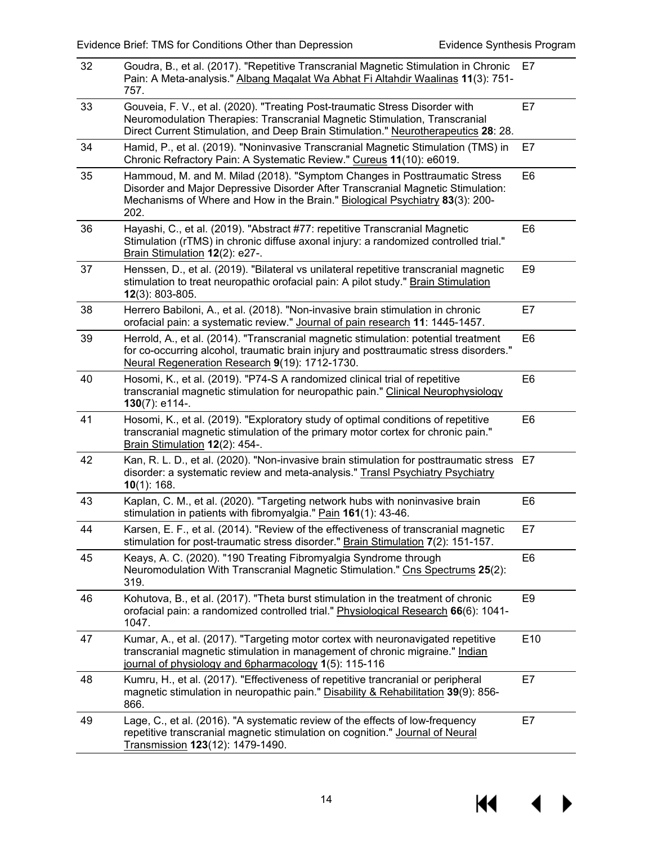| 32 | Goudra, B., et al. (2017). "Repetitive Transcranial Magnetic Stimulation in Chronic<br>Pain: A Meta-analysis." Albang Magalat Wa Abhat Fi Altahdir Waalinas 11(3): 751-<br>757.                                                                                        |                |  |
|----|------------------------------------------------------------------------------------------------------------------------------------------------------------------------------------------------------------------------------------------------------------------------|----------------|--|
| 33 | Gouveia, F. V., et al. (2020). "Treating Post-traumatic Stress Disorder with<br>Neuromodulation Therapies: Transcranial Magnetic Stimulation, Transcranial<br>Direct Current Stimulation, and Deep Brain Stimulation." Neurotherapeutics 28: 28.                       |                |  |
| 34 | Hamid, P., et al. (2019). "Noninvasive Transcranial Magnetic Stimulation (TMS) in<br>Chronic Refractory Pain: A Systematic Review." Cureus 11(10): e6019.                                                                                                              | E7             |  |
| 35 | Hammoud, M. and M. Milad (2018). "Symptom Changes in Posttraumatic Stress<br>E <sub>6</sub><br>Disorder and Major Depressive Disorder After Transcranial Magnetic Stimulation:<br>Mechanisms of Where and How in the Brain." Biological Psychiatry 83(3): 200-<br>202. |                |  |
| 36 | Hayashi, C., et al. (2019). "Abstract #77: repetitive Transcranial Magnetic<br>Stimulation (rTMS) in chronic diffuse axonal injury: a randomized controlled trial."<br>Brain Stimulation 12(2): e27-.                                                                  | E <sub>6</sub> |  |
| 37 | Henssen, D., et al. (2019). "Bilateral vs unilateral repetitive transcranial magnetic<br>stimulation to treat neuropathic orofacial pain: A pilot study." Brain Stimulation<br>$12(3)$ : 803-805.                                                                      |                |  |
| 38 | Herrero Babiloni, A., et al. (2018). "Non-invasive brain stimulation in chronic<br>orofacial pain: a systematic review." Journal of pain research 11: 1445-1457.                                                                                                       | E7             |  |
| 39 | Herrold, A., et al. (2014). "Transcranial magnetic stimulation: potential treatment<br>for co-occurring alcohol, traumatic brain injury and posttraumatic stress disorders."<br>Neural Regeneration Research 9(19): 1712-1730.                                         |                |  |
| 40 | Hosomi, K., et al. (2019). "P74-S A randomized clinical trial of repetitive<br>transcranial magnetic stimulation for neuropathic pain." Clinical Neurophysiology<br>130(7): e114-.                                                                                     |                |  |
| 41 | Hosomi, K., et al. (2019). "Exploratory study of optimal conditions of repetitive<br>transcranial magnetic stimulation of the primary motor cortex for chronic pain."<br>Brain Stimulation 12(2): 454-.                                                                | E <sub>6</sub> |  |
| 42 | Kan, R. L. D., et al. (2020). "Non-invasive brain stimulation for posttraumatic stress<br>disorder: a systematic review and meta-analysis." Transl Psychiatry Psychiatry<br>$10(1)$ : 168.                                                                             | E7             |  |
| 43 | Kaplan, C. M., et al. (2020). "Targeting network hubs with noninvasive brain<br>stimulation in patients with fibromyalgia." Pain 161(1): 43-46.                                                                                                                        | E <sub>6</sub> |  |
| 44 | Karsen, E. F., et al. (2014). "Review of the effectiveness of transcranial magnetic<br>stimulation for post-traumatic stress disorder." Brain Stimulation 7(2): 151-157.                                                                                               | E7             |  |
| 45 | Keays, A. C. (2020). "190 Treating Fibromyalgia Syndrome through<br>Neuromodulation With Transcranial Magnetic Stimulation." Cns Spectrums 25(2):<br>319.                                                                                                              |                |  |
| 46 | Kohutova, B., et al. (2017). "Theta burst stimulation in the treatment of chronic<br>orofacial pain: a randomized controlled trial." Physiological Research 66(6): 1041-<br>1047.                                                                                      |                |  |
| 47 | Kumar, A., et al. (2017). "Targeting motor cortex with neuronavigated repetitive<br>transcranial magnetic stimulation in management of chronic migraine." Indian<br>journal of physiology and 6pharmacology 1(5): 115-116                                              | E10            |  |
| 48 | Kumru, H., et al. (2017). "Effectiveness of repetitive trancranial or peripheral<br>magnetic stimulation in neuropathic pain." Disability & Rehabilitation 39(9): 856-<br>866.                                                                                         | E7             |  |
| 49 | Lage, C., et al. (2016). "A systematic review of the effects of low-frequency<br>repetitive transcranial magnetic stimulation on cognition." Journal of Neural<br>Transmission 123(12): 1479-1490.                                                                     | E7             |  |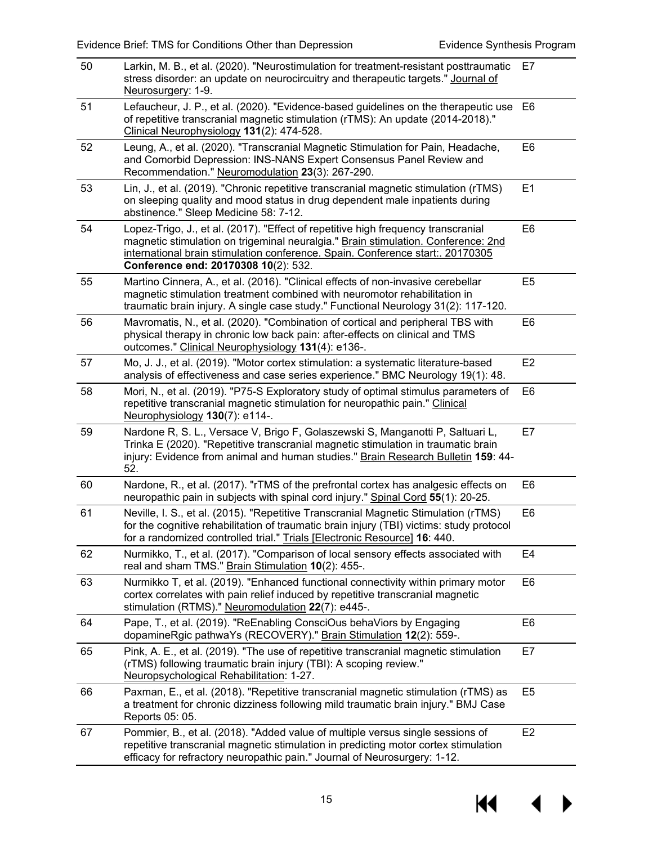| 50 | Larkin, M. B., et al. (2020). "Neurostimulation for treatment-resistant posttraumatic<br>stress disorder: an update on neurocircuitry and therapeutic targets." Journal of<br>Neurosurgery: 1-9.                                                                                                 |                |  |
|----|--------------------------------------------------------------------------------------------------------------------------------------------------------------------------------------------------------------------------------------------------------------------------------------------------|----------------|--|
| 51 | Lefaucheur, J. P., et al. (2020). "Evidence-based guidelines on the therapeutic use<br>E6<br>of repetitive transcranial magnetic stimulation (rTMS): An update (2014-2018)."<br>Clinical Neurophysiology 131(2): 474-528.                                                                        |                |  |
| 52 | Leung, A., et al. (2020). "Transcranial Magnetic Stimulation for Pain, Headache,<br>E <sub>6</sub><br>and Comorbid Depression: INS-NANS Expert Consensus Panel Review and<br>Recommendation." Neuromodulation 23(3): 267-290.                                                                    |                |  |
| 53 | Lin, J., et al. (2019). "Chronic repetitive transcranial magnetic stimulation (rTMS)<br>on sleeping quality and mood status in drug dependent male inpatients during<br>abstinence." Sleep Medicine 58: 7-12.                                                                                    | E1             |  |
| 54 | Lopez-Trigo, J., et al. (2017). "Effect of repetitive high frequency transcranial<br>magnetic stimulation on trigeminal neuralgia." Brain stimulation. Conference: 2nd<br>international brain stimulation conference. Spain. Conference start:. 20170305<br>Conference end: 20170308 10(2): 532. | E <sub>6</sub> |  |
| 55 | Martino Cinnera, A., et al. (2016). "Clinical effects of non-invasive cerebellar<br>magnetic stimulation treatment combined with neuromotor rehabilitation in<br>traumatic brain injury. A single case study." Functional Neurology 31(2): 117-120.                                              | E <sub>5</sub> |  |
| 56 | Mavromatis, N., et al. (2020). "Combination of cortical and peripheral TBS with<br>E <sub>6</sub><br>physical therapy in chronic low back pain: after-effects on clinical and TMS<br>outcomes." Clinical Neurophysiology 131(4): e136-.                                                          |                |  |
| 57 | Mo, J. J., et al. (2019). "Motor cortex stimulation: a systematic literature-based<br>analysis of effectiveness and case series experience." BMC Neurology 19(1): 48.                                                                                                                            |                |  |
| 58 | Mori, N., et al. (2019). "P75-S Exploratory study of optimal stimulus parameters of<br>repetitive transcranial magnetic stimulation for neuropathic pain." Clinical<br>Neurophysiology 130(7): e114-.                                                                                            | E <sub>6</sub> |  |
| 59 | Nardone R, S. L., Versace V, Brigo F, Golaszewski S, Manganotti P, Saltuari L,<br>Trinka E (2020). "Repetitive transcranial magnetic stimulation in traumatic brain<br>injury: Evidence from animal and human studies." Brain Research Bulletin 159: 44-<br>52.                                  | E7             |  |
| 60 | Nardone, R., et al. (2017). "rTMS of the prefrontal cortex has analgesic effects on<br>neuropathic pain in subjects with spinal cord injury." Spinal Cord 55(1): 20-25.                                                                                                                          | E6             |  |
| 61 | Neville, I. S., et al. (2015). "Repetitive Transcranial Magnetic Stimulation (rTMS)<br>for the cognitive rehabilitation of traumatic brain injury (TBI) victims: study protocol<br>for a randomized controlled trial." Trials [Electronic Resource] 16: 440.                                     | E <sub>6</sub> |  |
| 62 | Nurmikko, T., et al. (2017). "Comparison of local sensory effects associated with<br>real and sham TMS." Brain Stimulation 10(2): 455-.                                                                                                                                                          | E4             |  |
| 63 | Nurmikko T, et al. (2019). "Enhanced functional connectivity within primary motor<br>cortex correlates with pain relief induced by repetitive transcranial magnetic<br>stimulation (RTMS)." Neuromodulation 22(7): e445-.                                                                        |                |  |
| 64 | Pape, T., et al. (2019). "ReEnabling ConsciOus behaViors by Engaging<br>dopamineRgic pathwaYs (RECOVERY)." Brain Stimulation 12(2): 559-.                                                                                                                                                        | E <sub>6</sub> |  |
| 65 | Pink, A. E., et al. (2019). "The use of repetitive transcranial magnetic stimulation<br>(rTMS) following traumatic brain injury (TBI): A scoping review."<br>Neuropsychological Rehabilitation: 1-27.                                                                                            |                |  |
| 66 | Paxman, E., et al. (2018). "Repetitive transcranial magnetic stimulation (rTMS) as<br>a treatment for chronic dizziness following mild traumatic brain injury." BMJ Case<br>Reports 05: 05.                                                                                                      | E <sub>5</sub> |  |
| 67 | Pommier, B., et al. (2018). "Added value of multiple versus single sessions of<br>repetitive transcranial magnetic stimulation in predicting motor cortex stimulation<br>efficacy for refractory neuropathic pain." Journal of Neurosurgery: 1-12.                                               | E <sub>2</sub> |  |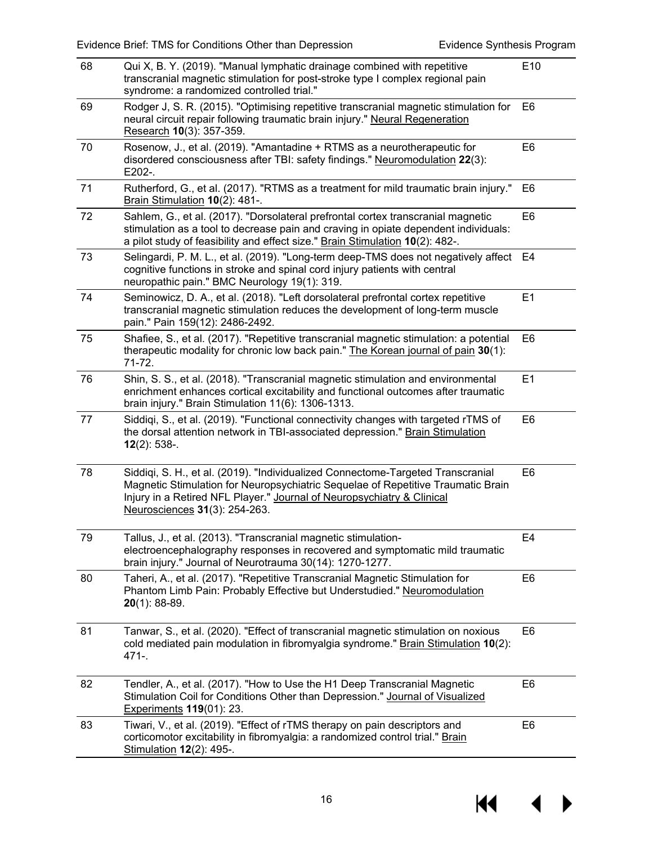| 68 | Qui X, B. Y. (2019). "Manual lymphatic drainage combined with repetitive<br>transcranial magnetic stimulation for post-stroke type I complex regional pain<br>syndrome: a randomized controlled trial."                                                                        |                |
|----|--------------------------------------------------------------------------------------------------------------------------------------------------------------------------------------------------------------------------------------------------------------------------------|----------------|
| 69 | Rodger J, S. R. (2015). "Optimising repetitive transcranial magnetic stimulation for<br>neural circuit repair following traumatic brain injury." Neural Regeneration<br>Research 10(3): 357-359.                                                                               |                |
| 70 | Rosenow, J., et al. (2019). "Amantadine + RTMS as a neurotherapeutic for<br>disordered consciousness after TBI: safety findings." Neuromodulation 22(3):<br>E202-.                                                                                                             | E <sub>6</sub> |
| 71 | Rutherford, G., et al. (2017). "RTMS as a treatment for mild traumatic brain injury."<br>E6<br>Brain Stimulation 10(2): 481-.                                                                                                                                                  |                |
| 72 | Sahlem, G., et al. (2017). "Dorsolateral prefrontal cortex transcranial magnetic<br>E <sub>6</sub><br>stimulation as a tool to decrease pain and craving in opiate dependent individuals:<br>a pilot study of feasibility and effect size." Brain Stimulation 10(2): 482-.     |                |
| 73 | Selingardi, P. M. L., et al. (2019). "Long-term deep-TMS does not negatively affect<br>cognitive functions in stroke and spinal cord injury patients with central<br>neuropathic pain." BMC Neurology 19(1): 319.                                                              | E4             |
| 74 | E1<br>Seminowicz, D. A., et al. (2018). "Left dorsolateral prefrontal cortex repetitive<br>transcranial magnetic stimulation reduces the development of long-term muscle<br>pain." Pain 159(12): 2486-2492.                                                                    |                |
| 75 | Shafiee, S., et al. (2017). "Repetitive transcranial magnetic stimulation: a potential<br>therapeutic modality for chronic low back pain." The Korean journal of pain 30(1):<br>71-72.                                                                                         |                |
| 76 | Shin, S. S., et al. (2018). "Transcranial magnetic stimulation and environmental<br>enrichment enhances cortical excitability and functional outcomes after traumatic<br>brain injury." Brain Stimulation 11(6): 1306-1313.                                                    |                |
| 77 | Siddiqi, S., et al. (2019). "Functional connectivity changes with targeted rTMS of<br>the dorsal attention network in TBI-associated depression." Brain Stimulation<br>$12(2)$ : 538-.                                                                                         |                |
| 78 | Siddiqi, S. H., et al. (2019). "Individualized Connectome-Targeted Transcranial<br>Magnetic Stimulation for Neuropsychiatric Sequelae of Repetitive Traumatic Brain<br>Injury in a Retired NFL Player." Journal of Neuropsychiatry & Clinical<br>Neurosciences 31(3): 254-263. | E <sub>6</sub> |
| 79 | Tallus, J., et al. (2013). "Transcranial magnetic stimulation-<br>electroencephalography responses in recovered and symptomatic mild traumatic<br>brain injury." Journal of Neurotrauma 30(14): 1270-1277.                                                                     | E <sub>4</sub> |
| 80 | Taheri, A., et al. (2017). "Repetitive Transcranial Magnetic Stimulation for<br>Phantom Limb Pain: Probably Effective but Understudied." Neuromodulation<br>$20(1)$ : 88-89.                                                                                                   | E <sub>6</sub> |
| 81 | Tanwar, S., et al. (2020). "Effect of transcranial magnetic stimulation on noxious<br>cold mediated pain modulation in fibromyalgia syndrome." Brain Stimulation 10(2):<br>$471 -$                                                                                             |                |
| 82 | Tendler, A., et al. (2017). "How to Use the H1 Deep Transcranial Magnetic<br>Stimulation Coil for Conditions Other than Depression." Journal of Visualized<br>Experiments 119(01): 23.                                                                                         | E <sub>6</sub> |
| 83 | Tiwari, V., et al. (2019). "Effect of rTMS therapy on pain descriptors and<br>corticomotor excitability in fibromyalgia: a randomized control trial." Brain<br>Stimulation 12(2): 495-.                                                                                        | E <sub>6</sub> |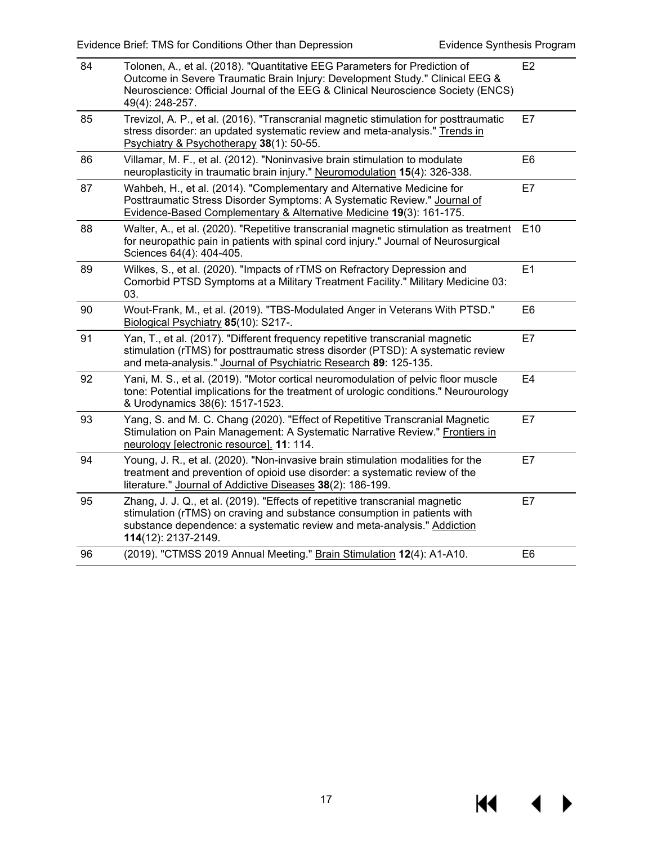| 84 | Tolonen, A., et al. (2018). "Quantitative EEG Parameters for Prediction of<br>Outcome in Severe Traumatic Brain Injury: Development Study." Clinical EEG &<br>Neuroscience: Official Journal of the EEG & Clinical Neuroscience Society (ENCS)<br>49(4): 248-257. |                 |
|----|-------------------------------------------------------------------------------------------------------------------------------------------------------------------------------------------------------------------------------------------------------------------|-----------------|
| 85 | Trevizol, A. P., et al. (2016). "Transcranial magnetic stimulation for posttraumatic<br>stress disorder: an updated systematic review and meta-analysis." Trends in<br>Psychiatry & Psychotherapy 38(1): 50-55.                                                   | E7              |
| 86 | Villamar, M. F., et al. (2012). "Noninvasive brain stimulation to modulate<br>neuroplasticity in traumatic brain injury." Neuromodulation 15(4): 326-338.                                                                                                         | E <sub>6</sub>  |
| 87 | Wahbeh, H., et al. (2014). "Complementary and Alternative Medicine for<br>E7<br>Posttraumatic Stress Disorder Symptoms: A Systematic Review." Journal of<br>Evidence-Based Complementary & Alternative Medicine 19(3): 161-175.                                   |                 |
| 88 | Walter, A., et al. (2020). "Repetitive transcranial magnetic stimulation as treatment<br>for neuropathic pain in patients with spinal cord injury." Journal of Neurosurgical<br>Sciences 64(4): 404-405.                                                          | E <sub>10</sub> |
| 89 | Wilkes, S., et al. (2020). "Impacts of rTMS on Refractory Depression and<br>Comorbid PTSD Symptoms at a Military Treatment Facility." Military Medicine 03:<br>03.                                                                                                | E1              |
| 90 | Wout-Frank, M., et al. (2019). "TBS-Modulated Anger in Veterans With PTSD."<br>Biological Psychiatry 85(10): S217-.                                                                                                                                               | E <sub>6</sub>  |
| 91 | Yan, T., et al. (2017). "Different frequency repetitive transcranial magnetic<br>stimulation (rTMS) for posttraumatic stress disorder (PTSD): A systematic review<br>and meta-analysis." Journal of Psychiatric Research 89: 125-135.                             | E7              |
| 92 | Yani, M. S., et al. (2019). "Motor cortical neuromodulation of pelvic floor muscle<br>tone: Potential implications for the treatment of urologic conditions." Neurourology<br>& Urodynamics 38(6): 1517-1523.                                                     | E <sub>4</sub>  |
| 93 | Yang, S. and M. C. Chang (2020). "Effect of Repetitive Transcranial Magnetic<br>Stimulation on Pain Management: A Systematic Narrative Review." Frontiers in<br>neurology [electronic resource]. 11: 114.                                                         | E7              |
| 94 | Young, J. R., et al. (2020). "Non-invasive brain stimulation modalities for the<br>treatment and prevention of opioid use disorder: a systematic review of the<br>literature." Journal of Addictive Diseases 38(2): 186-199.                                      | E7              |
| 95 | Zhang, J. J. Q., et al. (2019). "Effects of repetitive transcranial magnetic<br>stimulation (rTMS) on craving and substance consumption in patients with<br>substance dependence: a systematic review and meta-analysis." Addiction<br>114(12): 2137-2149.        | E7              |
| 96 | (2019). "CTMSS 2019 Annual Meeting." Brain Stimulation 12(4): A1-A10.                                                                                                                                                                                             | E <sub>6</sub>  |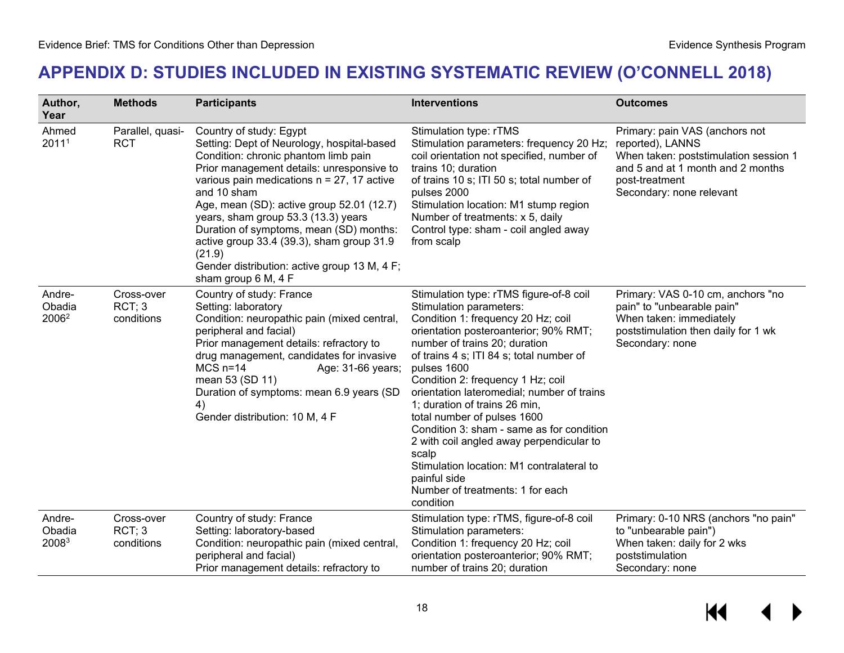## **APPENDIX D: STUDIES INCLUDED IN EXISTING SYSTEMATIC REVIEW (O'CONNELL 2018)**

<span id="page-19-0"></span>

| Author,<br>Year                       | <b>Methods</b>                     | <b>Participants</b>                                                                                                                                                                                                                                                                                                                                                                                                                                                                     | <b>Interventions</b>                                                                                                                                                                                                                                                                                                                                                                                                                                                                                                                                                                                             | <b>Outcomes</b>                                                                                                                                                                |
|---------------------------------------|------------------------------------|-----------------------------------------------------------------------------------------------------------------------------------------------------------------------------------------------------------------------------------------------------------------------------------------------------------------------------------------------------------------------------------------------------------------------------------------------------------------------------------------|------------------------------------------------------------------------------------------------------------------------------------------------------------------------------------------------------------------------------------------------------------------------------------------------------------------------------------------------------------------------------------------------------------------------------------------------------------------------------------------------------------------------------------------------------------------------------------------------------------------|--------------------------------------------------------------------------------------------------------------------------------------------------------------------------------|
| Ahmed<br>20111                        | Parallel, quasi-<br><b>RCT</b>     | Country of study: Egypt<br>Setting: Dept of Neurology, hospital-based<br>Condition: chronic phantom limb pain<br>Prior management details: unresponsive to<br>various pain medications $n = 27$ , 17 active<br>and 10 sham<br>Age, mean (SD): active group 52.01 (12.7)<br>years, sham group 53.3 (13.3) years<br>Duration of symptoms, mean (SD) months:<br>active group 33.4 (39.3), sham group 31.9<br>(21.9)<br>Gender distribution: active group 13 M, 4 F;<br>sham group 6 M, 4 F | Stimulation type: rTMS<br>Stimulation parameters: frequency 20 Hz;<br>coil orientation not specified, number of<br>trains 10; duration<br>of trains 10 s; ITI 50 s; total number of<br>pulses 2000<br>Stimulation location: M1 stump region<br>Number of treatments: x 5, daily<br>Control type: sham - coil angled away<br>from scalp                                                                                                                                                                                                                                                                           | Primary: pain VAS (anchors not<br>reported), LANNS<br>When taken: poststimulation session 1<br>and 5 and at 1 month and 2 months<br>post-treatment<br>Secondary: none relevant |
| Andre-<br>Obadia<br>2006 <sup>2</sup> | Cross-over<br>RCT; 3<br>conditions | Country of study: France<br>Setting: laboratory<br>Condition: neuropathic pain (mixed central,<br>peripheral and facial)<br>Prior management details: refractory to<br>drug management, candidates for invasive<br>$MCS$ n=14<br>Age: 31-66 years;<br>mean 53 (SD 11)<br>Duration of symptoms: mean 6.9 years (SD<br>4)<br>Gender distribution: 10 M, 4 F                                                                                                                               | Stimulation type: rTMS figure-of-8 coil<br>Stimulation parameters:<br>Condition 1: frequency 20 Hz; coil<br>orientation posteroanterior; 90% RMT;<br>number of trains 20; duration<br>of trains 4 s; ITI 84 s; total number of<br>pulses 1600<br>Condition 2: frequency 1 Hz; coil<br>orientation lateromedial; number of trains<br>1; duration of trains 26 min,<br>total number of pulses 1600<br>Condition 3: sham - same as for condition<br>2 with coil angled away perpendicular to<br>scalp<br>Stimulation location: M1 contralateral to<br>painful side<br>Number of treatments: 1 for each<br>condition | Primary: VAS 0-10 cm, anchors "no<br>pain" to "unbearable pain"<br>When taken: immediately<br>poststimulation then daily for 1 wk<br>Secondary: none                           |
| Andre-<br>Obadia<br>20083             | Cross-over<br>RCT; 3<br>conditions | Country of study: France<br>Setting: laboratory-based<br>Condition: neuropathic pain (mixed central,<br>peripheral and facial)<br>Prior management details: refractory to                                                                                                                                                                                                                                                                                                               | Stimulation type: rTMS, figure-of-8 coil<br>Stimulation parameters:<br>Condition 1: frequency 20 Hz; coil<br>orientation posteroanterior; 90% RMT;<br>number of trains 20; duration                                                                                                                                                                                                                                                                                                                                                                                                                              | Primary: 0-10 NRS (anchors "no pain"<br>to "unbearable pain")<br>When taken: daily for 2 wks<br>poststimulation<br>Secondary: none                                             |

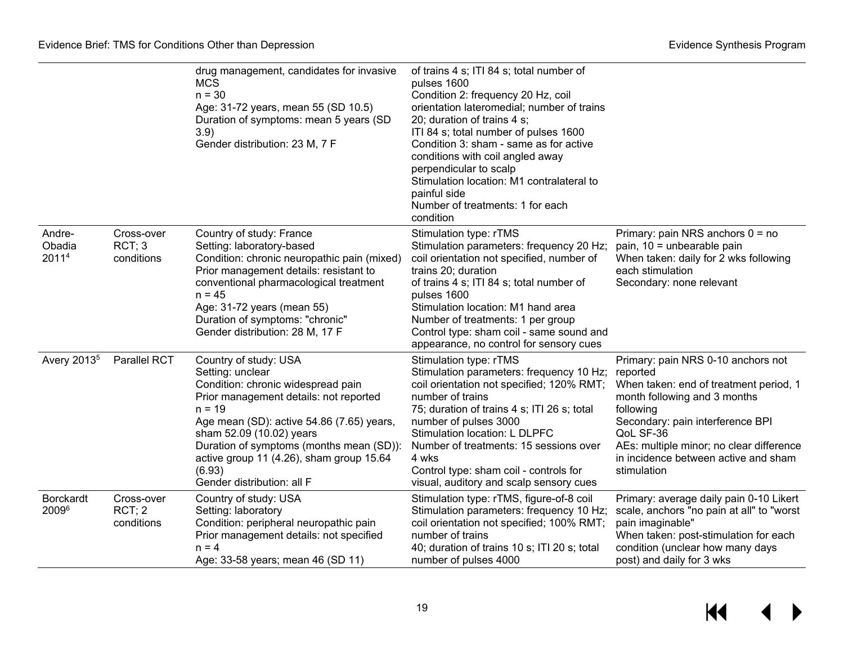|                           |                                    | drug management, candidates for invasive<br><b>MCS</b><br>$n = 30$<br>Age: 31-72 years, mean 55 (SD 10.5)<br>Duration of symptoms: mean 5 years (SD<br>3.9)<br>Gender distribution: 23 M, 7 F                                                                                                                                                  | of trains 4 s; ITI 84 s; total number of<br>pulses 1600<br>Condition 2: frequency 20 Hz, coil<br>orientation lateromedial; number of trains<br>20; duration of trains 4 s;<br>ITI 84 s; total number of pulses 1600<br>Condition 3: sham - same as for active<br>conditions with coil angled away<br>perpendicular to scalp<br>Stimulation location: M1 contralateral to<br>painful side<br>Number of treatments: 1 for each<br>condition |                                                                                                                                                                                                                                                                               |
|---------------------------|------------------------------------|------------------------------------------------------------------------------------------------------------------------------------------------------------------------------------------------------------------------------------------------------------------------------------------------------------------------------------------------|-------------------------------------------------------------------------------------------------------------------------------------------------------------------------------------------------------------------------------------------------------------------------------------------------------------------------------------------------------------------------------------------------------------------------------------------|-------------------------------------------------------------------------------------------------------------------------------------------------------------------------------------------------------------------------------------------------------------------------------|
| Andre-<br>Obadia<br>20114 | Cross-over<br>RCT; 3<br>conditions | Country of study: France<br>Setting: laboratory-based<br>Condition: chronic neuropathic pain (mixed)<br>Prior management details: resistant to<br>conventional pharmacological treatment<br>$n = 45$<br>Age: 31-72 years (mean 55)<br>Duration of symptoms: "chronic"<br>Gender distribution: 28 M, 17 F                                       | Stimulation type: rTMS<br>Stimulation parameters: frequency 20 Hz;<br>coil orientation not specified, number of<br>trains 20; duration<br>of trains 4 s; ITI 84 s; total number of<br>pulses 1600<br>Stimulation location: M1 hand area<br>Number of treatments: 1 per group<br>Control type: sham coil - same sound and<br>appearance, no control for sensory cues                                                                       | Primary: pain NRS anchors $0 = no$<br>pain, 10 = unbearable pain<br>When taken: daily for 2 wks following<br>each stimulation<br>Secondary: none relevant                                                                                                                     |
| Avery 2013 <sup>5</sup>   | Parallel RCT                       | Country of study: USA<br>Setting: unclear<br>Condition: chronic widespread pain<br>Prior management details: not reported<br>$n = 19$<br>Age mean (SD): active 54.86 (7.65) years,<br>sham 52.09 (10.02) years<br>Duration of symptoms (months mean (SD)):<br>active group 11 (4.26), sham group 15.64<br>(6.93)<br>Gender distribution: all F | Stimulation type: rTMS<br>Stimulation parameters: frequency 10 Hz; reported<br>coil orientation not specified; 120% RMT;<br>number of trains<br>75; duration of trains 4 s; ITI 26 s; total<br>number of pulses 3000<br>Stimulation location: L DLPFC<br>Number of treatments: 15 sessions over<br>4 wks<br>Control type: sham coil - controls for<br>visual, auditory and scalp sensory cues                                             | Primary: pain NRS 0-10 anchors not<br>When taken: end of treatment period, 1<br>month following and 3 months<br>following<br>Secondary: pain interference BPI<br>QoL SF-36<br>AEs: multiple minor; no clear difference<br>in incidence between active and sham<br>stimulation |
| <b>Borckardt</b><br>20096 | Cross-over<br>RCT; 2<br>conditions | Country of study: USA<br>Setting: laboratory<br>Condition: peripheral neuropathic pain<br>Prior management details: not specified<br>$n = 4$<br>Age: 33-58 years; mean 46 (SD 11)                                                                                                                                                              | Stimulation type: rTMS, figure-of-8 coil<br>Stimulation parameters: frequency 10 Hz;<br>coil orientation not specified; 100% RMT;<br>number of trains<br>40; duration of trains 10 s; ITI 20 s; total<br>number of pulses 4000                                                                                                                                                                                                            | Primary: average daily pain 0-10 Likert<br>scale, anchors "no pain at all" to "worst<br>pain imaginable"<br>When taken: post-stimulation for each<br>condition (unclear how many days<br>post) and daily for 3 wks                                                            |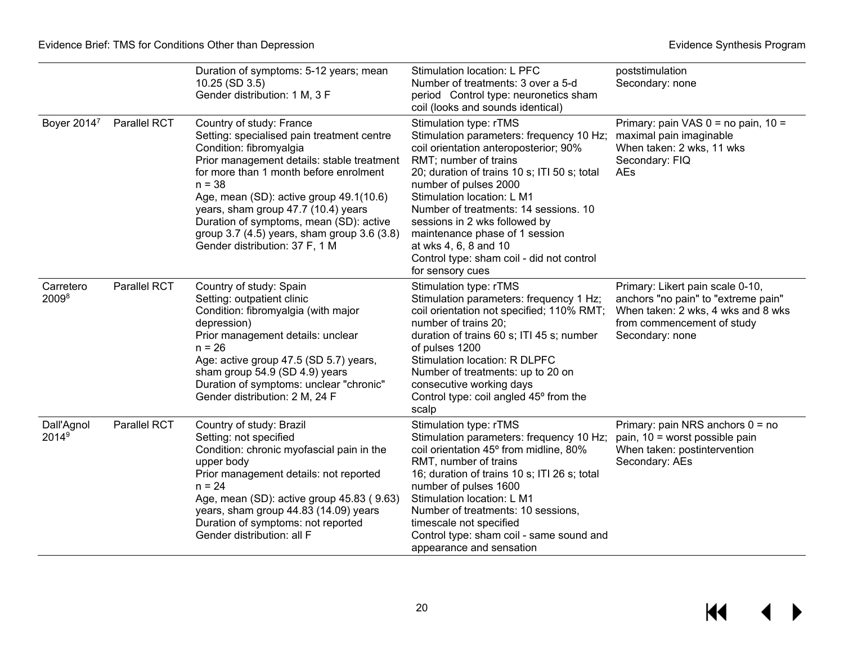|                                 |              | Duration of symptoms: 5-12 years; mean<br>10.25 (SD 3.5)<br>Gender distribution: 1 M, 3 F                                                                                                                                                                                                                                                                                                                           | Stimulation location: L PFC<br>Number of treatments: 3 over a 5-d<br>period Control type: neuronetics sham<br>coil (looks and sounds identical)                                                                                                                                                                                                                                                                                                   | poststimulation<br>Secondary: none                                                                                                                             |
|---------------------------------|--------------|---------------------------------------------------------------------------------------------------------------------------------------------------------------------------------------------------------------------------------------------------------------------------------------------------------------------------------------------------------------------------------------------------------------------|---------------------------------------------------------------------------------------------------------------------------------------------------------------------------------------------------------------------------------------------------------------------------------------------------------------------------------------------------------------------------------------------------------------------------------------------------|----------------------------------------------------------------------------------------------------------------------------------------------------------------|
| Boyer 20147                     | Parallel RCT | Country of study: France<br>Setting: specialised pain treatment centre<br>Condition: fibromyalgia<br>Prior management details: stable treatment<br>for more than 1 month before enrolment<br>$n = 38$<br>Age, mean (SD): active group 49.1(10.6)<br>years, sham group 47.7 (10.4) years<br>Duration of symptoms, mean (SD): active<br>group 3.7 (4.5) years, sham group 3.6 (3.8)<br>Gender distribution: 37 F, 1 M | Stimulation type: rTMS<br>Stimulation parameters: frequency 10 Hz;<br>coil orientation anteroposterior; 90%<br>RMT; number of trains<br>20; duration of trains 10 s; ITI 50 s; total<br>number of pulses 2000<br>Stimulation location: L M1<br>Number of treatments: 14 sessions. 10<br>sessions in 2 wks followed by<br>maintenance phase of 1 session<br>at wks 4, 6, 8 and 10<br>Control type: sham coil - did not control<br>for sensory cues | Primary: pain VAS $0 =$ no pain, $10 =$<br>maximal pain imaginable<br>When taken: 2 wks, 11 wks<br>Secondary: FIQ<br>AEs                                       |
| Carretero<br>20098              | Parallel RCT | Country of study: Spain<br>Setting: outpatient clinic<br>Condition: fibromyalgia (with major<br>depression)<br>Prior management details: unclear<br>$n = 26$<br>Age: active group 47.5 (SD 5.7) years,<br>sham group 54.9 (SD 4.9) years<br>Duration of symptoms: unclear "chronic"<br>Gender distribution: 2 M, 24 F                                                                                               | Stimulation type: rTMS<br>Stimulation parameters: frequency 1 Hz;<br>coil orientation not specified; 110% RMT;<br>number of trains 20;<br>duration of trains 60 s; ITI 45 s; number<br>of pulses 1200<br>Stimulation location: R DLPFC<br>Number of treatments: up to 20 on<br>consecutive working days<br>Control type: coil angled 45° from the<br>scalp                                                                                        | Primary: Likert pain scale 0-10,<br>anchors "no pain" to "extreme pain"<br>When taken: 2 wks, 4 wks and 8 wks<br>from commencement of study<br>Secondary: none |
| Dall'Agnol<br>2014 <sup>9</sup> | Parallel RCT | Country of study: Brazil<br>Setting: not specified<br>Condition: chronic myofascial pain in the<br>upper body<br>Prior management details: not reported<br>$n = 24$<br>Age, mean (SD): active group 45.83 (9.63)<br>years, sham group 44.83 (14.09) years<br>Duration of symptoms: not reported<br>Gender distribution: all F                                                                                       | Stimulation type: rTMS<br>Stimulation parameters: frequency 10 Hz;<br>coil orientation 45° from midline, 80%<br>RMT, number of trains<br>16; duration of trains 10 s; ITI 26 s; total<br>number of pulses 1600<br>Stimulation location: L M1<br>Number of treatments: 10 sessions,<br>timescale not specified<br>Control type: sham coil - same sound and<br>appearance and sensation                                                             | Primary: pain NRS anchors $0 = no$<br>pain, 10 = worst possible pain<br>When taken: postintervention<br>Secondary: AEs                                         |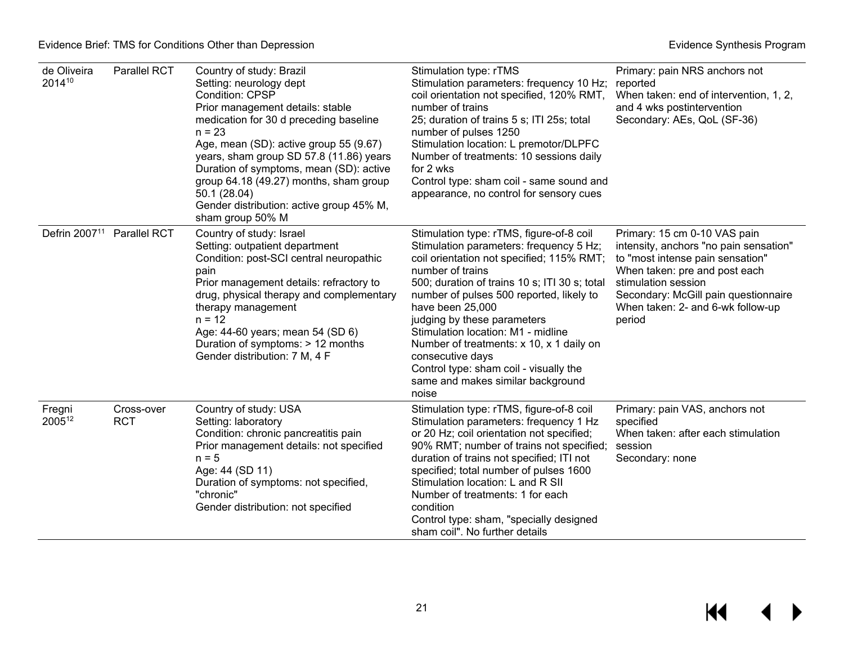| de Oliveira<br>201410     | Parallel RCT             | Country of study: Brazil<br>Setting: neurology dept<br><b>Condition: CPSP</b><br>Prior management details: stable<br>medication for 30 d preceding baseline<br>$n = 23$<br>Age, mean (SD): active group 55 (9.67)<br>years, sham group SD 57.8 (11.86) years<br>Duration of symptoms, mean (SD): active<br>group 64.18 (49.27) months, sham group<br>50.1 (28.04)<br>Gender distribution: active group 45% M,<br>sham group 50% M | Stimulation type: rTMS<br>Stimulation parameters: frequency 10 Hz;<br>coil orientation not specified, 120% RMT,<br>number of trains<br>25; duration of trains 5 s; ITI 25s; total<br>number of pulses 1250<br>Stimulation location: L premotor/DLPFC<br>Number of treatments: 10 sessions daily<br>for 2 wks<br>Control type: sham coil - same sound and<br>appearance, no control for sensory cues                                                                                                | Primary: pain NRS anchors not<br>reported<br>When taken: end of intervention, 1, 2,<br>and 4 wks postintervention<br>Secondary: AEs, QoL (SF-36)                                                                                                          |
|---------------------------|--------------------------|-----------------------------------------------------------------------------------------------------------------------------------------------------------------------------------------------------------------------------------------------------------------------------------------------------------------------------------------------------------------------------------------------------------------------------------|----------------------------------------------------------------------------------------------------------------------------------------------------------------------------------------------------------------------------------------------------------------------------------------------------------------------------------------------------------------------------------------------------------------------------------------------------------------------------------------------------|-----------------------------------------------------------------------------------------------------------------------------------------------------------------------------------------------------------------------------------------------------------|
| Defrin 2007 <sup>11</sup> | <b>Parallel RCT</b>      | Country of study: Israel<br>Setting: outpatient department<br>Condition: post-SCI central neuropathic<br>pain<br>Prior management details: refractory to<br>drug, physical therapy and complementary<br>therapy management<br>$n = 12$<br>Age: 44-60 years; mean 54 (SD 6)<br>Duration of symptoms: > 12 months<br>Gender distribution: 7 M, 4 F                                                                                  | Stimulation type: rTMS, figure-of-8 coil<br>Stimulation parameters: frequency 5 Hz;<br>coil orientation not specified; 115% RMT;<br>number of trains<br>500; duration of trains 10 s; ITI 30 s; total<br>number of pulses 500 reported, likely to<br>have been 25,000<br>judging by these parameters<br>Stimulation location: M1 - midline<br>Number of treatments: x 10, x 1 daily on<br>consecutive days<br>Control type: sham coil - visually the<br>same and makes similar background<br>noise | Primary: 15 cm 0-10 VAS pain<br>intensity, anchors "no pain sensation"<br>to "most intense pain sensation"<br>When taken: pre and post each<br>stimulation session<br>Secondary: McGill pain questionnaire<br>When taken: 2- and 6-wk follow-up<br>period |
| Fregni<br>200512          | Cross-over<br><b>RCT</b> | Country of study: USA<br>Setting: laboratory<br>Condition: chronic pancreatitis pain<br>Prior management details: not specified<br>$n = 5$<br>Age: 44 (SD 11)<br>Duration of symptoms: not specified,<br>"chronic"<br>Gender distribution: not specified                                                                                                                                                                          | Stimulation type: rTMS, figure-of-8 coil<br>Stimulation parameters: frequency 1 Hz<br>or 20 Hz; coil orientation not specified;<br>90% RMT; number of trains not specified;<br>duration of trains not specified; ITI not<br>specified; total number of pulses 1600<br>Stimulation location: L and R SII<br>Number of treatments: 1 for each<br>condition<br>Control type: sham, "specially designed<br>sham coil". No further details                                                              | Primary: pain VAS, anchors not<br>specified<br>When taken: after each stimulation<br>session<br>Secondary: none                                                                                                                                           |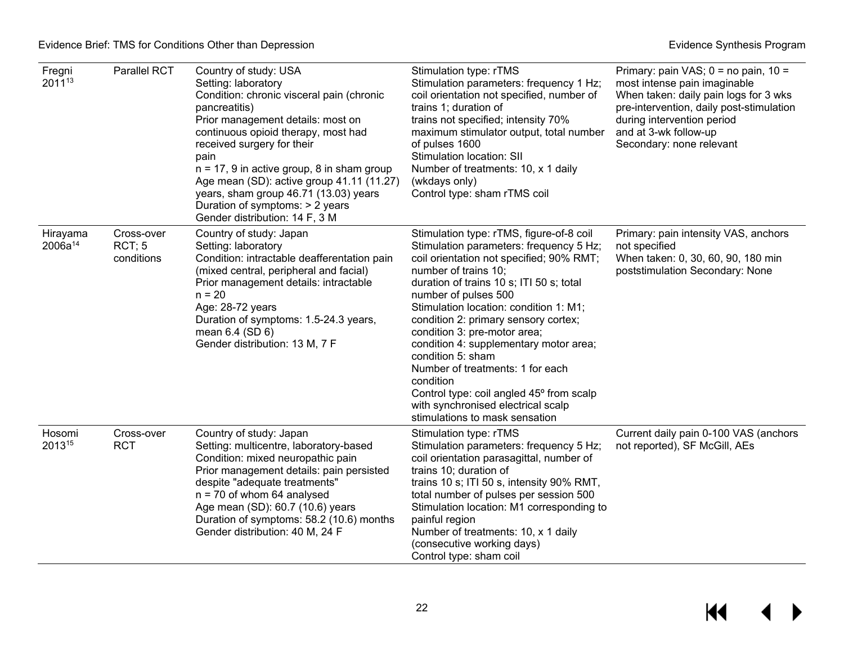| Fregni<br>201113         | Parallel RCT                       | Country of study: USA<br>Setting: laboratory<br>Condition: chronic visceral pain (chronic<br>pancreatitis)<br>Prior management details: most on<br>continuous opioid therapy, most had<br>received surgery for their<br>pain<br>$n = 17$ , 9 in active group, 8 in sham group<br>Age mean (SD): active group 41.11 (11.27)<br>years, sham group 46.71 (13.03) years<br>Duration of symptoms: > 2 years<br>Gender distribution: 14 F, 3 M | Stimulation type: rTMS<br>Stimulation parameters: frequency 1 Hz;<br>coil orientation not specified, number of<br>trains 1; duration of<br>trains not specified; intensity 70%<br>maximum stimulator output, total number<br>of pulses 1600<br><b>Stimulation location: SII</b><br>Number of treatments: 10, x 1 daily<br>(wkdays only)<br>Control type: sham rTMS coil                                                                                                                                                                                                           | Primary: pain VAS; $0 =$ no pain, $10 =$<br>most intense pain imaginable<br>When taken: daily pain logs for 3 wks<br>pre-intervention, daily post-stimulation<br>during intervention period<br>and at 3-wk follow-up<br>Secondary: none relevant |
|--------------------------|------------------------------------|------------------------------------------------------------------------------------------------------------------------------------------------------------------------------------------------------------------------------------------------------------------------------------------------------------------------------------------------------------------------------------------------------------------------------------------|-----------------------------------------------------------------------------------------------------------------------------------------------------------------------------------------------------------------------------------------------------------------------------------------------------------------------------------------------------------------------------------------------------------------------------------------------------------------------------------------------------------------------------------------------------------------------------------|--------------------------------------------------------------------------------------------------------------------------------------------------------------------------------------------------------------------------------------------------|
| Hirayama<br>$2006a^{14}$ | Cross-over<br>RCT; 5<br>conditions | Country of study: Japan<br>Setting: laboratory<br>Condition: intractable deafferentation pain<br>(mixed central, peripheral and facial)<br>Prior management details: intractable<br>$n = 20$<br>Age: 28-72 years<br>Duration of symptoms: 1.5-24.3 years,<br>mean 6.4 (SD 6)<br>Gender distribution: 13 M, 7 F                                                                                                                           | Stimulation type: rTMS, figure-of-8 coil<br>Stimulation parameters: frequency 5 Hz;<br>coil orientation not specified; 90% RMT;<br>number of trains 10;<br>duration of trains 10 s; ITI 50 s; total<br>number of pulses 500<br>Stimulation location: condition 1: M1;<br>condition 2: primary sensory cortex;<br>condition 3: pre-motor area;<br>condition 4: supplementary motor area;<br>condition 5: sham<br>Number of treatments: 1 for each<br>condition<br>Control type: coil angled 45° from scalp<br>with synchronised electrical scalp<br>stimulations to mask sensation | Primary: pain intensity VAS, anchors<br>not specified<br>When taken: 0, 30, 60, 90, 180 min<br>poststimulation Secondary: None                                                                                                                   |
| Hosomi<br>201315         | Cross-over<br><b>RCT</b>           | Country of study: Japan<br>Setting: multicentre, laboratory-based<br>Condition: mixed neuropathic pain<br>Prior management details: pain persisted<br>despite "adequate treatments"<br>$n = 70$ of whom 64 analysed<br>Age mean (SD): 60.7 (10.6) years<br>Duration of symptoms: 58.2 (10.6) months<br>Gender distribution: 40 M, 24 F                                                                                                   | Stimulation type: rTMS<br>Stimulation parameters: frequency 5 Hz;<br>coil orientation parasagittal, number of<br>trains 10; duration of<br>trains 10 s; ITI 50 s, intensity 90% RMT,<br>total number of pulses per session 500<br>Stimulation location: M1 corresponding to<br>painful region<br>Number of treatments: 10, x 1 daily<br>(consecutive working days)<br>Control type: sham coil                                                                                                                                                                                     | Current daily pain 0-100 VAS (anchors<br>not reported), SF McGill, AEs                                                                                                                                                                           |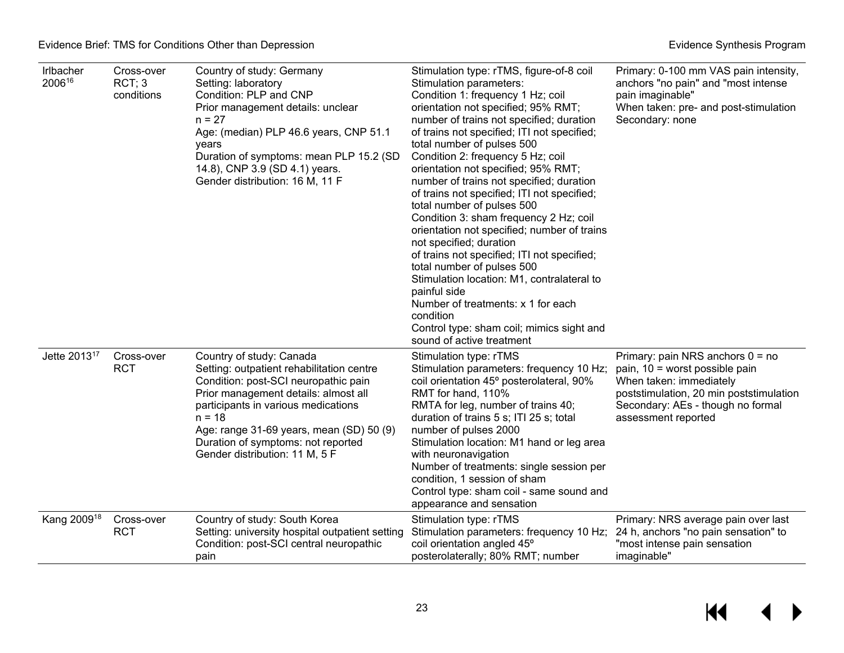| Irlbacher<br>200616      | Cross-over<br>RCT; 3<br>conditions | Country of study: Germany<br>Setting: laboratory<br>Condition: PLP and CNP<br>Prior management details: unclear<br>$n = 27$<br>Age: (median) PLP 46.6 years, CNP 51.1<br>years<br>Duration of symptoms: mean PLP 15.2 (SD<br>14.8), CNP 3.9 (SD 4.1) years.<br>Gender distribution: 16 M, 11 F                               | Stimulation type: rTMS, figure-of-8 coil<br>Stimulation parameters:<br>Condition 1: frequency 1 Hz; coil<br>orientation not specified; 95% RMT;<br>number of trains not specified; duration<br>of trains not specified; ITI not specified;<br>total number of pulses 500<br>Condition 2: frequency 5 Hz; coil<br>orientation not specified; 95% RMT;<br>number of trains not specified; duration<br>of trains not specified; ITI not specified;<br>total number of pulses 500<br>Condition 3: sham frequency 2 Hz; coil<br>orientation not specified; number of trains<br>not specified; duration<br>of trains not specified; ITI not specified;<br>total number of pulses 500<br>Stimulation location: M1, contralateral to<br>painful side<br>Number of treatments: x 1 for each<br>condition<br>Control type: sham coil; mimics sight and<br>sound of active treatment | Primary: 0-100 mm VAS pain intensity,<br>anchors "no pain" and "most intense<br>pain imaginable"<br>When taken: pre- and post-stimulation<br>Secondary: none                                           |
|--------------------------|------------------------------------|------------------------------------------------------------------------------------------------------------------------------------------------------------------------------------------------------------------------------------------------------------------------------------------------------------------------------|---------------------------------------------------------------------------------------------------------------------------------------------------------------------------------------------------------------------------------------------------------------------------------------------------------------------------------------------------------------------------------------------------------------------------------------------------------------------------------------------------------------------------------------------------------------------------------------------------------------------------------------------------------------------------------------------------------------------------------------------------------------------------------------------------------------------------------------------------------------------------|--------------------------------------------------------------------------------------------------------------------------------------------------------------------------------------------------------|
| Jette 2013 <sup>17</sup> | Cross-over<br><b>RCT</b>           | Country of study: Canada<br>Setting: outpatient rehabilitation centre<br>Condition: post-SCI neuropathic pain<br>Prior management details: almost all<br>participants in various medications<br>$n = 18$<br>Age: range 31-69 years, mean (SD) 50 (9)<br>Duration of symptoms: not reported<br>Gender distribution: 11 M, 5 F | Stimulation type: rTMS<br>Stimulation parameters: frequency 10 Hz;<br>coil orientation 45° posterolateral, 90%<br>RMT for hand, 110%<br>RMTA for leg, number of trains 40;<br>duration of trains 5 s; ITI 25 s; total<br>number of pulses 2000<br>Stimulation location: M1 hand or leg area<br>with neuronavigation<br>Number of treatments: single session per<br>condition, 1 session of sham<br>Control type: sham coil - same sound and<br>appearance and sensation                                                                                                                                                                                                                                                                                                                                                                                                   | Primary: pain NRS anchors $0 = no$<br>pain, 10 = worst possible pain<br>When taken: immediately<br>poststimulation, 20 min poststimulation<br>Secondary: AEs - though no formal<br>assessment reported |
| Kang 2009 <sup>18</sup>  | Cross-over<br><b>RCT</b>           | Country of study: South Korea<br>Setting: university hospital outpatient setting<br>Condition: post-SCI central neuropathic<br>pain                                                                                                                                                                                          | Stimulation type: rTMS<br>Stimulation parameters: frequency 10 Hz;<br>coil orientation angled 45°<br>posterolaterally; 80% RMT; number                                                                                                                                                                                                                                                                                                                                                                                                                                                                                                                                                                                                                                                                                                                                    | Primary: NRS average pain over last<br>24 h, anchors "no pain sensation" to<br>"most intense pain sensation<br>imaginable"                                                                             |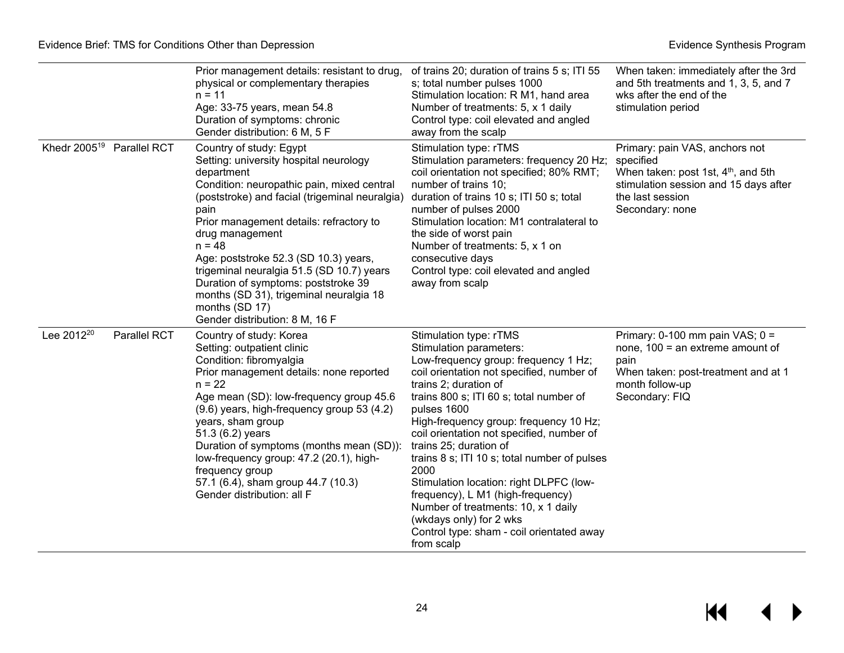|                                       |                     | Prior management details: resistant to drug,<br>physical or complementary therapies<br>$n = 11$<br>Age: 33-75 years, mean 54.8<br>Duration of symptoms: chronic<br>Gender distribution: 6 M, 5 F                                                                                                                                                                                                                                                                                              | of trains 20; duration of trains 5 s; ITI 55<br>s; total number pulses 1000<br>Stimulation location: R M1, hand area<br>Number of treatments: 5, x 1 daily<br>Control type: coil elevated and angled<br>away from the scalp                                                                                                                                                                                                                                                                                                                                                                                     | When taken: immediately after the 3rd<br>and 5th treatments and 1, 3, 5, and 7<br>wks after the end of the<br>stimulation period                                               |
|---------------------------------------|---------------------|-----------------------------------------------------------------------------------------------------------------------------------------------------------------------------------------------------------------------------------------------------------------------------------------------------------------------------------------------------------------------------------------------------------------------------------------------------------------------------------------------|-----------------------------------------------------------------------------------------------------------------------------------------------------------------------------------------------------------------------------------------------------------------------------------------------------------------------------------------------------------------------------------------------------------------------------------------------------------------------------------------------------------------------------------------------------------------------------------------------------------------|--------------------------------------------------------------------------------------------------------------------------------------------------------------------------------|
| Khedr 2005 <sup>19</sup> Parallel RCT |                     | Country of study: Egypt<br>Setting: university hospital neurology<br>department<br>Condition: neuropathic pain, mixed central<br>(poststroke) and facial (trigeminal neuralgia)<br>pain<br>Prior management details: refractory to<br>drug management<br>$n = 48$<br>Age: poststroke 52.3 (SD 10.3) years,<br>trigeminal neuralgia 51.5 (SD 10.7) years<br>Duration of symptoms: poststroke 39<br>months (SD 31), trigeminal neuralgia 18<br>months (SD 17)<br>Gender distribution: 8 M, 16 F | Stimulation type: rTMS<br>Stimulation parameters: frequency 20 Hz;<br>coil orientation not specified; 80% RMT;<br>number of trains 10;<br>duration of trains 10 s; ITI 50 s; total<br>number of pulses 2000<br>Stimulation location: M1 contralateral to<br>the side of worst pain<br>Number of treatments: 5, x 1 on<br>consecutive days<br>Control type: coil elevated and angled<br>away from scalp                                                                                                                                                                                                          | Primary: pain VAS, anchors not<br>specified<br>When taken: post 1st, 4 <sup>th</sup> , and 5th<br>stimulation session and 15 days after<br>the last session<br>Secondary: none |
| Lee 2012 <sup>20</sup>                | <b>Parallel RCT</b> | Country of study: Korea<br>Setting: outpatient clinic<br>Condition: fibromyalgia<br>Prior management details: none reported<br>$n = 22$<br>Age mean (SD): low-frequency group 45.6<br>(9.6) years, high-frequency group 53 (4.2)<br>years, sham group<br>51.3 (6.2) years<br>Duration of symptoms (months mean (SD)):<br>low-frequency group: 47.2 (20.1), high-<br>frequency group<br>57.1 (6.4), sham group 44.7 (10.3)<br>Gender distribution: all F                                       | Stimulation type: rTMS<br>Stimulation parameters:<br>Low-frequency group: frequency 1 Hz;<br>coil orientation not specified, number of<br>trains 2; duration of<br>trains 800 s; ITI 60 s; total number of<br>pulses 1600<br>High-frequency group: frequency 10 Hz;<br>coil orientation not specified, number of<br>trains 25; duration of<br>trains 8 s; ITI 10 s; total number of pulses<br>2000<br>Stimulation location: right DLPFC (low-<br>frequency), L M1 (high-frequency)<br>Number of treatments: 10, x 1 daily<br>(wkdays only) for 2 wks<br>Control type: sham - coil orientated away<br>from scalp | Primary: 0-100 mm pain VAS; $0 =$<br>none, $100 = an$ extreme amount of<br>pain<br>When taken: post-treatment and at 1<br>month follow-up<br>Secondary: FIQ                    |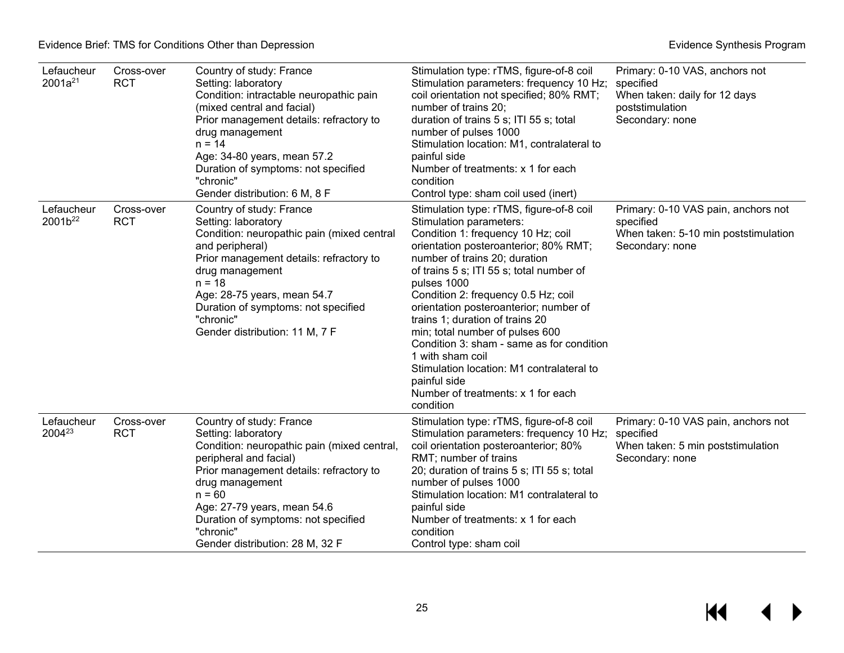| Lefaucheur<br>$2001a^{21}$        | Cross-over<br><b>RCT</b> | Country of study: France<br>Setting: laboratory<br>Condition: intractable neuropathic pain<br>(mixed central and facial)<br>Prior management details: refractory to<br>drug management<br>$n = 14$<br>Age: 34-80 years, mean 57.2<br>Duration of symptoms: not specified<br>"chronic"<br>Gender distribution: 6 M, 8 F   | Stimulation type: rTMS, figure-of-8 coil<br>Stimulation parameters: frequency 10 Hz;<br>coil orientation not specified; 80% RMT;<br>number of trains 20;<br>duration of trains 5 s; ITI 55 s; total<br>number of pulses 1000<br>Stimulation location: M1, contralateral to<br>painful side<br>Number of treatments: x 1 for each<br>condition<br>Control type: sham coil used (inert)                                                                                                                                                                                                  | Primary: 0-10 VAS, anchors not<br>specified<br>When taken: daily for 12 days<br>poststimulation<br>Secondary: none |
|-----------------------------------|--------------------------|--------------------------------------------------------------------------------------------------------------------------------------------------------------------------------------------------------------------------------------------------------------------------------------------------------------------------|----------------------------------------------------------------------------------------------------------------------------------------------------------------------------------------------------------------------------------------------------------------------------------------------------------------------------------------------------------------------------------------------------------------------------------------------------------------------------------------------------------------------------------------------------------------------------------------|--------------------------------------------------------------------------------------------------------------------|
| Lefaucheur<br>2001b <sup>22</sup> | Cross-over<br><b>RCT</b> | Country of study: France<br>Setting: laboratory<br>Condition: neuropathic pain (mixed central<br>and peripheral)<br>Prior management details: refractory to<br>drug management<br>$n = 18$<br>Age: 28-75 years, mean 54.7<br>Duration of symptoms: not specified<br>"chronic"<br>Gender distribution: 11 M, 7 F          | Stimulation type: rTMS, figure-of-8 coil<br>Stimulation parameters:<br>Condition 1: frequency 10 Hz; coil<br>orientation posteroanterior; 80% RMT;<br>number of trains 20; duration<br>of trains 5 s; ITI 55 s; total number of<br>pulses 1000<br>Condition 2: frequency 0.5 Hz; coil<br>orientation posteroanterior; number of<br>trains 1; duration of trains 20<br>min; total number of pulses 600<br>Condition 3: sham - same as for condition<br>1 with sham coil<br>Stimulation location: M1 contralateral to<br>painful side<br>Number of treatments: x 1 for each<br>condition | Primary: 0-10 VAS pain, anchors not<br>specified<br>When taken: 5-10 min poststimulation<br>Secondary: none        |
| Lefaucheur<br>2004 <sup>23</sup>  | Cross-over<br><b>RCT</b> | Country of study: France<br>Setting: laboratory<br>Condition: neuropathic pain (mixed central,<br>peripheral and facial)<br>Prior management details: refractory to<br>drug management<br>$n = 60$<br>Age: 27-79 years, mean 54.6<br>Duration of symptoms: not specified<br>"chronic"<br>Gender distribution: 28 M, 32 F | Stimulation type: rTMS, figure-of-8 coil<br>Stimulation parameters: frequency 10 Hz;<br>coil orientation posteroanterior; 80%<br>RMT; number of trains<br>20; duration of trains 5 s; ITI 55 s; total<br>number of pulses 1000<br>Stimulation location: M1 contralateral to<br>painful side<br>Number of treatments: x 1 for each<br>condition<br>Control type: sham coil                                                                                                                                                                                                              | Primary: 0-10 VAS pain, anchors not<br>specified<br>When taken: 5 min poststimulation<br>Secondary: none           |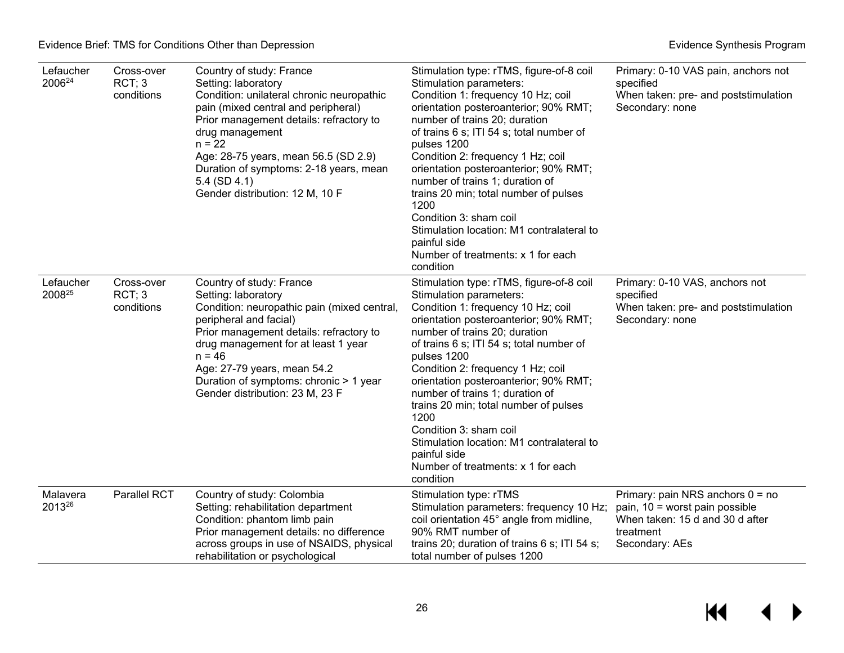| Lefaucher<br>200624 | Cross-over<br>RCT; 3<br>conditions | Country of study: France<br>Setting: laboratory<br>Condition: unilateral chronic neuropathic<br>pain (mixed central and peripheral)<br>Prior management details: refractory to<br>drug management<br>$n = 22$<br>Age: 28-75 years, mean 56.5 (SD 2.9)<br>Duration of symptoms: 2-18 years, mean<br>$5.4$ (SD 4.1)<br>Gender distribution: 12 M, 10 F | Stimulation type: rTMS, figure-of-8 coil<br>Stimulation parameters:<br>Condition 1: frequency 10 Hz; coil<br>orientation posteroanterior; 90% RMT;<br>number of trains 20; duration<br>of trains 6 s; ITI 54 s; total number of<br>pulses 1200<br>Condition 2: frequency 1 Hz; coil<br>orientation posteroanterior; 90% RMT;<br>number of trains 1; duration of<br>trains 20 min; total number of pulses<br>1200<br>Condition 3: sham coil<br>Stimulation location: M1 contralateral to<br>painful side<br>Number of treatments: x 1 for each<br>condition | Primary: 0-10 VAS pain, anchors not<br>specified<br>When taken: pre- and poststimulation<br>Secondary: none                            |
|---------------------|------------------------------------|------------------------------------------------------------------------------------------------------------------------------------------------------------------------------------------------------------------------------------------------------------------------------------------------------------------------------------------------------|------------------------------------------------------------------------------------------------------------------------------------------------------------------------------------------------------------------------------------------------------------------------------------------------------------------------------------------------------------------------------------------------------------------------------------------------------------------------------------------------------------------------------------------------------------|----------------------------------------------------------------------------------------------------------------------------------------|
| Lefaucher<br>200825 | Cross-over<br>RCT; 3<br>conditions | Country of study: France<br>Setting: laboratory<br>Condition: neuropathic pain (mixed central,<br>peripheral and facial)<br>Prior management details: refractory to<br>drug management for at least 1 year<br>$n = 46$<br>Age: 27-79 years, mean 54.2<br>Duration of symptoms: chronic > 1 year<br>Gender distribution: 23 M, 23 F                   | Stimulation type: rTMS, figure-of-8 coil<br>Stimulation parameters:<br>Condition 1: frequency 10 Hz; coil<br>orientation posteroanterior; 90% RMT;<br>number of trains 20; duration<br>of trains 6 s; ITI 54 s; total number of<br>pulses 1200<br>Condition 2: frequency 1 Hz; coil<br>orientation posteroanterior; 90% RMT;<br>number of trains 1; duration of<br>trains 20 min; total number of pulses<br>1200<br>Condition 3: sham coil<br>Stimulation location: M1 contralateral to<br>painful side<br>Number of treatments: x 1 for each<br>condition | Primary: 0-10 VAS, anchors not<br>specified<br>When taken: pre- and poststimulation<br>Secondary: none                                 |
| Malavera<br>201326  | Parallel RCT                       | Country of study: Colombia<br>Setting: rehabilitation department<br>Condition: phantom limb pain<br>Prior management details: no difference<br>across groups in use of NSAIDS, physical<br>rehabilitation or psychological                                                                                                                           | Stimulation type: rTMS<br>Stimulation parameters: frequency 10 Hz;<br>coil orientation 45° angle from midline,<br>90% RMT number of<br>trains 20; duration of trains 6 s; ITI 54 s;<br>total number of pulses 1200                                                                                                                                                                                                                                                                                                                                         | Primary: pain NRS anchors $0 = no$<br>pain, 10 = worst pain possible<br>When taken: 15 d and 30 d after<br>treatment<br>Secondary: AEs |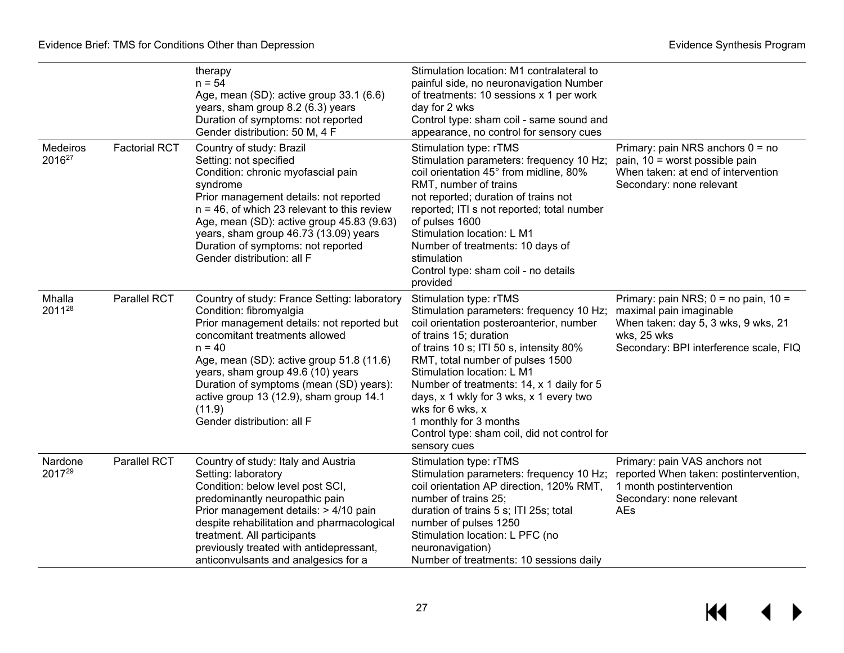|                                |                      | therapy<br>$n = 54$<br>Age, mean (SD): active group 33.1 (6.6)<br>years, sham group 8.2 (6.3) years<br>Duration of symptoms: not reported<br>Gender distribution: 50 M, 4 F                                                                                                                                                                                                        | Stimulation location: M1 contralateral to<br>painful side, no neuronavigation Number<br>of treatments: 10 sessions x 1 per work<br>day for 2 wks<br>Control type: sham coil - same sound and<br>appearance, no control for sensory cues                                                                                                                                                                                                                     |                                                                                                                                                                     |
|--------------------------------|----------------------|------------------------------------------------------------------------------------------------------------------------------------------------------------------------------------------------------------------------------------------------------------------------------------------------------------------------------------------------------------------------------------|-------------------------------------------------------------------------------------------------------------------------------------------------------------------------------------------------------------------------------------------------------------------------------------------------------------------------------------------------------------------------------------------------------------------------------------------------------------|---------------------------------------------------------------------------------------------------------------------------------------------------------------------|
| Medeiros<br>2016 <sup>27</sup> | <b>Factorial RCT</b> | Country of study: Brazil<br>Setting: not specified<br>Condition: chronic myofascial pain<br>syndrome<br>Prior management details: not reported<br>$n = 46$ , of which 23 relevant to this review<br>Age, mean (SD): active group 45.83 (9.63)<br>years, sham group 46.73 (13.09) years<br>Duration of symptoms: not reported<br>Gender distribution: all F                         | Stimulation type: rTMS<br>Stimulation parameters: frequency 10 Hz;<br>coil orientation 45° from midline, 80%<br>RMT, number of trains<br>not reported; duration of trains not<br>reported; ITI s not reported; total number<br>of pulses 1600<br>Stimulation location: L M1<br>Number of treatments: 10 days of<br>stimulation<br>Control type: sham coil - no details<br>provided                                                                          | Primary: pain NRS anchors $0 = no$<br>pain, 10 = worst possible pain<br>When taken: at end of intervention<br>Secondary: none relevant                              |
| Mhalla<br>201128               | Parallel RCT         | Country of study: France Setting: laboratory<br>Condition: fibromyalgia<br>Prior management details: not reported but<br>concomitant treatments allowed<br>$n = 40$<br>Age, mean (SD): active group 51.8 (11.6)<br>years, sham group 49.6 (10) years<br>Duration of symptoms (mean (SD) years):<br>active group 13 (12.9), sham group 14.1<br>(11.9)<br>Gender distribution: all F | Stimulation type: rTMS<br>Stimulation parameters: frequency 10 Hz;<br>coil orientation posteroanterior, number<br>of trains 15; duration<br>of trains 10 s; ITI 50 s, intensity 80%<br>RMT, total number of pulses 1500<br>Stimulation location: L M1<br>Number of treatments: 14, x 1 daily for 5<br>days, x 1 wkly for 3 wks, x 1 every two<br>wks for 6 wks, x<br>1 monthly for 3 months<br>Control type: sham coil, did not control for<br>sensory cues | Primary: pain NRS; $0 =$ no pain, $10 =$<br>maximal pain imaginable<br>When taken: day 5, 3 wks, 9 wks, 21<br>wks, 25 wks<br>Secondary: BPI interference scale, FIQ |
| Nardone<br>201729              | Parallel RCT         | Country of study: Italy and Austria<br>Setting: laboratory<br>Condition: below level post SCI,<br>predominantly neuropathic pain<br>Prior management details: > 4/10 pain<br>despite rehabilitation and pharmacological<br>treatment. All participants<br>previously treated with antidepressant,<br>anticonvulsants and analgesics for a                                          | Stimulation type: rTMS<br>Stimulation parameters: frequency 10 Hz;<br>coil orientation AP direction, 120% RMT,<br>number of trains 25;<br>duration of trains 5 s; ITI 25s; total<br>number of pulses 1250<br>Stimulation location: L PFC (no<br>neuronavigation)<br>Number of treatments: 10 sessions daily                                                                                                                                                 | Primary: pain VAS anchors not<br>reported When taken: postintervention,<br>1 month postintervention<br>Secondary: none relevant<br>AEs                              |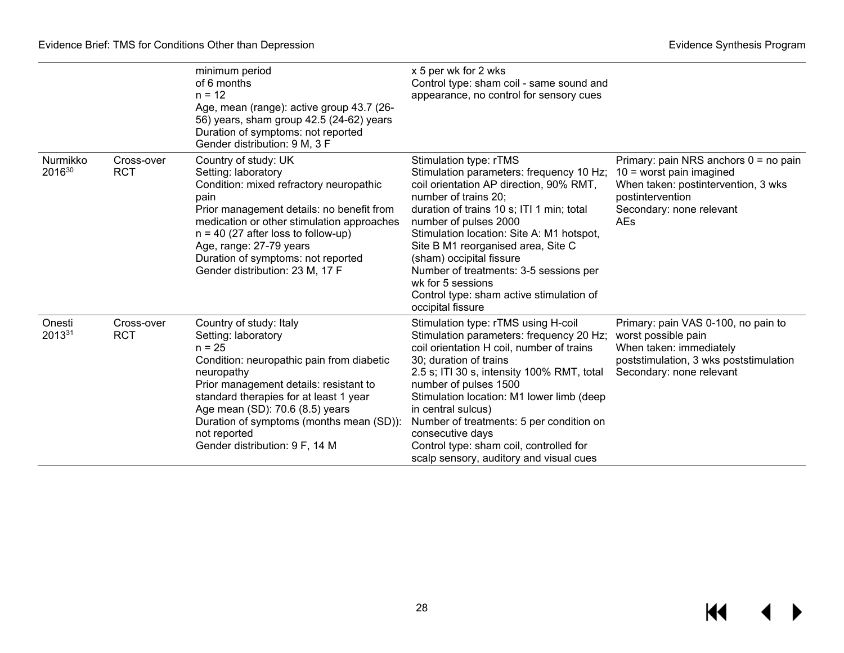|                    |                          | minimum period<br>of 6 months<br>$n = 12$<br>Age, mean (range): active group 43.7 (26-<br>56) years, sham group 42.5 (24-62) years<br>Duration of symptoms: not reported<br>Gender distribution: 9 M, 3 F                                                                                                                                  | x 5 per wk for 2 wks<br>Control type: sham coil - same sound and<br>appearance, no control for sensory cues                                                                                                                                                                                                                                                                                                                                                |                                                                                                                                                                            |
|--------------------|--------------------------|--------------------------------------------------------------------------------------------------------------------------------------------------------------------------------------------------------------------------------------------------------------------------------------------------------------------------------------------|------------------------------------------------------------------------------------------------------------------------------------------------------------------------------------------------------------------------------------------------------------------------------------------------------------------------------------------------------------------------------------------------------------------------------------------------------------|----------------------------------------------------------------------------------------------------------------------------------------------------------------------------|
| Nurmikko<br>201630 | Cross-over<br><b>RCT</b> | Country of study: UK<br>Setting: laboratory<br>Condition: mixed refractory neuropathic<br>pain<br>Prior management details: no benefit from<br>medication or other stimulation approaches<br>$n = 40$ (27 after loss to follow-up)<br>Age, range: 27-79 years<br>Duration of symptoms: not reported<br>Gender distribution: 23 M, 17 F     | Stimulation type: rTMS<br>Stimulation parameters: frequency 10 Hz;<br>coil orientation AP direction, 90% RMT,<br>number of trains 20;<br>duration of trains 10 s; ITI 1 min; total<br>number of pulses 2000<br>Stimulation location: Site A: M1 hotspot,<br>Site B M1 reorganised area, Site C<br>(sham) occipital fissure<br>Number of treatments: 3-5 sessions per<br>wk for 5 sessions<br>Control type: sham active stimulation of<br>occipital fissure | Primary: pain NRS anchors $0 =$ no pain<br>$10 =$ worst pain imagined<br>When taken: postintervention, 3 wks<br>postintervention<br>Secondary: none relevant<br><b>AEs</b> |
| Onesti<br>201331   | Cross-over<br><b>RCT</b> | Country of study: Italy<br>Setting: laboratory<br>$n = 25$<br>Condition: neuropathic pain from diabetic<br>neuropathy<br>Prior management details: resistant to<br>standard therapies for at least 1 year<br>Age mean (SD): 70.6 (8.5) years<br>Duration of symptoms (months mean (SD)):<br>not reported<br>Gender distribution: 9 F, 14 M | Stimulation type: rTMS using H-coil<br>Stimulation parameters: frequency 20 Hz;<br>coil orientation H coil, number of trains<br>30; duration of trains<br>2.5 s; ITI 30 s, intensity 100% RMT, total<br>number of pulses 1500<br>Stimulation location: M1 lower limb (deep<br>in central sulcus)<br>Number of treatments: 5 per condition on<br>consecutive days<br>Control type: sham coil, controlled for<br>scalp sensory, auditory and visual cues     | Primary: pain VAS 0-100, no pain to<br>worst possible pain<br>When taken: immediately<br>poststimulation, 3 wks poststimulation<br>Secondary: none relevant                |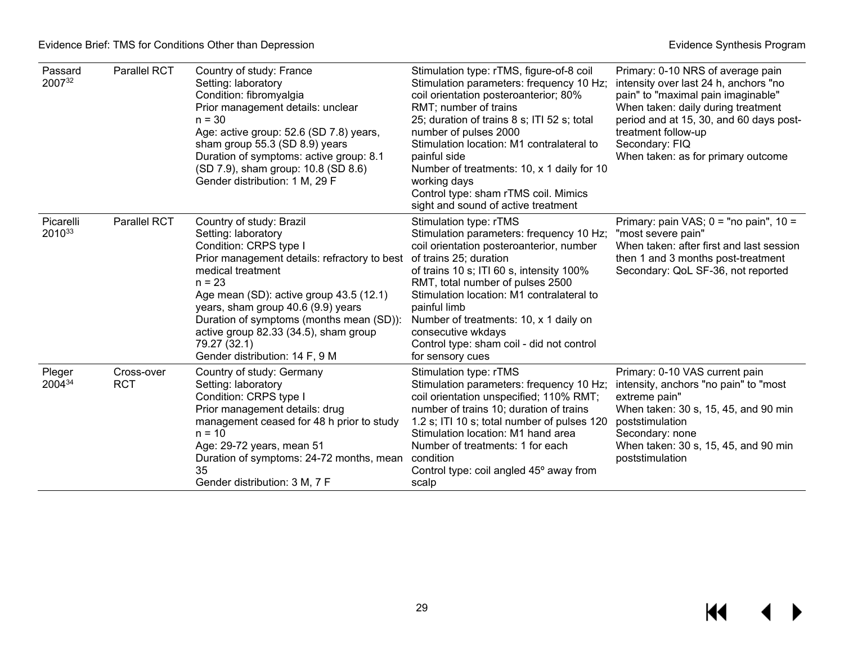| Passard<br>200732   | Parallel RCT             | Country of study: France<br>Setting: laboratory<br>Condition: fibromyalgia<br>Prior management details: unclear<br>$n = 30$<br>Age: active group: 52.6 (SD 7.8) years,<br>sham group 55.3 (SD 8.9) years<br>Duration of symptoms: active group: 8.1<br>(SD 7.9), sham group: 10.8 (SD 8.6)<br>Gender distribution: 1 M, 29 F                                                       | Stimulation type: rTMS, figure-of-8 coil<br>Stimulation parameters: frequency 10 Hz;<br>coil orientation posteroanterior; 80%<br>RMT; number of trains<br>25; duration of trains 8 s; ITI 52 s; total<br>number of pulses 2000<br>Stimulation location: M1 contralateral to<br>painful side<br>Number of treatments: 10, x 1 daily for 10<br>working days<br>Control type: sham rTMS coil. Mimics<br>sight and sound of active treatment | Primary: 0-10 NRS of average pain<br>intensity over last 24 h, anchors "no<br>pain" to "maximal pain imaginable"<br>When taken: daily during treatment<br>period and at 15, 30, and 60 days post-<br>treatment follow-up<br>Secondary: FIQ<br>When taken: as for primary outcome |
|---------------------|--------------------------|------------------------------------------------------------------------------------------------------------------------------------------------------------------------------------------------------------------------------------------------------------------------------------------------------------------------------------------------------------------------------------|------------------------------------------------------------------------------------------------------------------------------------------------------------------------------------------------------------------------------------------------------------------------------------------------------------------------------------------------------------------------------------------------------------------------------------------|----------------------------------------------------------------------------------------------------------------------------------------------------------------------------------------------------------------------------------------------------------------------------------|
| Picarelli<br>201033 | Parallel RCT             | Country of study: Brazil<br>Setting: laboratory<br>Condition: CRPS type I<br>Prior management details: refractory to best<br>medical treatment<br>$n = 23$<br>Age mean (SD): active group 43.5 (12.1)<br>years, sham group 40.6 (9.9) years<br>Duration of symptoms (months mean (SD)):<br>active group 82.33 (34.5), sham group<br>79.27 (32.1)<br>Gender distribution: 14 F, 9 M | Stimulation type: rTMS<br>Stimulation parameters: frequency 10 Hz;<br>coil orientation posteroanterior, number<br>of trains 25; duration<br>of trains 10 s; ITI 60 s, intensity 100%<br>RMT, total number of pulses 2500<br>Stimulation location: M1 contralateral to<br>painful limb<br>Number of treatments: 10, x 1 daily on<br>consecutive wkdays<br>Control type: sham coil - did not control<br>for sensory cues                   | Primary: pain VAS; $0 =$ "no pain", $10 =$<br>"most severe pain"<br>When taken: after first and last session<br>then 1 and 3 months post-treatment<br>Secondary: QoL SF-36, not reported                                                                                         |
| Pleger<br>200434    | Cross-over<br><b>RCT</b> | Country of study: Germany<br>Setting: laboratory<br>Condition: CRPS type I<br>Prior management details: drug<br>management ceased for 48 h prior to study<br>$n = 10$<br>Age: 29-72 years, mean 51<br>Duration of symptoms: 24-72 months, mean<br>35<br>Gender distribution: 3 M, 7 F                                                                                              | Stimulation type: rTMS<br>Stimulation parameters: frequency 10 Hz;<br>coil orientation unspecified; 110% RMT;<br>number of trains 10; duration of trains<br>1.2 s; ITI 10 s; total number of pulses 120<br>Stimulation location: M1 hand area<br>Number of treatments: 1 for each<br>condition<br>Control type: coil angled 45° away from<br>scalp                                                                                       | Primary: 0-10 VAS current pain<br>intensity, anchors "no pain" to "most<br>extreme pain"<br>When taken: 30 s, 15, 45, and 90 min<br>poststimulation<br>Secondary: none<br>When taken: 30 s, 15, 45, and 90 min<br>poststimulation                                                |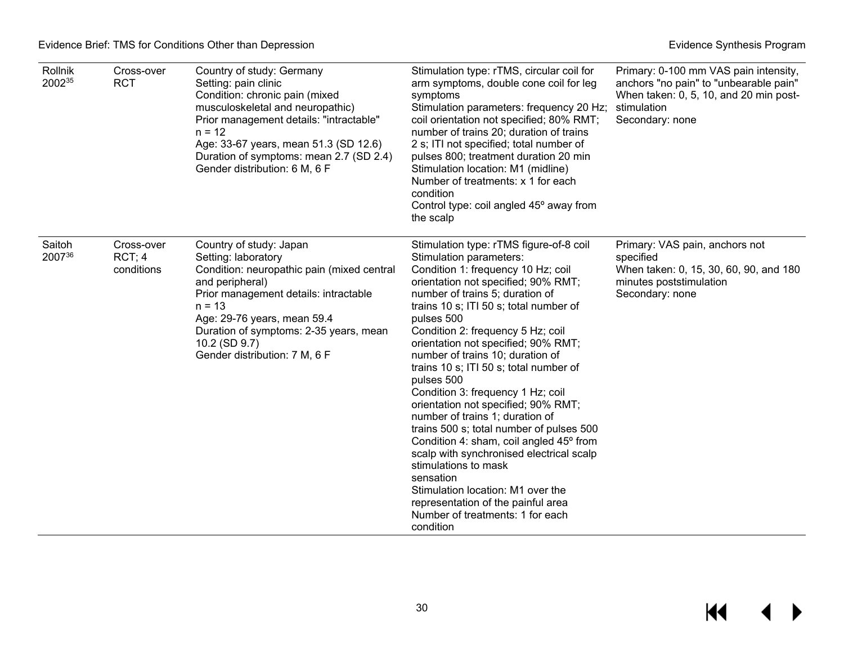| Rollnik<br>200235 | Cross-over<br><b>RCT</b>          | Country of study: Germany<br>Setting: pain clinic<br>Condition: chronic pain (mixed<br>musculoskeletal and neuropathic)<br>Prior management details: "intractable"<br>$n = 12$<br>Age: 33-67 years, mean 51.3 (SD 12.6)<br>Duration of symptoms: mean 2.7 (SD 2.4)<br>Gender distribution: 6 M, 6 F | Stimulation type: rTMS, circular coil for<br>arm symptoms, double cone coil for leg<br>symptoms<br>Stimulation parameters: frequency 20 Hz;<br>coil orientation not specified; 80% RMT;<br>number of trains 20; duration of trains<br>2 s; ITI not specified; total number of<br>pulses 800; treatment duration 20 min<br>Stimulation location: M1 (midline)<br>Number of treatments: x 1 for each<br>condition<br>Control type: coil angled 45° away from<br>the scalp                                                                                                                                                                                                                                                                                                                                                               | Primary: 0-100 mm VAS pain intensity,<br>anchors "no pain" to "unbearable pain"<br>When taken: 0, 5, 10, and 20 min post-<br>stimulation<br>Secondary: none |
|-------------------|-----------------------------------|-----------------------------------------------------------------------------------------------------------------------------------------------------------------------------------------------------------------------------------------------------------------------------------------------------|---------------------------------------------------------------------------------------------------------------------------------------------------------------------------------------------------------------------------------------------------------------------------------------------------------------------------------------------------------------------------------------------------------------------------------------------------------------------------------------------------------------------------------------------------------------------------------------------------------------------------------------------------------------------------------------------------------------------------------------------------------------------------------------------------------------------------------------|-------------------------------------------------------------------------------------------------------------------------------------------------------------|
| Saitoh<br>200736  | Cross-over<br>RCT:4<br>conditions | Country of study: Japan<br>Setting: laboratory<br>Condition: neuropathic pain (mixed central<br>and peripheral)<br>Prior management details: intractable<br>$n = 13$<br>Age: 29-76 years, mean 59.4<br>Duration of symptoms: 2-35 years, mean<br>10.2 (SD 9.7)<br>Gender distribution: 7 M, 6 F     | Stimulation type: rTMS figure-of-8 coil<br>Stimulation parameters:<br>Condition 1: frequency 10 Hz; coil<br>orientation not specified; 90% RMT;<br>number of trains 5; duration of<br>trains 10 s; ITI 50 s; total number of<br>pulses 500<br>Condition 2: frequency 5 Hz; coil<br>orientation not specified; 90% RMT;<br>number of trains 10; duration of<br>trains 10 s; ITI 50 s; total number of<br>pulses 500<br>Condition 3: frequency 1 Hz; coil<br>orientation not specified; 90% RMT;<br>number of trains 1; duration of<br>trains 500 s; total number of pulses 500<br>Condition 4: sham, coil angled 45° from<br>scalp with synchronised electrical scalp<br>stimulations to mask<br>sensation<br>Stimulation location: M1 over the<br>representation of the painful area<br>Number of treatments: 1 for each<br>condition | Primary: VAS pain, anchors not<br>specified<br>When taken: 0, 15, 30, 60, 90, and 180<br>minutes poststimulation<br>Secondary: none                         |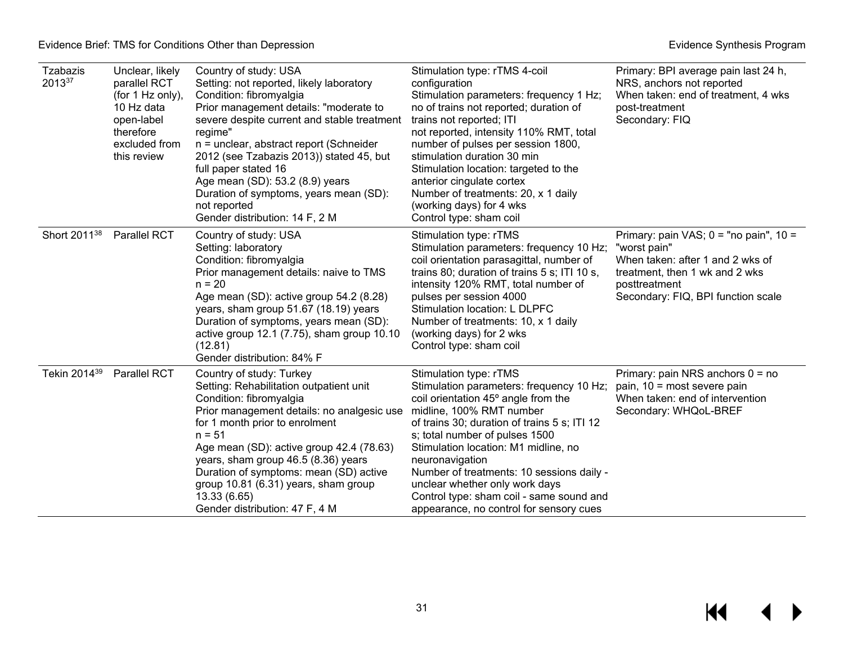| Tzabazis<br>201337       | Unclear, likely<br>parallel RCT<br>(for 1 Hz only),<br>10 Hz data<br>open-label<br>therefore<br>excluded from<br>this review | Country of study: USA<br>Setting: not reported, likely laboratory<br>Condition: fibromyalgia<br>Prior management details: "moderate to<br>severe despite current and stable treatment<br>regime"<br>n = unclear, abstract report (Schneider<br>2012 (see Tzabazis 2013)) stated 45, but<br>full paper stated 16<br>Age mean (SD): 53.2 (8.9) years<br>Duration of symptoms, years mean (SD):<br>not reported<br>Gender distribution: 14 F, 2 M | Stimulation type: rTMS 4-coil<br>configuration<br>Stimulation parameters: frequency 1 Hz;<br>no of trains not reported; duration of<br>trains not reported; ITI<br>not reported, intensity 110% RMT, total<br>number of pulses per session 1800,<br>stimulation duration 30 min<br>Stimulation location: targeted to the<br>anterior cingulate cortex<br>Number of treatments: 20, x 1 daily<br>(working days) for 4 wks<br>Control type: sham coil      | Primary: BPI average pain last 24 h,<br>NRS, anchors not reported<br>When taken: end of treatment, 4 wks<br>post-treatment<br>Secondary: FIQ                                            |
|--------------------------|------------------------------------------------------------------------------------------------------------------------------|------------------------------------------------------------------------------------------------------------------------------------------------------------------------------------------------------------------------------------------------------------------------------------------------------------------------------------------------------------------------------------------------------------------------------------------------|----------------------------------------------------------------------------------------------------------------------------------------------------------------------------------------------------------------------------------------------------------------------------------------------------------------------------------------------------------------------------------------------------------------------------------------------------------|-----------------------------------------------------------------------------------------------------------------------------------------------------------------------------------------|
| Short 2011 <sup>38</sup> | Parallel RCT                                                                                                                 | Country of study: USA<br>Setting: laboratory<br>Condition: fibromyalgia<br>Prior management details: naive to TMS<br>$n = 20$<br>Age mean (SD): active group 54.2 (8.28)<br>years, sham group 51.67 (18.19) years<br>Duration of symptoms, years mean (SD):<br>active group 12.1 (7.75), sham group 10.10<br>(12.81)<br>Gender distribution: 84% F                                                                                             | Stimulation type: rTMS<br>Stimulation parameters: frequency 10 Hz;<br>coil orientation parasagittal, number of<br>trains 80; duration of trains 5 s; ITI 10 s,<br>intensity 120% RMT, total number of<br>pulses per session 4000<br>Stimulation location: L DLPFC<br>Number of treatments: 10, x 1 daily<br>(working days) for 2 wks<br>Control type: sham coil                                                                                          | Primary: pain VAS; $0 =$ "no pain", $10 =$<br>"worst pain"<br>When taken: after 1 and 2 wks of<br>treatment, then 1 wk and 2 wks<br>posttreatment<br>Secondary: FIQ, BPI function scale |
| Tekin 2014 <sup>39</sup> | <b>Parallel RCT</b>                                                                                                          | Country of study: Turkey<br>Setting: Rehabilitation outpatient unit<br>Condition: fibromyalgia<br>Prior management details: no analgesic use<br>for 1 month prior to enrolment<br>$n = 51$<br>Age mean (SD): active group 42.4 (78.63)<br>years, sham group 46.5 (8.36) years<br>Duration of symptoms: mean (SD) active<br>group 10.81 (6.31) years, sham group<br>13.33 (6.65)<br>Gender distribution: 47 F, 4 M                              | Stimulation type: rTMS<br>Stimulation parameters: frequency 10 Hz;<br>coil orientation 45° angle from the<br>midline, 100% RMT number<br>of trains 30; duration of trains 5 s; ITI 12<br>s; total number of pulses 1500<br>Stimulation location: M1 midline, no<br>neuronavigation<br>Number of treatments: 10 sessions daily -<br>unclear whether only work days<br>Control type: sham coil - same sound and<br>appearance, no control for sensory cues | Primary: pain NRS anchors $0 = no$<br>pain, 10 = most severe pain<br>When taken: end of intervention<br>Secondary: WHQoL-BREF                                                           |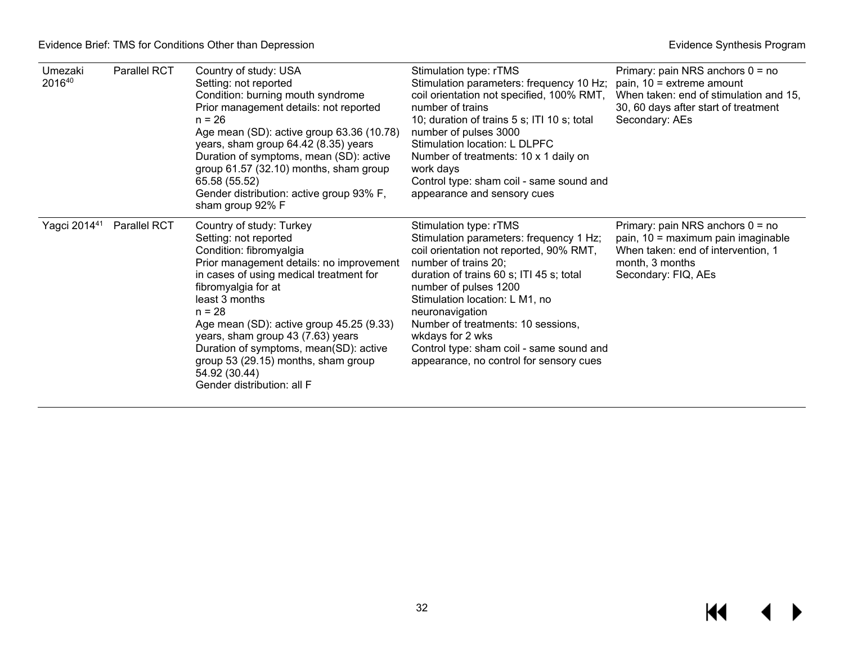| Umezaki<br>201640 | <b>Parallel RCT</b> | Country of study: USA<br>Setting: not reported<br>Condition: burning mouth syndrome<br>Prior management details: not reported<br>$n = 26$<br>Age mean (SD): active group 63.36 (10.78)<br>years, sham group 64.42 (8.35) years<br>Duration of symptoms, mean (SD): active<br>group 61.57 (32.10) months, sham group<br>65.58 (55.52)<br>Gender distribution: active group 93% F,<br>sham group 92% F                                      | Stimulation type: rTMS<br>Stimulation parameters: frequency 10 Hz;<br>coil orientation not specified, 100% RMT,<br>number of trains<br>10; duration of trains 5 s; ITI 10 s; total<br>number of pulses 3000<br>Stimulation location: L DLPFC<br>Number of treatments: 10 x 1 daily on<br>work days<br>Control type: sham coil - same sound and<br>appearance and sensory cues                                   | Primary: pain NRS anchors $0 = no$<br>pain, 10 = extreme amount<br>When taken: end of stimulation and 15,<br>30, 60 days after start of treatment<br>Secondary: AEs |
|-------------------|---------------------|-------------------------------------------------------------------------------------------------------------------------------------------------------------------------------------------------------------------------------------------------------------------------------------------------------------------------------------------------------------------------------------------------------------------------------------------|-----------------------------------------------------------------------------------------------------------------------------------------------------------------------------------------------------------------------------------------------------------------------------------------------------------------------------------------------------------------------------------------------------------------|---------------------------------------------------------------------------------------------------------------------------------------------------------------------|
| Yagci 201441      | Parallel RCT        | Country of study: Turkey<br>Setting: not reported<br>Condition: fibromyalgia<br>Prior management details: no improvement<br>in cases of using medical treatment for<br>fibromyalgia for at<br>least 3 months<br>$n = 28$<br>Age mean (SD): active group 45.25 (9.33)<br>years, sham group 43 (7.63) years<br>Duration of symptoms, mean(SD): active<br>group 53 (29.15) months, sham group<br>54.92 (30.44)<br>Gender distribution: all F | Stimulation type: rTMS<br>Stimulation parameters: frequency 1 Hz;<br>coil orientation not reported, 90% RMT,<br>number of trains 20;<br>duration of trains 60 s; ITI 45 s; total<br>number of pulses 1200<br>Stimulation location: L M1, no<br>neuronavigation<br>Number of treatments: 10 sessions,<br>wkdays for 2 wks<br>Control type: sham coil - same sound and<br>appearance, no control for sensory cues | Primary: pain NRS anchors $0 = no$<br>pain, 10 = maximum pain imaginable<br>When taken: end of intervention, 1<br>month, 3 months<br>Secondary: FIQ, AEs            |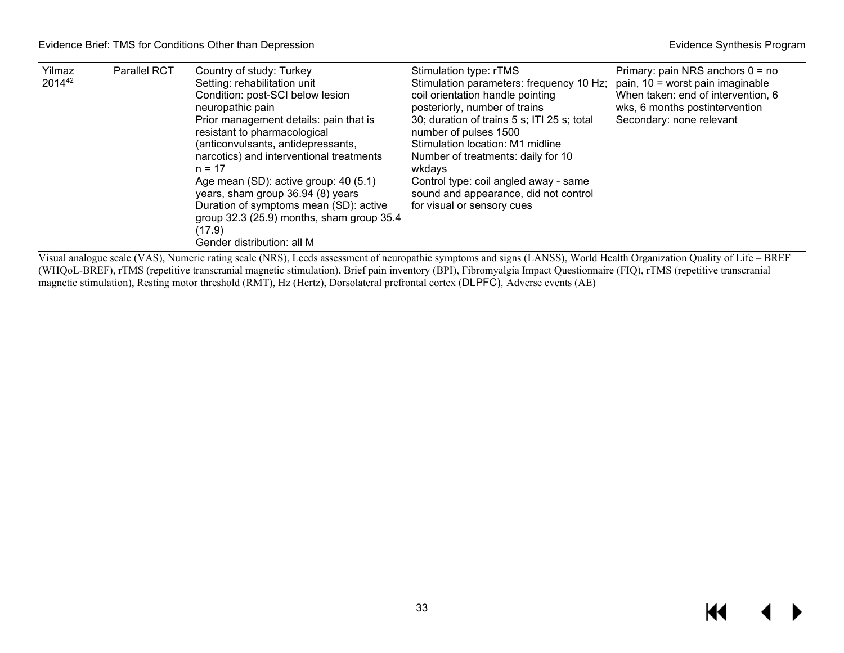| Yilmaz<br>201442 | <b>Parallel RCT</b> | Country of study: Turkey<br>Setting: rehabilitation unit<br>Condition: post-SCI below lesion<br>neuropathic pain<br>Prior management details: pain that is<br>resistant to pharmacological<br>(anticonvulsants, antidepressants,<br>narcotics) and interventional treatments<br>$n = 17$<br>Age mean (SD): active group: 40 (5.1)<br>years, sham group 36.94 (8) years<br>Duration of symptoms mean (SD): active<br>group 32.3 (25.9) months, sham group 35.4<br>(17.9)<br>Gender distribution: all M | Stimulation type: rTMS<br>Stimulation parameters: frequency 10 Hz;<br>coil orientation handle pointing<br>posteriorly, number of trains<br>30; duration of trains 5 s; ITI 25 s; total<br>number of pulses 1500<br>Stimulation location: M1 midline<br>Number of treatments: daily for 10<br>wkdavs<br>Control type: coil angled away - same<br>sound and appearance, did not control<br>for visual or sensory cues | Primary: pain NRS anchors $0 = no$<br>pain, $10 =$ worst pain imaginable<br>When taken: end of intervention, 6<br>wks, 6 months postintervention<br>Secondary: none relevant |
|------------------|---------------------|-------------------------------------------------------------------------------------------------------------------------------------------------------------------------------------------------------------------------------------------------------------------------------------------------------------------------------------------------------------------------------------------------------------------------------------------------------------------------------------------------------|---------------------------------------------------------------------------------------------------------------------------------------------------------------------------------------------------------------------------------------------------------------------------------------------------------------------------------------------------------------------------------------------------------------------|------------------------------------------------------------------------------------------------------------------------------------------------------------------------------|
|------------------|---------------------|-------------------------------------------------------------------------------------------------------------------------------------------------------------------------------------------------------------------------------------------------------------------------------------------------------------------------------------------------------------------------------------------------------------------------------------------------------------------------------------------------------|---------------------------------------------------------------------------------------------------------------------------------------------------------------------------------------------------------------------------------------------------------------------------------------------------------------------------------------------------------------------------------------------------------------------|------------------------------------------------------------------------------------------------------------------------------------------------------------------------------|

Visual analogue scale (VAS), Numeric rating scale (NRS), Leeds assessment of neuropathic symptoms and signs (LANSS), World Health Organization Quality of Life – BREF (WHQoL-BREF), rTMS (repetitive transcranial magnetic stimulation), Brief pain inventory (BPI), Fibromyalgia Impact Questionnaire (FIQ), rTMS (repetitive transcranial magnetic stimulation), Resting motor threshold (RMT), Hz (Hertz), Dorsolateral prefrontal cortex (DLPFC), Adverse events (AE)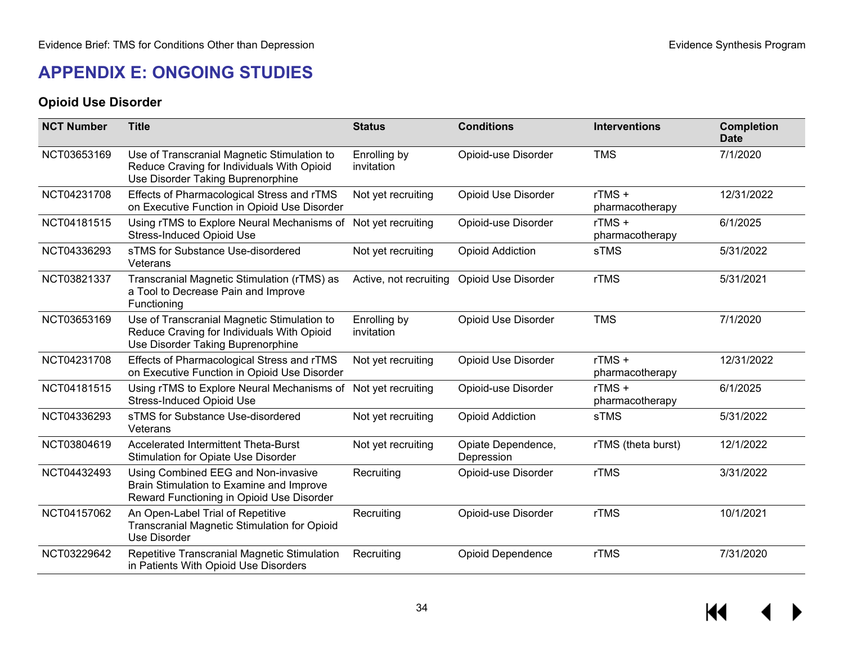### **APPENDIX E: ONGOING STUDIES**

#### **Opioid Use Disorder**

<span id="page-35-1"></span><span id="page-35-0"></span>

| <b>NCT Number</b> | <b>Title</b>                                                                                                                   | <b>Status</b>              | <b>Conditions</b>                | <b>Interventions</b>     | <b>Completion</b><br><b>Date</b> |
|-------------------|--------------------------------------------------------------------------------------------------------------------------------|----------------------------|----------------------------------|--------------------------|----------------------------------|
| NCT03653169       | Use of Transcranial Magnetic Stimulation to<br>Reduce Craving for Individuals With Opioid<br>Use Disorder Taking Buprenorphine | Enrolling by<br>invitation | Opioid-use Disorder              | <b>TMS</b>               | 7/1/2020                         |
| NCT04231708       | Effects of Pharmacological Stress and rTMS<br>on Executive Function in Opioid Use Disorder                                     | Not yet recruiting         | <b>Opioid Use Disorder</b>       | rTMS+<br>pharmacotherapy | 12/31/2022                       |
| NCT04181515       | Using rTMS to Explore Neural Mechanisms of<br><b>Stress-Induced Opioid Use</b>                                                 | Not yet recruiting         | Opioid-use Disorder              | rTMS+<br>pharmacotherapy | 6/1/2025                         |
| NCT04336293       | sTMS for Substance Use-disordered<br>Veterans                                                                                  | Not yet recruiting         | <b>Opioid Addiction</b>          | sTMS                     | 5/31/2022                        |
| NCT03821337       | Transcranial Magnetic Stimulation (rTMS) as<br>a Tool to Decrease Pain and Improve<br>Functioning                              | Active, not recruiting     | <b>Opioid Use Disorder</b>       | <b>rTMS</b>              | 5/31/2021                        |
| NCT03653169       | Use of Transcranial Magnetic Stimulation to<br>Reduce Craving for Individuals With Opioid<br>Use Disorder Taking Buprenorphine | Enrolling by<br>invitation | <b>Opioid Use Disorder</b>       | <b>TMS</b>               | 7/1/2020                         |
| NCT04231708       | Effects of Pharmacological Stress and rTMS<br>on Executive Function in Opioid Use Disorder                                     | Not yet recruiting         | <b>Opioid Use Disorder</b>       | rTMS+<br>pharmacotherapy | 12/31/2022                       |
| NCT04181515       | Using rTMS to Explore Neural Mechanisms of<br><b>Stress-Induced Opioid Use</b>                                                 | Not yet recruiting         | Opioid-use Disorder              | rTMS+<br>pharmacotherapy | 6/1/2025                         |
| NCT04336293       | sTMS for Substance Use-disordered<br>Veterans                                                                                  | Not yet recruiting         | <b>Opioid Addiction</b>          | sTMS                     | 5/31/2022                        |
| NCT03804619       | <b>Accelerated Intermittent Theta-Burst</b><br><b>Stimulation for Opiate Use Disorder</b>                                      | Not yet recruiting         | Opiate Dependence,<br>Depression | rTMS (theta burst)       | 12/1/2022                        |
| NCT04432493       | Using Combined EEG and Non-invasive<br>Brain Stimulation to Examine and Improve<br>Reward Functioning in Opioid Use Disorder   | Recruiting                 | Opioid-use Disorder              | rTMS                     | 3/31/2022                        |
| NCT04157062       | An Open-Label Trial of Repetitive<br>Transcranial Magnetic Stimulation for Opioid<br>Use Disorder                              | Recruiting                 | Opioid-use Disorder              | rTMS                     | 10/1/2021                        |
| NCT03229642       | Repetitive Transcranial Magnetic Stimulation<br>in Patients With Opioid Use Disorders                                          | Recruiting                 | <b>Opioid Dependence</b>         | rTMS                     | 7/31/2020                        |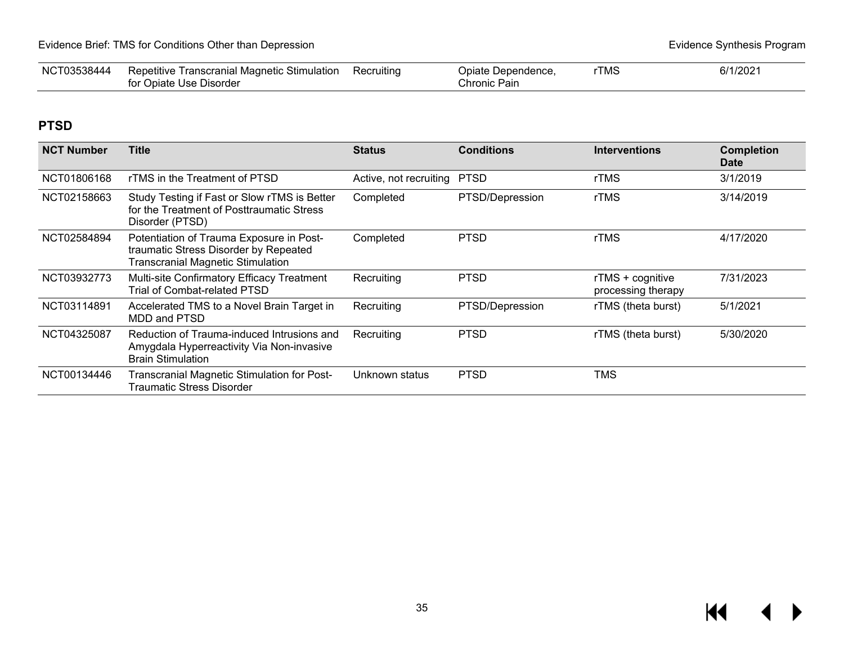| NC <sup>-</sup><br>38444 | Repetitive<br>Recruiting<br>. Stimulation<br>: Transcranial Magnetic |  | Jpiate<br>Dependence | TMS | 6/1/2021 |
|--------------------------|----------------------------------------------------------------------|--|----------------------|-----|----------|
|                          | Disorder<br>. Jolate<br><b>TISE</b><br>$\ddotsc$                     |  | ำhronic Pain<br>◡    |     |          |

### **PTSD**

| <b>NCT Number</b> | <b>Title</b>                                                                                                                  | <b>Status</b>          | <b>Conditions</b> | <b>Interventions</b>                   | <b>Completion</b><br><b>Date</b> |
|-------------------|-------------------------------------------------------------------------------------------------------------------------------|------------------------|-------------------|----------------------------------------|----------------------------------|
| NCT01806168       | rTMS in the Treatment of PTSD                                                                                                 | Active, not recruiting | <b>PTSD</b>       | rTMS                                   | 3/1/2019                         |
| NCT02158663       | Study Testing if Fast or Slow rTMS is Better<br>for the Treatment of Posttraumatic Stress<br>Disorder (PTSD)                  | Completed              | PTSD/Depression   | rTMS                                   | 3/14/2019                        |
| NCT02584894       | Potentiation of Trauma Exposure in Post-<br>traumatic Stress Disorder by Repeated<br><b>Transcranial Magnetic Stimulation</b> | Completed              | <b>PTSD</b>       | rTMS                                   | 4/17/2020                        |
| NCT03932773       | Multi-site Confirmatory Efficacy Treatment<br>Trial of Combat-related PTSD                                                    | Recruiting             | <b>PTSD</b>       | rTMS + cognitive<br>processing therapy | 7/31/2023                        |
| NCT03114891       | Accelerated TMS to a Novel Brain Target in<br>MDD and PTSD                                                                    | Recruiting             | PTSD/Depression   | rTMS (theta burst)                     | 5/1/2021                         |
| NCT04325087       | Reduction of Trauma-induced Intrusions and<br>Amygdala Hyperreactivity Via Non-invasive<br><b>Brain Stimulation</b>           | Recruiting             | <b>PTSD</b>       | rTMS (theta burst)                     | 5/30/2020                        |
| NCT00134446       | <b>Transcranial Magnetic Stimulation for Post-</b><br>Traumatic Stress Disorder                                               | Unknown status         | <b>PTSD</b>       | <b>TMS</b>                             |                                  |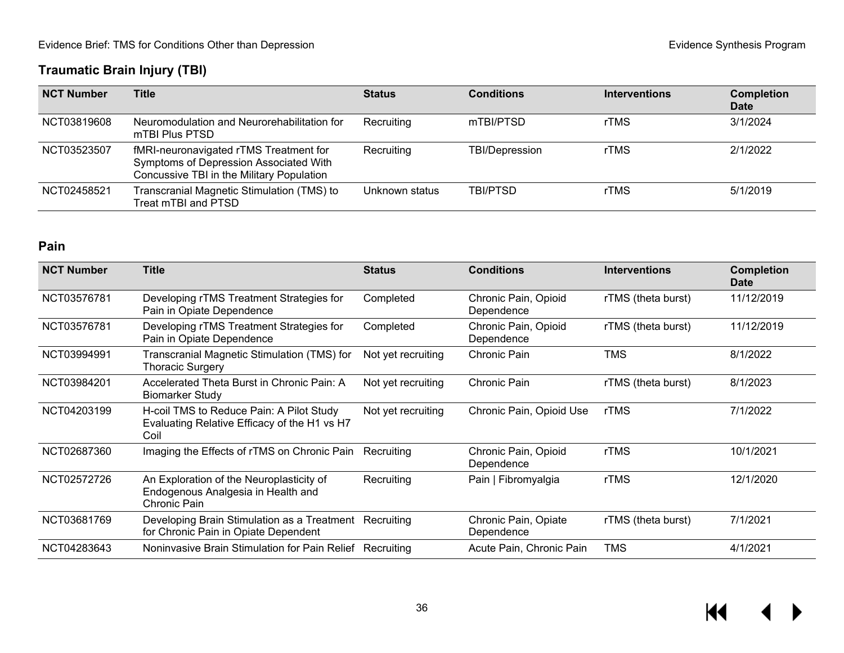## **Traumatic Brain Injury (TBI)**

| <b>NCT Number</b> | Title                                                                                                                         | <b>Status</b>  | <b>Conditions</b>     | <b>Interventions</b> | <b>Completion</b><br><b>Date</b> |
|-------------------|-------------------------------------------------------------------------------------------------------------------------------|----------------|-----------------------|----------------------|----------------------------------|
| NCT03819608       | Neuromodulation and Neurorehabilitation for<br>mTBI Plus PTSD                                                                 | Recruiting     | mTBI/PTSD             | rTMS                 | 3/1/2024                         |
| NCT03523507       | fMRI-neuronavigated rTMS Treatment for<br>Symptoms of Depression Associated With<br>Concussive TBI in the Military Population | Recruiting     | <b>TBI/Depression</b> | rTMS                 | 2/1/2022                         |
| NCT02458521       | Transcranial Magnetic Stimulation (TMS) to<br>Treat mTBI and PTSD                                                             | Unknown status | TBI/PTSD              | rTMS                 | 5/1/2019                         |

### **Pain**

| <b>NCT Number</b> | <b>Title</b>                                                                                     | <b>Status</b>      | <b>Conditions</b>                  | <b>Interventions</b> | <b>Completion</b><br><b>Date</b> |
|-------------------|--------------------------------------------------------------------------------------------------|--------------------|------------------------------------|----------------------|----------------------------------|
| NCT03576781       | Developing rTMS Treatment Strategies for<br>Pain in Opiate Dependence                            | Completed          | Chronic Pain, Opioid<br>Dependence | rTMS (theta burst)   | 11/12/2019                       |
| NCT03576781       | Developing rTMS Treatment Strategies for<br>Pain in Opiate Dependence                            | Completed          | Chronic Pain, Opioid<br>Dependence | rTMS (theta burst)   | 11/12/2019                       |
| NCT03994991       | Transcranial Magnetic Stimulation (TMS) for<br><b>Thoracic Surgery</b>                           | Not yet recruiting | Chronic Pain                       | TMS                  | 8/1/2022                         |
| NCT03984201       | Accelerated Theta Burst in Chronic Pain: A<br><b>Biomarker Study</b>                             | Not yet recruiting | Chronic Pain                       | rTMS (theta burst)   | 8/1/2023                         |
| NCT04203199       | H-coil TMS to Reduce Pain: A Pilot Study<br>Evaluating Relative Efficacy of the H1 vs H7<br>Coil | Not yet recruiting | Chronic Pain, Opioid Use           | rTMS                 | 7/1/2022                         |
| NCT02687360       | Imaging the Effects of rTMS on Chronic Pain                                                      | Recruiting         | Chronic Pain, Opioid<br>Dependence | rTMS                 | 10/1/2021                        |
| NCT02572726       | An Exploration of the Neuroplasticity of<br>Endogenous Analgesia in Health and<br>Chronic Pain   | Recruiting         | Pain   Fibromyalgia                | rTMS                 | 12/1/2020                        |
| NCT03681769       | Developing Brain Stimulation as a Treatment Recruiting<br>for Chronic Pain in Opiate Dependent   |                    | Chronic Pain, Opiate<br>Dependence | rTMS (theta burst)   | 7/1/2021                         |
| NCT04283643       | Noninvasive Brain Stimulation for Pain Relief                                                    | Recruiting         | Acute Pain, Chronic Pain           | TMS                  | 4/1/2021                         |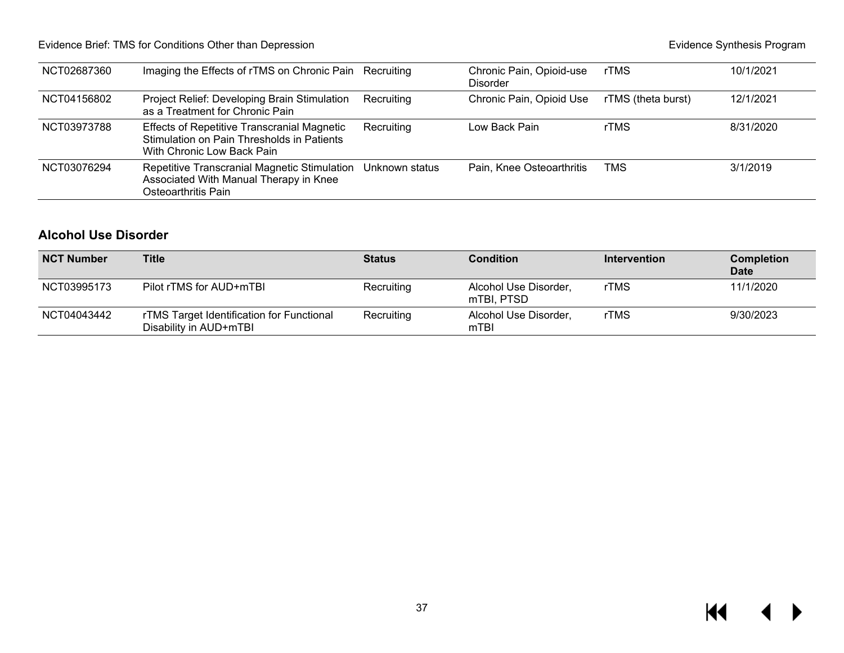### Evidence Brief: TMS for Conditions Other than Depression **Evidence** Synthesis Program **Evidence Synthesis Program**

| NCT02687360 | Imaging the Effects of rTMS on Chronic Pain Recruiting                                                                         |                | Chronic Pain, Opioid-use<br><b>Disorder</b> | rTMS               | 10/1/2021 |
|-------------|--------------------------------------------------------------------------------------------------------------------------------|----------------|---------------------------------------------|--------------------|-----------|
| NCT04156802 | Project Relief: Developing Brain Stimulation<br>as a Treatment for Chronic Pain                                                | Recruiting     | Chronic Pain, Opioid Use                    | rTMS (theta burst) | 12/1/2021 |
| NCT03973788 | <b>Effects of Repetitive Transcranial Magnetic</b><br>Stimulation on Pain Thresholds in Patients<br>With Chronic Low Back Pain | Recruiting     | Low Back Pain                               | rTMS               | 8/31/2020 |
| NCT03076294 | Repetitive Transcranial Magnetic Stimulation<br>Associated With Manual Therapy in Knee<br>Osteoarthritis Pain                  | Unknown status | Pain, Knee Osteoarthritis                   | TMS                | 3/1/2019  |

### **Alcohol Use Disorder**

| <b>NCT Number</b> | <b>Title</b>                                                        | <b>Status</b> | <b>Condition</b>                    | <b>Intervention</b> | <b>Completion</b><br><b>Date</b> |
|-------------------|---------------------------------------------------------------------|---------------|-------------------------------------|---------------------|----------------------------------|
| NCT03995173       | Pilot rTMS for AUD+mTBI                                             | Recruiting    | Alcohol Use Disorder,<br>mTBI. PTSD | rTMS                | 11/1/2020                        |
| NCT04043442       | rTMS Target Identification for Functional<br>Disability in AUD+mTBI | Recruiting    | Alcohol Use Disorder,<br>mTBI       | rTMS                | 9/30/2023                        |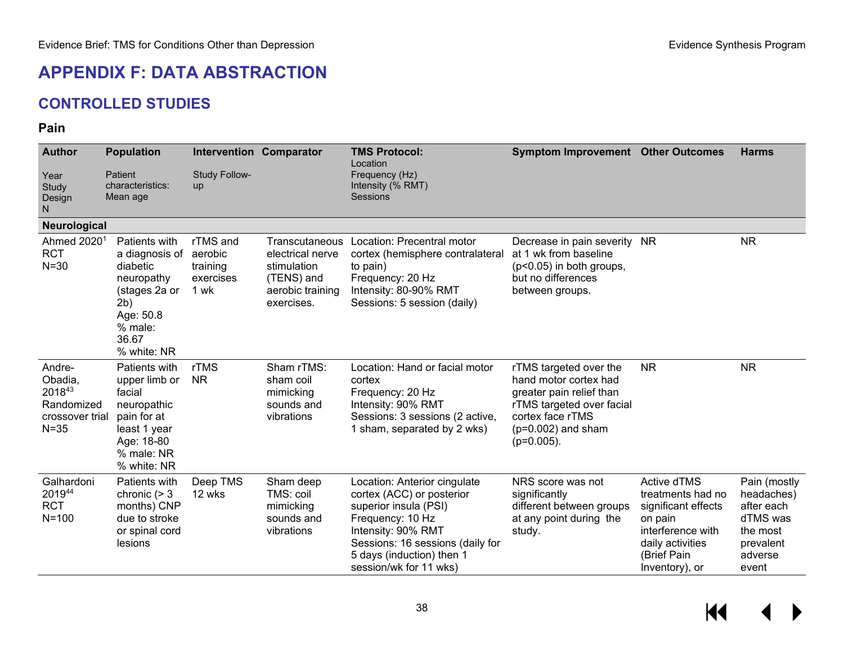# **APPENDIX F: DATA ABSTRACTION**

# **CONTROLLED STUDIES**

#### **Pain**

| <b>Author</b>                                                            | <b>Population</b>                                                                                                                 |                                                      | <b>Intervention Comparator</b>                                                                    | <b>TMS Protocol:</b><br>Location                                                                                                                                                                                        | <b>Symptom Improvement Other Outcomes</b>                                                                                                                             |                                                                                                                                              | <b>Harms</b>                                                                                      |
|--------------------------------------------------------------------------|-----------------------------------------------------------------------------------------------------------------------------------|------------------------------------------------------|---------------------------------------------------------------------------------------------------|-------------------------------------------------------------------------------------------------------------------------------------------------------------------------------------------------------------------------|-----------------------------------------------------------------------------------------------------------------------------------------------------------------------|----------------------------------------------------------------------------------------------------------------------------------------------|---------------------------------------------------------------------------------------------------|
| Year<br>Study<br>Design<br>N.                                            | Patient<br>characteristics:<br>Mean age                                                                                           | Study Follow-<br>up                                  |                                                                                                   | Frequency (Hz)<br>Intensity (% RMT)<br>Sessions                                                                                                                                                                         |                                                                                                                                                                       |                                                                                                                                              |                                                                                                   |
| Neurological                                                             |                                                                                                                                   |                                                      |                                                                                                   |                                                                                                                                                                                                                         |                                                                                                                                                                       |                                                                                                                                              |                                                                                                   |
| Ahmed 20201<br><b>RCT</b><br>$N=30$                                      | Patients with<br>a diagnosis of<br>diabetic<br>neuropathy<br>(stages 2a or<br>2b)<br>Age: 50.8<br>% male:<br>36.67<br>% white: NR | rTMS and<br>aerobic<br>training<br>exercises<br>1 wk | Transcutaneous<br>electrical nerve<br>stimulation<br>(TENS) and<br>aerobic training<br>exercises. | Location: Precentral motor<br>cortex (hemisphere contralateral<br>to pain)<br>Frequency: 20 Hz<br>Intensity: 80-90% RMT<br>Sessions: 5 session (daily)                                                                  | Decrease in pain severity<br>at 1 wk from baseline<br>(p<0.05) in both groups,<br>but no differences<br>between groups.                                               | <b>NR</b>                                                                                                                                    | <b>NR</b>                                                                                         |
| Andre-<br>Obadia,<br>201843<br>Randomized<br>crossover trial<br>$N = 35$ | Patients with<br>upper limb or<br>facial<br>neuropathic<br>pain for at<br>least 1 year<br>Age: 18-80<br>% male: NR<br>% white: NR | rTMS<br><b>NR</b>                                    | Sham rTMS:<br>sham coil<br>mimicking<br>sounds and<br>vibrations                                  | Location: Hand or facial motor<br>cortex<br>Frequency: 20 Hz<br>Intensity: 90% RMT<br>Sessions: 3 sessions (2 active,<br>1 sham, separated by 2 wks)                                                                    | rTMS targeted over the<br>hand motor cortex had<br>greater pain relief than<br>rTMS targeted over facial<br>cortex face rTMS<br>$(p=0.002)$ and sham<br>$(p=0.005)$ . | <b>NR</b>                                                                                                                                    | <b>NR</b>                                                                                         |
| Galhardoni<br>201944<br><b>RCT</b><br>$N = 100$                          | Patients with<br>chronic $(> 3$<br>months) CNP<br>due to stroke<br>or spinal cord<br>lesions                                      | Deep TMS<br>12 wks                                   | Sham deep<br>TMS: coil<br>mimicking<br>sounds and<br>vibrations                                   | Location: Anterior cingulate<br>cortex (ACC) or posterior<br>superior insula (PSI)<br>Frequency: 10 Hz<br>Intensity: 90% RMT<br>Sessions: 16 sessions (daily for<br>5 days (induction) then 1<br>session/wk for 11 wks) | NRS score was not<br>significantly<br>different between groups<br>at any point during the<br>study.                                                                   | Active dTMS<br>treatments had no<br>significant effects<br>on pain<br>interference with<br>daily activities<br>(Brief Pain<br>Inventory), or | Pain (mostly<br>headaches)<br>after each<br>dTMS was<br>the most<br>prevalent<br>adverse<br>event |

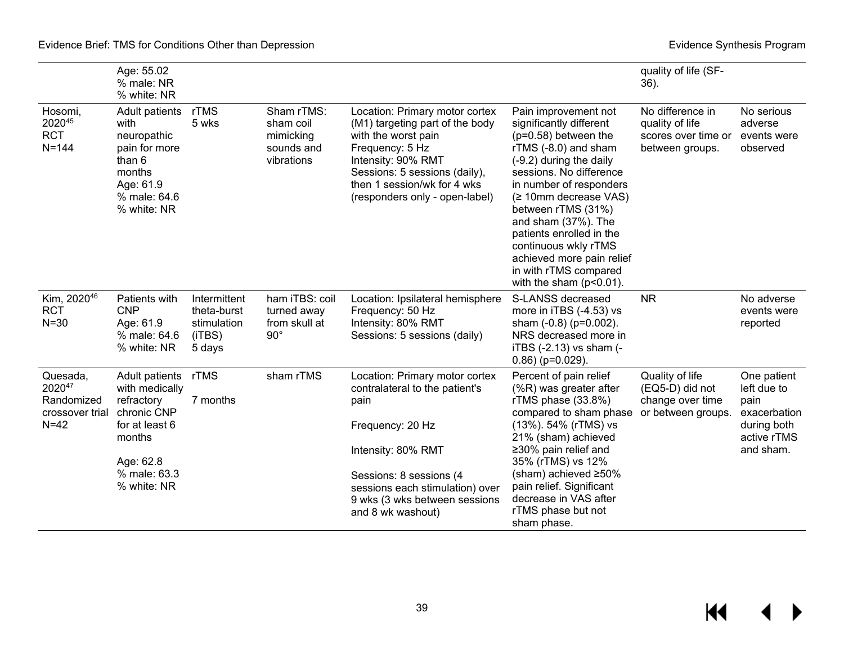|                                                     | Age: 55.02<br>% male: NR<br>% white: NR                                                                                |                                                                |                                                                  |                                                                                                                                                                                                                                     |                                                                                                                                                                                                                                                                                                                                                                                                  | quality of life (SF-<br>$36$ ).                                               |                                                    |
|-----------------------------------------------------|------------------------------------------------------------------------------------------------------------------------|----------------------------------------------------------------|------------------------------------------------------------------|-------------------------------------------------------------------------------------------------------------------------------------------------------------------------------------------------------------------------------------|--------------------------------------------------------------------------------------------------------------------------------------------------------------------------------------------------------------------------------------------------------------------------------------------------------------------------------------------------------------------------------------------------|-------------------------------------------------------------------------------|----------------------------------------------------|
| Hosomi,<br>202045<br><b>RCT</b><br>$N = 144$        | Adult patients<br>with<br>neuropathic<br>pain for more<br>than 6<br>months<br>Age: 61.9<br>% male: 64.6<br>% white: NR | rTMS<br>5 wks                                                  | Sham rTMS:<br>sham coil<br>mimicking<br>sounds and<br>vibrations | Location: Primary motor cortex<br>(M1) targeting part of the body<br>with the worst pain<br>Frequency: 5 Hz<br>Intensity: 90% RMT<br>Sessions: 5 sessions (daily),<br>then 1 session/wk for 4 wks<br>(responders only - open-label) | Pain improvement not<br>significantly different<br>$(p=0.58)$ between the<br>rTMS (-8.0) and sham<br>(-9.2) during the daily<br>sessions. No difference<br>in number of responders<br>(≥ 10mm decrease VAS)<br>between rTMS (31%)<br>and sham (37%). The<br>patients enrolled in the<br>continuous wkly rTMS<br>achieved more pain relief<br>in with rTMS compared<br>with the sham $(p<0.01)$ . | No difference in<br>quality of life<br>scores over time or<br>between groups. | No serious<br>adverse<br>events were<br>observed   |
| Kim, 2020 <sup>46</sup><br><b>RCT</b><br>$N = 30$   | Patients with<br><b>CNP</b><br>Age: 61.9<br>% male: 64.6<br>% white: NR                                                | Intermittent<br>theta-burst<br>stimulation<br>(iTBS)<br>5 days | ham iTBS: coil<br>turned away<br>from skull at<br>$90^{\circ}$   | Location: Ipsilateral hemisphere<br>Frequency: 50 Hz<br>Intensity: 80% RMT<br>Sessions: 5 sessions (daily)                                                                                                                          | S-LANSS decreased<br>more in iTBS (-4.53) vs<br>sham (-0.8) (p=0.002).<br>NRS decreased more in<br>iTBS (-2.13) vs sham (-<br>$0.86$ ) (p=0.029).                                                                                                                                                                                                                                                | <b>NR</b>                                                                     | No adverse<br>events were<br>reported              |
| Quesada,<br>202047<br>Randomized<br>crossover trial | Adult patients<br>with medically<br>refractory<br>chronic CNP                                                          | rTMS<br>7 months                                               | sham rTMS                                                        | Location: Primary motor cortex<br>contralateral to the patient's<br>pain                                                                                                                                                            | Percent of pain relief<br>$(\%R)$ was greater after<br>rTMS phase (33.8%)<br>compared to sham phase                                                                                                                                                                                                                                                                                              | Quality of life<br>(EQ5-D) did not<br>change over time<br>or between groups.  | One patient<br>left due to<br>pain<br>exacerbation |
| $N=42$                                              | for at least 6<br>months                                                                                               |                                                                |                                                                  | Frequency: 20 Hz<br>Intensity: 80% RMT                                                                                                                                                                                              | (13%). 54% (rTMS) vs<br>21% (sham) achieved<br>≥30% pain relief and                                                                                                                                                                                                                                                                                                                              |                                                                               | during both<br>active rTMS<br>and sham.            |
|                                                     | Age: 62.8<br>% male: 63.3                                                                                              |                                                                |                                                                  |                                                                                                                                                                                                                                     | 35% (rTMS) vs 12%<br>(sham) achieved ≥50%                                                                                                                                                                                                                                                                                                                                                        |                                                                               |                                                    |
|                                                     | % white: NR                                                                                                            |                                                                |                                                                  | Sessions: 8 sessions (4<br>sessions each stimulation) over<br>9 wks (3 wks between sessions<br>and 8 wk washout)                                                                                                                    | pain relief. Significant<br>decrease in VAS after<br>rTMS phase but not                                                                                                                                                                                                                                                                                                                          |                                                                               |                                                    |
|                                                     |                                                                                                                        |                                                                |                                                                  |                                                                                                                                                                                                                                     | sham phase.                                                                                                                                                                                                                                                                                                                                                                                      |                                                                               |                                                    |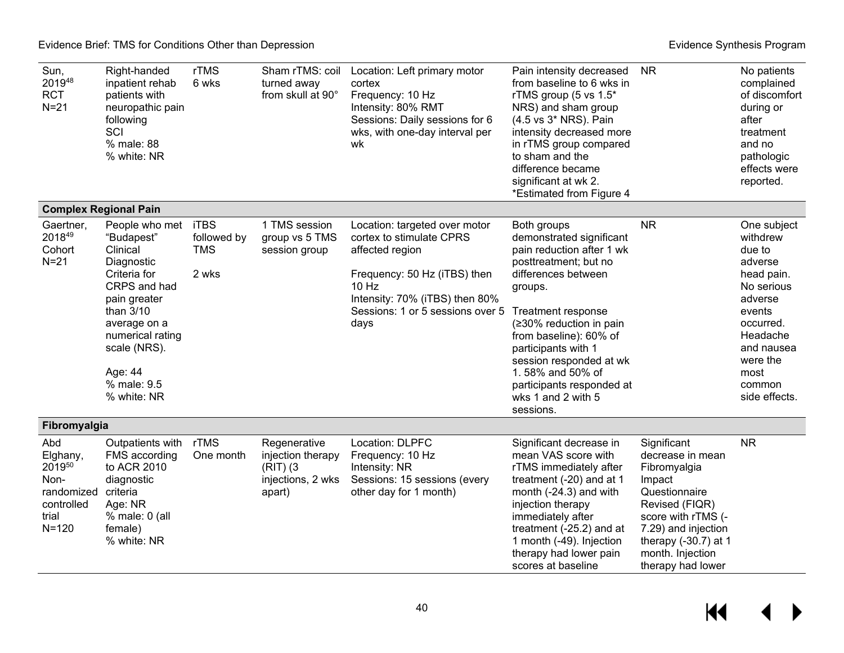| Sun,<br>201948<br><b>RCT</b><br>$N=21$                                              | Right-handed<br>inpatient rehab<br>patients with<br>neuropathic pain<br>following<br>SCI<br>% male: 88<br>% white: NR                                                                                                 | rTMS<br>6 wks                      | Sham rTMS: coil<br>turned away<br>from skull at 90°                            | Location: Left primary motor<br>cortex<br>Frequency: 10 Hz<br>Intensity: 80% RMT<br>Sessions: Daily sessions for 6<br>wks, with one-day interval per<br>wk                                            | Pain intensity decreased<br>from baseline to 6 wks in<br>rTMS group (5 vs 1.5*<br>NRS) and sham group<br>(4.5 vs 3* NRS). Pain<br>intensity decreased more<br>in rTMS group compared<br>to sham and the<br>difference became<br>significant at wk 2.<br>*Estimated from Figure 4                                                                 | <b>NR</b>                                                                                                                                                                                                    | No patients<br>complained<br>of discomfort<br>during or<br>after<br>treatment<br>and no<br>pathologic<br>effects were<br>reported.                                                  |
|-------------------------------------------------------------------------------------|-----------------------------------------------------------------------------------------------------------------------------------------------------------------------------------------------------------------------|------------------------------------|--------------------------------------------------------------------------------|-------------------------------------------------------------------------------------------------------------------------------------------------------------------------------------------------------|--------------------------------------------------------------------------------------------------------------------------------------------------------------------------------------------------------------------------------------------------------------------------------------------------------------------------------------------------|--------------------------------------------------------------------------------------------------------------------------------------------------------------------------------------------------------------|-------------------------------------------------------------------------------------------------------------------------------------------------------------------------------------|
|                                                                                     | <b>Complex Regional Pain</b>                                                                                                                                                                                          |                                    |                                                                                |                                                                                                                                                                                                       |                                                                                                                                                                                                                                                                                                                                                  |                                                                                                                                                                                                              |                                                                                                                                                                                     |
| Gaertner,<br>201849<br>Cohort<br>$N=21$                                             | People who met iTBS<br>"Budapest"<br>Clinical<br>Diagnostic<br>Criteria for<br>CRPS and had<br>pain greater<br>than 3/10<br>average on a<br>numerical rating<br>scale (NRS).<br>Age: 44<br>% male: 9.5<br>% white: NR | followed by<br><b>TMS</b><br>2 wks | 1 TMS session<br>group vs 5 TMS<br>session group                               | Location: targeted over motor<br>cortex to stimulate CPRS<br>affected region<br>Frequency: 50 Hz (iTBS) then<br>$10$ Hz<br>Intensity: 70% (iTBS) then 80%<br>Sessions: 1 or 5 sessions over 5<br>days | Both groups<br>demonstrated significant<br>pain reduction after 1 wk<br>posttreatment; but no<br>differences between<br>groups.<br>Treatment response<br>(≥30% reduction in pain<br>from baseline): 60% of<br>participants with 1<br>session responded at wk<br>1.58% and 50% of<br>participants responded at<br>wks 1 and 2 with 5<br>sessions. | <b>NR</b>                                                                                                                                                                                                    | One subject<br>withdrew<br>due to<br>adverse<br>head pain.<br>No serious<br>adverse<br>events<br>occurred.<br>Headache<br>and nausea<br>were the<br>most<br>common<br>side effects. |
| Fibromyalgia                                                                        |                                                                                                                                                                                                                       |                                    |                                                                                |                                                                                                                                                                                                       |                                                                                                                                                                                                                                                                                                                                                  |                                                                                                                                                                                                              |                                                                                                                                                                                     |
| Abd<br>Elghany,<br>201950<br>Non-<br>randomized<br>controlled<br>trial<br>$N = 120$ | Outpatients with<br>FMS according<br>to ACR 2010<br>diagnostic<br>criteria<br>Age: NR<br>$%$ male: 0 (all<br>female)<br>% white: NR                                                                                   | rTMS<br>One month                  | Regenerative<br>injection therapy<br>$(RIT)$ (3<br>injections, 2 wks<br>apart) | Location: DLPFC<br>Frequency: 10 Hz<br>Intensity: NR<br>Sessions: 15 sessions (every<br>other day for 1 month)                                                                                        | Significant decrease in<br>mean VAS score with<br>rTMS immediately after<br>treatment (-20) and at 1<br>month (-24.3) and with<br>injection therapy<br>immediately after<br>treatment (-25.2) and at<br>1 month (-49). Injection<br>therapy had lower pain<br>scores at baseline                                                                 | Significant<br>decrease in mean<br>Fibromyalgia<br>Impact<br>Questionnaire<br>Revised (FIQR)<br>score with rTMS (-<br>7.29) and injection<br>therapy $(-30.7)$ at 1<br>month. Injection<br>therapy had lower | <b>NR</b>                                                                                                                                                                           |

 $\leftrightarrow$  $M$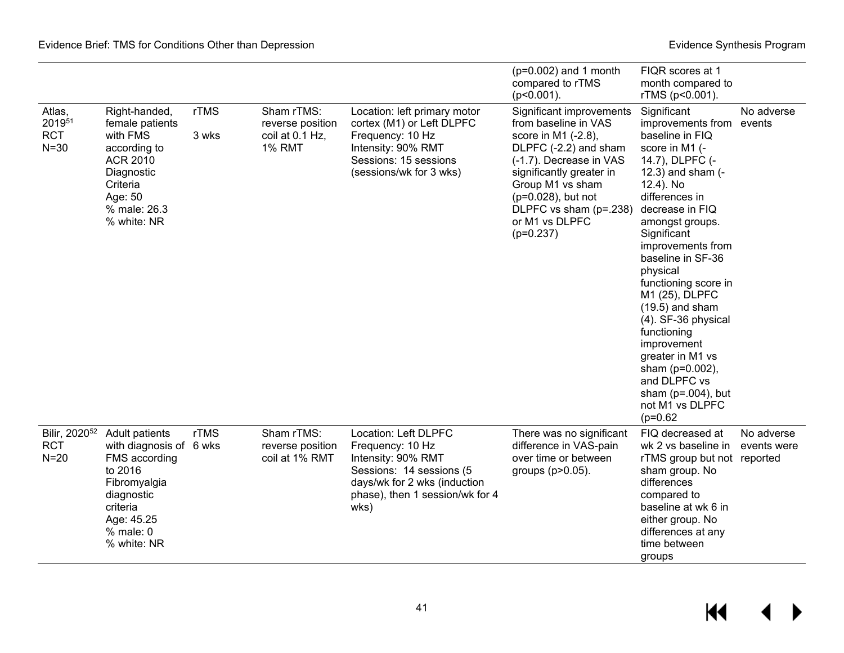|                                                   |                                                                                                                                                           |               |                                                                    |                                                                                                                                                                       | $(p=0.002)$ and 1 month<br>compared to rTMS<br>$(p<0.001)$ .                                                                                                                                                                                                 | FIQR scores at 1<br>month compared to<br>rTMS (p<0.001).                                                                                                                                                                                                                                                                                                                                                                                                                                          |                           |
|---------------------------------------------------|-----------------------------------------------------------------------------------------------------------------------------------------------------------|---------------|--------------------------------------------------------------------|-----------------------------------------------------------------------------------------------------------------------------------------------------------------------|--------------------------------------------------------------------------------------------------------------------------------------------------------------------------------------------------------------------------------------------------------------|---------------------------------------------------------------------------------------------------------------------------------------------------------------------------------------------------------------------------------------------------------------------------------------------------------------------------------------------------------------------------------------------------------------------------------------------------------------------------------------------------|---------------------------|
| Atlas,<br>201951<br><b>RCT</b><br>$N = 30$        | Right-handed,<br>female patients<br>with FMS<br>according to<br><b>ACR 2010</b><br>Diagnostic<br>Criteria<br>Age: 50<br>% male: 26.3<br>% white: NR       | rTMS<br>3 wks | Sham rTMS:<br>reverse position<br>coil at 0.1 Hz,<br><b>1% RMT</b> | Location: left primary motor<br>cortex (M1) or Left DLPFC<br>Frequency: 10 Hz<br>Intensity: 90% RMT<br>Sessions: 15 sessions<br>(sessions/wk for 3 wks)               | Significant improvements<br>from baseline in VAS<br>score in M1 (-2.8),<br>DLPFC (-2.2) and sham<br>(-1.7). Decrease in VAS<br>significantly greater in<br>Group M1 vs sham<br>(p=0.028), but not<br>DLPFC vs sham (p=.238)<br>or M1 vs DLPFC<br>$(p=0.237)$ | Significant<br>improvements from<br>baseline in FIQ<br>score in M1 (-<br>14.7), DLPFC (-<br>12.3) and sham (-<br>12.4). No<br>differences in<br>decrease in FIQ<br>amongst groups.<br>Significant<br>improvements from<br>baseline in SF-36<br>physical<br>functioning score in<br>M1 (25), DLPFC<br>$(19.5)$ and sham<br>(4). SF-36 physical<br>functioning<br>improvement<br>greater in M1 vs<br>sham ( $p=0.002$ ),<br>and DLPFC vs<br>sham ( $p=.004$ ), but<br>not M1 vs DLPFC<br>$(p=0.62)$ | No adverse<br>events      |
| Bilir, 2020 <sup>52</sup><br><b>RCT</b><br>$N=20$ | Adult patients<br>with diagnosis of 6 wks<br>FMS according<br>to 2016<br>Fibromyalgia<br>diagnostic<br>criteria<br>Age: 45.25<br>% male: 0<br>% white: NR | <b>rTMS</b>   | Sham rTMS:<br>reverse position<br>coil at 1% RMT                   | Location: Left DLPFC<br>Frequency: 10 Hz<br>Intensity: 90% RMT<br>Sessions: 14 sessions (5<br>days/wk for 2 wks (induction<br>phase), then 1 session/wk for 4<br>wks) | There was no significant<br>difference in VAS-pain<br>over time or between<br>groups (p>0.05).                                                                                                                                                               | FIQ decreased at<br>wk 2 vs baseline in<br>rTMS group but not reported<br>sham group. No<br>differences<br>compared to<br>baseline at wk 6 in<br>either group. No<br>differences at any<br>time between<br>groups                                                                                                                                                                                                                                                                                 | No adverse<br>events were |

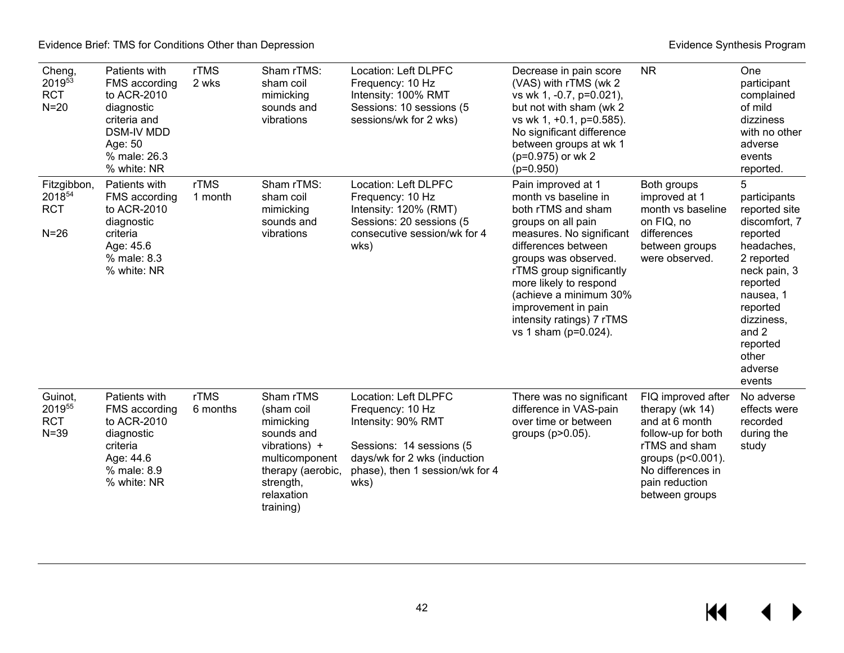| Cheng,<br>201953<br><b>RCT</b><br>$N=20$      | Patients with<br>FMS according<br>to ACR-2010<br>diagnostic<br>criteria and<br><b>DSM-IV MDD</b><br>Age: 50<br>% male: 26.3<br>% white: NR | rTMS<br>2 wks    | Sham rTMS:<br>sham coil<br>mimicking<br>sounds and<br>vibrations                                                                                   | Location: Left DLPFC<br>Frequency: 10 Hz<br>Intensity: 100% RMT<br>Sessions: 10 sessions (5<br>sessions/wk for 2 wks)                                                 | Decrease in pain score<br>(VAS) with rTMS (wk 2)<br>vs wk 1, -0.7, p=0.021),<br>but not with sham (wk 2<br>vs wk 1, +0.1, p=0.585).<br>No significant difference<br>between groups at wk 1<br>(p=0.975) or wk 2<br>$(p=0.950)$                                                                                                | <b>NR</b>                                                                                                                                                                    | One<br>participant<br>complained<br>of mild<br>dizziness<br>with no other<br>adverse<br>events<br>reported.                                                                                                       |
|-----------------------------------------------|--------------------------------------------------------------------------------------------------------------------------------------------|------------------|----------------------------------------------------------------------------------------------------------------------------------------------------|-----------------------------------------------------------------------------------------------------------------------------------------------------------------------|-------------------------------------------------------------------------------------------------------------------------------------------------------------------------------------------------------------------------------------------------------------------------------------------------------------------------------|------------------------------------------------------------------------------------------------------------------------------------------------------------------------------|-------------------------------------------------------------------------------------------------------------------------------------------------------------------------------------------------------------------|
| Fitzgibbon,<br>201854<br><b>RCT</b><br>$N=26$ | Patients with<br>FMS according<br>to ACR-2010<br>diagnostic<br>criteria<br>Age: 45.6<br>% male: 8.3<br>% white: NR                         | rTMS<br>1 month  | Sham rTMS:<br>sham coil<br>mimicking<br>sounds and<br>vibrations                                                                                   | Location: Left DLPFC<br>Frequency: 10 Hz<br>Intensity: 120% (RMT)<br>Sessions: 20 sessions (5<br>consecutive session/wk for 4<br>wks)                                 | Pain improved at 1<br>month vs baseline in<br>both rTMS and sham<br>groups on all pain<br>measures. No significant<br>differences between<br>groups was observed.<br>rTMS group significantly<br>more likely to respond<br>(achieve a minimum 30%<br>improvement in pain<br>intensity ratings) 7 rTMS<br>vs 1 sham (p=0.024). | Both groups<br>improved at 1<br>month vs baseline<br>on FIQ, no<br>differences<br>between groups<br>were observed.                                                           | 5<br>participants<br>reported site<br>discomfort, 7<br>reported<br>headaches,<br>2 reported<br>neck pain, 3<br>reported<br>nausea, 1<br>reported<br>dizziness,<br>and 2<br>reported<br>other<br>adverse<br>events |
| Guinot,<br>201955<br><b>RCT</b><br>$N = 39$   | Patients with<br>FMS according<br>to ACR-2010<br>diagnostic<br>criteria<br>Age: 44.6<br>% male: 8.9<br>% white: NR                         | rTMS<br>6 months | Sham rTMS<br>(sham coil<br>mimicking<br>sounds and<br>vibrations) +<br>multicomponent<br>therapy (aerobic,<br>strength,<br>relaxation<br>training) | Location: Left DLPFC<br>Frequency: 10 Hz<br>Intensity: 90% RMT<br>Sessions: 14 sessions (5<br>days/wk for 2 wks (induction<br>phase), then 1 session/wk for 4<br>wks) | There was no significant<br>difference in VAS-pain<br>over time or between<br>groups (p>0.05).                                                                                                                                                                                                                                | FIQ improved after<br>therapy (wk 14)<br>and at 6 month<br>follow-up for both<br>rTMS and sham<br>groups (p<0.001).<br>No differences in<br>pain reduction<br>between groups | No adverse<br>effects were<br>recorded<br>during the<br>study                                                                                                                                                     |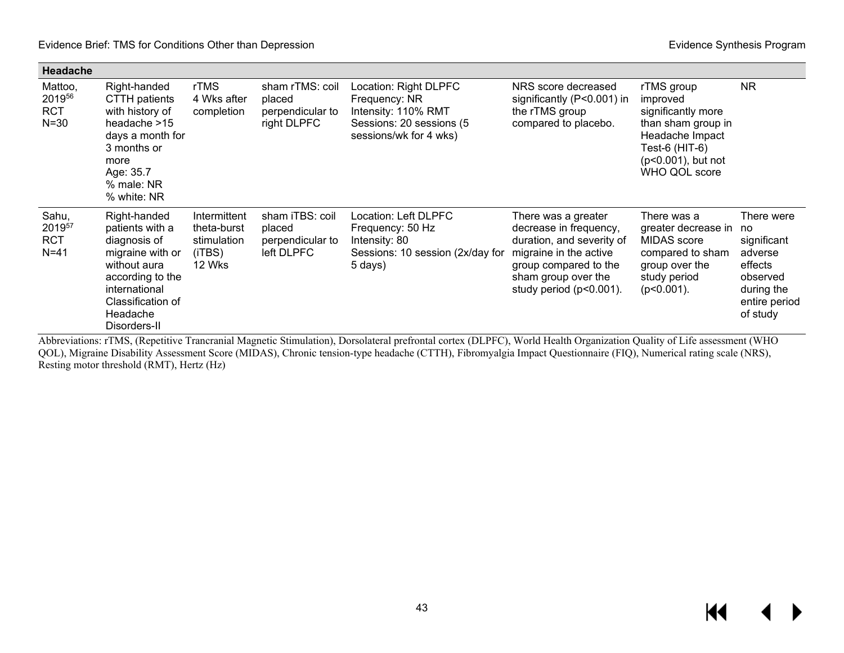| Headache                                    |                                                                                                                                                                           |                                                                |                                                              |                                                                                                                     |                                                                                                                                                                                    |                                                                                                                                                |                                                                                                              |
|---------------------------------------------|---------------------------------------------------------------------------------------------------------------------------------------------------------------------------|----------------------------------------------------------------|--------------------------------------------------------------|---------------------------------------------------------------------------------------------------------------------|------------------------------------------------------------------------------------------------------------------------------------------------------------------------------------|------------------------------------------------------------------------------------------------------------------------------------------------|--------------------------------------------------------------------------------------------------------------|
| Mattoo,<br>201956<br><b>RCT</b><br>$N = 30$ | Right-handed<br><b>CTTH</b> patients<br>with history of<br>headache >15<br>days a month for<br>3 months or<br>more<br>Age: 35.7<br>% male: NR<br>% white: NR              | rTMS<br>4 Wks after<br>completion                              | sham rTMS: coil<br>placed<br>perpendicular to<br>right DLPFC | Location: Right DLPFC<br>Frequency: NR<br>Intensity: 110% RMT<br>Sessions: 20 sessions (5<br>sessions/wk for 4 wks) | NRS score decreased<br>significantly (P<0.001) in<br>the rTMS group<br>compared to placebo.                                                                                        | rTMS group<br>improved<br>significantly more<br>than sham group in<br>Headache Impact<br>Test-6 (HIT-6)<br>(p<0.001), but not<br>WHO QOL score | <b>NR</b>                                                                                                    |
| Sahu,<br>201957<br><b>RCT</b><br>$N = 41$   | Right-handed<br>patients with a<br>diagnosis of<br>migraine with or<br>without aura<br>according to the<br>international<br>Classification of<br>Headache<br>Disorders-II | Intermittent<br>theta-burst<br>stimulation<br>(iTBS)<br>12 Wks | sham iTBS: coil<br>placed<br>perpendicular to<br>left DLPFC  | Location: Left DLPFC<br>Frequency: 50 Hz<br>Intensity: 80<br>Sessions: 10 session (2x/day for<br>5 days)            | There was a greater<br>decrease in frequency,<br>duration, and severity of<br>migraine in the active<br>group compared to the<br>sham group over the<br>study period $(p<0.001)$ . | There was a<br>greater decrease in<br><b>MIDAS</b> score<br>compared to sham<br>group over the<br>study period<br>$(p<0.001)$ .                | There were<br>no<br>significant<br>adverse<br>effects<br>observed<br>during the<br>entire period<br>of study |

Abbreviations: rTMS, (Repetitive Trancranial Magnetic Stimulation), Dorsolateral prefrontal cortex (DLPFC), World Health Organization Quality of Life assessment (WHO QOL), Migraine Disability Assessment Score (MIDAS), Chronic tension-type headache (CTTH), Fibromyalgia Impact Questionnaire (FIQ), Numerical rating scale (NRS), Resting motor threshold (RMT), Hertz (Hz)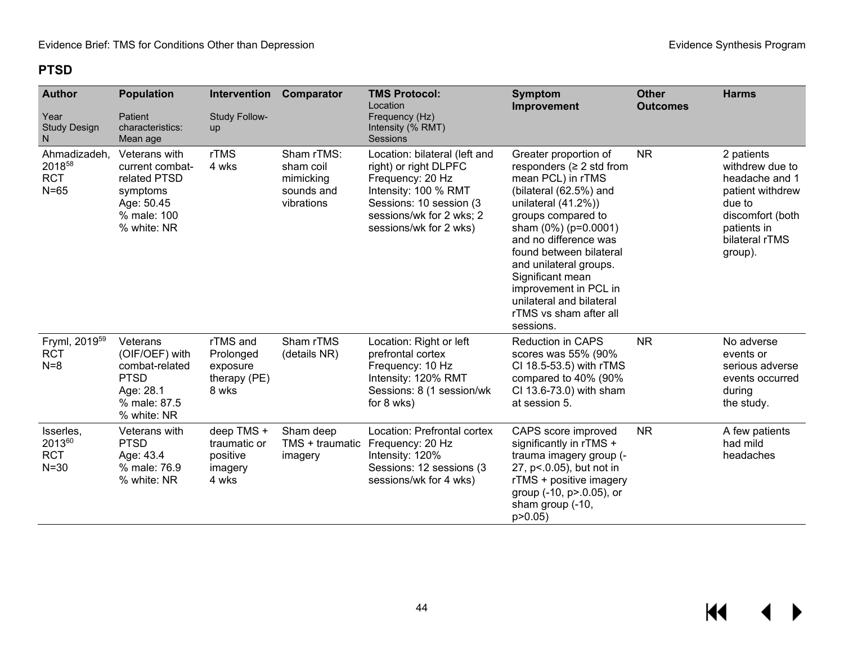### **PTSD**

| <b>Author</b><br>Year<br><b>Study Design</b><br>N. | <b>Population</b><br>Patient<br>characteristics:<br>Mean age                                             | Intervention<br><b>Study Follow-</b><br>up                 | Comparator                                                       | <b>TMS Protocol:</b><br>Location<br>Frequency (Hz)<br>Intensity (% RMT)<br><b>Sessions</b>                                                                                          | <b>Symptom</b><br>Improvement                                                                                                                                                                                                                                                                                                                                               | <b>Other</b><br><b>Outcomes</b> | <b>Harms</b>                                                                                                                                  |
|----------------------------------------------------|----------------------------------------------------------------------------------------------------------|------------------------------------------------------------|------------------------------------------------------------------|-------------------------------------------------------------------------------------------------------------------------------------------------------------------------------------|-----------------------------------------------------------------------------------------------------------------------------------------------------------------------------------------------------------------------------------------------------------------------------------------------------------------------------------------------------------------------------|---------------------------------|-----------------------------------------------------------------------------------------------------------------------------------------------|
| Ahmadizadeh,<br>201858<br><b>RCT</b><br>$N=65$     | Veterans with<br>current combat-<br>related PTSD<br>symptoms<br>Age: 50.45<br>% male: 100<br>% white: NR | rTMS<br>4 wks                                              | Sham rTMS:<br>sham coil<br>mimicking<br>sounds and<br>vibrations | Location: bilateral (left and<br>right) or right DLPFC<br>Frequency: 20 Hz<br>Intensity: 100 % RMT<br>Sessions: 10 session (3<br>sessions/wk for 2 wks; 2<br>sessions/wk for 2 wks) | Greater proportion of<br>responders ( $\geq$ 2 std from<br>mean PCL) in rTMS<br>(bilateral (62.5%) and<br>unilateral $(41.2\%)$<br>groups compared to<br>sham (0%) (p=0.0001)<br>and no difference was<br>found between bilateral<br>and unilateral groups.<br>Significant mean<br>improvement in PCL in<br>unilateral and bilateral<br>rTMS vs sham after all<br>sessions. | <b>NR</b>                       | 2 patients<br>withdrew due to<br>headache and 1<br>patient withdrew<br>due to<br>discomfort (both<br>patients in<br>bilateral rTMS<br>group). |
| Fryml, 2019 <sup>59</sup><br><b>RCT</b><br>$N=8$   | Veterans<br>(OIF/OEF) with<br>combat-related<br><b>PTSD</b><br>Age: 28.1<br>% male: 87.5<br>% white: NR  | rTMS and<br>Prolonged<br>exposure<br>therapy (PE)<br>8 wks | Sham rTMS<br>(details NR)                                        | Location: Right or left<br>prefrontal cortex<br>Frequency: 10 Hz<br>Intensity: 120% RMT<br>Sessions: 8 (1 session/wk<br>for 8 wks)                                                  | <b>Reduction in CAPS</b><br>scores was 55% (90%<br>CI 18.5-53.5) with rTMS<br>compared to 40% (90%<br>CI 13.6-73.0) with sham<br>at session 5.                                                                                                                                                                                                                              | <b>NR</b>                       | No adverse<br>events or<br>serious adverse<br>events occurred<br>during<br>the study.                                                         |
| Isserles,<br>201360<br><b>RCT</b><br>$N = 30$      | Veterans with<br><b>PTSD</b><br>Age: 43.4<br>% male: 76.9<br>% white: NR                                 | deep TMS +<br>traumatic or<br>positive<br>imagery<br>4 wks | Sham deep<br>TMS + traumatic<br>imagery                          | Location: Prefrontal cortex<br>Frequency: 20 Hz<br>Intensity: 120%<br>Sessions: 12 sessions (3)<br>sessions/wk for 4 wks)                                                           | CAPS score improved<br>significantly in rTMS +<br>trauma imagery group (-<br>27, p<.0.05), but not in<br>rTMS + positive imagery<br>group (-10, p>.0.05), or<br>sham group (-10,<br>p > 0.05                                                                                                                                                                                | <b>NR</b>                       | A few patients<br>had mild<br>headaches                                                                                                       |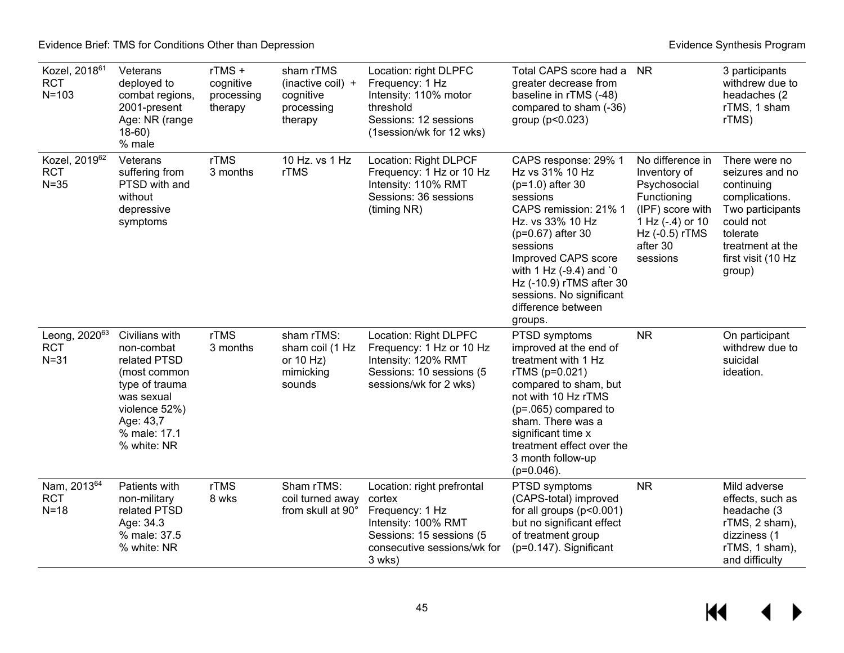| Kozel, 2018 <sup>61</sup><br><b>RCT</b><br>$N = 103$ | Veterans<br>deployed to<br>combat regions,<br>2001-present<br>Age: NR (range<br>$18-60$ )<br>% male                                                       | rTMS+<br>cognitive<br>processing<br>therapy | sham rTMS<br>(inactive coil) +<br>cognitive<br>processing<br>therapy | Location: right DLPFC<br>Frequency: 1 Hz<br>Intensity: 110% motor<br>threshold<br>Sessions: 12 sessions<br>(1session/wk for 12 wks)                 | Total CAPS score had a<br>greater decrease from<br>baseline in rTMS (-48)<br>compared to sham (-36)<br>group (p<0.023)                                                                                                                                                                             | NR.                                                                                                                                               | 3 participants<br>withdrew due to<br>headaches (2<br>rTMS, 1 sham<br>rTMS)                                                                                        |
|------------------------------------------------------|-----------------------------------------------------------------------------------------------------------------------------------------------------------|---------------------------------------------|----------------------------------------------------------------------|-----------------------------------------------------------------------------------------------------------------------------------------------------|----------------------------------------------------------------------------------------------------------------------------------------------------------------------------------------------------------------------------------------------------------------------------------------------------|---------------------------------------------------------------------------------------------------------------------------------------------------|-------------------------------------------------------------------------------------------------------------------------------------------------------------------|
| Kozel, 201962<br><b>RCT</b><br>$N = 35$              | Veterans<br>suffering from<br>PTSD with and<br>without<br>depressive<br>symptoms                                                                          | rTMS<br>3 months                            | 10 Hz. vs 1 Hz<br>rTMS                                               | Location: Right DLPCF<br>Frequency: 1 Hz or 10 Hz<br>Intensity: 110% RMT<br>Sessions: 36 sessions<br>(timing NR)                                    | CAPS response: 29% 1<br>Hz vs 31% 10 Hz<br>$(p=1.0)$ after 30<br>sessions<br>CAPS remission: 21% 1<br>Hz. vs 33% 10 Hz<br>(p=0.67) after 30<br>sessions<br>Improved CAPS score<br>with 1 Hz (-9.4) and '0<br>Hz (-10.9) rTMS after 30<br>sessions. No significant<br>difference between<br>groups. | No difference in<br>Inventory of<br>Psychosocial<br>Functioning<br>(IPF) score with<br>1 Hz (-.4) or 10<br>Hz (-0.5) rTMS<br>after 30<br>sessions | There were no<br>seizures and no<br>continuing<br>complications.<br>Two participants<br>could not<br>tolerate<br>treatment at the<br>first visit (10 Hz<br>group) |
| Leong, 202063<br><b>RCT</b><br>$N = 31$              | Civilians with<br>non-combat<br>related PTSD<br>(most common<br>type of trauma<br>was sexual<br>violence 52%)<br>Age: 43,7<br>% male: 17.1<br>% white: NR | rTMS<br>3 months                            | sham rTMS:<br>sham coil (1 Hz<br>or $10$ Hz)<br>mimicking<br>sounds  | Location: Right DLPFC<br>Frequency: 1 Hz or 10 Hz<br>Intensity: 120% RMT<br>Sessions: 10 sessions (5<br>sessions/wk for 2 wks)                      | PTSD symptoms<br>improved at the end of<br>treatment with 1 Hz<br>rTMS (p=0.021)<br>compared to sham, but<br>not with 10 Hz rTMS<br>$(p=.065)$ compared to<br>sham. There was a<br>significant time x<br>treatment effect over the<br>3 month follow-up<br>$(p=0.046)$ .                           | <b>NR</b>                                                                                                                                         | On participant<br>withdrew due to<br>suicidal<br>ideation.                                                                                                        |
| Nam, 201364<br><b>RCT</b><br>$N=18$                  | Patients with<br>non-military<br>related PTSD<br>Age: 34.3<br>% male: 37.5<br>% white: NR                                                                 | rTMS<br>8 wks                               | Sham rTMS:<br>coil turned away<br>from skull at 90°                  | Location: right prefrontal<br>cortex<br>Frequency: 1 Hz<br>Intensity: 100% RMT<br>Sessions: 15 sessions (5<br>consecutive sessions/wk for<br>3 wks) | PTSD symptoms<br>(CAPS-total) improved<br>for all groups $(p<0.001)$<br>but no significant effect<br>of treatment group<br>$(p=0.147)$ . Significant                                                                                                                                               | <b>NR</b>                                                                                                                                         | Mild adverse<br>effects, such as<br>headache (3<br>rTMS, 2 sham),<br>dizziness (1<br>rTMS, 1 sham),<br>and difficulty                                             |

 $M = 1$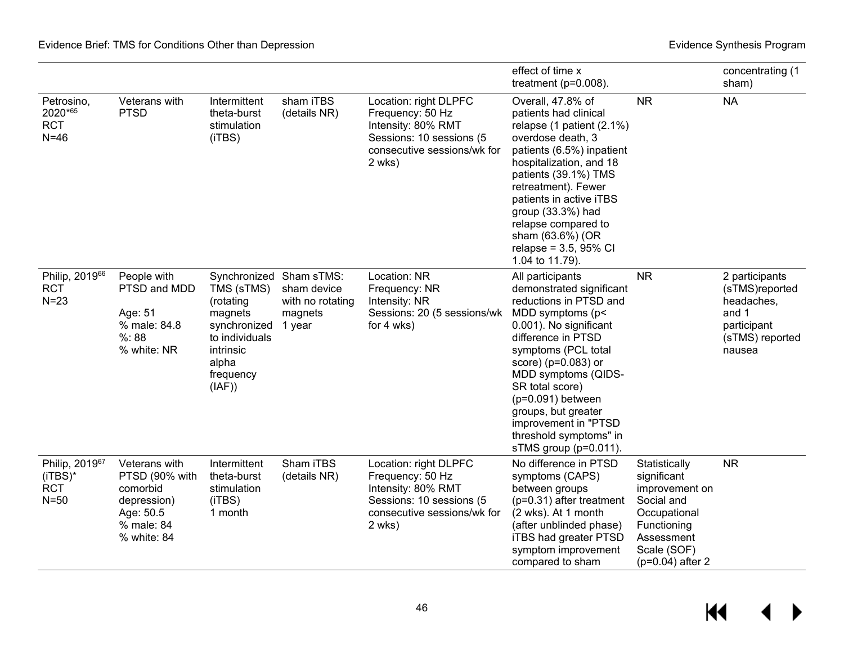|                                                                  |                                                                                                      |                                                                                                                   |                                                                                 |                                                                                                                                      | effect of time x<br>treatment ( $p=0.008$ ).                                                                                                                                                                                                                                                                                                                   |                                                                                                                                                | concentrating (1<br>sham)                                                                           |
|------------------------------------------------------------------|------------------------------------------------------------------------------------------------------|-------------------------------------------------------------------------------------------------------------------|---------------------------------------------------------------------------------|--------------------------------------------------------------------------------------------------------------------------------------|----------------------------------------------------------------------------------------------------------------------------------------------------------------------------------------------------------------------------------------------------------------------------------------------------------------------------------------------------------------|------------------------------------------------------------------------------------------------------------------------------------------------|-----------------------------------------------------------------------------------------------------|
| Petrosino,<br>2020*65<br><b>RCT</b><br>$N=46$                    | Veterans with<br><b>PTSD</b>                                                                         | Intermittent<br>theta-burst<br>stimulation<br>(iTBS)                                                              | sham iTBS<br>(details NR)                                                       | Location: right DLPFC<br>Frequency: 50 Hz<br>Intensity: 80% RMT<br>Sessions: 10 sessions (5<br>consecutive sessions/wk for<br>2 wks) | Overall, 47.8% of<br>patients had clinical<br>relapse (1 patient (2.1%)<br>overdose death, 3<br>patients (6.5%) inpatient<br>hospitalization, and 18<br>patients (39.1%) TMS<br>retreatment). Fewer<br>patients in active iTBS<br>group (33.3%) had<br>relapse compared to<br>sham (63.6%) (OR<br>relapse = $3.5,95\%$ CI<br>1.04 to 11.79).                   | <b>NR</b>                                                                                                                                      | <b>NA</b>                                                                                           |
| Philip, 2019 <sup>66</sup><br><b>RCT</b><br>$N = 23$             | People with<br>PTSD and MDD<br>Age: 51<br>% male: 84.8<br>%:88<br>% white: NR                        | TMS (sTMS)<br>(rotating<br>magnets<br>synchronized<br>to individuals<br>intrinsic<br>alpha<br>frequency<br>(IAF)) | Synchronized Sham sTMS:<br>sham device<br>with no rotating<br>magnets<br>1 year | Location: NR<br>Frequency: NR<br>Intensity: NR<br>Sessions: 20 (5 sessions/wk<br>for 4 wks)                                          | All participants<br>demonstrated significant<br>reductions in PTSD and<br>MDD symptoms (p<<br>0.001). No significant<br>difference in PTSD<br>symptoms (PCL total<br>score) (p=0.083) or<br>MDD symptoms (QIDS-<br>SR total score)<br>$(p=0.091)$ between<br>groups, but greater<br>improvement in "PTSD<br>threshold symptoms" in<br>sTMS group $(p=0.011)$ . | <b>NR</b>                                                                                                                                      | 2 participants<br>(sTMS)reported<br>headaches,<br>and 1<br>participant<br>(sTMS) reported<br>nausea |
| Philip, 2019 <sup>67</sup><br>$(iTBS)^*$<br><b>RCT</b><br>$N=50$ | Veterans with<br>PTSD (90% with<br>comorbid<br>depression)<br>Age: 50.5<br>% male: 84<br>% white: 84 | Intermittent<br>theta-burst<br>stimulation<br>(iTBS)<br>1 month                                                   | Sham iTBS<br>(details NR)                                                       | Location: right DLPFC<br>Frequency: 50 Hz<br>Intensity: 80% RMT<br>Sessions: 10 sessions (5<br>consecutive sessions/wk for<br>2 wks) | No difference in PTSD<br>symptoms (CAPS)<br>between groups<br>$(p=0.31)$ after treatment<br>(2 wks). At 1 month<br>(after unblinded phase)<br>iTBS had greater PTSD<br>symptom improvement<br>compared to sham                                                                                                                                                 | Statistically<br>significant<br>improvement on<br>Social and<br>Occupational<br>Functioning<br>Assessment<br>Scale (SOF)<br>$(p=0.04)$ after 2 | <b>NR</b>                                                                                           |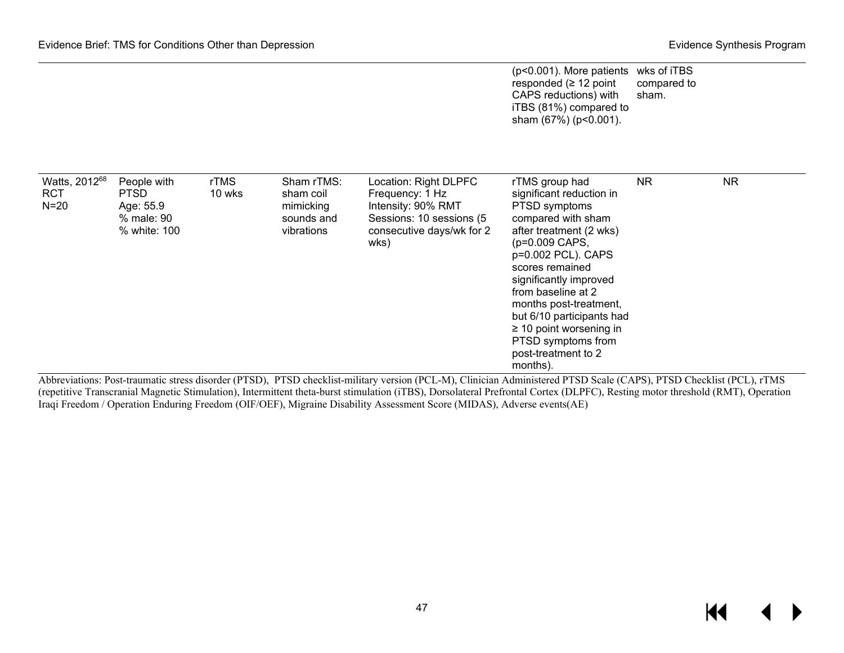|                                       |                                                                       |                       |                                                                  |                                                                                                                                 | (p<0.001). More patients wks of iTBS<br>responded ( $\geq$ 12 point<br>CAPS reductions) with<br>iTBS (81%) compared to<br>sham (67%) (p<0.001).                                                                                                                                                                | compared to<br>sham. |           |
|---------------------------------------|-----------------------------------------------------------------------|-----------------------|------------------------------------------------------------------|---------------------------------------------------------------------------------------------------------------------------------|----------------------------------------------------------------------------------------------------------------------------------------------------------------------------------------------------------------------------------------------------------------------------------------------------------------|----------------------|-----------|
| Watts, 201268<br><b>RCT</b><br>$N=20$ | People with<br><b>PTSD</b><br>Age: 55.9<br>% male: 90<br>% white: 100 | <b>rTMS</b><br>10 wks | Sham rTMS:<br>sham coil<br>mimicking<br>sounds and<br>vibrations | Location: Right DLPFC<br>Frequency: 1 Hz<br>Intensity: 90% RMT<br>Sessions: 10 sessions (5<br>consecutive days/wk for 2<br>wks) | rTMS group had<br>significant reduction in<br>PTSD symptoms<br>compared with sham<br>after treatment (2 wks)<br>(p=0.009 CAPS,<br>p=0.002 PCL). CAPS<br>scores remained<br>significantly improved<br>from baseline at 2<br>months post-treatment,<br>but 6/10 participants had<br>$\geq$ 10 point worsening in | NR                   | <b>NR</b> |
| $\cdot$ $\cdot$                       |                                                                       | $m = m$               |                                                                  |                                                                                                                                 | PTSD symptoms from<br>post-treatment to 2<br>months).                                                                                                                                                                                                                                                          |                      |           |

Abbreviations: Post-traumatic stress disorder (PTSD), PTSD checklist-military version (PCL-M), Clinician Administered PTSD Scale (CAPS), PTSD Checklist (PCL), rTMS (repetitive Transcranial Magnetic Stimulation), Intermittent theta-burst stimulation (iTBS), Dorsolateral Prefrontal Cortex (DLPFC), Resting motor threshold (RMT), Operation Iraqi Freedom / Operation Enduring Freedom (OIF/OEF), Migraine Disability Assessment Score (MIDAS), Adverse events(AE)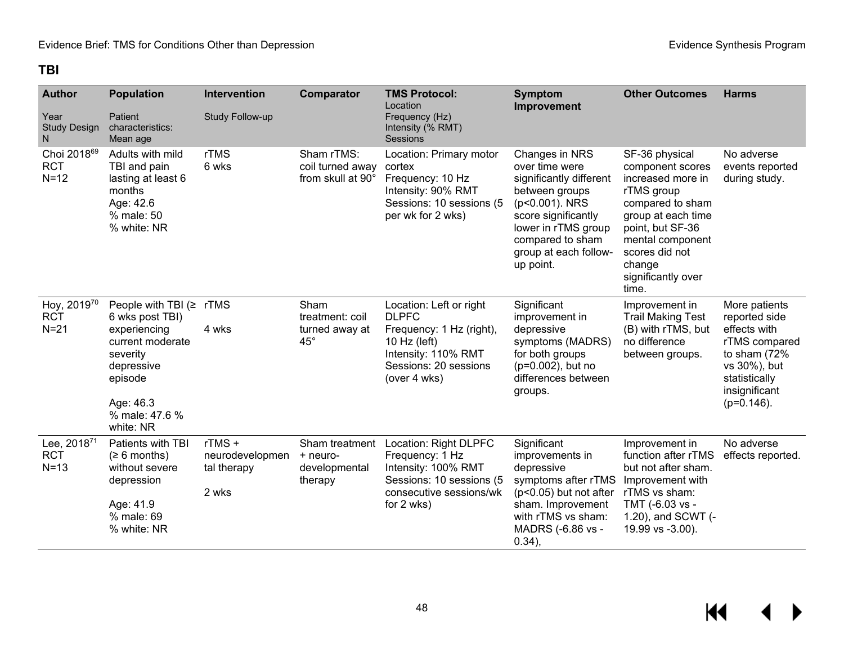### **TBI**

| <b>Author</b>                                   | <b>Population</b>                                                                                                                                                      | <b>Intervention</b>                              | <b>Comparator</b>                                         | <b>TMS Protocol:</b><br>Location                                                                                                                    | <b>Symptom</b><br>Improvement                                                                                                                                                                           | <b>Other Outcomes</b>                                                                                                                                                                                              | <b>Harms</b>                                                                                                                                         |
|-------------------------------------------------|------------------------------------------------------------------------------------------------------------------------------------------------------------------------|--------------------------------------------------|-----------------------------------------------------------|-----------------------------------------------------------------------------------------------------------------------------------------------------|---------------------------------------------------------------------------------------------------------------------------------------------------------------------------------------------------------|--------------------------------------------------------------------------------------------------------------------------------------------------------------------------------------------------------------------|------------------------------------------------------------------------------------------------------------------------------------------------------|
| Year<br><b>Study Design</b><br>N                | Patient<br>characteristics:<br>Mean age                                                                                                                                | Study Follow-up                                  |                                                           | Frequency (Hz)<br>Intensity (% RMT)<br>Sessions                                                                                                     |                                                                                                                                                                                                         |                                                                                                                                                                                                                    |                                                                                                                                                      |
| Choi 2018 <sup>69</sup><br><b>RCT</b><br>$N=12$ | Adults with mild<br>TBI and pain<br>lasting at least 6<br>months<br>Age: 42.6<br>% male: 50<br>% white: NR                                                             | rTMS<br>6 wks                                    | Sham rTMS:<br>coil turned away<br>from skull at 90°       | Location: Primary motor<br>cortex<br>Frequency: 10 Hz<br>Intensity: 90% RMT<br>Sessions: 10 sessions (5<br>per wk for 2 wks)                        | Changes in NRS<br>over time were<br>significantly different<br>between groups<br>(p<0.001). NRS<br>score significantly<br>lower in rTMS group<br>compared to sham<br>group at each follow-<br>up point. | SF-36 physical<br>component scores<br>increased more in<br>rTMS group<br>compared to sham<br>group at each time<br>point, but SF-36<br>mental component<br>scores did not<br>change<br>significantly over<br>time. | No adverse<br>events reported<br>during study.                                                                                                       |
| Hoy, 201970<br><b>RCT</b><br>$N=21$             | People with TBI $($ $\ge$ rTMS<br>6 wks post TBI)<br>experiencing<br>current moderate<br>severity<br>depressive<br>episode<br>Age: 46.3<br>% male: 47.6 %<br>white: NR | 4 wks                                            | Sham<br>treatment: coil<br>turned away at<br>$45^{\circ}$ | Location: Left or right<br><b>DLPFC</b><br>Frequency: 1 Hz (right),<br>10 Hz (left)<br>Intensity: 110% RMT<br>Sessions: 20 sessions<br>(over 4 wks) | Significant<br>improvement in<br>depressive<br>symptoms (MADRS)<br>for both groups<br>(p=0.002), but no<br>differences between<br>groups.                                                               | Improvement in<br><b>Trail Making Test</b><br>(B) with rTMS, but<br>no difference<br>between groups.                                                                                                               | More patients<br>reported side<br>effects with<br>rTMS compared<br>to sham $(72%$<br>vs 30%), but<br>statistically<br>insignificant<br>$(p=0.146)$ . |
| Lee, 201871<br><b>RCT</b><br>$N=13$             | Patients with TBI<br>(≥ 6 months)<br>without severe<br>depression<br>Age: 41.9<br>% male: 69<br>% white: NR                                                            | rTMS+<br>neurodevelopmen<br>tal therapy<br>2 wks | Sham treatment<br>+ neuro-<br>developmental<br>therapy    | Location: Right DLPFC<br>Frequency: 1 Hz<br>Intensity: 100% RMT<br>Sessions: 10 sessions (5<br>consecutive sessions/wk<br>for 2 wks)                | Significant<br>improvements in<br>depressive<br>symptoms after rTMS<br>$(p<0.05)$ but not after<br>sham. Improvement<br>with rTMS vs sham:<br>MADRS (-6.86 vs -<br>0.34),                               | Improvement in<br>function after rTMS<br>but not after sham.<br>Improvement with<br>rTMS vs sham:<br>TMT (-6.03 vs -<br>1.20), and SCWT (-<br>19.99 vs -3.00).                                                     | No adverse<br>effects reported.                                                                                                                      |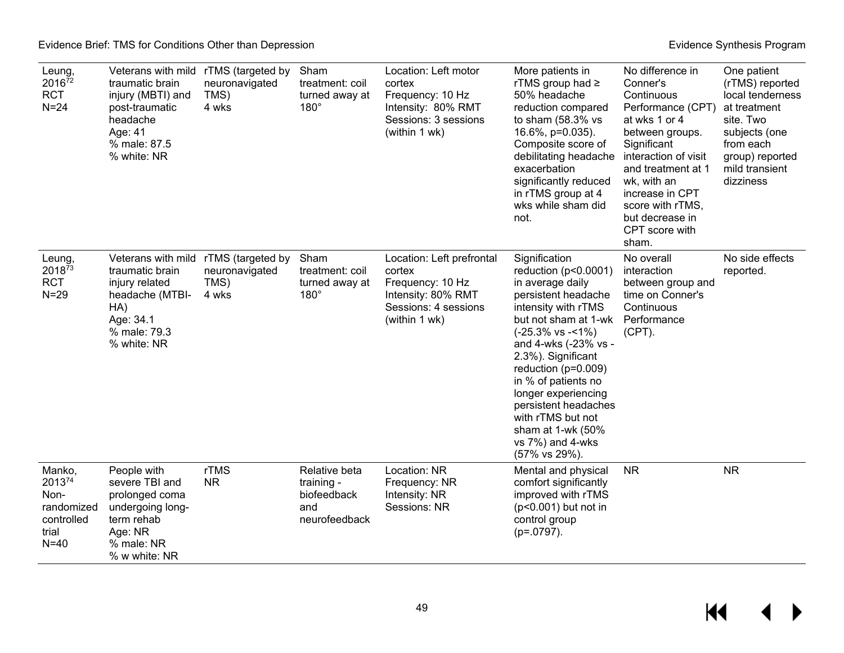| Leung,<br>201672<br><b>RCT</b><br>$N = 24$                              | Veterans with mild<br>traumatic brain<br>injury (MBTI) and<br>post-traumatic<br>headache<br>Age: 41<br>% male: 87.5<br>% white: NR | rTMS (targeted by<br>neuronavigated<br>TMS)<br>4 wks | Sham<br>treatment: coil<br>turned away at<br>$180^\circ$           | Location: Left motor<br>cortex<br>Frequency: 10 Hz<br>Intensity: 80% RMT<br>Sessions: 3 sessions<br>(within 1 wk)      | More patients in<br>rTMS group had ≥<br>50% headache<br>reduction compared<br>to sham $(58.3\%$ vs<br>16.6%, p=0.035).<br>Composite score of<br>debilitating headache<br>exacerbation<br>significantly reduced<br>in rTMS group at 4<br>wks while sham did<br>not.                                                                                                                            | No difference in<br>Conner's<br>Continuous<br>Performance (CPT)<br>at wks 1 or 4<br>between groups.<br>Significant<br>interaction of visit<br>and treatment at 1<br>wk, with an<br>increase in CPT<br>score with rTMS,<br>but decrease in<br>CPT score with<br>sham. | One patient<br>(rTMS) reported<br>local tenderness<br>at treatment<br>site. Two<br>subjects (one<br>from each<br>group) reported<br>mild transient<br>dizziness |
|-------------------------------------------------------------------------|------------------------------------------------------------------------------------------------------------------------------------|------------------------------------------------------|--------------------------------------------------------------------|------------------------------------------------------------------------------------------------------------------------|-----------------------------------------------------------------------------------------------------------------------------------------------------------------------------------------------------------------------------------------------------------------------------------------------------------------------------------------------------------------------------------------------|----------------------------------------------------------------------------------------------------------------------------------------------------------------------------------------------------------------------------------------------------------------------|-----------------------------------------------------------------------------------------------------------------------------------------------------------------|
| Leung,<br>201873<br><b>RCT</b><br>$N = 29$                              | Veterans with mild<br>traumatic brain<br>injury related<br>headache (MTBI-<br>HA)<br>Age: 34.1<br>% male: 79.3<br>% white: NR      | rTMS (targeted by<br>neuronavigated<br>TMS)<br>4 wks | Sham<br>treatment: coil<br>turned away at<br>$180^\circ$           | Location: Left prefrontal<br>cortex<br>Frequency: 10 Hz<br>Intensity: 80% RMT<br>Sessions: 4 sessions<br>(within 1 wk) | Signification<br>reduction (p<0.0001)<br>in average daily<br>persistent headache<br>intensity with rTMS<br>but not sham at 1-wk<br>$(-25.3\% \text{ vs } -1\%)$<br>and 4-wks (-23% vs -<br>2.3%). Significant<br>reduction ( $p=0.009$ )<br>in % of patients no<br>longer experiencing<br>persistent headaches<br>with rTMS but not<br>sham at 1-wk (50%<br>vs 7%) and 4-wks<br>(57% vs 29%). | No overall<br>interaction<br>between group and<br>time on Conner's<br>Continuous<br>Performance<br>$(CPT)$ .                                                                                                                                                         | No side effects<br>reported.                                                                                                                                    |
| Manko,<br>201374<br>Non-<br>randomized<br>controlled<br>trial<br>$N=40$ | People with<br>severe TBI and<br>prolonged coma<br>undergoing long-<br>term rehab<br>Age: NR<br>% male: NR<br>% w white: NR        | rTMS<br><b>NR</b>                                    | Relative beta<br>training -<br>biofeedback<br>and<br>neurofeedback | Location: NR<br>Frequency: NR<br>Intensity: NR<br>Sessions: NR                                                         | Mental and physical<br>comfort significantly<br>improved with rTMS<br>(p<0.001) but not in<br>control group<br>$(p=.0797).$                                                                                                                                                                                                                                                                   | <b>NR</b>                                                                                                                                                                                                                                                            | <b>NR</b>                                                                                                                                                       |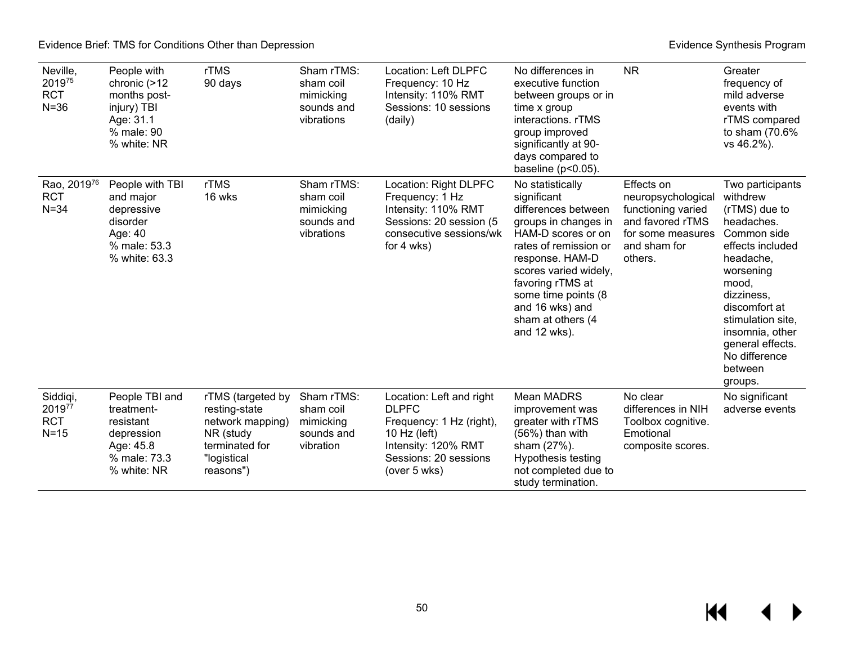| Neville,<br>201975<br><b>RCT</b><br>$N = 36$ | People with<br>chronic (>12<br>months post-<br>injury) TBI<br>Age: 31.1<br>% male: 90<br>% white: NR | rTMS<br>90 days                                                                                                   | Sham rTMS:<br>sham coil<br>mimicking<br>sounds and<br>vibrations | Location: Left DLPFC<br>Frequency: 10 Hz<br>Intensity: 110% RMT<br>Sessions: 10 sessions<br>(daily)                                                      | No differences in<br>executive function<br>between groups or in<br>time x group<br>interactions. rTMS<br>group improved<br>significantly at 90-<br>days compared to<br>baseline ( $p<0.05$ ).                                                                                | <b>NR</b>                                                                                                                  | Greater<br>frequency of<br>mild adverse<br>events with<br>rTMS compared<br>to sham (70.6%<br>vs 46.2%).                                                                                                                                                             |
|----------------------------------------------|------------------------------------------------------------------------------------------------------|-------------------------------------------------------------------------------------------------------------------|------------------------------------------------------------------|----------------------------------------------------------------------------------------------------------------------------------------------------------|------------------------------------------------------------------------------------------------------------------------------------------------------------------------------------------------------------------------------------------------------------------------------|----------------------------------------------------------------------------------------------------------------------------|---------------------------------------------------------------------------------------------------------------------------------------------------------------------------------------------------------------------------------------------------------------------|
| Rao, 201976<br><b>RCT</b><br>$N = 34$        | People with TBI<br>and major<br>depressive<br>disorder<br>Age: 40<br>% male: 53.3<br>% white: 63.3   | rTMS<br>16 wks                                                                                                    | Sham rTMS:<br>sham coil<br>mimicking<br>sounds and<br>vibrations | Location: Right DLPFC<br>Frequency: 1 Hz<br>Intensity: 110% RMT<br>Sessions: 20 session (5<br>consecutive sessions/wk<br>for 4 wks)                      | No statistically<br>significant<br>differences between<br>groups in changes in<br>HAM-D scores or on<br>rates of remission or<br>response. HAM-D<br>scores varied widely,<br>favoring rTMS at<br>some time points (8<br>and 16 wks) and<br>sham at others (4<br>and 12 wks). | Effects on<br>neuropsychological<br>functioning varied<br>and favored rTMS<br>for some measures<br>and sham for<br>others. | Two participants<br>withdrew<br>(rTMS) due to<br>headaches.<br>Common side<br>effects included<br>headache,<br>worsening<br>mood,<br>dizziness,<br>discomfort at<br>stimulation site,<br>insomnia, other<br>general effects.<br>No difference<br>between<br>groups. |
| Siddiqi,<br>201977<br><b>RCT</b><br>$N=15$   | People TBI and<br>treatment-<br>resistant<br>depression<br>Age: 45.8<br>% male: 73.3<br>% white: NR  | rTMS (targeted by<br>resting-state<br>network mapping)<br>NR (study<br>terminated for<br>"logistical<br>reasons") | Sham rTMS:<br>sham coil<br>mimicking<br>sounds and<br>vibration  | Location: Left and right<br><b>DLPFC</b><br>Frequency: 1 Hz (right),<br>10 Hz ( $left$ )<br>Intensity: 120% RMT<br>Sessions: 20 sessions<br>(over 5 wks) | Mean MADRS<br>improvement was<br>greater with rTMS<br>(56%) than with<br>sham (27%).<br>Hypothesis testing<br>not completed due to<br>study termination.                                                                                                                     | No clear<br>differences in NIH<br>Toolbox cognitive.<br>Emotional<br>composite scores.                                     | No significant<br>adverse events                                                                                                                                                                                                                                    |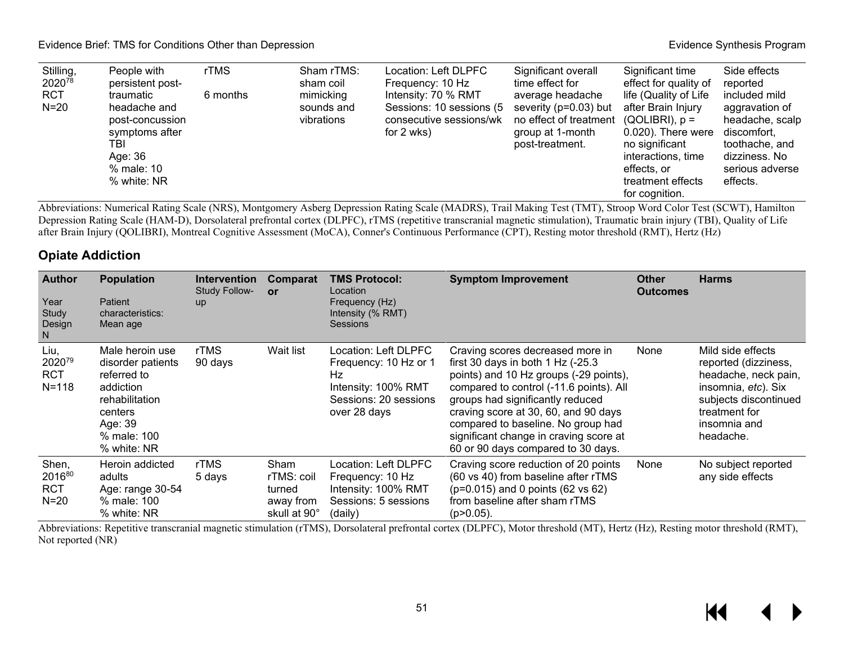#### Evidence Brief: TMS for Conditions Other than Depression **Evidence** Synthesis Program **Evidence Synthesis Program**

| Stilling,            | People with                                                                                                   | rTMS     | Sham rTMS:                            | Location: Left DLPFC                                                                     | Significant overall                                                                                                          | Significant time                                                                                                                                                | Side effects                                                                                                                        |
|----------------------|---------------------------------------------------------------------------------------------------------------|----------|---------------------------------------|------------------------------------------------------------------------------------------|------------------------------------------------------------------------------------------------------------------------------|-----------------------------------------------------------------------------------------------------------------------------------------------------------------|-------------------------------------------------------------------------------------------------------------------------------------|
| 202078               | persistent post-                                                                                              |          | sham coil                             | Frequency: 10 Hz                                                                         | time effect for                                                                                                              | effect for quality of                                                                                                                                           | reported                                                                                                                            |
| <b>RCT</b><br>$N=20$ | traumatic<br>headache and<br>post-concussion<br>symptoms after<br>TBI<br>Age: 36<br>% male: 10<br>% white: NR | 6 months | mimicking<br>sounds and<br>vibrations | Intensity: 70 % RMT<br>Sessions: 10 sessions (5<br>consecutive sessions/wk<br>for 2 wks) | average headache<br>severity (p=0.03) but<br>no effect of treatment $(QOLIBRI)$ , p =<br>group at 1-month<br>post-treatment. | life (Quality of Life<br>after Brain Injury<br>0.020). There were<br>no significant<br>interactions, time<br>effects, or<br>treatment effects<br>for cognition. | included mild<br>aggravation of<br>headache, scalp<br>discomfort,<br>toothache, and<br>dizziness. No<br>serious adverse<br>effects. |

Abbreviations: Numerical Rating Scale (NRS), Montgomery Asberg Depression Rating Scale (MADRS), Trail Making Test (TMT), Stroop Word Color Test (SCWT), Hamilton Depression Rating Scale (HAM-D), Dorsolateral prefrontal cortex (DLPFC), rTMS (repetitive transcranial magnetic stimulation), Traumatic brain injury (TBI), Quality of Life after Brain Injury (QOLIBRI), Montreal Cognitive Assessment (MoCA), Conner's Continuous Performance (CPT), Resting motor threshold (RMT), Hertz (Hz)

#### **Opiate Addiction**

| <b>Author</b><br>Year<br>Study<br>Design<br>N | <b>Population</b><br><b>Patient</b><br>characteristics:<br>Mean age                                                                    | <b>Intervention</b><br><b>Study Follow-</b><br><b>up</b> | <b>Comparat</b><br>or                                     | <b>TMS Protocol:</b><br>Location<br>Frequency (Hz)<br>Intensity (% RMT)<br><b>Sessions</b>                           | <b>Symptom Improvement</b>                                                                                                                                                                                                                                                                                                                                    | <b>Other</b><br><b>Outcomes</b> | <b>Harms</b>                                                                                                                                                    |
|-----------------------------------------------|----------------------------------------------------------------------------------------------------------------------------------------|----------------------------------------------------------|-----------------------------------------------------------|----------------------------------------------------------------------------------------------------------------------|---------------------------------------------------------------------------------------------------------------------------------------------------------------------------------------------------------------------------------------------------------------------------------------------------------------------------------------------------------------|---------------------------------|-----------------------------------------------------------------------------------------------------------------------------------------------------------------|
| Liu,<br>202079<br><b>RCT</b><br>$N = 118$     | Male heroin use<br>disorder patients<br>referred to<br>addiction<br>rehabilitation<br>centers<br>Age: 39<br>% male: 100<br>% white: NR | rTMS<br>90 days                                          | Wait list                                                 | Location: Left DLPFC_<br>Frequency: 10 Hz or 1<br>Hz<br>Intensity: 100% RMT<br>Sessions: 20 sessions<br>over 28 days | Craving scores decreased more in<br>first 30 days in both 1 Hz (-25.3)<br>points) and 10 Hz groups (-29 points),<br>compared to control (-11.6 points). All<br>groups had significantly reduced<br>craving score at 30, 60, and 90 days<br>compared to baseline. No group had<br>significant change in craving score at<br>60 or 90 days compared to 30 days. | None                            | Mild side effects<br>reported (dizziness,<br>headache, neck pain,<br>insomnia, etc). Six<br>subjects discontinued<br>treatment for<br>insomnia and<br>headache. |
| Shen,<br>201680<br><b>RCT</b><br>$N=20$       | Heroin addicted<br>adults<br>Age: range 30-54<br>% male: 100<br>% white: NR                                                            | rTMS<br>5 days                                           | Sham<br>rTMS: coil<br>turned<br>away from<br>skull at 90° | Location: Left DLPFC<br>Frequency: 10 Hz<br>Intensity: 100% RMT<br>Sessions: 5 sessions<br>(daily)                   | Craving score reduction of 20 points<br>(60 vs 40) from baseline after rTMS<br>$(p=0.015)$ and 0 points (62 vs 62)<br>from baseline after sham rTMS<br>$(p>0.05)$ .                                                                                                                                                                                           | None                            | No subject reported<br>any side effects                                                                                                                         |

Abbreviations: Repetitive transcranial magnetic stimulation (rTMS), Dorsolateral prefrontal cortex (DLPFC), Motor threshold (MT), Hertz (Hz), Resting motor threshold (RMT), Not reported (NR)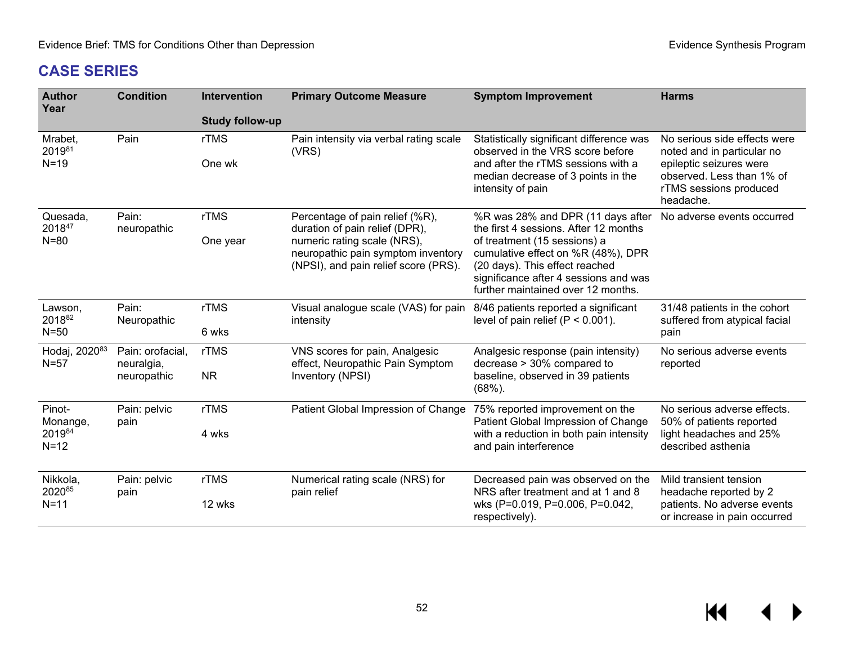$M \leftarrow \leftarrow$ 

# **CASE SERIES**

| <b>Author</b><br>Year               | <b>Condition</b>               | Intervention           | <b>Primary Outcome Measure</b>                                                                            | <b>Symptom Improvement</b>                                                                                                                                                          | <b>Harms</b>                                                                                |  |
|-------------------------------------|--------------------------------|------------------------|-----------------------------------------------------------------------------------------------------------|-------------------------------------------------------------------------------------------------------------------------------------------------------------------------------------|---------------------------------------------------------------------------------------------|--|
|                                     |                                | <b>Study follow-up</b> |                                                                                                           |                                                                                                                                                                                     |                                                                                             |  |
| Mrabet,<br>201981                   | Pain                           | rTMS                   | Pain intensity via verbal rating scale<br>(VRS)                                                           | Statistically significant difference was<br>observed in the VRS score before                                                                                                        | No serious side effects were<br>noted and in particular no                                  |  |
| $N=19$                              |                                | One wk                 |                                                                                                           | and after the rTMS sessions with a<br>median decrease of 3 points in the<br>intensity of pain                                                                                       | epileptic seizures were<br>observed. Less than 1% of<br>rTMS sessions produced<br>headache. |  |
| Quesada,<br>201847                  | Pain:<br>neuropathic           | rTMS                   | Percentage of pain relief (%R),<br>duration of pain relief (DPR),                                         | %R was 28% and DPR (11 days after<br>the first 4 sessions. After 12 months                                                                                                          | No adverse events occurred                                                                  |  |
| $N = 80$                            |                                | One year               | numeric rating scale (NRS),<br>neuropathic pain symptom inventory<br>(NPSI), and pain relief score (PRS). | of treatment (15 sessions) a<br>cumulative effect on %R (48%), DPR<br>(20 days). This effect reached<br>significance after 4 sessions and was<br>further maintained over 12 months. |                                                                                             |  |
| Lawson,<br>201882<br>$N=50$         | Pain:<br>Neuropathic           | rTMS<br>6 wks          | Visual analogue scale (VAS) for pain<br>intensity                                                         | 8/46 patients reported a significant<br>level of pain relief $(P < 0.001)$ .                                                                                                        | 31/48 patients in the cohort<br>suffered from atypical facial<br>pain                       |  |
|                                     |                                | rTMS                   |                                                                                                           | Analgesic response (pain intensity)<br>decrease > 30% compared to                                                                                                                   | No serious adverse events                                                                   |  |
| Hodaj, 2020 <sup>83</sup><br>$N=57$ | Pain: orofacial,<br>neuralgia, |                        | VNS scores for pain, Analgesic<br>effect, Neuropathic Pain Symptom                                        |                                                                                                                                                                                     | reported                                                                                    |  |
|                                     | neuropathic                    | <b>NR</b>              | Inventory (NPSI)                                                                                          | baseline, observed in 39 patients<br>$(68%)$ .                                                                                                                                      |                                                                                             |  |
| Pinot-<br>Monange,                  | Pain: pelvic<br>pain           | rTMS                   | Patient Global Impression of Change                                                                       | 75% reported improvement on the<br>Patient Global Impression of Change                                                                                                              | No serious adverse effects.<br>50% of patients reported                                     |  |
| 201984<br>$N=12$                    |                                | 4 wks                  |                                                                                                           | with a reduction in both pain intensity<br>and pain interference                                                                                                                    | light headaches and 25%<br>described asthenia                                               |  |
| Nikkola,<br>202085                  | Pain: pelvic<br>pain           | rTMS                   | Numerical rating scale (NRS) for<br>pain relief                                                           | Decreased pain was observed on the<br>NRS after treatment and at 1 and 8                                                                                                            | Mild transient tension<br>headache reported by 2                                            |  |
| $N=11$                              |                                | 12 wks                 |                                                                                                           | wks (P=0.019, P=0.006, P=0.042,<br>respectively).                                                                                                                                   | patients. No adverse events<br>or increase in pain occurred                                 |  |

52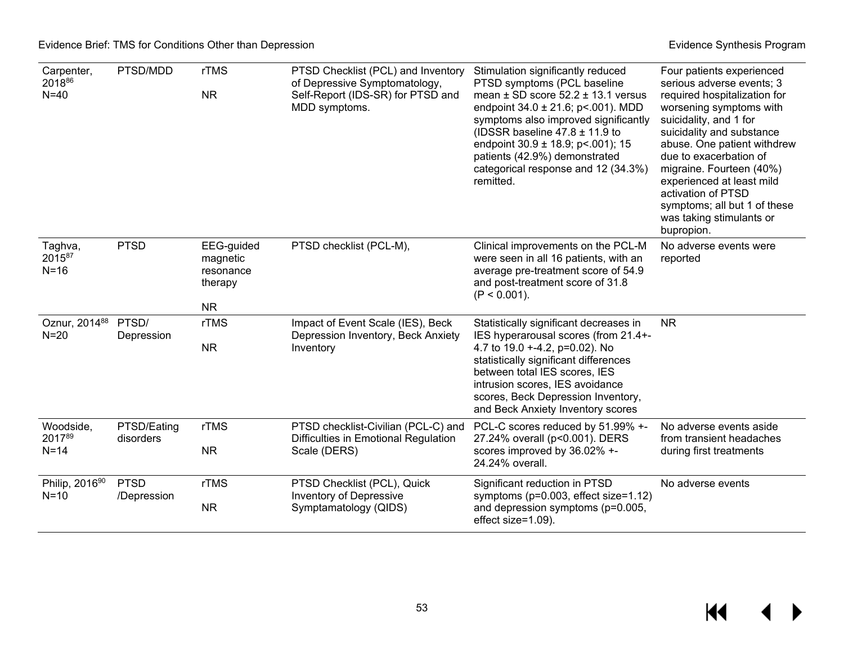$M \rightarrow$ 

| Carpenter,<br>201886<br>$N=40$      | PTSD/MDD                   | rTMS<br><b>NR</b>                                           | PTSD Checklist (PCL) and Inventory<br>of Depressive Symptomatology,<br>Self-Report (IDS-SR) for PTSD and<br>MDD symptoms. | Stimulation significantly reduced<br>PTSD symptoms (PCL baseline<br>mean $\pm$ SD score 52.2 $\pm$ 13.1 versus<br>endpoint 34.0 ± 21.6; p < 001). MDD<br>symptoms also improved significantly<br>(IDSSR baseline $47.8 \pm 11.9$ to<br>endpoint $30.9 \pm 18.9$ ; p<.001); 15<br>patients (42.9%) demonstrated<br>categorical response and 12 (34.3%)<br>remitted. | Four patients experienced<br>serious adverse events; 3<br>required hospitalization for<br>worsening symptoms with<br>suicidality, and 1 for<br>suicidality and substance<br>abuse. One patient withdrew<br>due to exacerbation of<br>migraine. Fourteen (40%)<br>experienced at least mild<br>activation of PTSD<br>symptoms; all but 1 of these<br>was taking stimulants or<br>bupropion. |
|-------------------------------------|----------------------------|-------------------------------------------------------------|---------------------------------------------------------------------------------------------------------------------------|--------------------------------------------------------------------------------------------------------------------------------------------------------------------------------------------------------------------------------------------------------------------------------------------------------------------------------------------------------------------|--------------------------------------------------------------------------------------------------------------------------------------------------------------------------------------------------------------------------------------------------------------------------------------------------------------------------------------------------------------------------------------------|
| Taghva,<br>201587<br>$N = 16$       | <b>PTSD</b>                | EEG-guided<br>magnetic<br>resonance<br>therapy<br><b>NR</b> | PTSD checklist (PCL-M),                                                                                                   | Clinical improvements on the PCL-M<br>were seen in all 16 patients, with an<br>average pre-treatment score of 54.9<br>and post-treatment score of 31.8<br>$(P < 0.001)$ .                                                                                                                                                                                          | No adverse events were<br>reported                                                                                                                                                                                                                                                                                                                                                         |
| Oznur, 2014 <sup>88</sup><br>$N=20$ | PTSD/<br>Depression        | rTMS<br><b>NR</b>                                           | Impact of Event Scale (IES), Beck<br>Depression Inventory, Beck Anxiety<br>Inventory                                      | Statistically significant decreases in<br>IES hyperarousal scores (from 21.4+-<br>4.7 to 19.0 +-4.2, p=0.02). No<br>statistically significant differences<br>between total IES scores, IES<br>intrusion scores, IES avoidance<br>scores, Beck Depression Inventory,<br>and Beck Anxiety Inventory scores                                                           | <b>NR</b>                                                                                                                                                                                                                                                                                                                                                                                  |
| Woodside,<br>201789<br>$N=14$       | PTSD/Eating<br>disorders   | rTMS<br><b>NR</b>                                           | PTSD checklist-Civilian (PCL-C) and<br>Difficulties in Emotional Regulation<br>Scale (DERS)                               | PCL-C scores reduced by 51.99% +-<br>27.24% overall (p<0.001). DERS<br>scores improved by 36.02% +-<br>24.24% overall.                                                                                                                                                                                                                                             | No adverse events aside<br>from transient headaches<br>during first treatments                                                                                                                                                                                                                                                                                                             |
| Philip, 201690<br>$N=10$            | <b>PTSD</b><br>/Depression | rTMS<br><b>NR</b>                                           | PTSD Checklist (PCL), Quick<br>Inventory of Depressive<br>Symptamatology (QIDS)                                           | Significant reduction in PTSD<br>symptoms ( $p=0.003$ , effect size=1.12)<br>and depression symptoms (p=0.005,<br>effect size=1.09).                                                                                                                                                                                                                               | No adverse events                                                                                                                                                                                                                                                                                                                                                                          |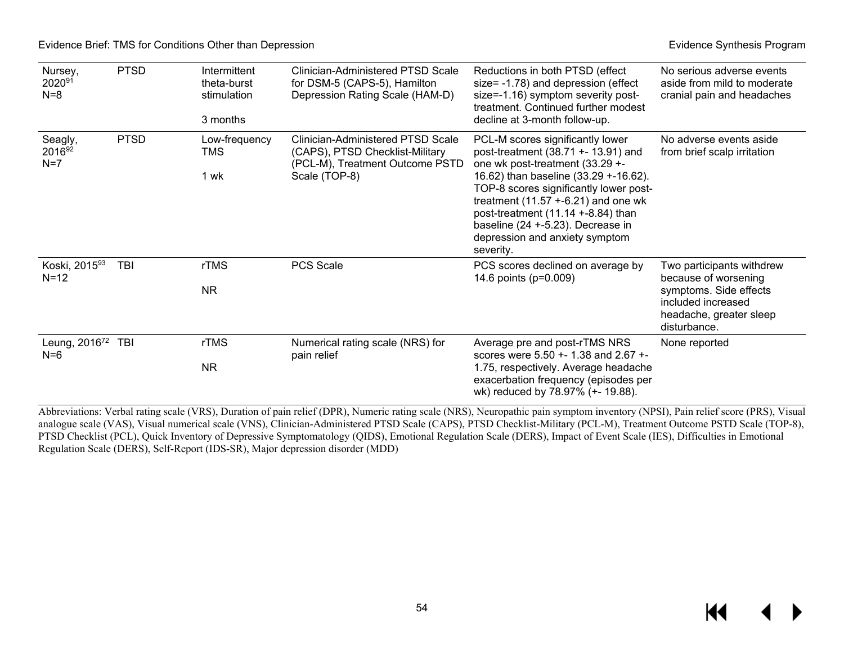Evidence Brief: TMS for Conditions Other than Depression **Evidence** Synthesis Program **Evidence Synthesis Program** 

| Nursey,<br>202091<br>$N=8$         | <b>PTSD</b> | Intermittent<br>theta-burst<br>stimulation<br>3 months | Clinician-Administered PTSD Scale<br>for DSM-5 (CAPS-5), Hamilton<br>Depression Rating Scale (HAM-D)                     | Reductions in both PTSD (effect<br>size= -1.78) and depression (effect<br>size=-1.16) symptom severity post-<br>treatment. Continued further modest<br>decline at 3-month follow-up.                                                                                                                                                                              | No serious adverse events<br>aside from mild to moderate<br>cranial pain and headaches                                                       |
|------------------------------------|-------------|--------------------------------------------------------|--------------------------------------------------------------------------------------------------------------------------|-------------------------------------------------------------------------------------------------------------------------------------------------------------------------------------------------------------------------------------------------------------------------------------------------------------------------------------------------------------------|----------------------------------------------------------------------------------------------------------------------------------------------|
| Seagly,<br>201692<br>$N=7$         | <b>PTSD</b> | Low-frequency<br>TMS<br>1 wk                           | Clinician-Administered PTSD Scale<br>(CAPS), PTSD Checklist-Military<br>(PCL-M), Treatment Outcome PSTD<br>Scale (TOP-8) | PCL-M scores significantly lower<br>post-treatment $(38.71 + 13.91)$ and<br>one wk post-treatment (33.29 +-<br>16.62) than baseline (33.29 +-16.62).<br>TOP-8 scores significantly lower post-<br>treatment $(11.57 + 6.21)$ and one wk<br>post-treatment (11.14 +-8.84) than<br>baseline (24 +-5.23). Decrease in<br>depression and anxiety symptom<br>severity. | No adverse events aside<br>from brief scalp irritation                                                                                       |
| Koski, 201593<br>$N = 12$          | TBI         | rTMS<br><b>NR</b>                                      | PCS Scale                                                                                                                | PCS scores declined on average by<br>14.6 points (p=0.009)                                                                                                                                                                                                                                                                                                        | Two participants withdrew<br>because of worsening<br>symptoms. Side effects<br>included increased<br>headache, greater sleep<br>disturbance. |
| Leung, 2016 <sup>72</sup><br>$N=6$ | TBI         | <b>rTMS</b><br><b>NR</b>                               | Numerical rating scale (NRS) for<br>pain relief                                                                          | Average pre and post-rTMS NRS<br>scores were 5.50 +- 1.38 and 2.67 +-<br>1.75, respectively. Average headache<br>exacerbation frequency (episodes per<br>wk) reduced by 78.97% (+- 19.88).                                                                                                                                                                        | None reported                                                                                                                                |

Abbreviations: Verbal rating scale (VRS), Duration of pain relief (DPR), Numeric rating scale (NRS), Neuropathic pain symptom inventory (NPSI), Pain relief score (PRS), Visual analogue scale (VAS), Visual numerical scale (VNS), Clinician-Administered PTSD Scale (CAPS), PTSD Checklist-Military (PCL-M), Treatment Outcome PSTD Scale (TOP-8), PTSD Checklist (PCL), Quick Inventory of Depressive Symptomatology (QIDS), Emotional Regulation Scale (DERS), Impact of Event Scale (IES), Difficulties in Emotional Regulation Scale (DERS), Self-Report (IDS-SR), Major depression disorder (MDD)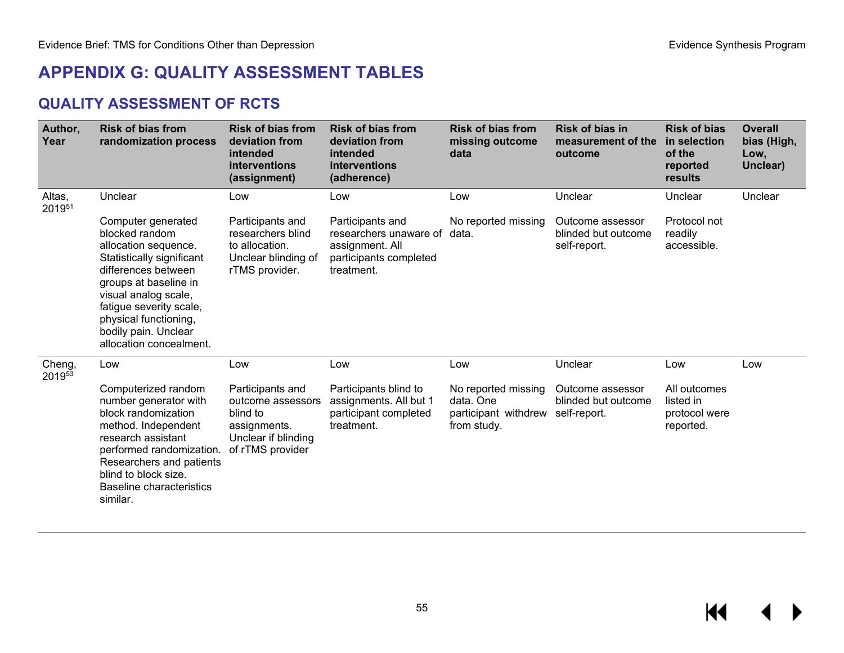# **APPENDIX G: QUALITY ASSESSMENT TABLES**

## **QUALITY ASSESSMENT OF RCTS**

| Author,<br>Year  | <b>Risk of bias from</b><br>randomization process                                                                                                                                                                                                                        | <b>Risk of bias from</b><br>deviation from<br>intended<br>interventions<br>(assignment)                      | <b>Risk of bias from</b><br>deviation from<br>intended<br>interventions<br>(adherence)                | <b>Risk of bias from</b><br>missing outcome<br>data                                  | <b>Risk of bias in</b><br>measurement of the<br>outcome | <b>Risk of bias</b><br>in selection<br>of the<br>reported<br>results | <b>Overall</b><br>bias (High,<br>Low,<br>Unclear) |
|------------------|--------------------------------------------------------------------------------------------------------------------------------------------------------------------------------------------------------------------------------------------------------------------------|--------------------------------------------------------------------------------------------------------------|-------------------------------------------------------------------------------------------------------|--------------------------------------------------------------------------------------|---------------------------------------------------------|----------------------------------------------------------------------|---------------------------------------------------|
| Altas,<br>201951 | Unclear                                                                                                                                                                                                                                                                  | Low                                                                                                          | Low                                                                                                   | Low                                                                                  | Unclear                                                 | Unclear                                                              | Unclear                                           |
|                  | Computer generated<br>blocked random<br>allocation sequence.<br>Statistically significant<br>differences between<br>groups at baseline in<br>visual analog scale,<br>fatigue severity scale,<br>physical functioning,<br>bodily pain. Unclear<br>allocation concealment. | Participants and<br>researchers blind<br>to allocation.<br>Unclear blinding of<br>rTMS provider.             | Participants and<br>researchers unaware of<br>assignment. All<br>participants completed<br>treatment. | No reported missing<br>data.                                                         | Outcome assessor<br>blinded but outcome<br>self-report. | Protocol not<br>readily<br>accessible.                               |                                                   |
| Cheng,<br>201953 | Low                                                                                                                                                                                                                                                                      | Low                                                                                                          | Low                                                                                                   | Low                                                                                  | Unclear                                                 | Low                                                                  | Low                                               |
|                  | Computerized random<br>number generator with<br>block randomization<br>method. Independent<br>research assistant<br>performed randomization.<br>Researchers and patients<br>blind to block size.<br><b>Baseline characteristics</b><br>similar.                          | Participants and<br>outcome assessors<br>blind to<br>assignments.<br>Unclear if blinding<br>of rTMS provider | Participants blind to<br>assignments. All but 1<br>participant completed<br>treatment.                | No reported missing<br>data, One<br>participant withdrew self-report.<br>from study. | Outcome assessor<br>blinded but outcome                 | All outcomes<br>listed in<br>protocol were<br>reported.              |                                                   |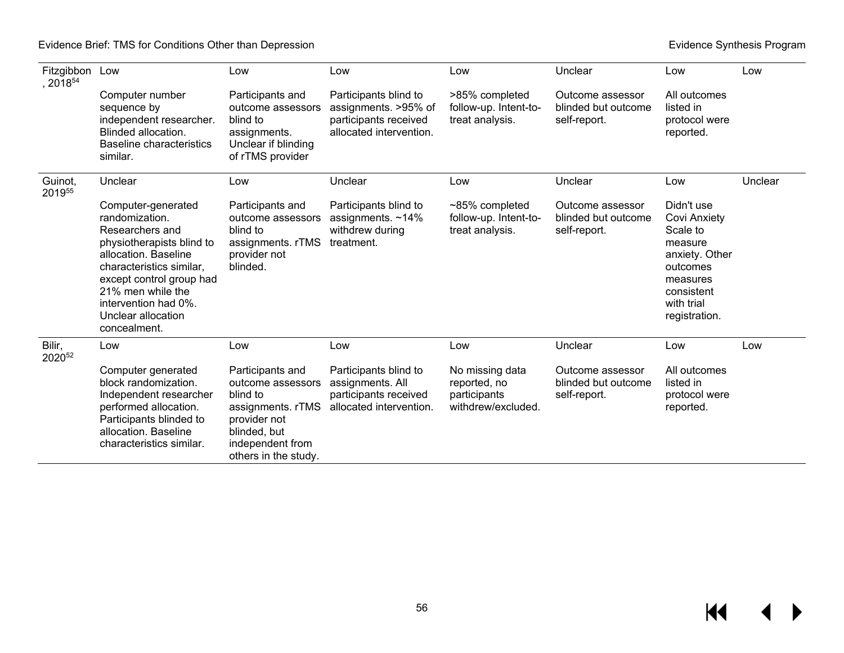| Fitzgibbon Low<br>$, 2018^{54}$ |                                                                                                                                                                                                                                                         | Low                                                                                                                                               | Low                                                                                               | Low                                                                   | Unclear                                                 | Low                                                                                                                                             | Low     |
|---------------------------------|---------------------------------------------------------------------------------------------------------------------------------------------------------------------------------------------------------------------------------------------------------|---------------------------------------------------------------------------------------------------------------------------------------------------|---------------------------------------------------------------------------------------------------|-----------------------------------------------------------------------|---------------------------------------------------------|-------------------------------------------------------------------------------------------------------------------------------------------------|---------|
|                                 | Computer number<br>sequence by<br>independent researcher.<br>Blinded allocation.<br><b>Baseline characteristics</b><br>similar.                                                                                                                         | Participants and<br>outcome assessors<br>blind to<br>assignments.<br>Unclear if blinding<br>of rTMS provider                                      | Participants blind to<br>assignments. >95% of<br>participants received<br>allocated intervention. | >85% completed<br>follow-up. Intent-to-<br>treat analysis.            | Outcome assessor<br>blinded but outcome<br>self-report. | All outcomes<br>listed in<br>protocol were<br>reported.                                                                                         |         |
| Guinot,<br>201955               | Unclear                                                                                                                                                                                                                                                 | Low                                                                                                                                               | Unclear                                                                                           | Low                                                                   | Unclear                                                 | Low                                                                                                                                             | Unclear |
|                                 | Computer-generated<br>randomization.<br>Researchers and<br>physiotherapists blind to<br>allocation. Baseline<br>characteristics similar,<br>except control group had<br>21% men while the<br>intervention had 0%.<br>Unclear allocation<br>concealment. | Participants and<br>outcome assessors<br>blind to<br>assignments. rTMS<br>provider not<br>blinded.                                                | Participants blind to<br>assignments. $~14\%$<br>withdrew during<br>treatment.                    | $~185\%$ completed<br>follow-up. Intent-to-<br>treat analysis.        | Outcome assessor<br>blinded but outcome<br>self-report. | Didn't use<br><b>Covi Anxiety</b><br>Scale to<br>measure<br>anxiety. Other<br>outcomes<br>measures<br>consistent<br>with trial<br>registration. |         |
| Bilir,<br>202052                | Low                                                                                                                                                                                                                                                     | Low                                                                                                                                               | Low                                                                                               | Low                                                                   | Unclear                                                 | Low                                                                                                                                             | Low     |
|                                 | Computer generated<br>block randomization.<br>Independent researcher<br>performed allocation.<br>Participants blinded to<br>allocation. Baseline<br>characteristics similar.                                                                            | Participants and<br>outcome assessors<br>blind to<br>assignments.rTMS<br>provider not<br>blinded, but<br>independent from<br>others in the study. | Participants blind to<br>assignments. All<br>participants received<br>allocated intervention.     | No missing data<br>reported, no<br>participants<br>withdrew/excluded. | Outcome assessor<br>blinded but outcome<br>self-report. | All outcomes<br>listed in<br>protocol were<br>reported.                                                                                         |         |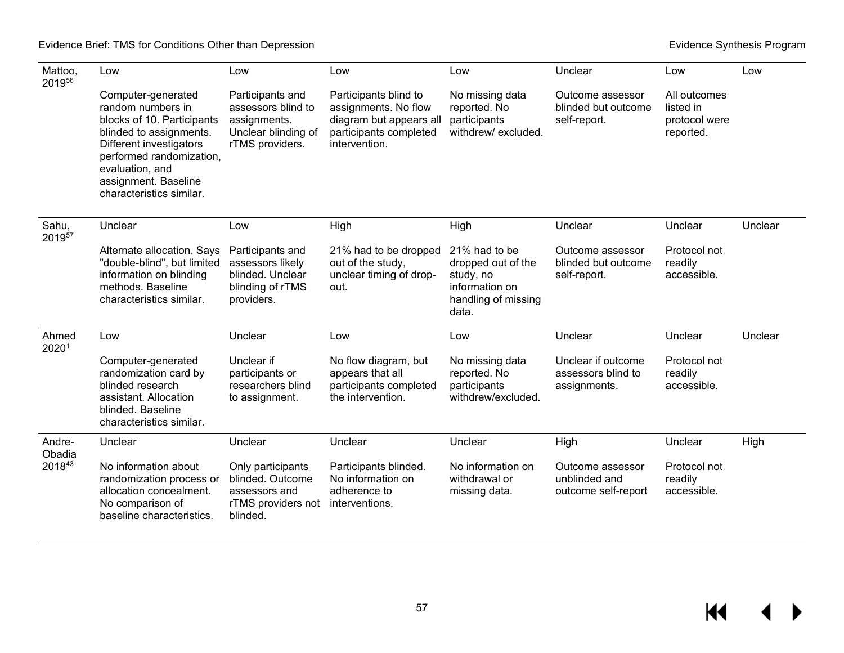| Mattoo,<br>201956 | Low                                                                                                                                                                                                                            | Low                                                                                              | Low                                                                                                                 | Low                                                                                                | Unclear                                                  | Low                                                     | Low     |
|-------------------|--------------------------------------------------------------------------------------------------------------------------------------------------------------------------------------------------------------------------------|--------------------------------------------------------------------------------------------------|---------------------------------------------------------------------------------------------------------------------|----------------------------------------------------------------------------------------------------|----------------------------------------------------------|---------------------------------------------------------|---------|
|                   | Computer-generated<br>random numbers in<br>blocks of 10. Participants<br>blinded to assignments.<br>Different investigators<br>performed randomization,<br>evaluation, and<br>assignment. Baseline<br>characteristics similar. | Participants and<br>assessors blind to<br>assignments.<br>Unclear blinding of<br>rTMS providers. | Participants blind to<br>assignments. No flow<br>diagram but appears all<br>participants completed<br>intervention. | No missing data<br>reported. No<br>participants<br>withdrew/excluded.                              | Outcome assessor<br>blinded but outcome<br>self-report.  | All outcomes<br>listed in<br>protocol were<br>reported. |         |
| Sahu,<br>201957   | Unclear                                                                                                                                                                                                                        | Low                                                                                              | High                                                                                                                | High                                                                                               | Unclear                                                  | Unclear                                                 | Unclear |
|                   | Alternate allocation. Says<br>"double-blind", but limited<br>information on blinding<br>methods. Baseline<br>characteristics similar.                                                                                          | Participants and<br>assessors likely<br>blinded. Unclear<br>blinding of rTMS<br>providers.       | 21% had to be dropped<br>out of the study,<br>unclear timing of drop-<br>out.                                       | 21% had to be<br>dropped out of the<br>study, no<br>information on<br>handling of missing<br>data. | Outcome assessor<br>blinded but outcome<br>self-report.  | Protocol not<br>readily<br>accessible.                  |         |
| Ahmed<br>20201    | Low                                                                                                                                                                                                                            | Unclear                                                                                          | Low                                                                                                                 | Low                                                                                                | Unclear                                                  | Unclear                                                 | Unclear |
|                   | Computer-generated<br>randomization card by<br>blinded research<br>assistant. Allocation<br>blinded. Baseline<br>characteristics similar.                                                                                      | Unclear if<br>participants or<br>researchers blind<br>to assignment.                             | No flow diagram, but<br>appears that all<br>participants completed<br>the intervention.                             | No missing data<br>reported. No<br>participants<br>withdrew/excluded.                              | Unclear if outcome<br>assessors blind to<br>assignments. | Protocol not<br>readily<br>accessible.                  |         |
| Andre-<br>Obadia  | Unclear                                                                                                                                                                                                                        | Unclear                                                                                          | Unclear                                                                                                             | Unclear                                                                                            | High                                                     | Unclear                                                 | High    |
| 201843            | No information about<br>randomization process or<br>allocation concealment.<br>No comparison of<br>baseline characteristics.                                                                                                   | Only participants<br>blinded. Outcome<br>assessors and<br>rTMS providers not<br>blinded.         | Participants blinded.<br>No information on<br>adherence to<br>interventions.                                        | No information on<br>withdrawal or<br>missing data.                                                | Outcome assessor<br>unblinded and<br>outcome self-report | Protocol not<br>readily<br>accessible.                  |         |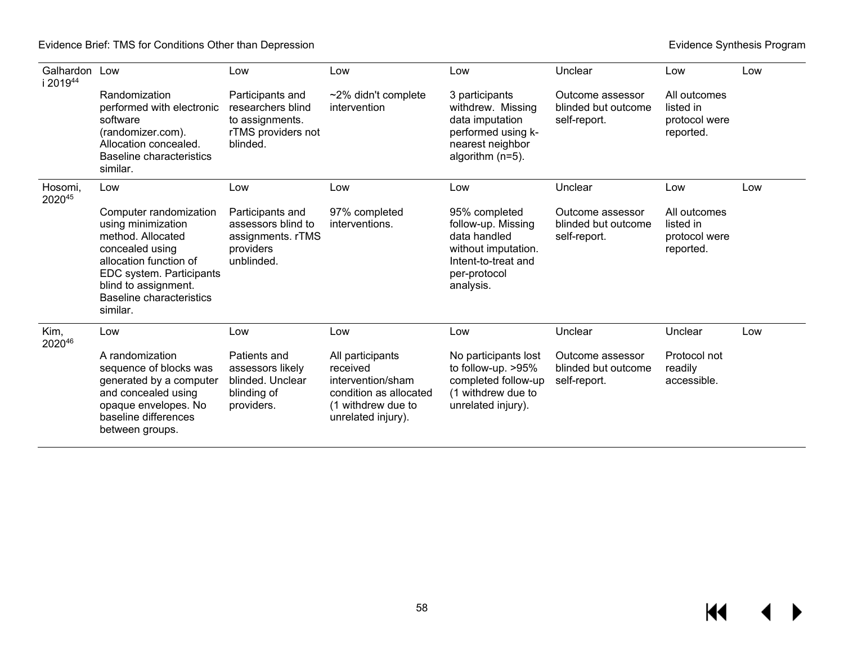| Galhardon Low<br>i 201944 |                                                                                                                                                                                                                   | Low                                                                                        | Low                                                                                                                     | Low                                                                                                                            | Unclear                                                 | Low                                                     | Low |
|---------------------------|-------------------------------------------------------------------------------------------------------------------------------------------------------------------------------------------------------------------|--------------------------------------------------------------------------------------------|-------------------------------------------------------------------------------------------------------------------------|--------------------------------------------------------------------------------------------------------------------------------|---------------------------------------------------------|---------------------------------------------------------|-----|
|                           | Randomization<br>performed with electronic<br>software<br>(randomizer.com).<br>Allocation concealed.<br>Baseline characteristics<br>similar.                                                                      | Participants and<br>researchers blind<br>to assignments.<br>rTMS providers not<br>blinded. | $~2\%$ didn't complete<br>intervention                                                                                  | 3 participants<br>withdrew. Missing<br>data imputation<br>performed using k-<br>nearest neighbor<br>algorithm (n=5).           | Outcome assessor<br>blinded but outcome<br>self-report. | All outcomes<br>listed in<br>protocol were<br>reported. |     |
| Hosomi,<br>202045         | Low                                                                                                                                                                                                               | Low                                                                                        | Low                                                                                                                     | Low                                                                                                                            | Unclear                                                 | Low                                                     | Low |
|                           | Computer randomization<br>using minimization<br>method. Allocated<br>concealed using<br>allocation function of<br>EDC system. Participants<br>blind to assignment.<br><b>Baseline characteristics</b><br>similar. | Participants and<br>assessors blind to<br>assignments. rTMS<br>providers<br>unblinded.     | 97% completed<br>interventions.                                                                                         | 95% completed<br>follow-up. Missing<br>data handled<br>without imputation.<br>Intent-to-treat and<br>per-protocol<br>analysis. | Outcome assessor<br>blinded but outcome<br>self-report. | All outcomes<br>listed in<br>protocol were<br>reported. |     |
| Kim,<br>202046            | Low                                                                                                                                                                                                               | Low                                                                                        | Low                                                                                                                     | Low                                                                                                                            | Unclear                                                 | Unclear                                                 | Low |
|                           | A randomization<br>sequence of blocks was<br>generated by a computer<br>and concealed using<br>opaque envelopes. No<br>baseline differences<br>between groups.                                                    | Patients and<br>assessors likely<br>blinded. Unclear<br>blinding of<br>providers.          | All participants<br>received<br>intervention/sham<br>condition as allocated<br>(1 withdrew due to<br>unrelated injury). | No participants lost<br>to follow-up. >95%<br>completed follow-up<br>(1 withdrew due to<br>unrelated injury).                  | Outcome assessor<br>blinded but outcome<br>self-report. | Protocol not<br>readily<br>accessible.                  |     |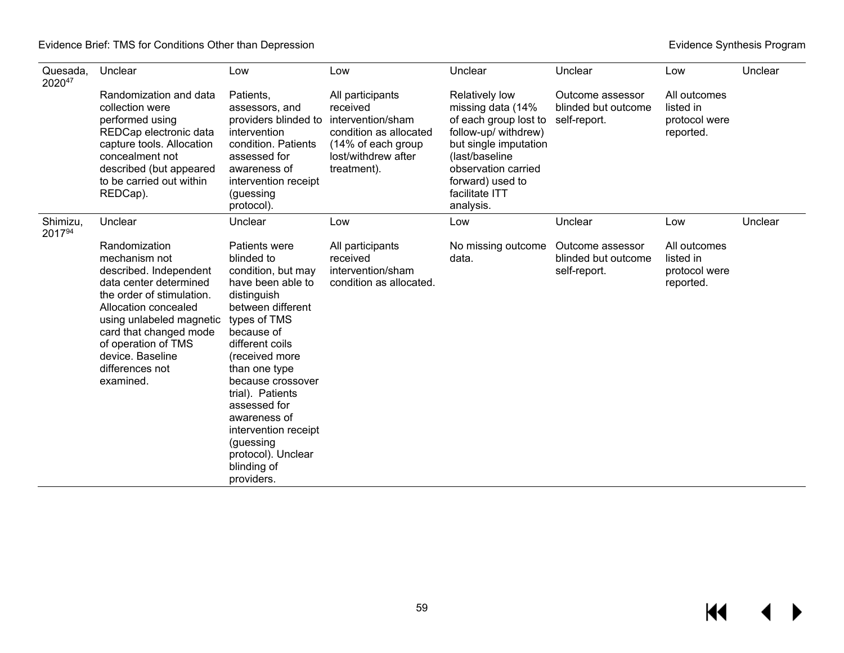| Quesada.<br>202047 | Unclear                                                                                                                                                                                                                                                                  | Low                                                                                                                                                                                                                                                                                                                                                             | Low                                                                                                                                     | Unclear                                                                                                                                                                                                          | Unclear                                                 | Low                                                     | Unclear |
|--------------------|--------------------------------------------------------------------------------------------------------------------------------------------------------------------------------------------------------------------------------------------------------------------------|-----------------------------------------------------------------------------------------------------------------------------------------------------------------------------------------------------------------------------------------------------------------------------------------------------------------------------------------------------------------|-----------------------------------------------------------------------------------------------------------------------------------------|------------------------------------------------------------------------------------------------------------------------------------------------------------------------------------------------------------------|---------------------------------------------------------|---------------------------------------------------------|---------|
|                    | Randomization and data<br>collection were<br>performed using<br>REDCap electronic data<br>capture tools. Allocation<br>concealment not<br>described (but appeared<br>to be carried out within<br>REDCap).                                                                | Patients,<br>assessors, and<br>providers blinded to<br>intervention<br>condition. Patients<br>assessed for<br>awareness of<br>intervention receipt<br>(guessing<br>protocol).                                                                                                                                                                                   | All participants<br>received<br>intervention/sham<br>condition as allocated<br>(14% of each group<br>lost/withdrew after<br>treatment). | <b>Relatively low</b><br>missing data (14%<br>of each group lost to<br>follow-up/ withdrew)<br>but single imputation<br>(last/baseline<br>observation carried<br>forward) used to<br>facilitate ITT<br>analysis. | Outcome assessor<br>blinded but outcome<br>self-report. | All outcomes<br>listed in<br>protocol were<br>reported. |         |
| Shimizu,<br>201794 | Unclear                                                                                                                                                                                                                                                                  | Unclear                                                                                                                                                                                                                                                                                                                                                         | Low                                                                                                                                     | Low                                                                                                                                                                                                              | Unclear                                                 | Low                                                     | Unclear |
|                    | Randomization<br>mechanism not<br>described. Independent<br>data center determined<br>the order of stimulation.<br>Allocation concealed<br>using unlabeled magnetic<br>card that changed mode<br>of operation of TMS<br>device. Baseline<br>differences not<br>examined. | Patients were<br>blinded to<br>condition, but may<br>have been able to<br>distinguish<br>between different<br>types of TMS<br>because of<br>different coils<br>(received more<br>than one type<br>because crossover<br>trial). Patients<br>assessed for<br>awareness of<br>intervention receipt<br>(guessing<br>protocol). Unclear<br>blinding of<br>providers. | All participants<br>received<br>intervention/sham<br>condition as allocated.                                                            | No missing outcome<br>data.                                                                                                                                                                                      | Outcome assessor<br>blinded but outcome<br>self-report. | All outcomes<br>listed in<br>protocol were<br>reported. |         |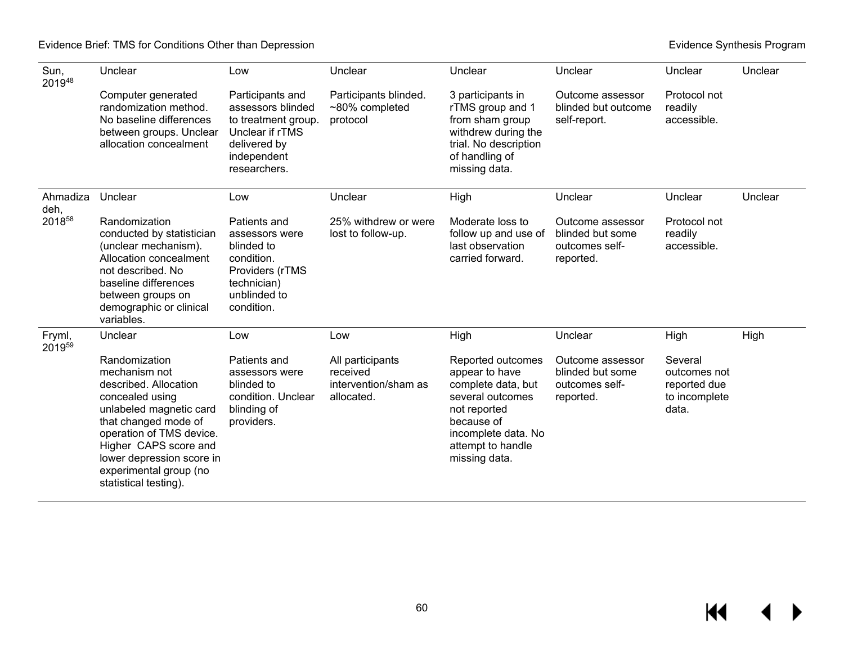| Sun,<br>201948   | Unclear                                                                                                                                                                                                                                                            | Low                                                                                                                            | Unclear                                                            | Unclear                                                                                                                                                                  | Unclear                                                             | Unclear                                                           | Unclear |
|------------------|--------------------------------------------------------------------------------------------------------------------------------------------------------------------------------------------------------------------------------------------------------------------|--------------------------------------------------------------------------------------------------------------------------------|--------------------------------------------------------------------|--------------------------------------------------------------------------------------------------------------------------------------------------------------------------|---------------------------------------------------------------------|-------------------------------------------------------------------|---------|
|                  | Computer generated<br>randomization method.<br>No baseline differences<br>between groups. Unclear<br>allocation concealment                                                                                                                                        | Participants and<br>assessors blinded<br>to treatment group.<br>Unclear if rTMS<br>delivered by<br>independent<br>researchers. | Participants blinded.<br>~80% completed<br>protocol                | 3 participants in<br>rTMS group and 1<br>from sham group<br>withdrew during the<br>trial. No description<br>of handling of<br>missing data.                              | Outcome assessor<br>blinded but outcome<br>self-report.             | Protocol not<br>readily<br>accessible.                            |         |
| Ahmadiza<br>deh, | Unclear                                                                                                                                                                                                                                                            | Low                                                                                                                            | Unclear                                                            | High                                                                                                                                                                     | Unclear                                                             | Unclear                                                           | Unclear |
| 201858           | Randomization<br>conducted by statistician<br>(unclear mechanism).<br>Allocation concealment<br>not described. No<br>baseline differences<br>between groups on<br>demographic or clinical<br>variables.                                                            | Patients and<br>assessors were<br>blinded to<br>condition.<br>Providers (rTMS<br>technician)<br>unblinded to<br>condition.     | 25% withdrew or were<br>lost to follow-up.                         | Moderate loss to<br>follow up and use of<br>last observation<br>carried forward.                                                                                         | Outcome assessor<br>blinded but some<br>outcomes self-<br>reported. | Protocol not<br>readily<br>accessible.                            |         |
| Fryml,<br>201959 | Unclear                                                                                                                                                                                                                                                            | Low                                                                                                                            | Low                                                                | High                                                                                                                                                                     | Unclear                                                             | High                                                              | High    |
|                  | Randomization<br>mechanism not<br>described. Allocation<br>concealed using<br>unlabeled magnetic card<br>that changed mode of<br>operation of TMS device.<br>Higher CAPS score and<br>lower depression score in<br>experimental group (no<br>statistical testing). | Patients and<br>assessors were<br>blinded to<br>condition. Unclear<br>blinding of<br>providers.                                | All participants<br>received<br>intervention/sham as<br>allocated. | Reported outcomes<br>appear to have<br>complete data, but<br>several outcomes<br>not reported<br>because of<br>incomplete data. No<br>attempt to handle<br>missing data. | Outcome assessor<br>blinded but some<br>outcomes self-<br>reported. | Several<br>outcomes not<br>reported due<br>to incomplete<br>data. |         |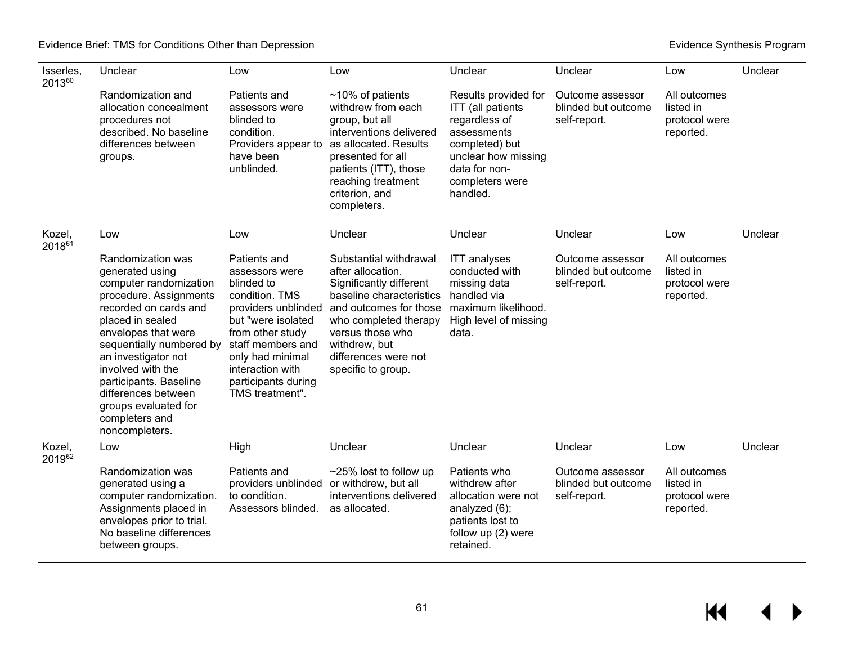| Isserles,<br>201360 | Unclear                                                                                                                                                                                                                                                                                                                                           | Low                                                                                                                                                                                                                                    | Low                                                                                                                                                                                                                                      | Unclear                                                                                                                                                            | Unclear                                                 | Low                                                     | Unclear |
|---------------------|---------------------------------------------------------------------------------------------------------------------------------------------------------------------------------------------------------------------------------------------------------------------------------------------------------------------------------------------------|----------------------------------------------------------------------------------------------------------------------------------------------------------------------------------------------------------------------------------------|------------------------------------------------------------------------------------------------------------------------------------------------------------------------------------------------------------------------------------------|--------------------------------------------------------------------------------------------------------------------------------------------------------------------|---------------------------------------------------------|---------------------------------------------------------|---------|
|                     | Randomization and<br>allocation concealment<br>procedures not<br>described. No baseline<br>differences between<br>groups.                                                                                                                                                                                                                         | Patients and<br>assessors were<br>blinded to<br>condition.<br>Providers appear to<br>have been<br>unblinded.                                                                                                                           | $~10\%$ of patients<br>withdrew from each<br>group, but all<br>interventions delivered<br>as allocated. Results<br>presented for all<br>patients (ITT), those<br>reaching treatment<br>criterion, and<br>completers.                     | Results provided for<br>ITT (all patients<br>regardless of<br>assessments<br>completed) but<br>unclear how missing<br>data for non-<br>completers were<br>handled. | Outcome assessor<br>blinded but outcome<br>self-report. | All outcomes<br>listed in<br>protocol were<br>reported. |         |
| Kozel,<br>201861    | Low                                                                                                                                                                                                                                                                                                                                               | Low                                                                                                                                                                                                                                    | Unclear                                                                                                                                                                                                                                  | Unclear                                                                                                                                                            | Unclear                                                 | Low                                                     | Unclear |
|                     | Randomization was<br>generated using<br>computer randomization<br>procedure. Assignments<br>recorded on cards and<br>placed in sealed<br>envelopes that were<br>sequentially numbered by<br>an investigator not<br>involved with the<br>participants. Baseline<br>differences between<br>groups evaluated for<br>completers and<br>noncompleters. | Patients and<br>assessors were<br>blinded to<br>condition. TMS<br>providers unblinded<br>but "were isolated<br>from other study<br>staff members and<br>only had minimal<br>interaction with<br>participants during<br>TMS treatment". | Substantial withdrawal<br>after allocation.<br>Significantly different<br>baseline characteristics<br>and outcomes for those<br>who completed therapy<br>versus those who<br>withdrew, but<br>differences were not<br>specific to group. | <b>ITT</b> analyses<br>conducted with<br>missing data<br>handled via<br>maximum likelihood.<br>High level of missing<br>data.                                      | Outcome assessor<br>blinded but outcome<br>self-report. | All outcomes<br>listed in<br>protocol were<br>reported. |         |
| Kozel,<br>201962    | Low                                                                                                                                                                                                                                                                                                                                               | High                                                                                                                                                                                                                                   | Unclear                                                                                                                                                                                                                                  | Unclear                                                                                                                                                            | Unclear                                                 | Low                                                     | Unclear |
|                     | Randomization was<br>generated using a<br>computer randomization.<br>Assignments placed in<br>envelopes prior to trial.<br>No baseline differences<br>between groups.                                                                                                                                                                             | Patients and<br>providers unblinded<br>to condition.<br>Assessors blinded.                                                                                                                                                             | ~25% lost to follow up<br>or withdrew, but all<br>interventions delivered<br>as allocated.                                                                                                                                               | Patients who<br>withdrew after<br>allocation were not<br>analyzed (6);<br>patients lost to<br>follow up (2) were<br>retained.                                      | Outcome assessor<br>blinded but outcome<br>self-report. | All outcomes<br>listed in<br>protocol were<br>reported. |         |

 $M = 1$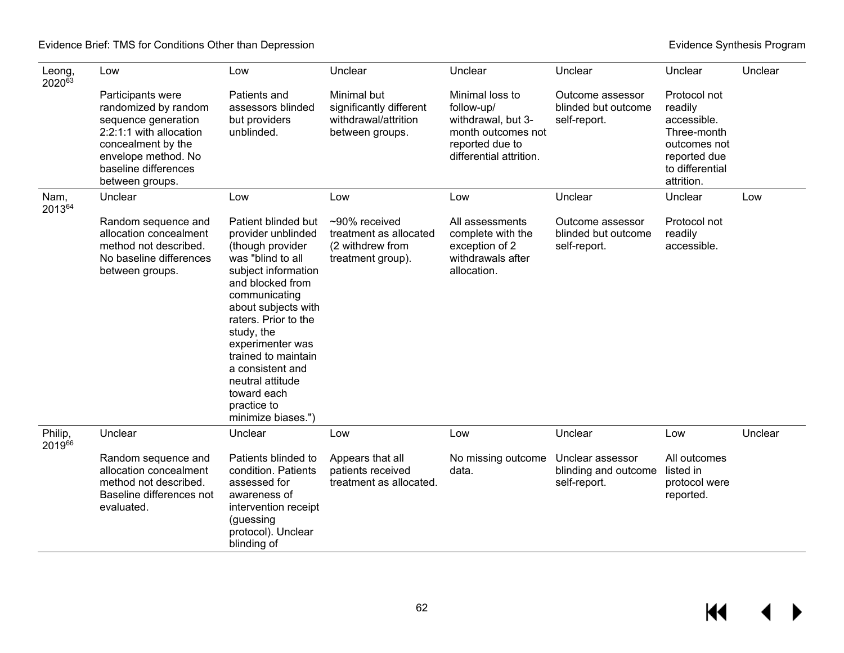| Leong,<br>202063  | Low                                                                                                                                                                                 | Low                                                                                                                                                                                                                                                                                                                                                | Unclear                                                                           | Unclear                                                                                                                 | Unclear                                                  | Unclear                                                                                                                | Unclear |
|-------------------|-------------------------------------------------------------------------------------------------------------------------------------------------------------------------------------|----------------------------------------------------------------------------------------------------------------------------------------------------------------------------------------------------------------------------------------------------------------------------------------------------------------------------------------------------|-----------------------------------------------------------------------------------|-------------------------------------------------------------------------------------------------------------------------|----------------------------------------------------------|------------------------------------------------------------------------------------------------------------------------|---------|
|                   | Participants were<br>randomized by random<br>sequence generation<br>2:2:1:1 with allocation<br>concealment by the<br>envelope method. No<br>baseline differences<br>between groups. | Patients and<br>assessors blinded<br>but providers<br>unblinded.                                                                                                                                                                                                                                                                                   | Minimal but<br>significantly different<br>withdrawal/attrition<br>between groups. | Minimal loss to<br>follow-up/<br>withdrawal, but 3-<br>month outcomes not<br>reported due to<br>differential attrition. | Outcome assessor<br>blinded but outcome<br>self-report.  | Protocol not<br>readily<br>accessible.<br>Three-month<br>outcomes not<br>reported due<br>to differential<br>attrition. |         |
| Nam,<br>201364    | Unclear                                                                                                                                                                             | Low                                                                                                                                                                                                                                                                                                                                                | Low                                                                               | Low                                                                                                                     | Unclear                                                  | Unclear                                                                                                                | Low     |
|                   | Random sequence and<br>allocation concealment<br>method not described.<br>No baseline differences<br>between groups.                                                                | Patient blinded but<br>provider unblinded<br>(though provider<br>was "blind to all<br>subject information<br>and blocked from<br>communicating<br>about subjects with<br>raters. Prior to the<br>study, the<br>experimenter was<br>trained to maintain<br>a consistent and<br>neutral attitude<br>toward each<br>practice to<br>minimize biases.") | ~90% received<br>treatment as allocated<br>(2 withdrew from<br>treatment group).  | All assessments<br>complete with the<br>exception of 2<br>withdrawals after<br>allocation.                              | Outcome assessor<br>blinded but outcome<br>self-report.  | Protocol not<br>readily<br>accessible.                                                                                 |         |
| Philip,<br>201966 | Unclear                                                                                                                                                                             | Unclear                                                                                                                                                                                                                                                                                                                                            | Low                                                                               | Low                                                                                                                     | Unclear                                                  | Low                                                                                                                    | Unclear |
|                   | Random sequence and<br>allocation concealment<br>method not described.<br>Baseline differences not<br>evaluated.                                                                    | Patients blinded to<br>condition. Patients<br>assessed for<br>awareness of<br>intervention receipt<br>(guessing<br>protocol). Unclear<br>blinding of                                                                                                                                                                                               | Appears that all<br>patients received<br>treatment as allocated.                  | No missing outcome<br>data.                                                                                             | Unclear assessor<br>blinding and outcome<br>self-report. | All outcomes<br>listed in<br>protocol were<br>reported.                                                                |         |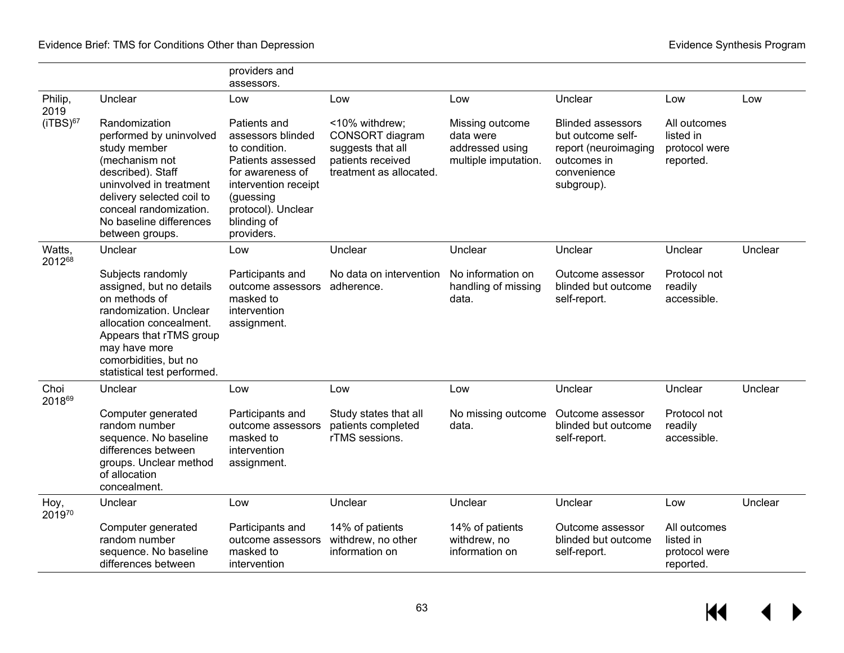|                  |                                                                                                                                                                                                                                 | providers and<br>assessors.                                                                                                                                                         |                                                                                                        |                                                                         |                                                                                                                   |                                                         |         |
|------------------|---------------------------------------------------------------------------------------------------------------------------------------------------------------------------------------------------------------------------------|-------------------------------------------------------------------------------------------------------------------------------------------------------------------------------------|--------------------------------------------------------------------------------------------------------|-------------------------------------------------------------------------|-------------------------------------------------------------------------------------------------------------------|---------------------------------------------------------|---------|
| Philip,<br>2019  | Unclear                                                                                                                                                                                                                         | Low                                                                                                                                                                                 | Low                                                                                                    | Low                                                                     | Unclear                                                                                                           | Low                                                     | Low     |
| $(iTBS)^{67}$    | Randomization<br>performed by uninvolved<br>study member<br>(mechanism not<br>described). Staff<br>uninvolved in treatment<br>delivery selected coil to<br>conceal randomization.<br>No baseline differences<br>between groups. | Patients and<br>assessors blinded<br>to condition.<br>Patients assessed<br>for awareness of<br>intervention receipt<br>(guessing<br>protocol). Unclear<br>blinding of<br>providers. | <10% withdrew;<br>CONSORT diagram<br>suggests that all<br>patients received<br>treatment as allocated. | Missing outcome<br>data were<br>addressed using<br>multiple imputation. | <b>Blinded assessors</b><br>but outcome self-<br>report (neuroimaging<br>outcomes in<br>convenience<br>subgroup). | All outcomes<br>listed in<br>protocol were<br>reported. |         |
| Watts,<br>201268 | Unclear                                                                                                                                                                                                                         | Low                                                                                                                                                                                 | Unclear                                                                                                | Unclear                                                                 | Unclear                                                                                                           | Unclear                                                 | Unclear |
|                  | Subjects randomly<br>assigned, but no details<br>on methods of<br>randomization. Unclear<br>allocation concealment.<br>Appears that rTMS group<br>may have more<br>comorbidities, but no<br>statistical test performed.         | Participants and<br>outcome assessors<br>masked to<br>intervention<br>assignment.                                                                                                   | No data on intervention<br>adherence.                                                                  | No information on<br>handling of missing<br>data.                       | Outcome assessor<br>blinded but outcome<br>self-report.                                                           | Protocol not<br>readily<br>accessible.                  |         |
| Choi<br>201869   | Unclear                                                                                                                                                                                                                         | Low                                                                                                                                                                                 | Low                                                                                                    | Low                                                                     | Unclear                                                                                                           | Unclear                                                 | Unclear |
|                  | Computer generated<br>random number<br>sequence. No baseline<br>differences between<br>groups. Unclear method<br>of allocation<br>concealment.                                                                                  | Participants and<br>outcome assessors<br>masked to<br>intervention<br>assignment.                                                                                                   | Study states that all<br>patients completed<br>rTMS sessions.                                          | No missing outcome<br>data.                                             | Outcome assessor<br>blinded but outcome<br>self-report.                                                           | Protocol not<br>readily<br>accessible.                  |         |
| Hoy,<br>201970   | Unclear                                                                                                                                                                                                                         | Low                                                                                                                                                                                 | Unclear                                                                                                | Unclear                                                                 | Unclear                                                                                                           | Low                                                     | Unclear |
|                  | Computer generated<br>random number<br>sequence. No baseline<br>differences between                                                                                                                                             | Participants and<br>outcome assessors<br>masked to<br>intervention                                                                                                                  | 14% of patients<br>withdrew, no other<br>information on                                                | 14% of patients<br>withdrew, no<br>information on                       | Outcome assessor<br>blinded but outcome<br>self-report.                                                           | All outcomes<br>listed in<br>protocol were<br>reported. |         |

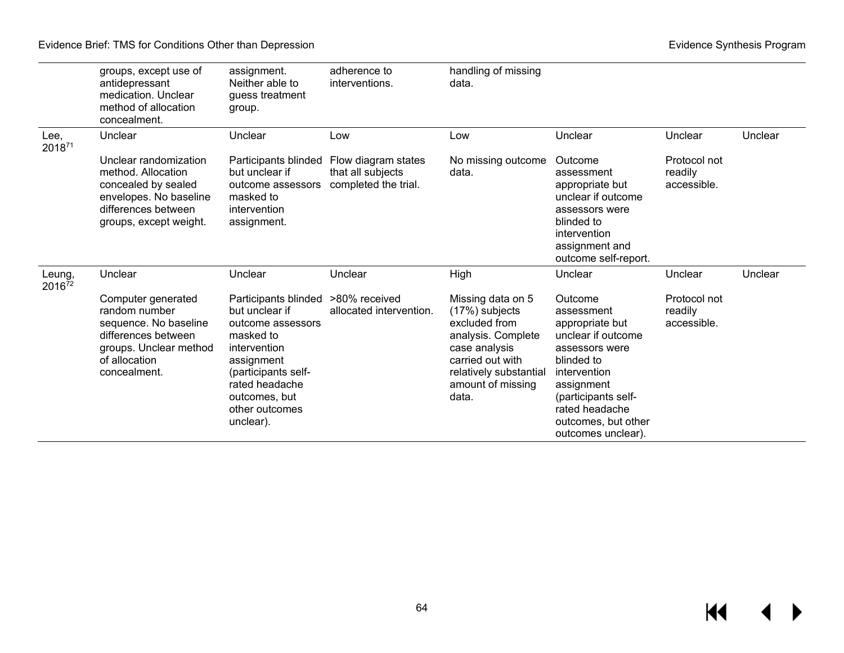Evidence Brief: TMS for Conditions Other than Depression **Evidence** Synthesis Program **Evidence Synthesis Program** 

|                  | groups, except use of<br>antidepressant<br>medication. Unclear<br>method of allocation<br>concealment.                                         | assignment.<br>Neither able to<br>guess treatment<br>group.                                                                                                                                     | adherence to<br>interventions.                                   | handling of missing<br>data.                                                                                                                                            |                                                                                                                                                                                                                    |                                        |         |
|------------------|------------------------------------------------------------------------------------------------------------------------------------------------|-------------------------------------------------------------------------------------------------------------------------------------------------------------------------------------------------|------------------------------------------------------------------|-------------------------------------------------------------------------------------------------------------------------------------------------------------------------|--------------------------------------------------------------------------------------------------------------------------------------------------------------------------------------------------------------------|----------------------------------------|---------|
| Lee,<br>201871   | Unclear                                                                                                                                        | Unclear                                                                                                                                                                                         | Low                                                              | Low                                                                                                                                                                     | Unclear                                                                                                                                                                                                            | Unclear                                | Unclear |
|                  | Unclear randomization<br>method. Allocation<br>concealed by sealed<br>envelopes. No baseline<br>differences between<br>groups, except weight.  | Participants blinded<br>but unclear if<br>outcome assessors<br>masked to<br>intervention<br>assignment.                                                                                         | Flow diagram states<br>that all subjects<br>completed the trial. | No missing outcome<br>data.                                                                                                                                             | Outcome<br>assessment<br>appropriate but<br>unclear if outcome<br>assessors were<br>blinded to<br>intervention<br>assignment and<br>outcome self-report.                                                           | Protocol not<br>readily<br>accessible. |         |
| Leung,<br>201672 | Unclear                                                                                                                                        | Unclear                                                                                                                                                                                         | Unclear                                                          | High                                                                                                                                                                    | Unclear                                                                                                                                                                                                            | Unclear                                | Unclear |
|                  | Computer generated<br>random number<br>sequence. No baseline<br>differences between<br>groups. Unclear method<br>of allocation<br>concealment. | Participants blinded<br>but unclear if<br>outcome assessors<br>masked to<br>intervention<br>assignment<br>(participants self-<br>rated headache<br>outcomes, but<br>other outcomes<br>unclear). | >80% received<br>allocated intervention.                         | Missing data on 5<br>(17%) subjects<br>excluded from<br>analysis. Complete<br>case analysis<br>carried out with<br>relatively substantial<br>amount of missing<br>data. | Outcome<br>assessment<br>appropriate but<br>unclear if outcome<br>assessors were<br>blinded to<br>intervention<br>assignment<br>(participants self-<br>rated headache<br>outcomes, but other<br>outcomes unclear). | Protocol not<br>readily<br>accessible. |         |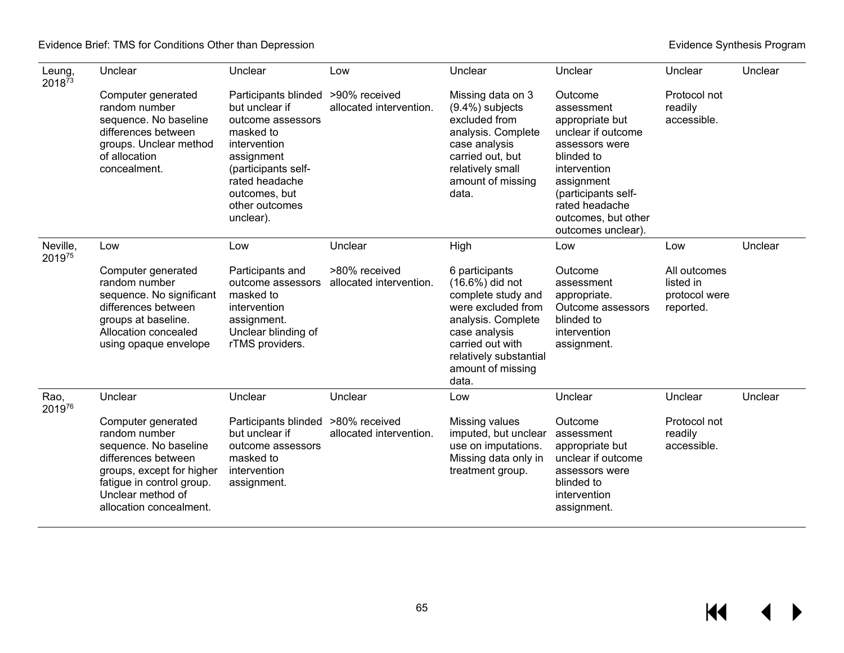| Leung,<br>201873   | Unclear                                                                                                                                                                                       | Unclear                                                                                                                                                                                                       | Low                                      | Unclear                                                                                                                                                                                          | Unclear                                                                                                                                                                                                            | Unclear                                                 | Unclear |
|--------------------|-----------------------------------------------------------------------------------------------------------------------------------------------------------------------------------------------|---------------------------------------------------------------------------------------------------------------------------------------------------------------------------------------------------------------|------------------------------------------|--------------------------------------------------------------------------------------------------------------------------------------------------------------------------------------------------|--------------------------------------------------------------------------------------------------------------------------------------------------------------------------------------------------------------------|---------------------------------------------------------|---------|
|                    | Computer generated<br>random number<br>sequence. No baseline<br>differences between<br>groups. Unclear method<br>of allocation<br>concealment.                                                | Participants blinded >90% received<br>but unclear if<br>outcome assessors<br>masked to<br>intervention<br>assignment<br>(participants self-<br>rated headache<br>outcomes, but<br>other outcomes<br>unclear). | allocated intervention.                  | Missing data on 3<br>$(9.4\%)$ subjects<br>excluded from<br>analysis. Complete<br>case analysis<br>carried out, but<br>relatively small<br>amount of missing<br>data.                            | Outcome<br>assessment<br>appropriate but<br>unclear if outcome<br>assessors were<br>blinded to<br>intervention<br>assignment<br>(participants self-<br>rated headache<br>outcomes, but other<br>outcomes unclear). | Protocol not<br>readily<br>accessible.                  |         |
| Neville,<br>201975 | Low                                                                                                                                                                                           | Low                                                                                                                                                                                                           | Unclear                                  | High                                                                                                                                                                                             | Low                                                                                                                                                                                                                | Low                                                     | Unclear |
|                    | Computer generated<br>random number<br>sequence. No significant<br>differences between<br>groups at baseline.<br>Allocation concealed<br>using opaque envelope                                | Participants and<br>outcome assessors<br>masked to<br>intervention<br>assignment.<br>Unclear blinding of<br>rTMS providers.                                                                                   | >80% received<br>allocated intervention. | 6 participants<br>(16.6%) did not<br>complete study and<br>were excluded from<br>analysis. Complete<br>case analysis<br>carried out with<br>relatively substantial<br>amount of missing<br>data. | Outcome<br>assessment<br>appropriate.<br>Outcome assessors<br>blinded to<br>intervention<br>assignment.                                                                                                            | All outcomes<br>listed in<br>protocol were<br>reported. |         |
| Rao,<br>201976     | Unclear                                                                                                                                                                                       | Unclear                                                                                                                                                                                                       | Unclear                                  | Low                                                                                                                                                                                              | Unclear                                                                                                                                                                                                            | Unclear                                                 | Unclear |
|                    | Computer generated<br>random number<br>sequence. No baseline<br>differences between<br>groups, except for higher<br>fatigue in control group.<br>Unclear method of<br>allocation concealment. | Participants blinded<br>but unclear if<br>outcome assessors<br>masked to<br>intervention<br>assignment.                                                                                                       | >80% received<br>allocated intervention. | Missing values<br>imputed, but unclear<br>use on imputations.<br>Missing data only in<br>treatment group.                                                                                        | Outcome<br>assessment<br>appropriate but<br>unclear if outcome<br>assessors were<br>blinded to<br>intervention<br>assignment.                                                                                      | Protocol not<br>readily<br>accessible.                  |         |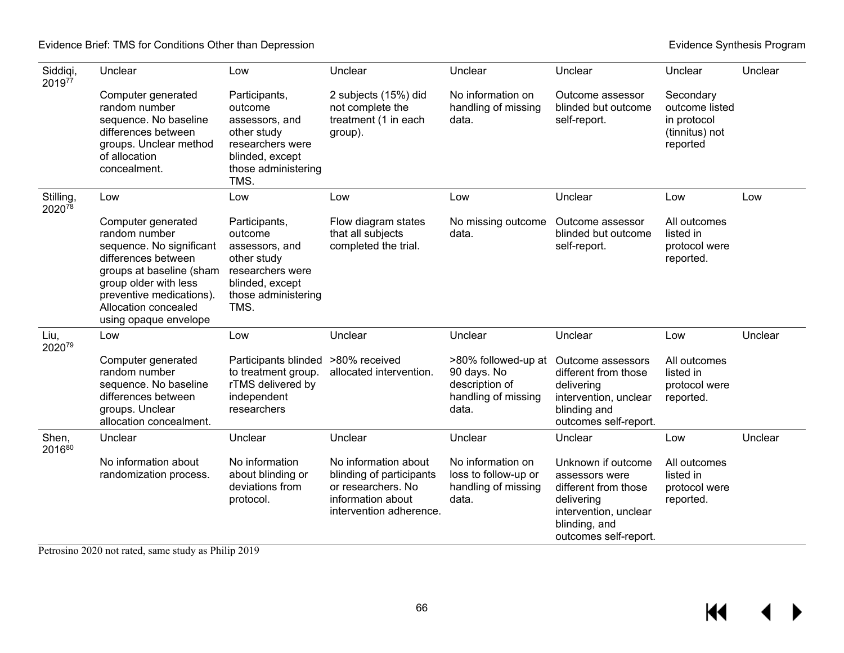### Evidence Brief: TMS for Conditions Other than Depression **Evidence** Synthesis Program **Evidence Synthesis Program**

| Siddiqi,<br>201977  | Unclear                                                                                                                                                                                                                  | Low                                                                                                                             | Unclear                                                                                                                | Unclear                                                                              | Unclear                                                                                                                                       | Unclear                                                                  | Unclear |
|---------------------|--------------------------------------------------------------------------------------------------------------------------------------------------------------------------------------------------------------------------|---------------------------------------------------------------------------------------------------------------------------------|------------------------------------------------------------------------------------------------------------------------|--------------------------------------------------------------------------------------|-----------------------------------------------------------------------------------------------------------------------------------------------|--------------------------------------------------------------------------|---------|
|                     | Computer generated<br>random number<br>sequence. No baseline<br>differences between<br>groups. Unclear method<br>of allocation<br>concealment.                                                                           | Participants,<br>outcome<br>assessors, and<br>other study<br>researchers were<br>blinded, except<br>those administering<br>TMS. | 2 subjects (15%) did<br>not complete the<br>treatment (1 in each<br>group).                                            | No information on<br>handling of missing<br>data.                                    | Outcome assessor<br>blinded but outcome<br>self-report.                                                                                       | Secondary<br>outcome listed<br>in protocol<br>(tinnitus) not<br>reported |         |
| Stilling,<br>202078 | Low                                                                                                                                                                                                                      | Low                                                                                                                             | Low                                                                                                                    | Low                                                                                  | Unclear                                                                                                                                       | Low                                                                      | Low     |
|                     | Computer generated<br>random number<br>sequence. No significant<br>differences between<br>groups at baseline (sham<br>group older with less<br>preventive medications).<br>Allocation concealed<br>using opaque envelope | Participants,<br>outcome<br>assessors, and<br>other study<br>researchers were<br>blinded, except<br>those administering<br>TMS. | Flow diagram states<br>that all subjects<br>completed the trial.                                                       | No missing outcome<br>data.                                                          | Outcome assessor<br>blinded but outcome<br>self-report.                                                                                       | All outcomes<br>listed in<br>protocol were<br>reported.                  |         |
| Liu,<br>202079      | Low                                                                                                                                                                                                                      | Low                                                                                                                             | Unclear                                                                                                                | Unclear                                                                              | Unclear                                                                                                                                       | Low                                                                      | Unclear |
|                     | Computer generated<br>random number<br>sequence. No baseline<br>differences between<br>groups. Unclear<br>allocation concealment.                                                                                        | Participants blinded<br>to treatment group.<br>rTMS delivered by<br>independent<br>researchers                                  | >80% received<br>allocated intervention.                                                                               | >80% followed-up at<br>90 days. No<br>description of<br>handling of missing<br>data. | Outcome assessors<br>different from those<br>delivering<br>intervention, unclear<br>blinding and<br>outcomes self-report.                     | All outcomes<br>listed in<br>protocol were<br>reported.                  |         |
| Shen,<br>201680     | Unclear                                                                                                                                                                                                                  | Unclear                                                                                                                         | Unclear                                                                                                                | Unclear                                                                              | Unclear                                                                                                                                       | Low                                                                      | Unclear |
|                     | No information about<br>randomization process.                                                                                                                                                                           | No information<br>about blinding or<br>deviations from<br>protocol.                                                             | No information about<br>blinding of participants<br>or researchers. No<br>information about<br>intervention adherence. | No information on<br>loss to follow-up or<br>handling of missing<br>data.            | Unknown if outcome<br>assessors were<br>different from those<br>delivering<br>intervention, unclear<br>blinding, and<br>outcomes self-report. | All outcomes<br>listed in<br>protocol were<br>reported.                  |         |

Petrosino 2020 not rated, same study as Philip 2019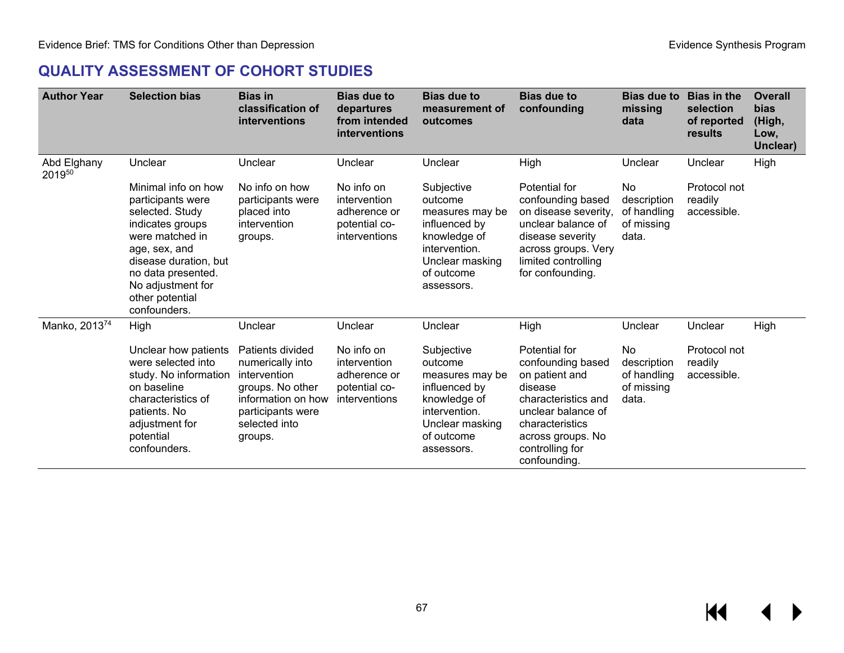# **QUALITY ASSESSMENT OF COHORT STUDIES**

| <b>Author Year</b>    | <b>Selection bias</b>                                                                                                                                                                                                      | <b>Bias in</b><br>classification of<br>interventions                                                                                            | <b>Bias due to</b><br>departures<br>from intended<br>interventions           | <b>Bias due to</b><br>measurement of<br>outcomes                                                                                          | <b>Bias due to</b><br>confounding                                                                                                                                                       | <b>Bias due to</b><br>missing<br>data                   | <b>Bias in the</b><br>selection<br>of reported<br>results | <b>Overall</b><br>bias<br>(High,<br>Low,<br>Unclear) |
|-----------------------|----------------------------------------------------------------------------------------------------------------------------------------------------------------------------------------------------------------------------|-------------------------------------------------------------------------------------------------------------------------------------------------|------------------------------------------------------------------------------|-------------------------------------------------------------------------------------------------------------------------------------------|-----------------------------------------------------------------------------------------------------------------------------------------------------------------------------------------|---------------------------------------------------------|-----------------------------------------------------------|------------------------------------------------------|
| Abd Elghany<br>201950 | Unclear                                                                                                                                                                                                                    | Unclear                                                                                                                                         | Unclear                                                                      | Unclear                                                                                                                                   | High                                                                                                                                                                                    | Unclear                                                 | Unclear                                                   | High                                                 |
|                       | Minimal info on how<br>participants were<br>selected. Study<br>indicates groups<br>were matched in<br>age, sex, and<br>disease duration, but<br>no data presented.<br>No adjustment for<br>other potential<br>confounders. | No info on how<br>participants were<br>placed into<br>intervention<br>groups.                                                                   | No info on<br>intervention<br>adherence or<br>potential co-<br>interventions | Subjective<br>outcome<br>measures may be<br>influenced by<br>knowledge of<br>intervention.<br>Unclear masking<br>of outcome<br>assessors. | Potential for<br>confounding based<br>on disease severity,<br>unclear balance of<br>disease severity<br>across groups. Very<br>limited controlling<br>for confounding.                  | No<br>description<br>of handling<br>of missing<br>data. | Protocol not<br>readily<br>accessible.                    |                                                      |
| Manko, 201374         | High                                                                                                                                                                                                                       | Unclear                                                                                                                                         | Unclear                                                                      | Unclear                                                                                                                                   | High                                                                                                                                                                                    | Unclear                                                 | Unclear                                                   | High                                                 |
|                       | Unclear how patients<br>were selected into<br>study. No information<br>on baseline<br>characteristics of<br>patients. No<br>adjustment for<br>potential<br>confounders.                                                    | Patients divided<br>numerically into<br>intervention<br>groups. No other<br>information on how<br>participants were<br>selected into<br>groups. | No info on<br>intervention<br>adherence or<br>potential co-<br>interventions | Subjective<br>outcome<br>measures may be<br>influenced by<br>knowledge of<br>intervention.<br>Unclear masking<br>of outcome<br>assessors. | Potential for<br>confounding based<br>on patient and<br>disease<br>characteristics and<br>unclear balance of<br>characteristics<br>across groups. No<br>controlling for<br>confounding. | No<br>description<br>of handling<br>of missing<br>data. | Protocol not<br>readily<br>accessible.                    |                                                      |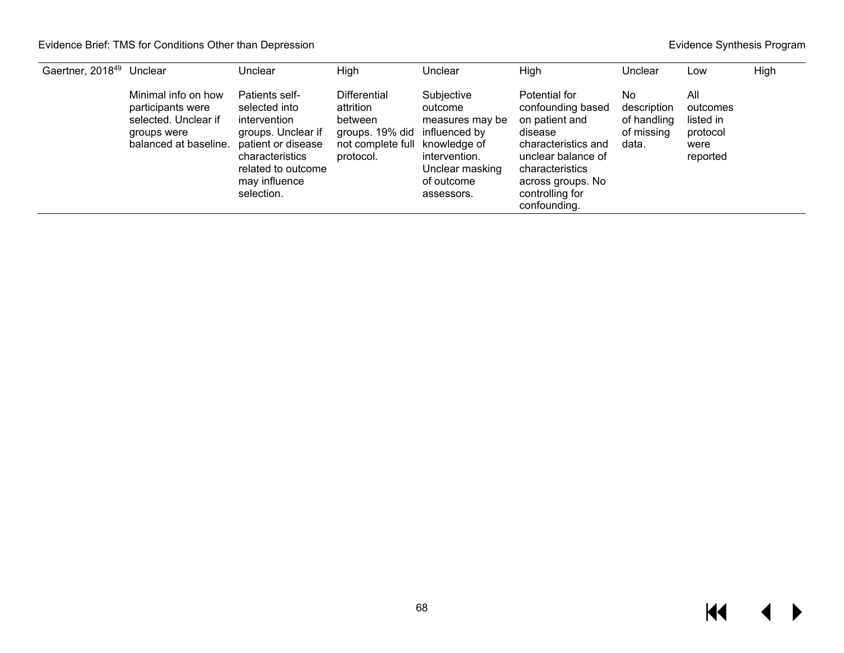| Gaertner, 2018 <sup>49</sup> | Unclear                                                                                                  | Unclear                                                                                                                                                             | <b>High</b>                                                                                                   | Unclear                                                                                                                   | High                                                                                                                                                                                    | Unclear                                                 | Low                                                          | High |
|------------------------------|----------------------------------------------------------------------------------------------------------|---------------------------------------------------------------------------------------------------------------------------------------------------------------------|---------------------------------------------------------------------------------------------------------------|---------------------------------------------------------------------------------------------------------------------------|-----------------------------------------------------------------------------------------------------------------------------------------------------------------------------------------|---------------------------------------------------------|--------------------------------------------------------------|------|
|                              | Minimal info on how<br>participants were<br>selected. Unclear if<br>groups were<br>balanced at baseline. | Patients self-<br>selected into<br>intervention<br>groups. Unclear if<br>patient or disease<br>characteristics<br>related to outcome<br>may influence<br>selection. | <b>Differential</b><br>attrition<br>between<br>groups. 19% did<br>not complete full knowledge of<br>protocol. | Subjective<br>outcome<br>measures may be<br>influenced by<br>intervention.<br>Unclear masking<br>of outcome<br>assessors. | Potential for<br>confounding based<br>on patient and<br>disease<br>characteristics and<br>unclear balance of<br>characteristics<br>across groups. No<br>controlling for<br>confounding. | No<br>description<br>of handling<br>of missing<br>data. | All<br>outcomes<br>listed in<br>protocol<br>were<br>reported |      |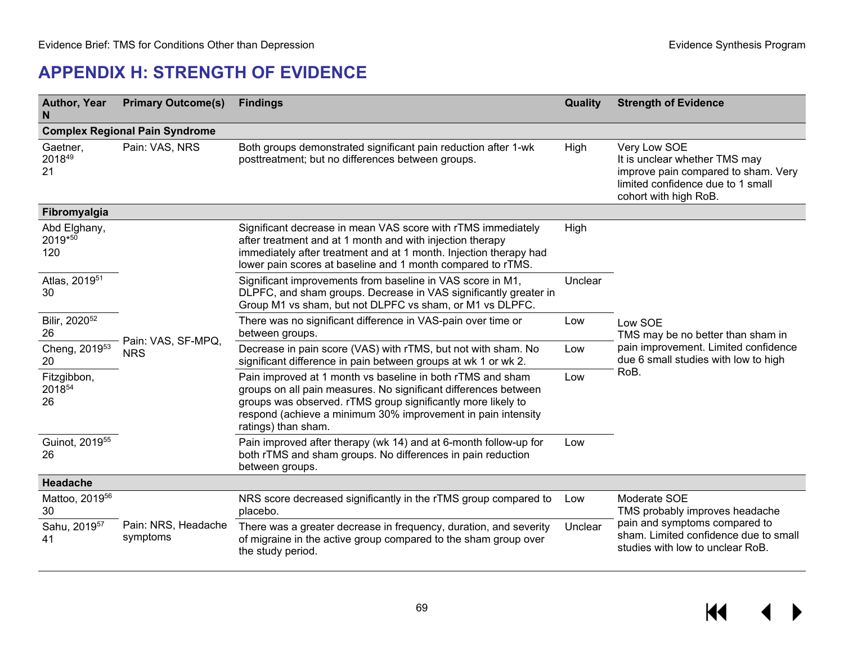# **APPENDIX H: STRENGTH OF EVIDENCE**

| <b>Author, Year</b><br>N              | <b>Primary Outcome(s)</b>        | <b>Findings</b>                                                                                                                                                                                                                                                                      | Quality | <b>Strength of Evidence</b>                                                                                                                        |  |  |  |
|---------------------------------------|----------------------------------|--------------------------------------------------------------------------------------------------------------------------------------------------------------------------------------------------------------------------------------------------------------------------------------|---------|----------------------------------------------------------------------------------------------------------------------------------------------------|--|--|--|
| <b>Complex Regional Pain Syndrome</b> |                                  |                                                                                                                                                                                                                                                                                      |         |                                                                                                                                                    |  |  |  |
| Gaetner,<br>201849<br>21              | Pain: VAS, NRS                   | Both groups demonstrated significant pain reduction after 1-wk<br>High<br>posttreatment; but no differences between groups.                                                                                                                                                          |         | Very Low SOE<br>It is unclear whether TMS may<br>improve pain compared to sham. Very<br>limited confidence due to 1 small<br>cohort with high RoB. |  |  |  |
| Fibromyalgia                          |                                  |                                                                                                                                                                                                                                                                                      |         |                                                                                                                                                    |  |  |  |
| Abd Elghany,<br>2019*50<br>120        |                                  | Significant decrease in mean VAS score with rTMS immediately<br>after treatment and at 1 month and with injection therapy<br>immediately after treatment and at 1 month. Injection therapy had<br>lower pain scores at baseline and 1 month compared to rTMS.                        | High    |                                                                                                                                                    |  |  |  |
| Atlas, 2019 <sup>51</sup><br>30       |                                  | Significant improvements from baseline in VAS score in M1,<br>DLPFC, and sham groups. Decrease in VAS significantly greater in<br>Group M1 vs sham, but not DLPFC vs sham, or M1 vs DLPFC.                                                                                           | Unclear |                                                                                                                                                    |  |  |  |
| Bilir, 2020 <sup>52</sup><br>26       | Pain: VAS, SF-MPQ,<br><b>NRS</b> | There was no significant difference in VAS-pain over time or<br>between groups.                                                                                                                                                                                                      | Low     | Low SOE<br>TMS may be no better than sham in                                                                                                       |  |  |  |
| Cheng, 2019 <sup>53</sup><br>20       |                                  | Decrease in pain score (VAS) with rTMS, but not with sham. No<br>significant difference in pain between groups at wk 1 or wk 2.                                                                                                                                                      | Low     | pain improvement. Limited confidence<br>due 6 small studies with low to high                                                                       |  |  |  |
| Fitzgibbon,<br>201854<br>26           |                                  | Pain improved at 1 month vs baseline in both rTMS and sham<br>groups on all pain measures. No significant differences between<br>groups was observed. rTMS group significantly more likely to<br>respond (achieve a minimum 30% improvement in pain intensity<br>ratings) than sham. | Low     | RoB.                                                                                                                                               |  |  |  |
| Guinot, 2019 <sup>55</sup><br>26      |                                  | Pain improved after therapy (wk 14) and at 6-month follow-up for<br>both rTMS and sham groups. No differences in pain reduction<br>between groups.                                                                                                                                   | Low     |                                                                                                                                                    |  |  |  |
| Headache                              |                                  |                                                                                                                                                                                                                                                                                      |         |                                                                                                                                                    |  |  |  |
| Mattoo, 2019 <sup>56</sup><br>30      |                                  | NRS score decreased significantly in the rTMS group compared to<br>placebo.                                                                                                                                                                                                          |         | Moderate SOE<br>TMS probably improves headache                                                                                                     |  |  |  |
| Sahu, 2019 <sup>57</sup><br>41        | Pain: NRS, Headache<br>symptoms  | There was a greater decrease in frequency, duration, and severity<br>of migraine in the active group compared to the sham group over<br>the study period.                                                                                                                            | Unclear | pain and symptoms compared to<br>sham. Limited confidence due to small<br>studies with low to unclear RoB.                                         |  |  |  |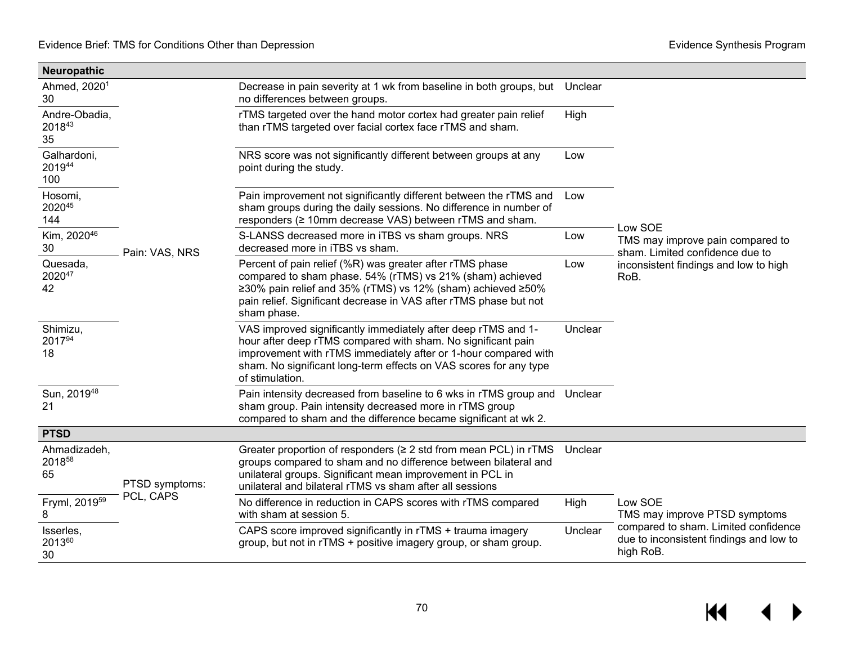| Neuropathic                    |                |                                                                                                                                                                                                                                                                                          |         |                                                                                              |
|--------------------------------|----------------|------------------------------------------------------------------------------------------------------------------------------------------------------------------------------------------------------------------------------------------------------------------------------------------|---------|----------------------------------------------------------------------------------------------|
| Ahmed, 2020 <sup>1</sup><br>30 |                | Decrease in pain severity at 1 wk from baseline in both groups, but<br>no differences between groups.                                                                                                                                                                                    | Unclear |                                                                                              |
| Andre-Obadia,<br>201843<br>35  | Pain: VAS, NRS | rTMS targeted over the hand motor cortex had greater pain relief<br>than rTMS targeted over facial cortex face rTMS and sham.                                                                                                                                                            | High    |                                                                                              |
| Galhardoni,<br>201944<br>100   |                | NRS score was not significantly different between groups at any<br>point during the study.                                                                                                                                                                                               | Low     |                                                                                              |
| Hosomi,<br>202045<br>144       |                | Pain improvement not significantly different between the rTMS and<br>sham groups during the daily sessions. No difference in number of<br>responders (≥ 10mm decrease VAS) between rTMS and sham.                                                                                        | Low     | Low SOE                                                                                      |
| Kim, 2020 <sup>46</sup><br>30  |                | S-LANSS decreased more in iTBS vs sham groups. NRS<br>decreased more in iTBS vs sham.                                                                                                                                                                                                    | Low     | TMS may improve pain compared to<br>sham. Limited confidence due to                          |
| Quesada,<br>202047<br>42       |                | Percent of pain relief (%R) was greater after rTMS phase<br>compared to sham phase. 54% (rTMS) vs 21% (sham) achieved<br>≥30% pain relief and 35% (rTMS) vs 12% (sham) achieved ≥50%<br>pain relief. Significant decrease in VAS after rTMS phase but not<br>sham phase.                 | Low     | inconsistent findings and low to high<br>RoB.                                                |
| Shimizu,<br>201794<br>18       |                | VAS improved significantly immediately after deep rTMS and 1-<br>hour after deep rTMS compared with sham. No significant pain<br>improvement with rTMS immediately after or 1-hour compared with<br>sham. No significant long-term effects on VAS scores for any type<br>of stimulation. | Unclear |                                                                                              |
| Sun, 201948<br>21              |                | Pain intensity decreased from baseline to 6 wks in rTMS group and Unclear<br>sham group. Pain intensity decreased more in rTMS group<br>compared to sham and the difference became significant at wk 2.                                                                                  |         |                                                                                              |
| <b>PTSD</b>                    |                |                                                                                                                                                                                                                                                                                          |         |                                                                                              |
| Ahmadizadeh,<br>201858<br>65   | PTSD symptoms: | Greater proportion of responders ( $\geq 2$ std from mean PCL) in rTMS<br>groups compared to sham and no difference between bilateral and<br>unilateral groups. Significant mean improvement in PCL in<br>unilateral and bilateral rTMS vs sham after all sessions                       | Unclear |                                                                                              |
| Fryml, 2019 <sup>59</sup><br>8 | PCL, CAPS      | No difference in reduction in CAPS scores with rTMS compared<br>with sham at session 5.                                                                                                                                                                                                  | High    | Low SOE<br>TMS may improve PTSD symptoms                                                     |
| Isserles,<br>201360<br>30      |                | CAPS score improved significantly in rTMS + trauma imagery<br>group, but not in rTMS + positive imagery group, or sham group.                                                                                                                                                            | Unclear | compared to sham. Limited confidence<br>due to inconsistent findings and low to<br>high RoB. |

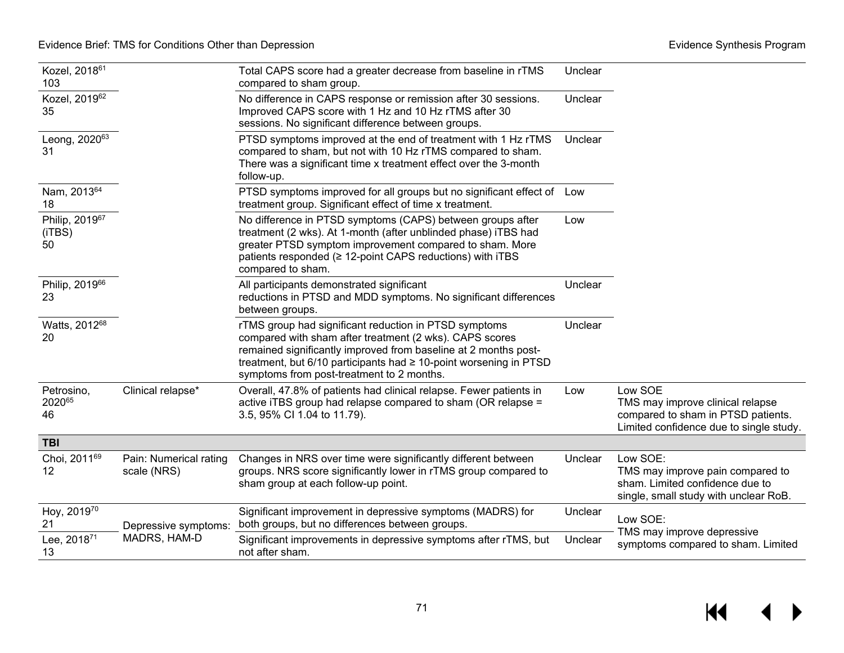| Kozel, 2018 <sup>61</sup><br>103 |                                       | Total CAPS score had a greater decrease from baseline in rTMS<br>compared to sham group.                                                                                                                                                                                                              | Unclear |                                                                                                                              |
|----------------------------------|---------------------------------------|-------------------------------------------------------------------------------------------------------------------------------------------------------------------------------------------------------------------------------------------------------------------------------------------------------|---------|------------------------------------------------------------------------------------------------------------------------------|
| Kozel, 201962<br>35              |                                       | No difference in CAPS response or remission after 30 sessions.<br>Improved CAPS score with 1 Hz and 10 Hz rTMS after 30<br>sessions. No significant difference between groups.                                                                                                                        | Unclear |                                                                                                                              |
| Leong, 202063<br>31              |                                       | PTSD symptoms improved at the end of treatment with 1 Hz rTMS<br>compared to sham, but not with 10 Hz rTMS compared to sham.<br>There was a significant time x treatment effect over the 3-month<br>follow-up.                                                                                        | Unclear |                                                                                                                              |
| Nam, 201364<br>18                |                                       | PTSD symptoms improved for all groups but no significant effect of Low<br>treatment group. Significant effect of time x treatment.                                                                                                                                                                    |         |                                                                                                                              |
| Philip, 201967<br>(iTBS)<br>50   |                                       | No difference in PTSD symptoms (CAPS) between groups after<br>treatment (2 wks). At 1-month (after unblinded phase) iTBS had<br>greater PTSD symptom improvement compared to sham. More<br>patients responded (≥ 12-point CAPS reductions) with iTBS<br>compared to sham.                             | Low     |                                                                                                                              |
| Philip, 201966<br>23             |                                       | All participants demonstrated significant<br>reductions in PTSD and MDD symptoms. No significant differences<br>between groups.                                                                                                                                                                       | Unclear |                                                                                                                              |
| Watts, 201268<br>20              |                                       | rTMS group had significant reduction in PTSD symptoms<br>compared with sham after treatment (2 wks). CAPS scores<br>remained significantly improved from baseline at 2 months post-<br>treatment, but 6/10 participants had ≥ 10-point worsening in PTSD<br>symptoms from post-treatment to 2 months. | Unclear |                                                                                                                              |
| Petrosino,<br>202065<br>46       | Clinical relapse*                     | Overall, 47.8% of patients had clinical relapse. Fewer patients in<br>active iTBS group had relapse compared to sham (OR relapse =<br>3.5, 95% CI 1.04 to 11.79).                                                                                                                                     | Low     | Low SOE<br>TMS may improve clinical relapse<br>compared to sham in PTSD patients.<br>Limited confidence due to single study. |
| <b>TBI</b>                       |                                       |                                                                                                                                                                                                                                                                                                       |         |                                                                                                                              |
| Choi, 201169<br>12               | Pain: Numerical rating<br>scale (NRS) | Changes in NRS over time were significantly different between<br>groups. NRS score significantly lower in rTMS group compared to<br>sham group at each follow-up point.                                                                                                                               | Unclear | Low SOE:<br>TMS may improve pain compared to<br>sham. Limited confidence due to<br>single, small study with unclear RoB.     |
| Hoy, 201970<br>21                | Depressive symptoms:                  | Significant improvement in depressive symptoms (MADRS) for<br>both groups, but no differences between groups.                                                                                                                                                                                         | Unclear | Low SOE:<br>TMS may improve depressive                                                                                       |
| Lee, 201871<br>13                | MADRS, HAM-D                          | Significant improvements in depressive symptoms after rTMS, but<br>not after sham.                                                                                                                                                                                                                    | Unclear | symptoms compared to sham. Limited                                                                                           |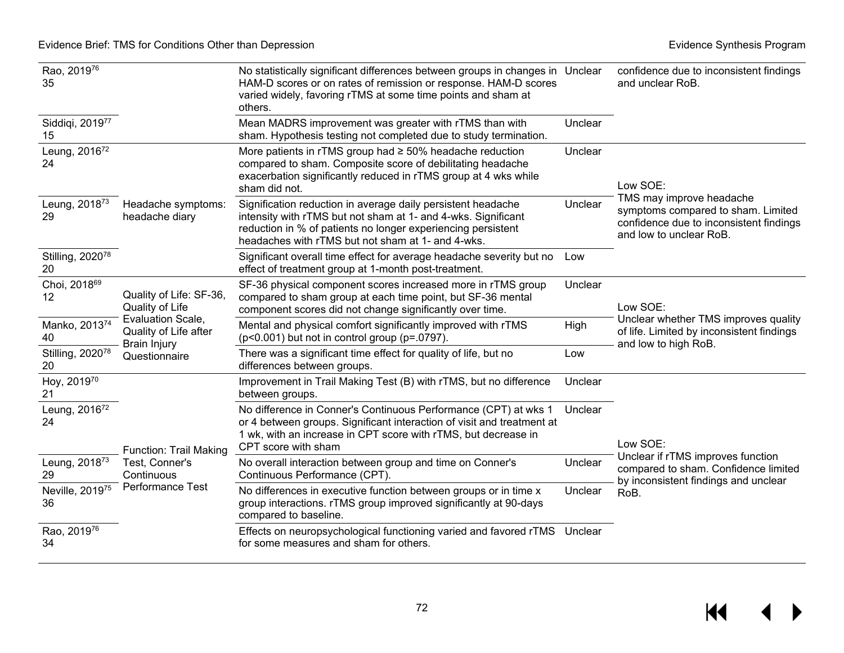| Rao, 201976<br>35                  |                                                                                                                                  | No statistically significant differences between groups in changes in Unclear<br>HAM-D scores or on rates of remission or response. HAM-D scores<br>varied widely, favoring rTMS at some time points and sham at<br>others.                        |         | confidence due to inconsistent findings<br>and unclear RoB.                                                                                      |
|------------------------------------|----------------------------------------------------------------------------------------------------------------------------------|----------------------------------------------------------------------------------------------------------------------------------------------------------------------------------------------------------------------------------------------------|---------|--------------------------------------------------------------------------------------------------------------------------------------------------|
| Siddiqi, 2019 <sup>77</sup><br>15  |                                                                                                                                  | Mean MADRS improvement was greater with rTMS than with<br>sham. Hypothesis testing not completed due to study termination.                                                                                                                         | Unclear |                                                                                                                                                  |
| Leung, 201672<br>24                |                                                                                                                                  | More patients in rTMS group had $\geq$ 50% headache reduction<br>compared to sham. Composite score of debilitating headache<br>exacerbation significantly reduced in rTMS group at 4 wks while<br>sham did not.                                    | Unclear | Low SOE:<br>TMS may improve headache<br>symptoms compared to sham. Limited<br>confidence due to inconsistent findings<br>and low to unclear RoB. |
| Leung, 2018 <sup>73</sup><br>29    | Headache symptoms:<br>headache diary                                                                                             | Signification reduction in average daily persistent headache<br>intensity with rTMS but not sham at 1- and 4-wks. Significant<br>reduction in % of patients no longer experiencing persistent<br>headaches with rTMS but not sham at 1- and 4-wks. | Unclear |                                                                                                                                                  |
| Stilling, 2020 <sup>78</sup><br>20 |                                                                                                                                  | Significant overall time effect for average headache severity but no<br>effect of treatment group at 1-month post-treatment.                                                                                                                       | Low     |                                                                                                                                                  |
| Choi, 2018 <sup>69</sup><br>12     | Quality of Life: SF-36,<br>Quality of Life<br>Evaluation Scale,<br>Quality of Life after<br><b>Brain Injury</b><br>Questionnaire | SF-36 physical component scores increased more in rTMS group<br>compared to sham group at each time point, but SF-36 mental<br>component scores did not change significantly over time.                                                            | Unclear | Low SOE:<br>Unclear whether TMS improves quality<br>of life. Limited by inconsistent findings<br>and low to high RoB.                            |
| Manko, 201374<br>40                |                                                                                                                                  | Mental and physical comfort significantly improved with rTMS<br>$(p<0.001)$ but not in control group (p=.0797).                                                                                                                                    | High    |                                                                                                                                                  |
| Stilling, 2020 <sup>78</sup><br>20 |                                                                                                                                  | There was a significant time effect for quality of life, but no<br>differences between groups.                                                                                                                                                     | Low     |                                                                                                                                                  |
| Hoy, 201970<br>21                  |                                                                                                                                  | Improvement in Trail Making Test (B) with rTMS, but no difference<br>between groups.                                                                                                                                                               | Unclear |                                                                                                                                                  |
| Leung, 2016 <sup>72</sup><br>24    | <b>Function: Trail Making</b><br>Test, Conner's<br>Continuous<br>Performance Test                                                | No difference in Conner's Continuous Performance (CPT) at wks 1<br>or 4 between groups. Significant interaction of visit and treatment at<br>1 wk, with an increase in CPT score with rTMS, but decrease in<br>CPT score with sham                 | Unclear | Low SOE:                                                                                                                                         |
| Leung, 2018 <sup>73</sup><br>29    |                                                                                                                                  | No overall interaction between group and time on Conner's<br>Continuous Performance (CPT).                                                                                                                                                         | Unclear | Unclear if rTMS improves function<br>compared to sham. Confidence limited<br>by inconsistent findings and unclear                                |
| Neville, 201975<br>36              |                                                                                                                                  | No differences in executive function between groups or in time x<br>group interactions. rTMS group improved significantly at 90-days<br>compared to baseline.                                                                                      | Unclear | RoB.                                                                                                                                             |
| Rao, 201976<br>34                  |                                                                                                                                  | Effects on neuropsychological functioning varied and favored rTMS Unclear<br>for some measures and sham for others.                                                                                                                                |         |                                                                                                                                                  |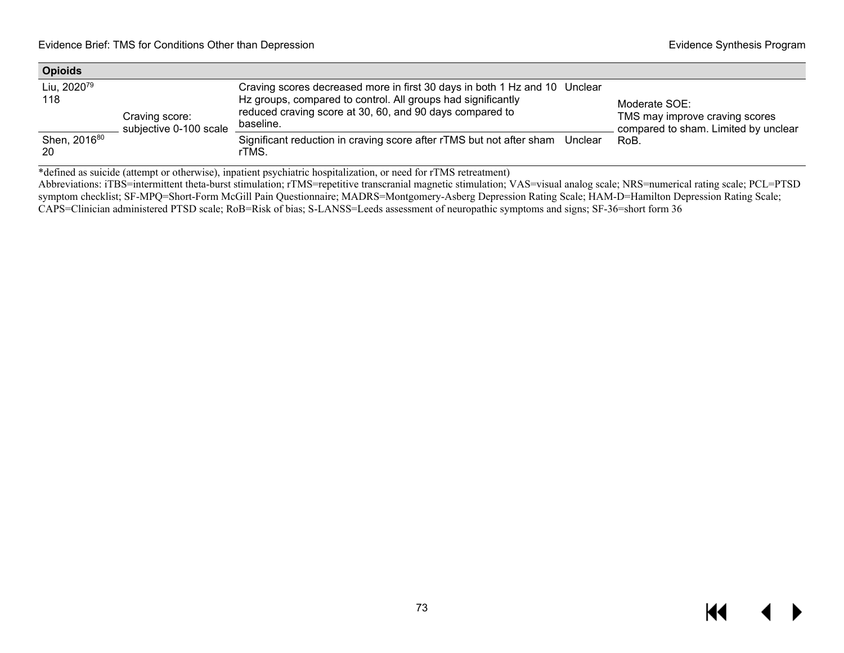| <b>Opioids</b>                 |                                          |                                                                                                                                                                                                                     |                                                                                         |
|--------------------------------|------------------------------------------|---------------------------------------------------------------------------------------------------------------------------------------------------------------------------------------------------------------------|-----------------------------------------------------------------------------------------|
| Liu, 2020 <sup>79</sup><br>118 | Craving score:<br>subjective 0-100 scale | Craving scores decreased more in first 30 days in both 1 Hz and 10 Unclear<br>Hz groups, compared to control. All groups had significantly<br>reduced craving score at 30, 60, and 90 days compared to<br>baseline. | Moderate SOE:<br>TMS may improve craving scores<br>compared to sham. Limited by unclear |
| Shen, 2016 <sup>80</sup><br>20 |                                          | Significant reduction in craving score after rTMS but not after sham Unclear<br>rTMS.                                                                                                                               | RoB.                                                                                    |

\*defined as suicide (attempt or otherwise), inpatient psychiatric hospitalization, or need for rTMS retreatment)

Abbreviations: iTBS=intermittent theta-burst stimulation; rTMS=repetitive transcranial magnetic stimulation; VAS=visual analog scale; NRS=numerical rating scale; PCL=PTSD symptom checklist; SF-MPQ=Short-Form McGill Pain Questionnaire; MADRS=Montgomery-Asberg Depression Rating Scale; HAM-D=Hamilton Depression Rating Scale; CAPS=Clinician administered PTSD scale; RoB=Risk of bias; S-LANSS=Leeds assessment of neuropathic symptoms and signs; SF-36=short form 36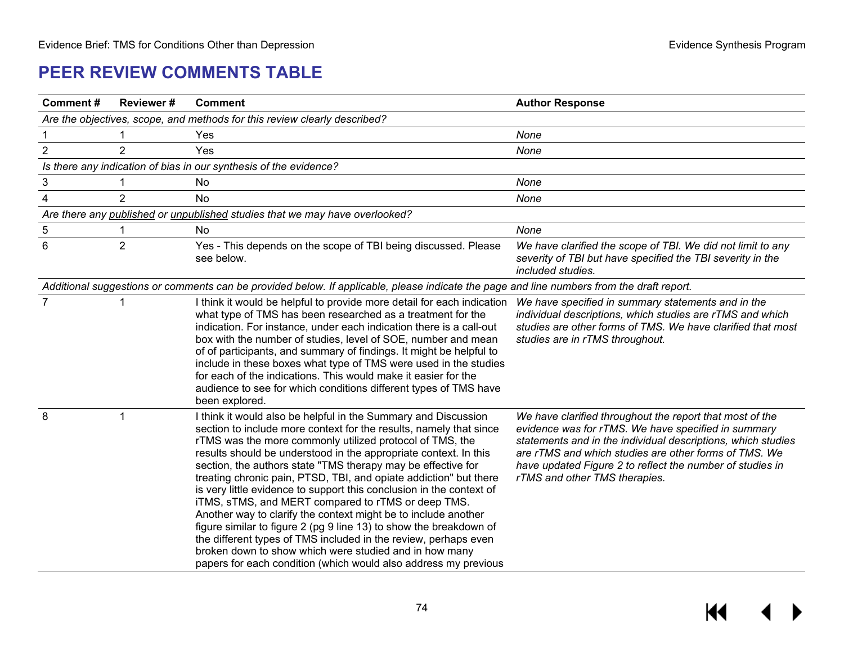## **PEER REVIEW COMMENTS TABLE**

| <b>Comment#</b>                                                           | <b>Reviewer#</b> | <b>Comment</b>                                                                                                                                                                                                                                                                                                                                                                                                                                                                                                                                                                                                                                                                                                                                                                                                                                                                  | <b>Author Response</b>                                                                                                                                                                                                                                                                                                                 |  |  |
|---------------------------------------------------------------------------|------------------|---------------------------------------------------------------------------------------------------------------------------------------------------------------------------------------------------------------------------------------------------------------------------------------------------------------------------------------------------------------------------------------------------------------------------------------------------------------------------------------------------------------------------------------------------------------------------------------------------------------------------------------------------------------------------------------------------------------------------------------------------------------------------------------------------------------------------------------------------------------------------------|----------------------------------------------------------------------------------------------------------------------------------------------------------------------------------------------------------------------------------------------------------------------------------------------------------------------------------------|--|--|
| Are the objectives, scope, and methods for this review clearly described? |                  |                                                                                                                                                                                                                                                                                                                                                                                                                                                                                                                                                                                                                                                                                                                                                                                                                                                                                 |                                                                                                                                                                                                                                                                                                                                        |  |  |
|                                                                           |                  | Yes                                                                                                                                                                                                                                                                                                                                                                                                                                                                                                                                                                                                                                                                                                                                                                                                                                                                             | None                                                                                                                                                                                                                                                                                                                                   |  |  |
| $\overline{2}$                                                            | $\overline{2}$   | Yes                                                                                                                                                                                                                                                                                                                                                                                                                                                                                                                                                                                                                                                                                                                                                                                                                                                                             | None                                                                                                                                                                                                                                                                                                                                   |  |  |
|                                                                           |                  | Is there any indication of bias in our synthesis of the evidence?                                                                                                                                                                                                                                                                                                                                                                                                                                                                                                                                                                                                                                                                                                                                                                                                               |                                                                                                                                                                                                                                                                                                                                        |  |  |
| $\ensuremath{\mathsf{3}}$                                                 |                  | No                                                                                                                                                                                                                                                                                                                                                                                                                                                                                                                                                                                                                                                                                                                                                                                                                                                                              | None                                                                                                                                                                                                                                                                                                                                   |  |  |
| $\overline{4}$                                                            | $\overline{2}$   | No                                                                                                                                                                                                                                                                                                                                                                                                                                                                                                                                                                                                                                                                                                                                                                                                                                                                              | None                                                                                                                                                                                                                                                                                                                                   |  |  |
|                                                                           |                  | Are there any published or unpublished studies that we may have overlooked?                                                                                                                                                                                                                                                                                                                                                                                                                                                                                                                                                                                                                                                                                                                                                                                                     |                                                                                                                                                                                                                                                                                                                                        |  |  |
| 5                                                                         |                  | No                                                                                                                                                                                                                                                                                                                                                                                                                                                                                                                                                                                                                                                                                                                                                                                                                                                                              | None                                                                                                                                                                                                                                                                                                                                   |  |  |
| $6\phantom{1}$                                                            | $\overline{2}$   | Yes - This depends on the scope of TBI being discussed. Please<br>see below.                                                                                                                                                                                                                                                                                                                                                                                                                                                                                                                                                                                                                                                                                                                                                                                                    | We have clarified the scope of TBI. We did not limit to any<br>severity of TBI but have specified the TBI severity in the<br>included studies.                                                                                                                                                                                         |  |  |
|                                                                           |                  | Additional suggestions or comments can be provided below. If applicable, please indicate the page and line numbers from the draft report.                                                                                                                                                                                                                                                                                                                                                                                                                                                                                                                                                                                                                                                                                                                                       |                                                                                                                                                                                                                                                                                                                                        |  |  |
| $\overline{7}$                                                            |                  | I think it would be helpful to provide more detail for each indication<br>what type of TMS has been researched as a treatment for the<br>indication. For instance, under each indication there is a call-out<br>box with the number of studies, level of SOE, number and mean<br>of of participants, and summary of findings. It might be helpful to<br>include in these boxes what type of TMS were used in the studies<br>for each of the indications. This would make it easier for the<br>audience to see for which conditions different types of TMS have<br>been explored.                                                                                                                                                                                                                                                                                                | We have specified in summary statements and in the<br>individual descriptions, which studies are rTMS and which<br>studies are other forms of TMS. We have clarified that most<br>studies are in rTMS throughout.                                                                                                                      |  |  |
| 8                                                                         | 1                | I think it would also be helpful in the Summary and Discussion<br>section to include more context for the results, namely that since<br>rTMS was the more commonly utilized protocol of TMS, the<br>results should be understood in the appropriate context. In this<br>section, the authors state "TMS therapy may be effective for<br>treating chronic pain, PTSD, TBI, and opiate addiction" but there<br>is very little evidence to support this conclusion in the context of<br>iTMS, sTMS, and MERT compared to rTMS or deep TMS.<br>Another way to clarify the context might be to include another<br>figure similar to figure 2 (pg 9 line 13) to show the breakdown of<br>the different types of TMS included in the review, perhaps even<br>broken down to show which were studied and in how many<br>papers for each condition (which would also address my previous | We have clarified throughout the report that most of the<br>evidence was for rTMS. We have specified in summary<br>statements and in the individual descriptions, which studies<br>are rTMS and which studies are other forms of TMS. We<br>have updated Figure 2 to reflect the number of studies in<br>rTMS and other TMS therapies. |  |  |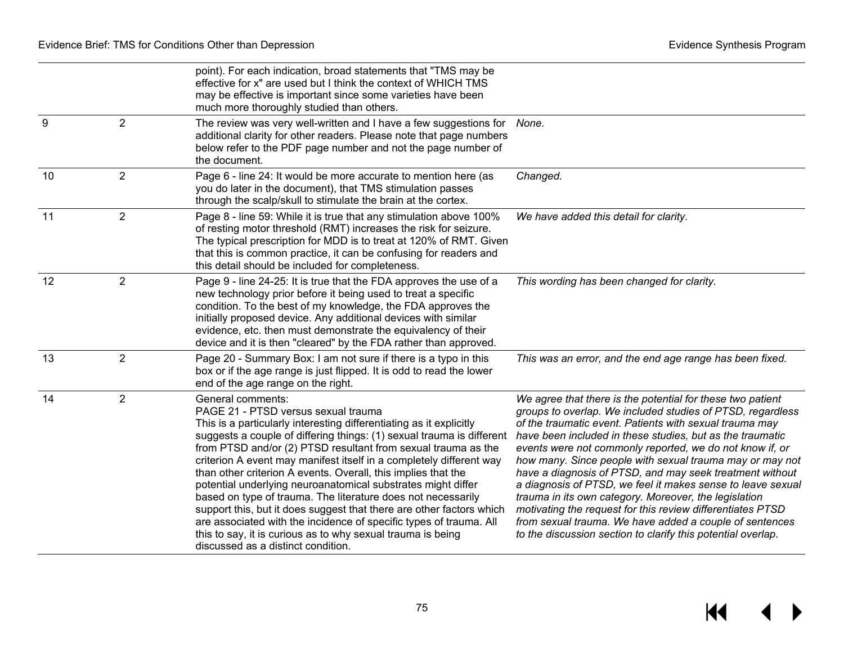$M \leftarrow \leftarrow$ 

|                  |                | point). For each indication, broad statements that "TMS may be<br>effective for x" are used but I think the context of WHICH TMS<br>may be effective is important since some varieties have been<br>much more thoroughly studied than others.                                                                                                                                                                                                                                                                                                                                                                                                                                                                                                                                                        |                                                                                                                                                                                                                                                                                                                                                                                                                                                                                                                                                                                                                                                                                                                                                       |
|------------------|----------------|------------------------------------------------------------------------------------------------------------------------------------------------------------------------------------------------------------------------------------------------------------------------------------------------------------------------------------------------------------------------------------------------------------------------------------------------------------------------------------------------------------------------------------------------------------------------------------------------------------------------------------------------------------------------------------------------------------------------------------------------------------------------------------------------------|-------------------------------------------------------------------------------------------------------------------------------------------------------------------------------------------------------------------------------------------------------------------------------------------------------------------------------------------------------------------------------------------------------------------------------------------------------------------------------------------------------------------------------------------------------------------------------------------------------------------------------------------------------------------------------------------------------------------------------------------------------|
| $\boldsymbol{9}$ | $\overline{2}$ | The review was very well-written and I have a few suggestions for<br>additional clarity for other readers. Please note that page numbers<br>below refer to the PDF page number and not the page number of<br>the document.                                                                                                                                                                                                                                                                                                                                                                                                                                                                                                                                                                           | None.                                                                                                                                                                                                                                                                                                                                                                                                                                                                                                                                                                                                                                                                                                                                                 |
| 10               | $\overline{2}$ | Page 6 - line 24: It would be more accurate to mention here (as<br>you do later in the document), that TMS stimulation passes<br>through the scalp/skull to stimulate the brain at the cortex.                                                                                                                                                                                                                                                                                                                                                                                                                                                                                                                                                                                                       | Changed.                                                                                                                                                                                                                                                                                                                                                                                                                                                                                                                                                                                                                                                                                                                                              |
| 11               | $\overline{2}$ | Page 8 - line 59: While it is true that any stimulation above 100%<br>of resting motor threshold (RMT) increases the risk for seizure.<br>The typical prescription for MDD is to treat at 120% of RMT. Given<br>that this is common practice, it can be confusing for readers and<br>this detail should be included for completeness.                                                                                                                                                                                                                                                                                                                                                                                                                                                                | We have added this detail for clarity.                                                                                                                                                                                                                                                                                                                                                                                                                                                                                                                                                                                                                                                                                                                |
| 12               | $\overline{2}$ | Page 9 - line 24-25: It is true that the FDA approves the use of a<br>new technology prior before it being used to treat a specific<br>condition. To the best of my knowledge, the FDA approves the<br>initially proposed device. Any additional devices with similar<br>evidence, etc. then must demonstrate the equivalency of their<br>device and it is then "cleared" by the FDA rather than approved.                                                                                                                                                                                                                                                                                                                                                                                           | This wording has been changed for clarity.                                                                                                                                                                                                                                                                                                                                                                                                                                                                                                                                                                                                                                                                                                            |
| 13               | $\overline{2}$ | Page 20 - Summary Box: I am not sure if there is a typo in this<br>box or if the age range is just flipped. It is odd to read the lower<br>end of the age range on the right.                                                                                                                                                                                                                                                                                                                                                                                                                                                                                                                                                                                                                        | This was an error, and the end age range has been fixed.                                                                                                                                                                                                                                                                                                                                                                                                                                                                                                                                                                                                                                                                                              |
| 14               | $\overline{2}$ | General comments:<br>PAGE 21 - PTSD versus sexual trauma<br>This is a particularly interesting differentiating as it explicitly<br>suggests a couple of differing things: (1) sexual trauma is different<br>from PTSD and/or (2) PTSD resultant from sexual trauma as the<br>criterion A event may manifest itself in a completely different way<br>than other criterion A events. Overall, this implies that the<br>potential underlying neuroanatomical substrates might differ<br>based on type of trauma. The literature does not necessarily<br>support this, but it does suggest that there are other factors which<br>are associated with the incidence of specific types of trauma. All<br>this to say, it is curious as to why sexual trauma is being<br>discussed as a distinct condition. | We agree that there is the potential for these two patient<br>groups to overlap. We included studies of PTSD, regardless<br>of the traumatic event. Patients with sexual trauma may<br>have been included in these studies, but as the traumatic<br>events were not commonly reported, we do not know if, or<br>how many. Since people with sexual trauma may or may not<br>have a diagnosis of PTSD, and may seek treatment without<br>a diagnosis of PTSD, we feel it makes sense to leave sexual<br>trauma in its own category. Moreover, the legislation<br>motivating the request for this review differentiates PTSD<br>from sexual trauma. We have added a couple of sentences<br>to the discussion section to clarify this potential overlap. |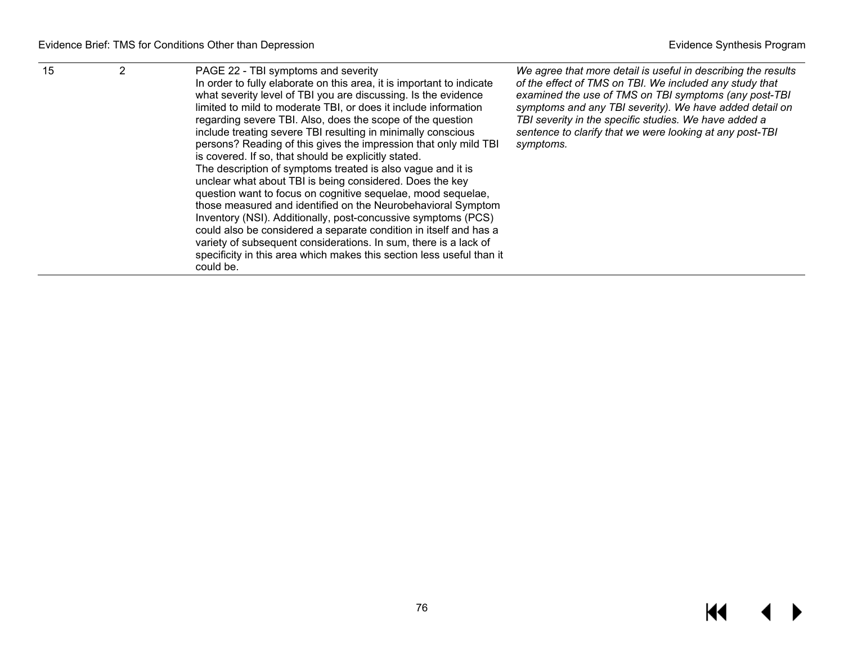| 15 |  | PAGE 22 - TBI symptoms and severity<br>In order to fully elaborate on this area, it is important to indicate<br>what severity level of TBI you are discussing. Is the evidence<br>limited to mild to moderate TBI, or does it include information<br>regarding severe TBI. Also, does the scope of the question<br>include treating severe TBI resulting in minimally conscious<br>persons? Reading of this gives the impression that only mild TBI<br>is covered. If so, that should be explicitly stated.<br>The description of symptoms treated is also vague and it is<br>unclear what about TBI is being considered. Does the key<br>question want to focus on cognitive sequelae, mood sequelae,<br>those measured and identified on the Neurobehavioral Symptom<br>Inventory (NSI). Additionally, post-concussive symptoms (PCS)<br>could also be considered a separate condition in itself and has a<br>variety of subsequent considerations. In sum, there is a lack of<br>specificity in this area which makes this section less useful than it<br>could be. | We agree that more detail is useful in describing the results<br>of the effect of TMS on TBI. We included any study that<br>examined the use of TMS on TBI symptoms (any post-TBI<br>symptoms and any TBI severity). We have added detail on<br>TBI severity in the specific studies. We have added a<br>sentence to clarify that we were looking at any post-TBI<br>symptoms. |
|----|--|------------------------------------------------------------------------------------------------------------------------------------------------------------------------------------------------------------------------------------------------------------------------------------------------------------------------------------------------------------------------------------------------------------------------------------------------------------------------------------------------------------------------------------------------------------------------------------------------------------------------------------------------------------------------------------------------------------------------------------------------------------------------------------------------------------------------------------------------------------------------------------------------------------------------------------------------------------------------------------------------------------------------------------------------------------------------|--------------------------------------------------------------------------------------------------------------------------------------------------------------------------------------------------------------------------------------------------------------------------------------------------------------------------------------------------------------------------------|
|----|--|------------------------------------------------------------------------------------------------------------------------------------------------------------------------------------------------------------------------------------------------------------------------------------------------------------------------------------------------------------------------------------------------------------------------------------------------------------------------------------------------------------------------------------------------------------------------------------------------------------------------------------------------------------------------------------------------------------------------------------------------------------------------------------------------------------------------------------------------------------------------------------------------------------------------------------------------------------------------------------------------------------------------------------------------------------------------|--------------------------------------------------------------------------------------------------------------------------------------------------------------------------------------------------------------------------------------------------------------------------------------------------------------------------------------------------------------------------------|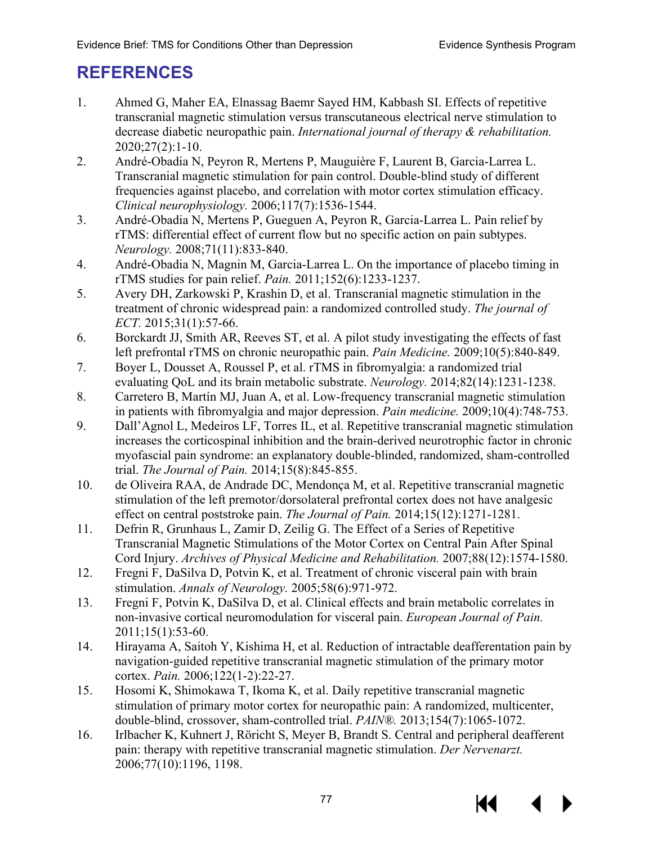## **REFERENCES**

- 1. Ahmed G, Maher EA, Elnassag Baemr Sayed HM, Kabbash SI. Effects of repetitive transcranial magnetic stimulation versus transcutaneous electrical nerve stimulation to decrease diabetic neuropathic pain. *International journal of therapy & rehabilitation.*  2020;27(2):1-10.
- 2. André-Obadia N, Peyron R, Mertens P, Mauguière F, Laurent B, Garcia-Larrea L. Transcranial magnetic stimulation for pain control. Double-blind study of different frequencies against placebo, and correlation with motor cortex stimulation efficacy. *Clinical neurophysiology.* 2006;117(7):1536-1544.
- 3. André-Obadia N, Mertens P, Gueguen A, Peyron R, Garcia-Larrea L. Pain relief by rTMS: differential effect of current flow but no specific action on pain subtypes. *Neurology.* 2008;71(11):833-840.
- 4. André-Obadia N, Magnin M, Garcia-Larrea L. On the importance of placebo timing in rTMS studies for pain relief. *Pain.* 2011;152(6):1233-1237.
- 5. Avery DH, Zarkowski P, Krashin D, et al. Transcranial magnetic stimulation in the treatment of chronic widespread pain: a randomized controlled study. *The journal of ECT.* 2015;31(1):57-66.
- 6. Borckardt JJ, Smith AR, Reeves ST, et al. A pilot study investigating the effects of fast left prefrontal rTMS on chronic neuropathic pain. *Pain Medicine.* 2009;10(5):840-849.
- 7. Boyer L, Dousset A, Roussel P, et al. rTMS in fibromyalgia: a randomized trial evaluating QoL and its brain metabolic substrate. *Neurology.* 2014;82(14):1231-1238.
- 8. Carretero B, Martín MJ, Juan A, et al. Low-frequency transcranial magnetic stimulation in patients with fibromyalgia and major depression. *Pain medicine.* 2009;10(4):748-753.
- 9. Dall'Agnol L, Medeiros LF, Torres IL, et al. Repetitive transcranial magnetic stimulation increases the corticospinal inhibition and the brain-derived neurotrophic factor in chronic myofascial pain syndrome: an explanatory double-blinded, randomized, sham-controlled trial. *The Journal of Pain.* 2014;15(8):845-855.
- 10. de Oliveira RAA, de Andrade DC, Mendonça M, et al. Repetitive transcranial magnetic stimulation of the left premotor/dorsolateral prefrontal cortex does not have analgesic effect on central poststroke pain. *The Journal of Pain.* 2014;15(12):1271-1281.
- 11. Defrin R, Grunhaus L, Zamir D, Zeilig G. The Effect of a Series of Repetitive Transcranial Magnetic Stimulations of the Motor Cortex on Central Pain After Spinal Cord Injury. *Archives of Physical Medicine and Rehabilitation.* 2007;88(12):1574-1580.
- 12. Fregni F, DaSilva D, Potvin K, et al. Treatment of chronic visceral pain with brain stimulation. *Annals of Neurology.* 2005;58(6):971-972.
- 13. Fregni F, Potvin K, DaSilva D, et al. Clinical effects and brain metabolic correlates in non-invasive cortical neuromodulation for visceral pain. *European Journal of Pain.*  2011;15(1):53-60.
- 14. Hirayama A, Saitoh Y, Kishima H, et al. Reduction of intractable deafferentation pain by navigation-guided repetitive transcranial magnetic stimulation of the primary motor cortex. *Pain.* 2006;122(1-2):22-27.
- 15. Hosomi K, Shimokawa T, Ikoma K, et al. Daily repetitive transcranial magnetic stimulation of primary motor cortex for neuropathic pain: A randomized, multicenter, double-blind, crossover, sham-controlled trial. *PAIN®.* 2013;154(7):1065-1072.
- 16. Irlbacher K, Kuhnert J, Röricht S, Meyer B, Brandt S. Central and peripheral deafferent pain: therapy with repetitive transcranial magnetic stimulation. *Der Nervenarzt.*  2006;77(10):1196, 1198.

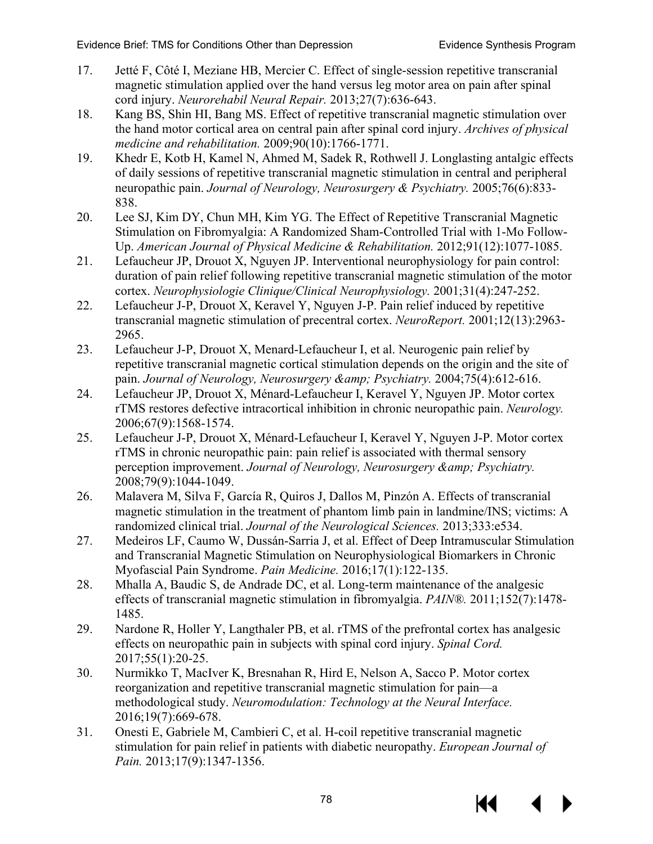- 17. Jetté F, Côté I, Meziane HB, Mercier C. Effect of single-session repetitive transcranial magnetic stimulation applied over the hand versus leg motor area on pain after spinal cord injury. *Neurorehabil Neural Repair.* 2013;27(7):636-643.
- 18. Kang BS, Shin HI, Bang MS. Effect of repetitive transcranial magnetic stimulation over the hand motor cortical area on central pain after spinal cord injury. *Archives of physical medicine and rehabilitation.* 2009;90(10):1766-1771.
- 19. Khedr E, Kotb H, Kamel N, Ahmed M, Sadek R, Rothwell J. Longlasting antalgic effects of daily sessions of repetitive transcranial magnetic stimulation in central and peripheral neuropathic pain. *Journal of Neurology, Neurosurgery & Psychiatry.* 2005;76(6):833- 838.
- 20. Lee SJ, Kim DY, Chun MH, Kim YG. The Effect of Repetitive Transcranial Magnetic Stimulation on Fibromyalgia: A Randomized Sham-Controlled Trial with 1-Mo Follow-Up. *American Journal of Physical Medicine & Rehabilitation.* 2012;91(12):1077-1085.
- 21. Lefaucheur JP, Drouot X, Nguyen JP. Interventional neurophysiology for pain control: duration of pain relief following repetitive transcranial magnetic stimulation of the motor cortex. *Neurophysiologie Clinique/Clinical Neurophysiology.* 2001;31(4):247-252.
- 22. Lefaucheur J-P, Drouot X, Keravel Y, Nguyen J-P. Pain relief induced by repetitive transcranial magnetic stimulation of precentral cortex. *NeuroReport.* 2001;12(13):2963- 2965.
- 23. Lefaucheur J-P, Drouot X, Menard-Lefaucheur I, et al. Neurogenic pain relief by repetitive transcranial magnetic cortical stimulation depends on the origin and the site of pain. *Journal of Neurology, Neurosurgery & amp; Psychiatry.* 2004;75(4):612-616.
- 24. Lefaucheur JP, Drouot X, Ménard-Lefaucheur I, Keravel Y, Nguyen JP. Motor cortex rTMS restores defective intracortical inhibition in chronic neuropathic pain. *Neurology.*  2006;67(9):1568-1574.
- 25. Lefaucheur J-P, Drouot X, Ménard-Lefaucheur I, Keravel Y, Nguyen J-P. Motor cortex rTMS in chronic neuropathic pain: pain relief is associated with thermal sensory perception improvement. *Journal of Neurology, Neurosurgery & amp; Psychiatry.* 2008;79(9):1044-1049.
- 26. Malavera M, Silva F, García R, Quiros J, Dallos M, Pinzón A. Effects of transcranial magnetic stimulation in the treatment of phantom limb pain in landmine/INS; victims: A randomized clinical trial. *Journal of the Neurological Sciences.* 2013;333:e534.
- 27. Medeiros LF, Caumo W, Dussán-Sarria J, et al. Effect of Deep Intramuscular Stimulation and Transcranial Magnetic Stimulation on Neurophysiological Biomarkers in Chronic Myofascial Pain Syndrome. *Pain Medicine.* 2016;17(1):122-135.
- 28. Mhalla A, Baudic S, de Andrade DC, et al. Long-term maintenance of the analgesic effects of transcranial magnetic stimulation in fibromyalgia. *PAIN®.* 2011;152(7):1478- 1485.
- 29. Nardone R, Holler Y, Langthaler PB, et al. rTMS of the prefrontal cortex has analgesic effects on neuropathic pain in subjects with spinal cord injury. *Spinal Cord.*  2017;55(1):20-25.
- 30. Nurmikko T, MacIver K, Bresnahan R, Hird E, Nelson A, Sacco P. Motor cortex reorganization and repetitive transcranial magnetic stimulation for pain—a methodological study. *Neuromodulation: Technology at the Neural Interface.*  2016;19(7):669-678.
- 31. Onesti E, Gabriele M, Cambieri C, et al. H‐coil repetitive transcranial magnetic stimulation for pain relief in patients with diabetic neuropathy. *European Journal of Pain.* 2013;17(9):1347-1356.

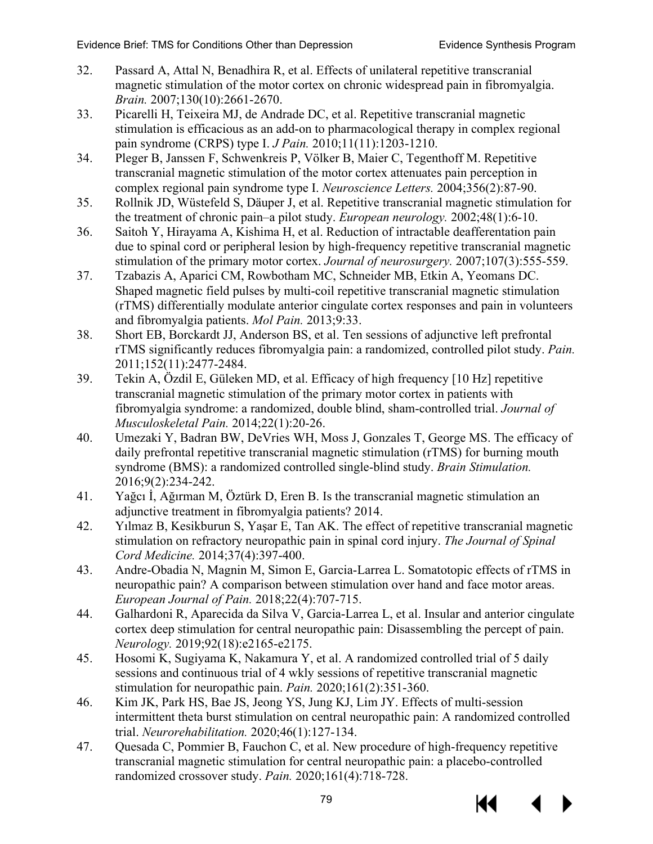- 32. Passard A, Attal N, Benadhira R, et al. Effects of unilateral repetitive transcranial magnetic stimulation of the motor cortex on chronic widespread pain in fibromyalgia. *Brain.* 2007;130(10):2661-2670.
- 33. Picarelli H, Teixeira MJ, de Andrade DC, et al. Repetitive transcranial magnetic stimulation is efficacious as an add-on to pharmacological therapy in complex regional pain syndrome (CRPS) type I. *J Pain.* 2010;11(11):1203-1210.
- 34. Pleger B, Janssen F, Schwenkreis P, Völker B, Maier C, Tegenthoff M. Repetitive transcranial magnetic stimulation of the motor cortex attenuates pain perception in complex regional pain syndrome type I. *Neuroscience Letters.* 2004;356(2):87-90.
- 35. Rollnik JD, Wüstefeld S, Däuper J, et al. Repetitive transcranial magnetic stimulation for the treatment of chronic pain–a pilot study. *European neurology.* 2002;48(1):6-10.
- 36. Saitoh Y, Hirayama A, Kishima H, et al. Reduction of intractable deafferentation pain due to spinal cord or peripheral lesion by high-frequency repetitive transcranial magnetic stimulation of the primary motor cortex. *Journal of neurosurgery.* 2007;107(3):555-559.
- 37. Tzabazis A, Aparici CM, Rowbotham MC, Schneider MB, Etkin A, Yeomans DC. Shaped magnetic field pulses by multi-coil repetitive transcranial magnetic stimulation (rTMS) differentially modulate anterior cingulate cortex responses and pain in volunteers and fibromyalgia patients. *Mol Pain.* 2013;9:33.
- 38. Short EB, Borckardt JJ, Anderson BS, et al. Ten sessions of adjunctive left prefrontal rTMS significantly reduces fibromyalgia pain: a randomized, controlled pilot study. *Pain.*  2011;152(11):2477-2484.
- 39. Tekin A, Özdil E, Güleken MD, et al. Efficacy of high frequency [10 Hz] repetitive transcranial magnetic stimulation of the primary motor cortex in patients with fibromyalgia syndrome: a randomized, double blind, sham-controlled trial. *Journal of Musculoskeletal Pain.* 2014;22(1):20-26.
- 40. Umezaki Y, Badran BW, DeVries WH, Moss J, Gonzales T, George MS. The efficacy of daily prefrontal repetitive transcranial magnetic stimulation (rTMS) for burning mouth syndrome (BMS): a randomized controlled single-blind study. *Brain Stimulation.*  2016;9(2):234-242.
- 41. Yağcı İ, Ağırman M, Öztürk D, Eren B. Is the transcranial magnetic stimulation an adjunctive treatment in fibromyalgia patients? 2014.
- 42. Yılmaz B, Kesikburun S, Yaşar E, Tan AK. The effect of repetitive transcranial magnetic stimulation on refractory neuropathic pain in spinal cord injury. *The Journal of Spinal Cord Medicine.* 2014;37(4):397-400.
- 43. Andre-Obadia N, Magnin M, Simon E, Garcia-Larrea L. Somatotopic effects of rTMS in neuropathic pain? A comparison between stimulation over hand and face motor areas. *European Journal of Pain.* 2018;22(4):707-715.
- 44. Galhardoni R, Aparecida da Silva V, Garcia-Larrea L, et al. Insular and anterior cingulate cortex deep stimulation for central neuropathic pain: Disassembling the percept of pain. *Neurology.* 2019;92(18):e2165-e2175.
- 45. Hosomi K, Sugiyama K, Nakamura Y, et al. A randomized controlled trial of 5 daily sessions and continuous trial of 4 wkly sessions of repetitive transcranial magnetic stimulation for neuropathic pain. *Pain.* 2020;161(2):351-360.
- 46. Kim JK, Park HS, Bae JS, Jeong YS, Jung KJ, Lim JY. Effects of multi-session intermittent theta burst stimulation on central neuropathic pain: A randomized controlled trial. *Neurorehabilitation.* 2020;46(1):127-134.
- 47. Quesada C, Pommier B, Fauchon C, et al. New procedure of high-frequency repetitive transcranial magnetic stimulation for central neuropathic pain: a placebo-controlled randomized crossover study. *Pain.* 2020;161(4):718-728.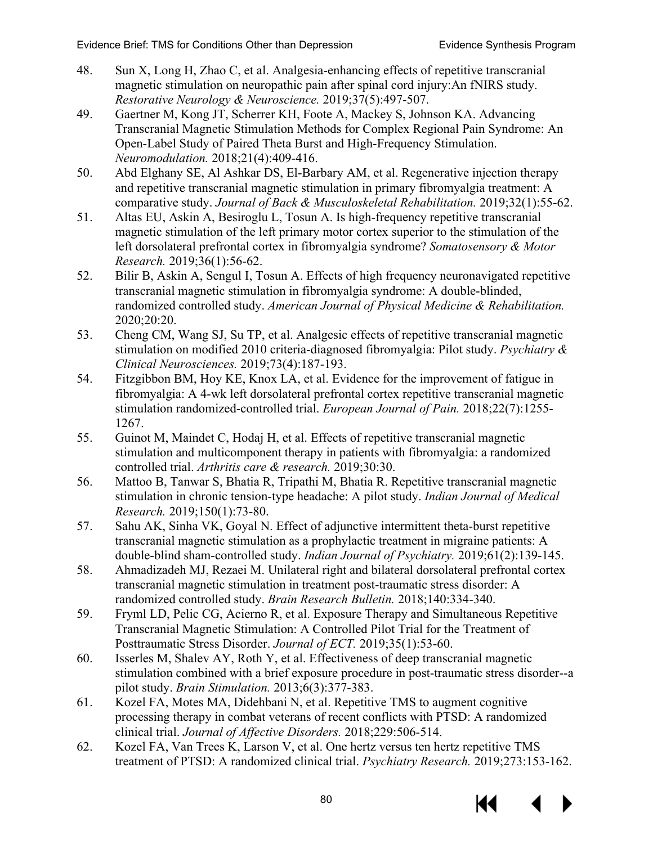- 48. Sun X, Long H, Zhao C, et al. Analgesia-enhancing effects of repetitive transcranial magnetic stimulation on neuropathic pain after spinal cord injury:An fNIRS study. *Restorative Neurology & Neuroscience.* 2019;37(5):497-507.
- 49. Gaertner M, Kong JT, Scherrer KH, Foote A, Mackey S, Johnson KA. Advancing Transcranial Magnetic Stimulation Methods for Complex Regional Pain Syndrome: An Open-Label Study of Paired Theta Burst and High-Frequency Stimulation. *Neuromodulation.* 2018;21(4):409-416.
- 50. Abd Elghany SE, Al Ashkar DS, El-Barbary AM, et al. Regenerative injection therapy and repetitive transcranial magnetic stimulation in primary fibromyalgia treatment: A comparative study. *Journal of Back & Musculoskeletal Rehabilitation.* 2019;32(1):55-62.
- 51. Altas EU, Askin A, Besiroglu L, Tosun A. Is high-frequency repetitive transcranial magnetic stimulation of the left primary motor cortex superior to the stimulation of the left dorsolateral prefrontal cortex in fibromyalgia syndrome? *Somatosensory & Motor Research.* 2019;36(1):56-62.
- 52. Bilir B, Askin A, Sengul I, Tosun A. Effects of high frequency neuronavigated repetitive transcranial magnetic stimulation in fibromyalgia syndrome: A double-blinded, randomized controlled study. *American Journal of Physical Medicine & Rehabilitation.*  2020;20:20.
- 53. Cheng CM, Wang SJ, Su TP, et al. Analgesic effects of repetitive transcranial magnetic stimulation on modified 2010 criteria-diagnosed fibromyalgia: Pilot study. *Psychiatry & Clinical Neurosciences.* 2019;73(4):187-193.
- 54. Fitzgibbon BM, Hoy KE, Knox LA, et al. Evidence for the improvement of fatigue in fibromyalgia: A 4-wk left dorsolateral prefrontal cortex repetitive transcranial magnetic stimulation randomized-controlled trial. *European Journal of Pain.* 2018;22(7):1255- 1267.
- 55. Guinot M, Maindet C, Hodaj H, et al. Effects of repetitive transcranial magnetic stimulation and multicomponent therapy in patients with fibromyalgia: a randomized controlled trial. *Arthritis care & research.* 2019;30:30.
- 56. Mattoo B, Tanwar S, Bhatia R, Tripathi M, Bhatia R. Repetitive transcranial magnetic stimulation in chronic tension-type headache: A pilot study. *Indian Journal of Medical Research.* 2019;150(1):73-80.
- <span id="page-81-0"></span>57. Sahu AK, Sinha VK, Goyal N. Effect of adjunctive intermittent theta-burst repetitive transcranial magnetic stimulation as a prophylactic treatment in migraine patients: A double-blind sham-controlled study. *Indian Journal of Psychiatry.* 2019;61(2):139-145.
- <span id="page-81-1"></span>58. Ahmadizadeh MJ, Rezaei M. Unilateral right and bilateral dorsolateral prefrontal cortex transcranial magnetic stimulation in treatment post-traumatic stress disorder: A randomized controlled study. *Brain Research Bulletin.* 2018;140:334-340.
- 59. Fryml LD, Pelic CG, Acierno R, et al. Exposure Therapy and Simultaneous Repetitive Transcranial Magnetic Stimulation: A Controlled Pilot Trial for the Treatment of Posttraumatic Stress Disorder. *Journal of ECT.* 2019;35(1):53-60.
- 60. Isserles M, Shalev AY, Roth Y, et al. Effectiveness of deep transcranial magnetic stimulation combined with a brief exposure procedure in post-traumatic stress disorder--a pilot study. *Brain Stimulation.* 2013;6(3):377-383.
- 61. Kozel FA, Motes MA, Didehbani N, et al. Repetitive TMS to augment cognitive processing therapy in combat veterans of recent conflicts with PTSD: A randomized clinical trial. *Journal of Affective Disorders.* 2018;229:506-514.
- 62. Kozel FA, Van Trees K, Larson V, et al. One hertz versus ten hertz repetitive TMS treatment of PTSD: A randomized clinical trial. *Psychiatry Research.* 2019;273:153-162.

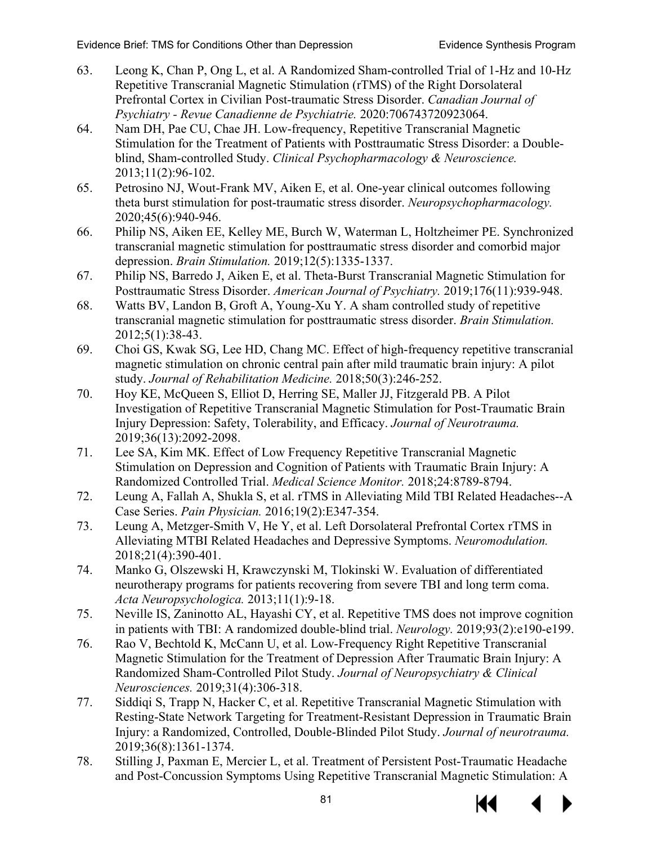- <span id="page-82-5"></span><span id="page-82-3"></span><span id="page-82-2"></span><span id="page-82-1"></span><span id="page-82-0"></span>63. Leong K, Chan P, Ong L, et al. A Randomized Sham-controlled Trial of 1-Hz and 10-Hz Repetitive Transcranial Magnetic Stimulation (rTMS) of the Right Dorsolateral Prefrontal Cortex in Civilian Post-traumatic Stress Disorder. *Canadian Journal of Psychiatry - Revue Canadienne de Psychiatrie.* 2020:706743720923064.
- <span id="page-82-6"></span><span id="page-82-4"></span>64. Nam DH, Pae CU, Chae JH. Low-frequency, Repetitive Transcranial Magnetic Stimulation for the Treatment of Patients with Posttraumatic Stress Disorder: a Doubleblind, Sham-controlled Study. *Clinical Psychopharmacology & Neuroscience.*  2013;11(2):96-102.
- <span id="page-82-7"></span>65. Petrosino NJ, Wout-Frank MV, Aiken E, et al. One-year clinical outcomes following theta burst stimulation for post-traumatic stress disorder. *Neuropsychopharmacology.*  2020;45(6):940-946.
- 66. Philip NS, Aiken EE, Kelley ME, Burch W, Waterman L, Holtzheimer PE. Synchronized transcranial magnetic stimulation for posttraumatic stress disorder and comorbid major depression. *Brain Stimulation.* 2019;12(5):1335-1337.
- <span id="page-82-8"></span>67. Philip NS, Barredo J, Aiken E, et al. Theta-Burst Transcranial Magnetic Stimulation for Posttraumatic Stress Disorder. *American Journal of Psychiatry.* 2019;176(11):939-948.
- <span id="page-82-11"></span>68. Watts BV, Landon B, Groft A, Young-Xu Y. A sham controlled study of repetitive transcranial magnetic stimulation for posttraumatic stress disorder. *Brain Stimulation.*  2012;5(1):38-43.
- <span id="page-82-12"></span>69. Choi GS, Kwak SG, Lee HD, Chang MC. Effect of high-frequency repetitive transcranial magnetic stimulation on chronic central pain after mild traumatic brain injury: A pilot study. *Journal of Rehabilitation Medicine.* 2018;50(3):246-252.
- <span id="page-82-15"></span><span id="page-82-14"></span>70. Hoy KE, McQueen S, Elliot D, Herring SE, Maller JJ, Fitzgerald PB. A Pilot Investigation of Repetitive Transcranial Magnetic Stimulation for Post-Traumatic Brain Injury Depression: Safety, Tolerability, and Efficacy. *Journal of Neurotrauma.*  2019;36(13):2092-2098.
- <span id="page-82-9"></span>71. Lee SA, Kim MK. Effect of Low Frequency Repetitive Transcranial Magnetic Stimulation on Depression and Cognition of Patients with Traumatic Brain Injury: A Randomized Controlled Trial. *Medical Science Monitor.* 2018;24:8789-8794.
- <span id="page-82-10"></span>72. Leung A, Fallah A, Shukla S, et al. rTMS in Alleviating Mild TBI Related Headaches--A Case Series. *Pain Physician.* 2016;19(2):E347-354.
- 73. Leung A, Metzger-Smith V, He Y, et al. Left Dorsolateral Prefrontal Cortex rTMS in Alleviating MTBI Related Headaches and Depressive Symptoms. *Neuromodulation.*  2018;21(4):390-401.
- <span id="page-82-13"></span>74. Manko G, Olszewski H, Krawczynski M, Tlokinski W. Evaluation of differentiated neurotherapy programs for patients recovering from severe TBI and long term coma. *Acta Neuropsychologica.* 2013;11(1):9-18.
- 75. Neville IS, Zaninotto AL, Hayashi CY, et al. Repetitive TMS does not improve cognition in patients with TBI: A randomized double-blind trial. *Neurology.* 2019;93(2):e190-e199.
- 76. Rao V, Bechtold K, McCann U, et al. Low-Frequency Right Repetitive Transcranial Magnetic Stimulation for the Treatment of Depression After Traumatic Brain Injury: A Randomized Sham-Controlled Pilot Study. *Journal of Neuropsychiatry & Clinical Neurosciences.* 2019;31(4):306-318.
- 77. Siddiqi S, Trapp N, Hacker C, et al. Repetitive Transcranial Magnetic Stimulation with Resting-State Network Targeting for Treatment-Resistant Depression in Traumatic Brain Injury: a Randomized, Controlled, Double-Blinded Pilot Study. *Journal of neurotrauma.*  2019;36(8):1361-1374.
- 78. Stilling J, Paxman E, Mercier L, et al. Treatment of Persistent Post-Traumatic Headache and Post-Concussion Symptoms Using Repetitive Transcranial Magnetic Stimulation: A

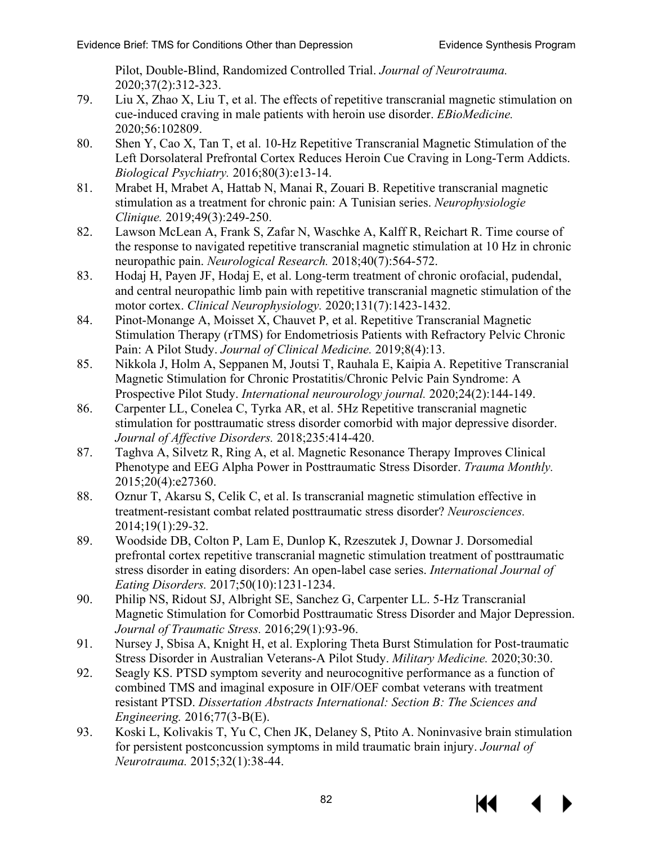<span id="page-83-1"></span><span id="page-83-0"></span>Pilot, Double-Blind, Randomized Controlled Trial. *Journal of Neurotrauma.*  2020;37(2):312-323.

- 79. Liu X, Zhao X, Liu T, et al. The effects of repetitive transcranial magnetic stimulation on cue-induced craving in male patients with heroin use disorder. *EBioMedicine.*  2020;56:102809.
- 80. Shen Y, Cao X, Tan T, et al. 10-Hz Repetitive Transcranial Magnetic Stimulation of the Left Dorsolateral Prefrontal Cortex Reduces Heroin Cue Craving in Long-Term Addicts. *Biological Psychiatry.* 2016;80(3):e13-14.
- 81. Mrabet H, Mrabet A, Hattab N, Manai R, Zouari B. Repetitive transcranial magnetic stimulation as a treatment for chronic pain: A Tunisian series. *Neurophysiologie Clinique.* 2019;49(3):249-250.
- 82. Lawson McLean A, Frank S, Zafar N, Waschke A, Kalff R, Reichart R. Time course of the response to navigated repetitive transcranial magnetic stimulation at 10 Hz in chronic neuropathic pain. *Neurological Research.* 2018;40(7):564-572.
- 83. Hodaj H, Payen JF, Hodaj E, et al. Long-term treatment of chronic orofacial, pudendal, and central neuropathic limb pain with repetitive transcranial magnetic stimulation of the motor cortex. *Clinical Neurophysiology.* 2020;131(7):1423-1432.
- 84. Pinot-Monange A, Moisset X, Chauvet P, et al. Repetitive Transcranial Magnetic Stimulation Therapy (rTMS) for Endometriosis Patients with Refractory Pelvic Chronic Pain: A Pilot Study. *Journal of Clinical Medicine.* 2019;8(4):13.
- 85. Nikkola J, Holm A, Seppanen M, Joutsi T, Rauhala E, Kaipia A. Repetitive Transcranial Magnetic Stimulation for Chronic Prostatitis/Chronic Pelvic Pain Syndrome: A Prospective Pilot Study. *International neurourology journal.* 2020;24(2):144-149.
- 86. Carpenter LL, Conelea C, Tyrka AR, et al. 5Hz Repetitive transcranial magnetic stimulation for posttraumatic stress disorder comorbid with major depressive disorder. *Journal of Affective Disorders.* 2018;235:414-420.
- 87. Taghva A, Silvetz R, Ring A, et al. Magnetic Resonance Therapy Improves Clinical Phenotype and EEG Alpha Power in Posttraumatic Stress Disorder. *Trauma Monthly.*  2015;20(4):e27360.
- 88. Oznur T, Akarsu S, Celik C, et al. Is transcranial magnetic stimulation effective in treatment-resistant combat related posttraumatic stress disorder? *Neurosciences.*  2014;19(1):29-32.
- 89. Woodside DB, Colton P, Lam E, Dunlop K, Rzeszutek J, Downar J. Dorsomedial prefrontal cortex repetitive transcranial magnetic stimulation treatment of posttraumatic stress disorder in eating disorders: An open-label case series. *International Journal of Eating Disorders.* 2017;50(10):1231-1234.
- 90. Philip NS, Ridout SJ, Albright SE, Sanchez G, Carpenter LL. 5-Hz Transcranial Magnetic Stimulation for Comorbid Posttraumatic Stress Disorder and Major Depression. *Journal of Traumatic Stress.* 2016;29(1):93-96.
- 91. Nursey J, Sbisa A, Knight H, et al. Exploring Theta Burst Stimulation for Post-traumatic Stress Disorder in Australian Veterans-A Pilot Study. *Military Medicine.* 2020;30:30.
- 92. Seagly KS. PTSD symptom severity and neurocognitive performance as a function of combined TMS and imaginal exposure in OIF/OEF combat veterans with treatment resistant PTSD. *Dissertation Abstracts International: Section B: The Sciences and Engineering.* 2016;77(3-B(E).
- 93. Koski L, Kolivakis T, Yu C, Chen JK, Delaney S, Ptito A. Noninvasive brain stimulation for persistent postconcussion symptoms in mild traumatic brain injury. *Journal of Neurotrauma.* 2015;32(1):38-44.